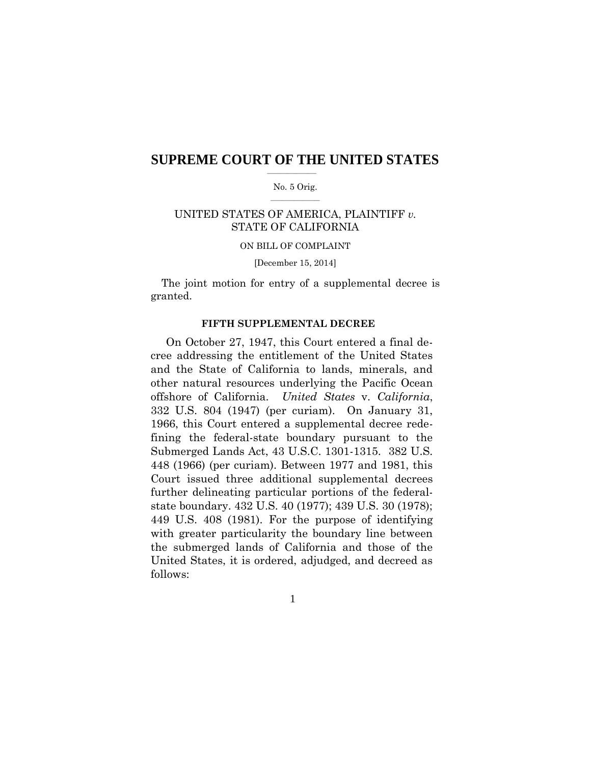### $\overline{\phantom{a}}$  , where  $\overline{\phantom{a}}$ **SUPREME COURT OF THE UNITED STATES**

#### $\mathcal{L}=\mathcal{L}^{\mathcal{L}}$  , where  $\mathcal{L}^{\mathcal{L}}$ No. 5 Orig.

## STATE OF CALIFORNIA UNITED STATES OF AMERICA, PLAINTIFF *v.*

#### ON BILL OF COMPLAINT

#### [December 15, 2014]

 The joint motion for entry of a supplemental decree is granted.

#### **FIFTH SUPPLEMENTAL DECREE**

 On October 27, 1947, this Court entered a final de- and the State of California to lands, minerals, and other natural resources underlying the Pacific Ocean offshore of California. *United States* v. *California*, 332 U.S. 804 (1947) (per curiam). On January 31, 1966, this Court entered a supplemental decree rede- fining the federal-state boundary pursuant to the Submerged Lands Act, 43 U.S.C. 1301-1315. 382 U.S. 448 (1966) (per curiam). Between 1977 and 1981, this further delineating particular portions of the federal- state boundary. 432 U.S. 40 (1977); 439 U.S. 30 (1978); 449 U.S. 408 (1981). For the purpose of identifying with greater particularity the boundary line between United States, it is ordered, adjudged, and decreed as cree addressing the entitlement of the United States Court issued three additional supplemental decrees the submerged lands of California and those of the follows:

 $\mathbf{1}$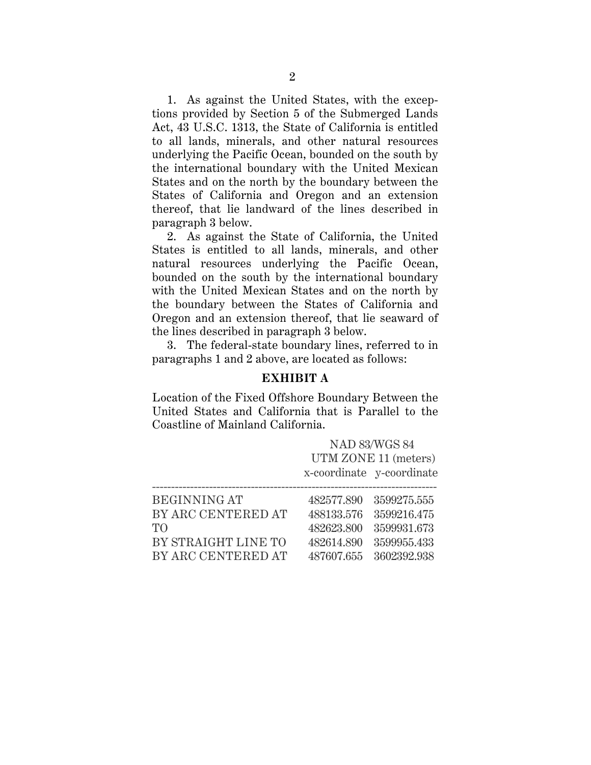1. As against the United States, with the exceptions provided by Section 5 of the Submerged Lands Act, 43 U.S.C. 1313, the State of California is entitled to all lands, minerals, and other natural resources underlying the Pacific Ocean, bounded on the south by the international boundary with the United Mexican States and on the north by the boundary between the States of California and Oregon and an extension thereof, that lie landward of the lines described in paragraph 3 below.

2. As against the State of California, the United States is entitled to all lands, minerals, and other natural resources underlying the Pacific Ocean, bounded on the south by the international boundary with the United Mexican States and on the north by the boundary between the States of California and Oregon and an extension thereof, that lie seaward of the lines described in paragraph 3 below.

3. The federal-state boundary lines, referred to in paragraphs 1 and 2 above, are located as follows:

## **EXHIBIT A**

Location of the Fixed Offshore Boundary Between the United States and California that is Parallel to the Coastline of Mainland California.

|                     |            | <b>NAD 83/WGS 84</b><br>UTM ZONE 11 (meters)<br>x-coordinate y-coordinate |
|---------------------|------------|---------------------------------------------------------------------------|
| <b>BEGINNING AT</b> | 482577.890 | 3599275.555                                                               |
| BY ARC CENTERED AT  | 488133.576 | 3599216.475                                                               |
| TО                  | 482623.800 | 3599931.673                                                               |
| BY STRAIGHT LINE TO | 482614.890 | 3599955.433                                                               |
| BY ARC CENTERED AT  | 487607.655 | 3602392.938                                                               |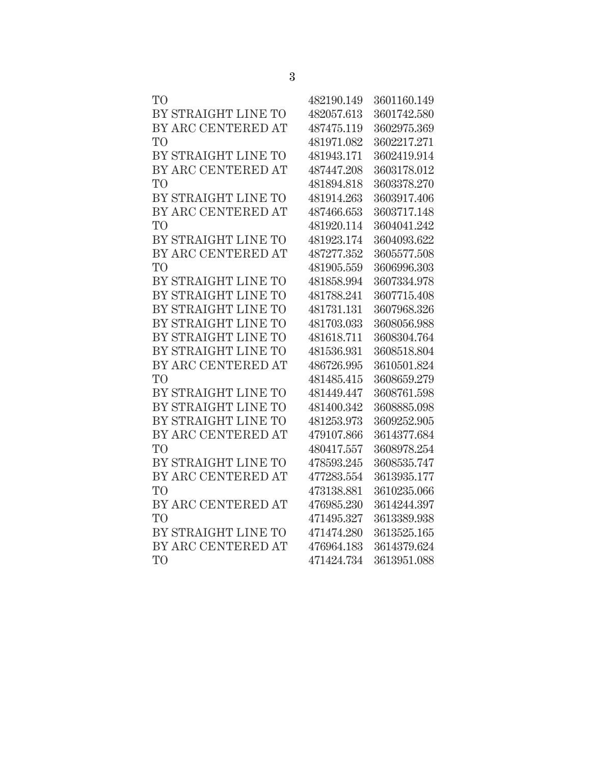| T <sub>O</sub>      | 482190.149 | 3601160.149 |
|---------------------|------------|-------------|
| BY STRAIGHT LINE TO | 482057.613 | 3601742.580 |
| BY ARC CENTERED AT  | 487475.119 | 3602975.369 |
| T <sub>O</sub>      | 481971.082 | 3602217.271 |
| BY STRAIGHT LINE TO | 481943.171 | 3602419.914 |
| BY ARC CENTERED AT  | 487447.208 | 3603178.012 |
| T <sub>O</sub>      | 481894.818 | 3603378.270 |
| BY STRAIGHT LINE TO | 481914.263 | 3603917.406 |
| BY ARC CENTERED AT  | 487466.653 | 3603717.148 |
| T <sub>O</sub>      | 481920.114 | 3604041.242 |
| BY STRAIGHT LINE TO | 481923.174 | 3604093.622 |
| BY ARC CENTERED AT  | 487277.352 | 3605577.508 |
| T <sub>O</sub>      | 481905.559 | 3606996.303 |
| BY STRAIGHT LINE TO | 481858.994 | 3607334.978 |
| BY STRAIGHT LINE TO | 481788.241 | 3607715.408 |
| BY STRAIGHT LINE TO | 481731.131 | 3607968.326 |
| BY STRAIGHT LINE TO | 481703.033 | 3608056.988 |
| BY STRAIGHT LINE TO | 481618.711 | 3608304.764 |
| BY STRAIGHT LINE TO | 481536.931 | 3608518.804 |
| BY ARC CENTERED AT  | 486726.995 | 3610501.824 |
| T <sub>O</sub>      | 481485.415 | 3608659.279 |
| BY STRAIGHT LINE TO | 481449.447 | 3608761.598 |
| BY STRAIGHT LINE TO | 481400.342 | 3608885.098 |
| BY STRAIGHT LINE TO | 481253.973 | 3609252.905 |
| BY ARC CENTERED AT  | 479107.866 | 3614377.684 |
| T <sub>O</sub>      | 480417.557 | 3608978.254 |
| BY STRAIGHT LINE TO | 478593.245 | 3608535.747 |
| BY ARC CENTERED AT  | 477283.554 | 3613935.177 |
| TO <sup>1</sup>     | 473138.881 | 3610235.066 |
| BY ARC CENTERED AT  | 476985.230 | 3614244.397 |
| T <sub>O</sub>      | 471495.327 | 3613389.938 |
| BY STRAIGHT LINE TO | 471474.280 | 3613525.165 |
| BY ARC CENTERED AT  | 476964.183 | 3614379.624 |
| T <sub>O</sub>      | 471424.734 | 3613951.088 |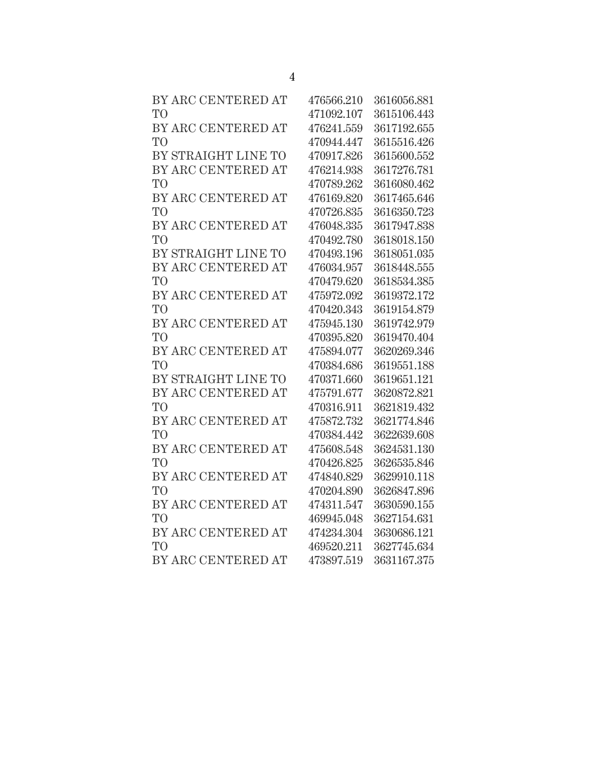| BY ARC CENTERED AT  | 476566.210 | 3616056.881 |
|---------------------|------------|-------------|
| T <sub>O</sub>      | 471092.107 | 3615106.443 |
| BY ARC CENTERED AT  | 476241.559 | 3617192.655 |
| T <sub>O</sub>      | 470944.447 | 3615516.426 |
| BY STRAIGHT LINE TO | 470917.826 | 3615600.552 |
| BY ARC CENTERED AT  | 476214.938 | 3617276.781 |
| T <sub>O</sub>      | 470789.262 | 3616080.462 |
| BY ARC CENTERED AT  | 476169.820 | 3617465.646 |
| T <sub>O</sub>      | 470726.835 | 3616350.723 |
| BY ARC CENTERED AT  | 476048.335 | 3617947.838 |
| T <sub>O</sub>      | 470492.780 | 3618018.150 |
| BY STRAIGHT LINE TO | 470493.196 | 3618051.035 |
| BY ARC CENTERED AT  | 476034.957 | 3618448.555 |
| T <sub>O</sub>      | 470479.620 | 3618534.385 |
| BY ARC CENTERED AT  | 475972.092 | 3619372.172 |
| T <sub>O</sub>      | 470420.343 | 3619154.879 |
| BY ARC CENTERED AT  | 475945.130 | 3619742.979 |
| T <sub>O</sub>      | 470395.820 | 3619470.404 |
| BY ARC CENTERED AT  | 475894.077 | 3620269.346 |
| T <sub>O</sub>      | 470384.686 | 3619551.188 |
| BY STRAIGHT LINE TO | 470371.660 | 3619651.121 |
| BY ARC CENTERED AT  | 475791.677 | 3620872.821 |
| T <sub>O</sub>      | 470316.911 | 3621819.432 |
| BY ARC CENTERED AT  | 475872.732 | 3621774.846 |
| T <sub>O</sub>      | 470384.442 | 3622639.608 |
| BY ARC CENTERED AT  | 475608.548 | 3624531.130 |
| T <sub>O</sub>      | 470426.825 | 3626535.846 |
| BY ARC CENTERED AT  | 474840.829 | 3629910.118 |
| T <sub>O</sub>      | 470204.890 | 3626847.896 |
| BY ARC CENTERED AT  | 474311.547 | 3630590.155 |
| T <sub>O</sub>      | 469945.048 | 3627154.631 |
| BY ARC CENTERED AT  | 474234.304 | 3630686.121 |
| T <sub>O</sub>      | 469520.211 | 3627745.634 |
| BY ARC CENTERED AT  | 473897.519 | 3631167.375 |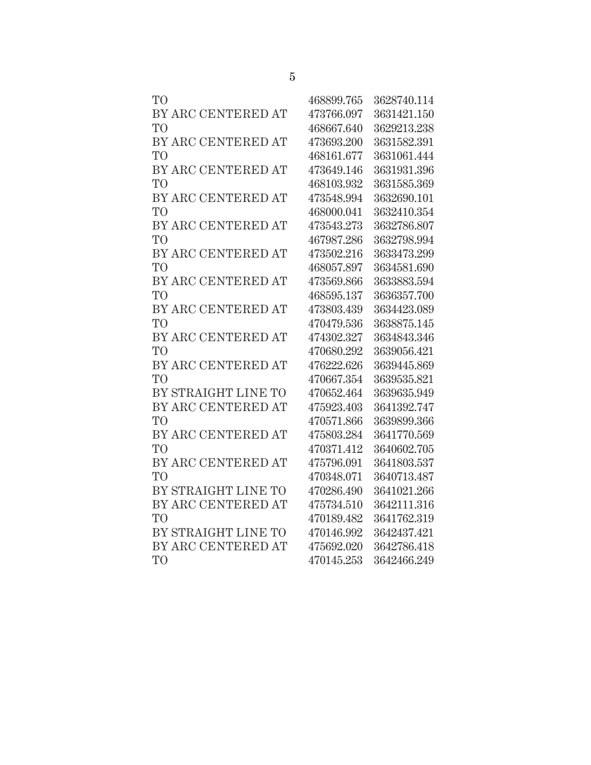| T <sub>O</sub>      | 468899.765 | 3628740.114 |
|---------------------|------------|-------------|
| BY ARC CENTERED AT  | 473766.097 | 3631421.150 |
| T <sub>O</sub>      | 468667.640 | 3629213.238 |
| BY ARC CENTERED AT  | 473693.200 | 3631582.391 |
| T <sub>O</sub>      | 468161.677 | 3631061.444 |
| BY ARC CENTERED AT  | 473649.146 | 3631931.396 |
| T <sub>O</sub>      | 468103.932 | 3631585.369 |
| BY ARC CENTERED AT  | 473548.994 | 3632690.101 |
| T <sub>O</sub>      | 468000.041 | 3632410.354 |
| BY ARC CENTERED AT  | 473543.273 | 3632786.807 |
| T <sub>O</sub>      | 467987.286 | 3632798.994 |
| BY ARC CENTERED AT  | 473502.216 | 3633473.299 |
| T <sub>O</sub>      | 468057.897 | 3634581.690 |
| BY ARC CENTERED AT  | 473569.866 | 3633883.594 |
| T <sub>O</sub>      | 468595.137 | 3636357.700 |
| BY ARC CENTERED AT  | 473803.439 | 3634423.089 |
| T <sub>O</sub>      | 470479.536 | 3638875.145 |
| BY ARC CENTERED AT  | 474302.327 | 3634843.346 |
| T <sub>O</sub>      | 470680.292 | 3639056.421 |
| BY ARC CENTERED AT  | 476222.626 | 3639445.869 |
| T <sub>O</sub>      | 470667.354 | 3639535.821 |
| BY STRAIGHT LINE TO | 470652.464 | 3639635.949 |
| BY ARC CENTERED AT  | 475923.403 | 3641392.747 |
| T <sub>O</sub>      | 470571.866 | 3639899.366 |
| BY ARC CENTERED AT  | 475803.284 | 3641770.569 |
| T <sub>O</sub>      | 470371.412 | 3640602.705 |
| BY ARC CENTERED AT  | 475796.091 | 3641803.537 |
| T <sub>O</sub>      | 470348.071 | 3640713.487 |
| BY STRAIGHT LINE TO | 470286.490 | 3641021.266 |
| BY ARC CENTERED AT  | 475734.510 | 3642111.316 |
| T <sub>O</sub>      | 470189.482 | 3641762.319 |
| BY STRAIGHT LINE TO | 470146.992 | 3642437.421 |
| BY ARC CENTERED AT  | 475692.020 | 3642786.418 |
| T <sub>O</sub>      | 470145.253 | 3642466.249 |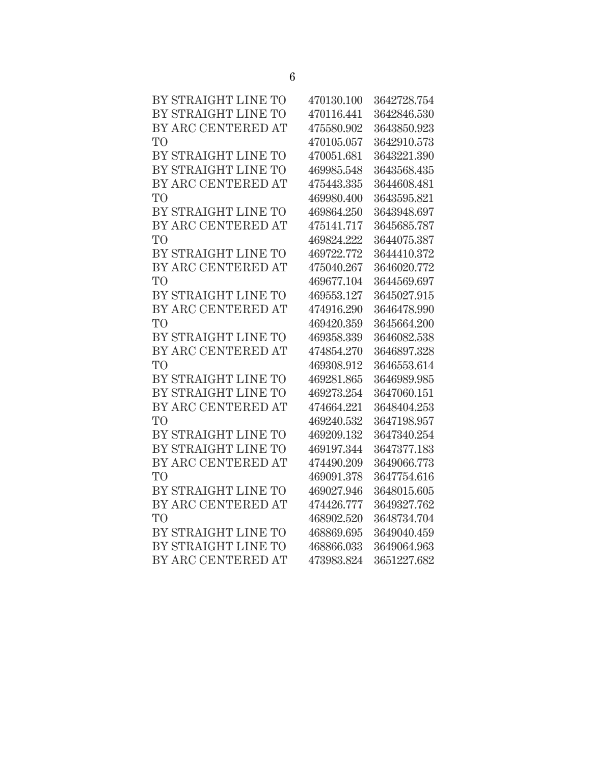| BY STRAIGHT LINE TO | 470130.100 | 3642728.754 |
|---------------------|------------|-------------|
| BY STRAIGHT LINE TO | 470116.441 | 3642846.530 |
| BY ARC CENTERED AT  | 475580.902 | 3643850.923 |
| T <sub>O</sub>      | 470105.057 | 3642910.573 |
| BY STRAIGHT LINE TO | 470051.681 | 3643221.390 |
| BY STRAIGHT LINE TO | 469985.548 | 3643568.435 |
| BY ARC CENTERED AT  | 475443.335 | 3644608.481 |
| T <sub>O</sub>      | 469980.400 | 3643595.821 |
| BY STRAIGHT LINE TO | 469864.250 | 3643948.697 |
| BY ARC CENTERED AT  | 475141.717 | 3645685.787 |
| T <sub>O</sub>      | 469824.222 | 3644075.387 |
| BY STRAIGHT LINE TO | 469722.772 | 3644410.372 |
| BY ARC CENTERED AT  | 475040.267 | 3646020.772 |
| T <sub>O</sub>      | 469677.104 | 3644569.697 |
| BY STRAIGHT LINE TO | 469553.127 | 3645027.915 |
| BY ARC CENTERED AT  | 474916.290 | 3646478.990 |
| T <sub>O</sub>      | 469420.359 | 3645664.200 |
| BY STRAIGHT LINE TO | 469358.339 | 3646082.538 |
| BY ARC CENTERED AT  | 474854.270 | 3646897.328 |
| T <sub>O</sub>      | 469308.912 | 3646553.614 |
| BY STRAIGHT LINE TO | 469281.865 | 3646989.985 |
| BY STRAIGHT LINE TO | 469273.254 | 3647060.151 |
| BY ARC CENTERED AT  | 474664.221 | 3648404.253 |
| T <sub>O</sub>      | 469240.532 | 3647198.957 |
| BY STRAIGHT LINE TO | 469209.132 | 3647340.254 |
| BY STRAIGHT LINE TO | 469197.344 | 3647377.183 |
| BY ARC CENTERED AT  | 474490.209 | 3649066.773 |
| T <sub>O</sub>      | 469091.378 | 3647754.616 |
| BY STRAIGHT LINE TO | 469027.946 | 3648015.605 |
| BY ARC CENTERED AT  | 474426.777 | 3649327.762 |
| T <sub>O</sub>      | 468902.520 | 3648734.704 |
| BY STRAIGHT LINE TO | 468869.695 | 3649040.459 |
| BY STRAIGHT LINE TO | 468866.033 | 3649064.963 |
| BY ARC CENTERED AT  | 473983.824 | 3651227.682 |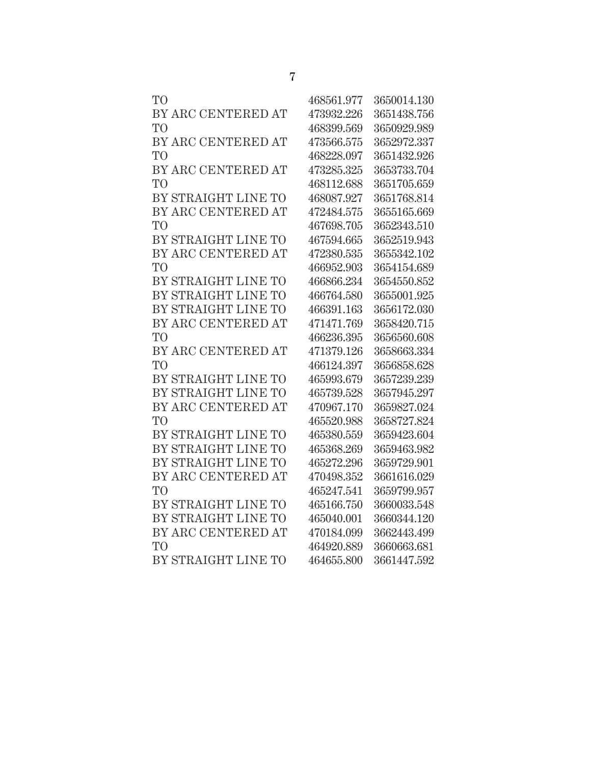| TO <sup></sup>      | 468561.977 | 3650014.130 |
|---------------------|------------|-------------|
| BY ARC CENTERED AT  | 473932.226 | 3651438.756 |
| TO                  | 468399.569 | 3650929.989 |
| BY ARC CENTERED AT  | 473566.575 | 3652972.337 |
| TO                  | 468228.097 | 3651432.926 |
| BY ARC CENTERED AT  | 473285.325 | 3653733.704 |
| TО                  | 468112.688 | 3651705.659 |
| BY STRAIGHT LINE TO | 468087.927 | 3651768.814 |
| BY ARC CENTERED AT  | 472484.575 | 3655165.669 |
| TО                  | 467698.705 | 3652343.510 |
| BY STRAIGHT LINE TO | 467594.665 | 3652519.943 |
| BY ARC CENTERED AT  | 472380.535 | 3655342.102 |
| TО                  | 466952.903 | 3654154.689 |
| BY STRAIGHT LINE TO | 466866.234 | 3654550.852 |
| BY STRAIGHT LINE TO | 466764.580 | 3655001.925 |
| BY STRAIGHT LINE TO | 466391.163 | 3656172.030 |
| BY ARC CENTERED AT  | 471471.769 | 3658420.715 |
| TО                  | 466236.395 | 3656560.608 |
| BY ARC CENTERED AT  | 471379.126 | 3658663.334 |
| TО                  | 466124.397 | 3656858.628 |
| BY STRAIGHT LINE TO | 465993.679 | 3657239.239 |
| BY STRAIGHT LINE TO | 465739.528 | 3657945.297 |
| BY ARC CENTERED AT  | 470967.170 | 3659827.024 |
| <b>TO</b>           | 465520.988 | 3658727.824 |
| BY STRAIGHT LINE TO | 465380.559 | 3659423.604 |
| BY STRAIGHT LINE TO | 465368.269 | 3659463.982 |
| BY STRAIGHT LINE TO | 465272.296 | 3659729.901 |
| BY ARC CENTERED AT  | 470498.352 | 3661616.029 |
| <b>TO</b>           | 465247.541 | 3659799.957 |
| BY STRAIGHT LINE TO | 465166.750 | 3660033.548 |
| BY STRAIGHT LINE TO | 465040.001 | 3660344.120 |
| BY ARC CENTERED AT  | 470184.099 | 3662443.499 |
| TО                  | 464920.889 | 3660663.681 |
| BY STRAIGHT LINE TO | 464655.800 | 3661447.592 |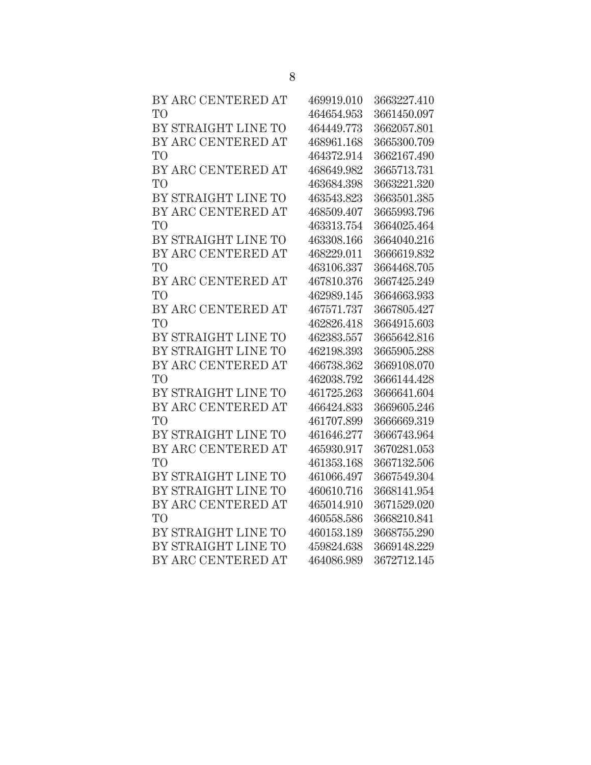| BY ARC CENTERED AT  | 469919.010 | 3663227.410 |
|---------------------|------------|-------------|
| T <sub>O</sub>      | 464654.953 | 3661450.097 |
| BY STRAIGHT LINE TO | 464449.773 | 3662057.801 |
| BY ARC CENTERED AT  | 468961.168 | 3665300.709 |
| T <sub>O</sub>      | 464372.914 | 3662167.490 |
| BY ARC CENTERED AT  | 468649.982 | 3665713.731 |
| <b>TO</b>           | 463684.398 | 3663221.320 |
| BY STRAIGHT LINE TO | 463543.823 | 3663501.385 |
| BY ARC CENTERED AT  | 468509.407 | 3665993.796 |
| T <sub>O</sub>      | 463313.754 | 3664025.464 |
| BY STRAIGHT LINE TO | 463308.166 | 3664040.216 |
| BY ARC CENTERED AT  | 468229.011 | 3666619.832 |
| T <sub>O</sub>      | 463106.337 | 3664468.705 |
| BY ARC CENTERED AT  | 467810.376 | 3667425.249 |
| <b>TO</b>           | 462989.145 | 3664663.933 |
| BY ARC CENTERED AT  | 467571.737 | 3667805.427 |
| T <sub>O</sub>      | 462826.418 | 3664915.603 |
| BY STRAIGHT LINE TO | 462383.557 | 3665642.816 |
| BY STRAIGHT LINE TO | 462198.393 | 3665905.288 |
| BY ARC CENTERED AT  | 466738.362 | 3669108.070 |
| <b>TO</b>           | 462038.792 | 3666144.428 |
| BY STRAIGHT LINE TO | 461725.263 | 3666641.604 |
| BY ARC CENTERED AT  | 466424.833 | 3669605.246 |
| <b>TO</b>           | 461707.899 | 3666669.319 |
| BY STRAIGHT LINE TO | 461646.277 | 3666743.964 |
| BY ARC CENTERED AT  | 465930.917 | 3670281.053 |
| T <sub>O</sub>      | 461353.168 | 3667132.506 |
| BY STRAIGHT LINE TO | 461066.497 | 3667549.304 |
| BY STRAIGHT LINE TO | 460610.716 | 3668141.954 |
| BY ARC CENTERED AT  | 465014.910 | 3671529.020 |
| T <sub>O</sub>      | 460558.586 | 3668210.841 |
| BY STRAIGHT LINE TO | 460153.189 | 3668755.290 |
| BY STRAIGHT LINE TO | 459824.638 | 3669148.229 |
| BY ARC CENTERED AT  | 464086.989 | 3672712.145 |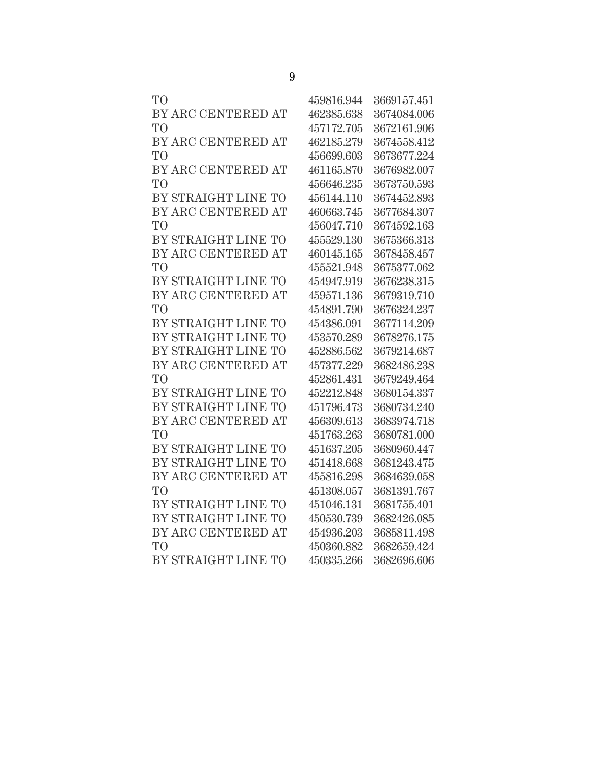| TО                  | 459816.944 | 3669157.451 |
|---------------------|------------|-------------|
| BY ARC CENTERED AT  | 462385.638 | 3674084.006 |
| T <sub>O</sub>      | 457172.705 | 3672161.906 |
| BY ARC CENTERED AT  | 462185.279 | 3674558.412 |
| T <sub>O</sub>      | 456699.603 | 3673677.224 |
| BY ARC CENTERED AT  | 461165.870 | 3676982.007 |
| T <sub>O</sub>      | 456646.235 | 3673750.593 |
| BY STRAIGHT LINE TO | 456144.110 | 3674452.893 |
| BY ARC CENTERED AT  | 460663.745 | 3677684.307 |
| T <sub>O</sub>      | 456047.710 | 3674592.163 |
| BY STRAIGHT LINE TO | 455529.130 | 3675366.313 |
| BY ARC CENTERED AT  | 460145.165 | 3678458.457 |
| T <sub>O</sub>      | 455521.948 | 3675377.062 |
| BY STRAIGHT LINE TO | 454947.919 | 3676238.315 |
| BY ARC CENTERED AT  | 459571.136 | 3679319.710 |
| T <sub>O</sub>      | 454891.790 | 3676324.237 |
| BY STRAIGHT LINE TO | 454386.091 | 3677114.209 |
| BY STRAIGHT LINE TO | 453570.289 | 3678276.175 |
| BY STRAIGHT LINE TO | 452886.562 | 3679214.687 |
| BY ARC CENTERED AT  | 457377.229 | 3682486.238 |
| T <sub>O</sub>      | 452861.431 | 3679249.464 |
| BY STRAIGHT LINE TO | 452212.848 | 3680154.337 |
| BY STRAIGHT LINE TO | 451796.473 | 3680734.240 |
| BY ARC CENTERED AT  | 456309.613 | 3683974.718 |
| T <sub>O</sub>      | 451763.263 | 3680781.000 |
| BY STRAIGHT LINE TO | 451637.205 | 3680960.447 |
| BY STRAIGHT LINE TO | 451418.668 | 3681243.475 |
| BY ARC CENTERED AT  | 455816.298 | 3684639.058 |
| T <sub>O</sub>      | 451308.057 | 3681391.767 |
| BY STRAIGHT LINE TO | 451046.131 | 3681755.401 |
| BY STRAIGHT LINE TO | 450530.739 | 3682426.085 |
| BY ARC CENTERED AT  | 454936.203 | 3685811.498 |
| T <sub>O</sub>      | 450360.882 | 3682659.424 |
| BY STRAIGHT LINE TO | 450335.266 | 3682696.606 |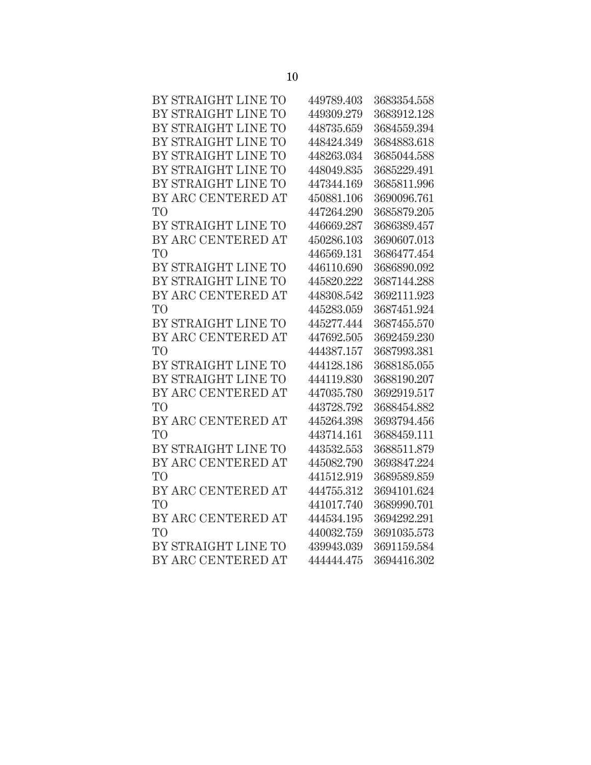| BY STRAIGHT LINE TO | 449789.403 | 3683354.558 |
|---------------------|------------|-------------|
| BY STRAIGHT LINE TO | 449309.279 | 3683912.128 |
| BY STRAIGHT LINE TO | 448735.659 | 3684559.394 |
| BY STRAIGHT LINE TO | 448424.349 | 3684883.618 |
| BY STRAIGHT LINE TO | 448263.034 | 3685044.588 |
| BY STRAIGHT LINE TO | 448049.835 | 3685229.491 |
| BY STRAIGHT LINE TO | 447344.169 | 3685811.996 |
| BY ARC CENTERED AT  | 450881.106 | 3690096.761 |
| T <sub>O</sub>      | 447264.290 | 3685879.205 |
| BY STRAIGHT LINE TO | 446669.287 | 3686389.457 |
| BY ARC CENTERED AT  | 450286.103 | 3690607.013 |
| T <sub>O</sub>      | 446569.131 | 3686477.454 |
| BY STRAIGHT LINE TO | 446110.690 | 3686890.092 |
| BY STRAIGHT LINE TO | 445820.222 | 3687144.288 |
| BY ARC CENTERED AT  | 448308.542 | 3692111.923 |
| T <sub>O</sub>      | 445283.059 | 3687451.924 |
| BY STRAIGHT LINE TO | 445277.444 | 3687455.570 |
| BY ARC CENTERED AT  | 447692.505 | 3692459.230 |
| TO                  | 444387.157 | 3687993.381 |
| BY STRAIGHT LINE TO | 444128.186 | 3688185.055 |
| BY STRAIGHT LINE TO | 444119.830 | 3688190.207 |
| BY ARC CENTERED AT  | 447035.780 | 3692919.517 |
| T <sub>O</sub>      | 443728.792 | 3688454.882 |
| BY ARC CENTERED AT  | 445264.398 | 3693794.456 |
| T <sub>O</sub>      | 443714.161 | 3688459.111 |
| BY STRAIGHT LINE TO | 443532.553 | 3688511.879 |
| BY ARC CENTERED AT  | 445082.790 | 3693847.224 |
| T <sub>O</sub>      | 441512.919 | 3689589.859 |
| BY ARC CENTERED AT  | 444755.312 | 3694101.624 |
| T <sub>O</sub>      | 441017.740 | 3689990.701 |
| BY ARC CENTERED AT  | 444534.195 | 3694292.291 |
| T <sub>O</sub>      | 440032.759 | 3691035.573 |
| BY STRAIGHT LINE TO | 439943.039 | 3691159.584 |
| BY ARC CENTERED AT  | 444444.475 | 3694416.302 |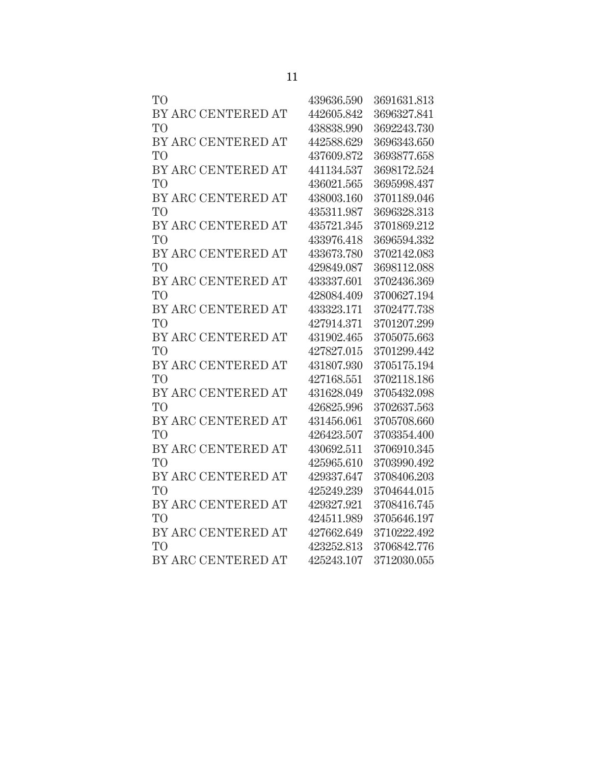| T <sub>O</sub>     | 439636.590 | 3691631.813 |
|--------------------|------------|-------------|
| BY ARC CENTERED AT | 442605.842 | 3696327.841 |
| T <sub>O</sub>     | 438838.990 | 3692243.730 |
| BY ARC CENTERED AT | 442588.629 | 3696343.650 |
| T <sub>O</sub>     | 437609.872 | 3693877.658 |
| BY ARC CENTERED AT | 441134.537 | 3698172.524 |
| T <sub>O</sub>     | 436021.565 | 3695998.437 |
| BY ARC CENTERED AT | 438003.160 | 3701189.046 |
| T <sub>O</sub>     | 435311.987 | 3696328.313 |
| BY ARC CENTERED AT | 435721.345 | 3701869.212 |
| T <sub>O</sub>     | 433976.418 | 3696594.332 |
| BY ARC CENTERED AT | 433673.780 | 3702142.083 |
| T <sub>O</sub>     | 429849.087 | 3698112.088 |
| BY ARC CENTERED AT | 433337.601 | 3702436.369 |
| T <sub>O</sub>     | 428084.409 | 3700627.194 |
| BY ARC CENTERED AT | 433323.171 | 3702477.738 |
| T <sub>O</sub>     | 427914.371 | 3701207.299 |
| BY ARC CENTERED AT | 431902.465 | 3705075.663 |
| T <sub>O</sub>     | 427827.015 | 3701299.442 |
| BY ARC CENTERED AT | 431807.930 | 3705175.194 |
| T <sub>O</sub>     | 427168.551 | 3702118.186 |
| BY ARC CENTERED AT | 431628.049 | 3705432.098 |
| T <sub>O</sub>     | 426825.996 | 3702637.563 |
| BY ARC CENTERED AT | 431456.061 | 3705708.660 |
| T <sub>O</sub>     | 426423.507 | 3703354.400 |
| BY ARC CENTERED AT | 430692.511 | 3706910.345 |
| T <sub>O</sub>     | 425965.610 | 3703990.492 |
| BY ARC CENTERED AT | 429337.647 | 3708406.203 |
| T <sub>O</sub>     | 425249.239 | 3704644.015 |
| BY ARC CENTERED AT | 429327.921 | 3708416.745 |
| T <sub>O</sub>     | 424511.989 | 3705646.197 |
| BY ARC CENTERED AT | 427662.649 | 3710222.492 |
| T <sub>O</sub>     | 423252.813 | 3706842.776 |
| BY ARC CENTERED AT | 425243.107 | 3712030.055 |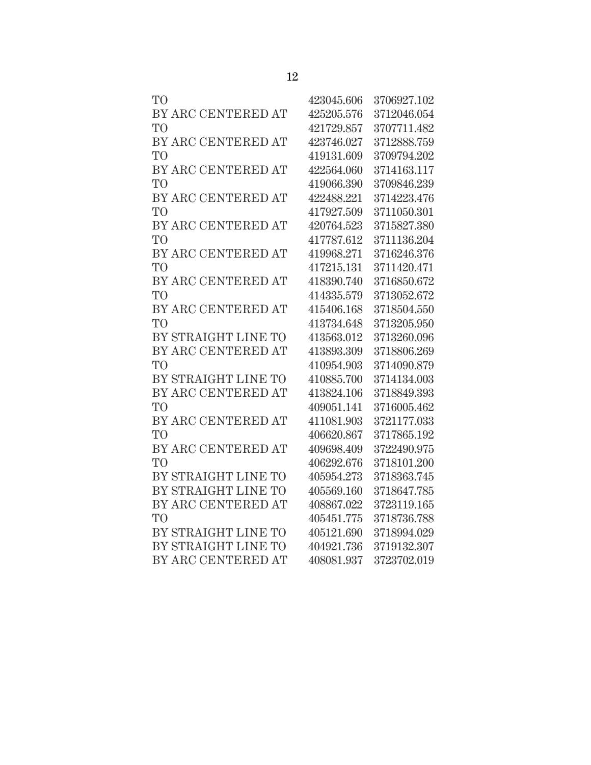| 423045.606 | 3706927.102 |
|------------|-------------|
| 425205.576 | 3712046.054 |
| 421729.857 | 3707711.482 |
| 423746.027 | 3712888.759 |
| 419131.609 | 3709794.202 |
| 422564.060 | 3714163.117 |
| 419066.390 | 3709846.239 |
| 422488.221 | 3714223.476 |
| 417927.509 | 3711050.301 |
| 420764.523 | 3715827.380 |
| 417787.612 | 3711136.204 |
| 419968.271 | 3716246.376 |
| 417215.131 | 3711420.471 |
| 418390.740 | 3716850.672 |
| 414335.579 | 3713052.672 |
| 415406.168 | 3718504.550 |
| 413734.648 | 3713205.950 |
| 413563.012 | 3713260.096 |
| 413893.309 | 3718806.269 |
| 410954.903 | 3714090.879 |
| 410885.700 | 3714134.003 |
| 413824.106 | 3718849.393 |
| 409051.141 | 3716005.462 |
| 411081.903 | 3721177.033 |
| 406620.867 | 3717865.192 |
| 409698.409 | 3722490.975 |
| 406292.676 | 3718101.200 |
| 405954.273 | 3718363.745 |
| 405569.160 | 3718647.785 |
| 408867.022 | 3723119.165 |
| 405451.775 | 3718736.788 |
| 405121.690 | 3718994.029 |
| 404921.736 | 3719132.307 |
| 408081.937 | 3723702.019 |
|            |             |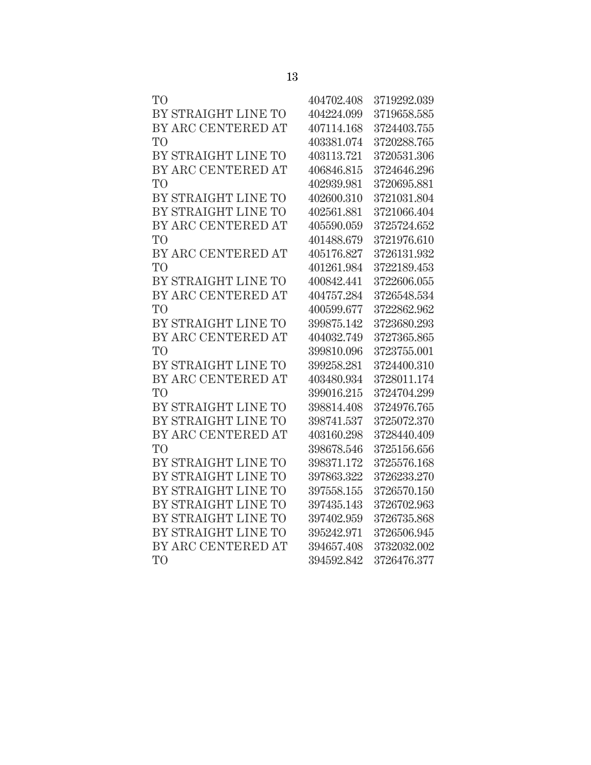| TO <sup>1</sup>     | 404702.408 | 3719292.039 |
|---------------------|------------|-------------|
| BY STRAIGHT LINE TO | 404224.099 | 3719658.585 |
| BY ARC CENTERED AT  | 407114.168 | 3724403.755 |
| TO <sup>1</sup>     | 403381.074 | 3720288.765 |
| BY STRAIGHT LINE TO | 403113.721 | 3720531.306 |
| BY ARC CENTERED AT  | 406846.815 | 3724646.296 |
| T <sub>O</sub>      | 402939.981 | 3720695.881 |
| BY STRAIGHT LINE TO | 402600.310 | 3721031.804 |
| BY STRAIGHT LINE TO | 402561.881 | 3721066.404 |
| BY ARC CENTERED AT  | 405590.059 | 3725724.652 |
| TO <sup>1</sup>     | 401488.679 | 3721976.610 |
| BY ARC CENTERED AT  | 405176.827 | 3726131.932 |
| TO <sup>1</sup>     | 401261.984 | 3722189.453 |
| BY STRAIGHT LINE TO | 400842.441 | 3722606.055 |
| BY ARC CENTERED AT  | 404757.284 | 3726548.534 |
| T <sub>O</sub>      | 400599.677 | 3722862.962 |
| BY STRAIGHT LINE TO | 399875.142 | 3723680.293 |
| BY ARC CENTERED AT  | 404032.749 | 3727365.865 |
| T <sub>O</sub>      | 399810.096 | 3723755.001 |
| BY STRAIGHT LINE TO | 399258.281 | 3724400.310 |
| BY ARC CENTERED AT  | 403480.934 | 3728011.174 |
| T <sub>O</sub>      | 399016.215 | 3724704.299 |
| BY STRAIGHT LINE TO | 398814.408 | 3724976.765 |
| BY STRAIGHT LINE TO | 398741.537 | 3725072.370 |
| BY ARC CENTERED AT  | 403160.298 | 3728440.409 |
| T <sub>O</sub>      | 398678.546 | 3725156.656 |
| BY STRAIGHT LINE TO | 398371.172 | 3725576.168 |
| BY STRAIGHT LINE TO | 397863.322 | 3726233.270 |
| BY STRAIGHT LINE TO | 397558.155 | 3726570.150 |
| BY STRAIGHT LINE TO | 397435.143 | 3726702.963 |
| BY STRAIGHT LINE TO | 397402.959 | 3726735.868 |
| BY STRAIGHT LINE TO | 395242.971 | 3726506.945 |
| BY ARC CENTERED AT  | 394657.408 | 3732032.002 |

| × | ۰,<br>۰. |
|---|----------|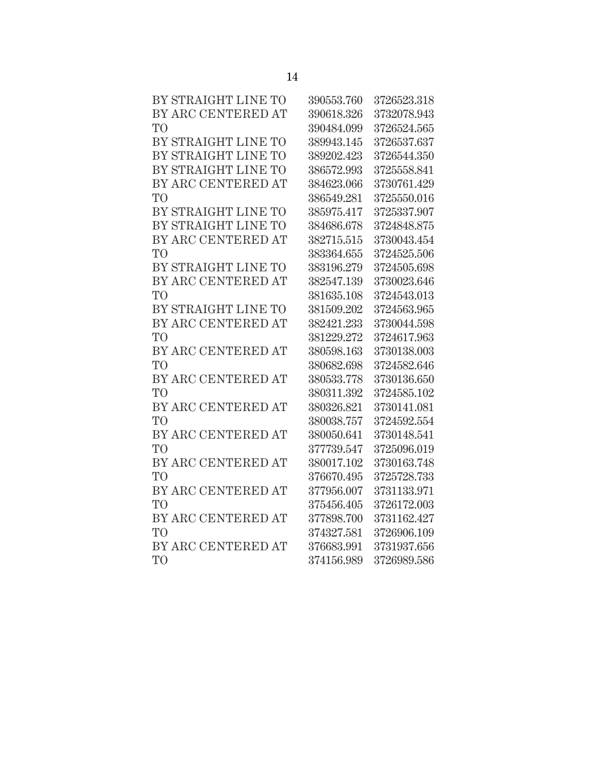| BY STRAIGHT LINE TO | 390553.760 | 3726523.318 |
|---------------------|------------|-------------|
| BY ARC CENTERED AT  | 390618.326 | 3732078.943 |
| TО                  | 390484.099 | 3726524.565 |
| BY STRAIGHT LINE TO | 389943.145 | 3726537.637 |
| BY STRAIGHT LINE TO | 389202.423 | 3726544.350 |
| BY STRAIGHT LINE TO | 386572.993 | 3725558.841 |
| BY ARC CENTERED AT  | 384623.066 | 3730761.429 |
| TO <sup>T</sup>     | 386549.281 | 3725550.016 |
| BY STRAIGHT LINE TO | 385975.417 | 3725337.907 |
| BY STRAIGHT LINE TO | 384686.678 | 3724848.875 |
| BY ARC CENTERED AT  | 382715.515 | 3730043.454 |
| TО                  | 383364.655 | 3724525.506 |
| BY STRAIGHT LINE TO | 383196.279 | 3724505.698 |
| BY ARC CENTERED AT  | 382547.139 | 3730023.646 |
| TО                  | 381635.108 | 3724543.013 |
| BY STRAIGHT LINE TO | 381509.202 | 3724563.965 |
| BY ARC CENTERED AT  | 382421.233 | 3730044.598 |
| TO <sup>1</sup>     | 381229.272 | 3724617.963 |
| BY ARC CENTERED AT  | 380598.163 | 3730138.003 |
| TО                  | 380682.698 | 3724582.646 |
| BY ARC CENTERED AT  | 380533.778 | 3730136.650 |
| TO <sup>T</sup>     | 380311.392 | 3724585.102 |
| BY ARC CENTERED AT  | 380326.821 | 3730141.081 |
| TO                  | 380038.757 | 3724592.554 |
| BY ARC CENTERED AT  | 380050.641 | 3730148.541 |
| TO                  | 377739.547 | 3725096.019 |
| BY ARC CENTERED AT  | 380017.102 | 3730163.748 |
| TО                  | 376670.495 | 3725728.733 |
| BY ARC CENTERED AT  | 377956.007 | 3731133.971 |
| TО                  | 375456.405 | 3726172.003 |
| BY ARC CENTERED AT  | 377898.700 | 3731162.427 |
| TО                  | 374327.581 | 3726906.109 |
| BY ARC CENTERED AT  | 376683.991 | 3731937.656 |
| TО                  | 374156.989 | 3726989.586 |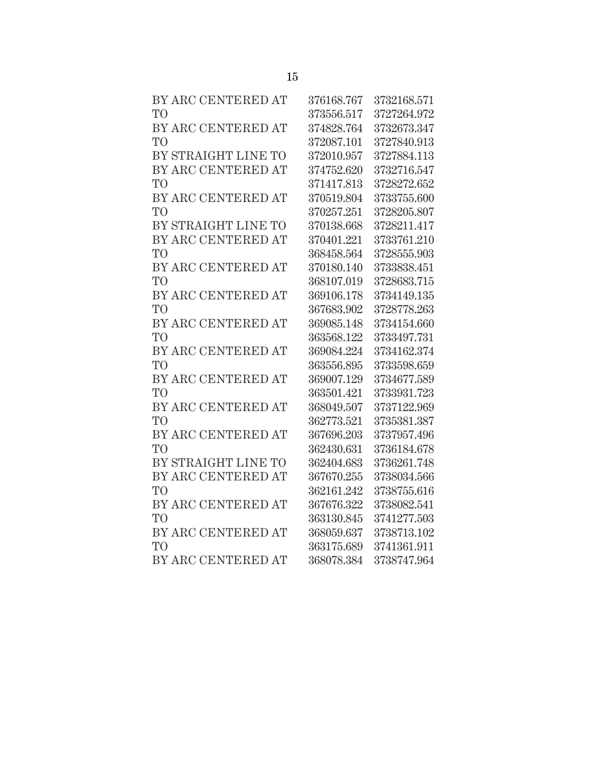| BY ARC CENTERED AT  | 376168.767 | 3732168.571 |
|---------------------|------------|-------------|
| T <sub>O</sub>      | 373556.517 | 3727264.972 |
| BY ARC CENTERED AT  | 374828.764 | 3732673.347 |
| T <sub>O</sub>      | 372087.101 | 3727840.913 |
| BY STRAIGHT LINE TO | 372010.957 | 3727884.113 |
| BY ARC CENTERED AT  | 374752.620 | 3732716.547 |
| T <sub>O</sub>      | 371417.813 | 3728272.652 |
| BY ARC CENTERED AT  | 370519.804 | 3733755.600 |
| T <sub>O</sub>      | 370257.251 | 3728205.807 |
| BY STRAIGHT LINE TO | 370138.668 | 3728211.417 |
| BY ARC CENTERED AT  | 370401.221 | 3733761.210 |
| T <sub>O</sub>      | 368458.564 | 3728555.903 |
| BY ARC CENTERED AT  | 370180.140 | 3733838.451 |
| T <sub>O</sub>      | 368107.019 | 3728683.715 |
| BY ARC CENTERED AT  | 369106.178 | 3734149.135 |
| T <sub>O</sub>      | 367683.902 | 3728778.263 |
| BY ARC CENTERED AT  | 369085.148 | 3734154.660 |
| T <sub>O</sub>      | 363568.122 | 3733497.731 |
| BY ARC CENTERED AT  | 369084.224 | 3734162.374 |
| T <sub>O</sub>      | 363556.895 | 3733598.659 |
| BY ARC CENTERED AT  | 369007.129 | 3734677.589 |
| T <sub>O</sub>      | 363501.421 | 3733931.723 |
| BY ARC CENTERED AT  | 368049.507 | 3737122.969 |
| T <sub>O</sub>      | 362773.521 | 3735381.387 |
| BY ARC CENTERED AT  | 367696.203 | 3737957.496 |
| T <sub>O</sub>      | 362430.631 | 3736184.678 |
| BY STRAIGHT LINE TO | 362404.683 | 3736261.748 |
| BY ARC CENTERED AT  | 367670.255 | 3738034.566 |
| T <sub>O</sub>      | 362161.242 | 3738755.616 |
| BY ARC CENTERED AT  | 367676.322 | 3738082.541 |
| T <sub>O</sub>      | 363130.845 | 3741277.503 |
| BY ARC CENTERED AT  | 368059.637 | 3738713.102 |
| T <sub>O</sub>      | 363175.689 | 3741361.911 |
| BY ARC CENTERED AT  | 368078.384 | 3738747.964 |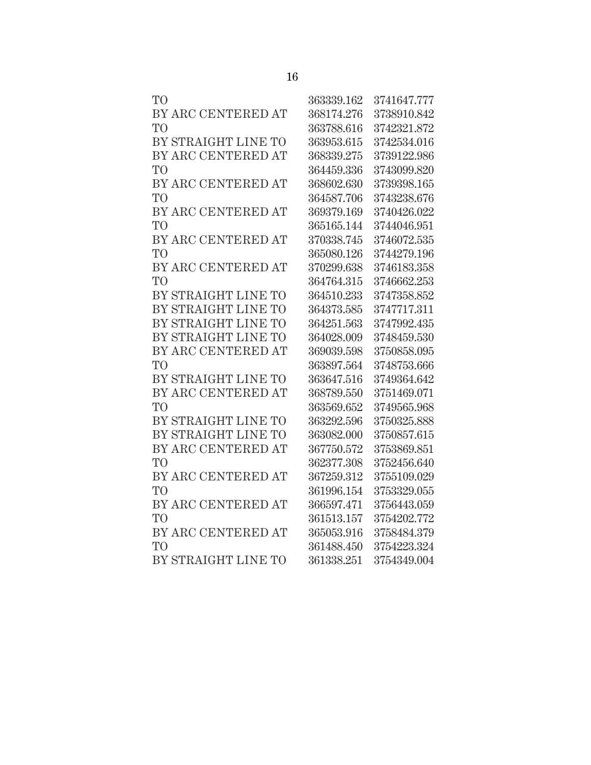| T <sub>O</sub>      | 363339.162 | 3741647.777 |
|---------------------|------------|-------------|
| BY ARC CENTERED AT  | 368174.276 | 3738910.842 |
| T <sub>O</sub>      | 363788.616 | 3742321.872 |
| BY STRAIGHT LINE TO | 363953.615 | 3742534.016 |
| BY ARC CENTERED AT  | 368339.275 | 3739122.986 |
| T <sub>O</sub>      | 364459.336 | 3743099.820 |
| BY ARC CENTERED AT  | 368602.630 | 3739398.165 |
| T <sub>O</sub>      | 364587.706 | 3743238.676 |
| BY ARC CENTERED AT  | 369379.169 | 3740426.022 |
| T <sub>O</sub>      | 365165.144 | 3744046.951 |
| BY ARC CENTERED AT  | 370338.745 | 3746072.535 |
| T <sub>O</sub>      | 365080.126 | 3744279.196 |
| BY ARC CENTERED AT  | 370299.638 | 3746183.358 |
| T <sub>O</sub>      | 364764.315 | 3746662.253 |
| BY STRAIGHT LINE TO | 364510.233 | 3747358.852 |
| BY STRAIGHT LINE TO | 364373.585 | 3747717.311 |
| BY STRAIGHT LINE TO | 364251.563 | 3747992.435 |
| BY STRAIGHT LINE TO | 364028.009 | 3748459.530 |
| BY ARC CENTERED AT  | 369039.598 | 3750858.095 |
| T <sub>O</sub>      | 363897.564 | 3748753.666 |
| BY STRAIGHT LINE TO | 363647.516 | 3749364.642 |
| BY ARC CENTERED AT  | 368789.550 | 3751469.071 |
| T <sub>O</sub>      | 363569.652 | 3749565.968 |
| BY STRAIGHT LINE TO | 363292.596 | 3750325.888 |
| BY STRAIGHT LINE TO | 363082.000 | 3750857.615 |
| BY ARC CENTERED AT  | 367750.572 | 3753869.851 |
| T <sub>O</sub>      | 362377.308 | 3752456.640 |
| BY ARC CENTERED AT  | 367259.312 | 3755109.029 |
| T <sub>O</sub>      | 361996.154 | 3753329.055 |
| BY ARC CENTERED AT  | 366597.471 | 3756443.059 |
| T <sub>O</sub>      | 361513.157 | 3754202.772 |
| BY ARC CENTERED AT  | 365053.916 | 3758484.379 |
| T <sub>O</sub>      | 361488.450 | 3754223.324 |
| BY STRAIGHT LINE TO | 361338.251 | 3754349.004 |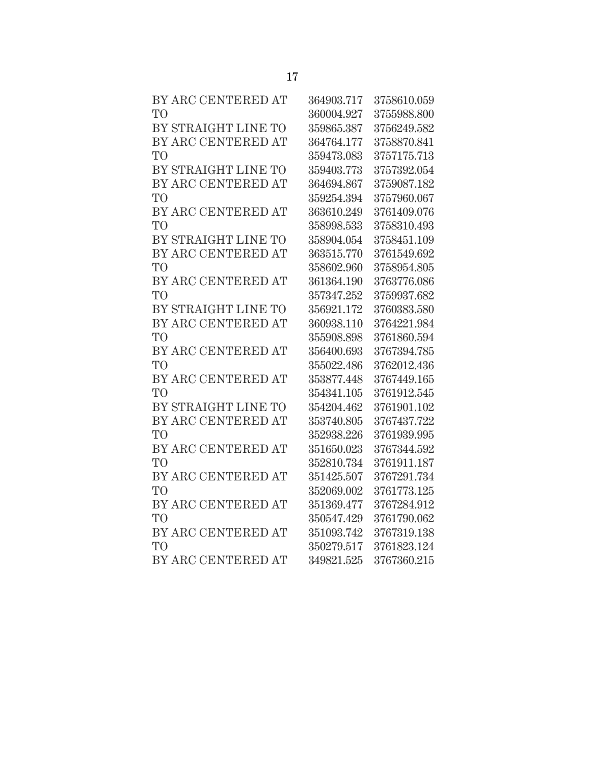| BY ARC CENTERED AT  | 364903.717 | 3758610.059 |
|---------------------|------------|-------------|
| T <sub>O</sub>      | 360004.927 | 3755988.800 |
| BY STRAIGHT LINE TO | 359865.387 | 3756249.582 |
| BY ARC CENTERED AT  | 364764.177 | 3758870.841 |
| T <sub>O</sub>      | 359473.083 | 3757175.713 |
| BY STRAIGHT LINE TO | 359403.773 | 3757392.054 |
| BY ARC CENTERED AT  | 364694.867 | 3759087.182 |
| T <sub>O</sub>      | 359254.394 | 3757960.067 |
| BY ARC CENTERED AT  | 363610.249 | 3761409.076 |
| T <sub>O</sub>      | 358998.533 | 3758310.493 |
| BY STRAIGHT LINE TO | 358904.054 | 3758451.109 |
| BY ARC CENTERED AT  | 363515.770 | 3761549.692 |
| T <sub>O</sub>      | 358602.960 | 3758954.805 |
| BY ARC CENTERED AT  | 361364.190 | 3763776.086 |
| T <sub>O</sub>      | 357347.252 | 3759937.682 |
| BY STRAIGHT LINE TO | 356921.172 | 3760383.580 |
| BY ARC CENTERED AT  | 360938.110 | 3764221.984 |
| T <sub>O</sub>      | 355908.898 | 3761860.594 |
| BY ARC CENTERED AT  | 356400.693 | 3767394.785 |
| T <sub>O</sub>      | 355022.486 | 3762012.436 |
| BY ARC CENTERED AT  | 353877.448 | 3767449.165 |
| T <sub>O</sub>      | 354341.105 | 3761912.545 |
| BY STRAIGHT LINE TO | 354204.462 | 3761901.102 |
| BY ARC CENTERED AT  | 353740.805 | 3767437.722 |
| T <sub>O</sub>      | 352938.226 | 3761939.995 |
| BY ARC CENTERED AT  | 351650.023 | 3767344.592 |
| T <sub>O</sub>      | 352810.734 | 3761911.187 |
| BY ARC CENTERED AT  | 351425.507 | 3767291.734 |
| T <sub>O</sub>      | 352069.002 | 3761773.125 |
| BY ARC CENTERED AT  | 351369.477 | 3767284.912 |
| T <sub>O</sub>      | 350547.429 | 3761790.062 |
| BY ARC CENTERED AT  | 351093.742 | 3767319.138 |
| T <sub>O</sub>      | 350279.517 | 3761823.124 |
| BY ARC CENTERED AT  | 349821.525 | 3767360.215 |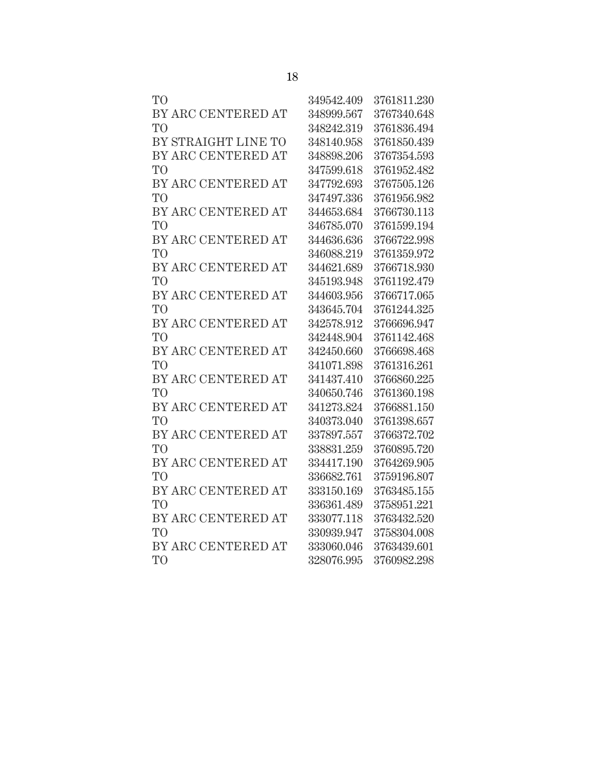| TО                  | 349542.409 | 3761811.230 |
|---------------------|------------|-------------|
| BY ARC CENTERED AT  | 348999.567 | 3767340.648 |
| TO <sup>T</sup>     | 348242.319 | 3761836.494 |
| BY STRAIGHT LINE TO | 348140.958 | 3761850.439 |
| BY ARC CENTERED AT  | 348898.206 | 3767354.593 |
| TO <sup></sup>      | 347599.618 | 3761952.482 |
| BY ARC CENTERED AT  | 347792.693 | 3767505.126 |
| TО                  | 347497.336 | 3761956.982 |
| BY ARC CENTERED AT  | 344653.684 | 3766730.113 |
| TO <sup>1</sup>     | 346785.070 | 3761599.194 |
| BY ARC CENTERED AT  | 344636.636 | 3766722.998 |
| TО                  | 346088.219 | 3761359.972 |
| BY ARC CENTERED AT  | 344621.689 | 3766718.930 |
| TO                  | 345193.948 | 3761192.479 |
| BY ARC CENTERED AT  | 344603.956 | 3766717.065 |
| TО                  | 343645.704 | 3761244.325 |
| BY ARC CENTERED AT  | 342578.912 | 3766696.947 |
| TO <sup>T</sup>     | 342448.904 | 3761142.468 |
| BY ARC CENTERED AT  | 342450.660 | 3766698.468 |
| <b>TO</b>           | 341071.898 | 3761316.261 |
| BY ARC CENTERED AT  | 341437.410 | 3766860.225 |
| TО                  | 340650.746 | 3761360.198 |
| BY ARC CENTERED AT  | 341273.824 | 3766881.150 |
| TO <sup>T</sup>     | 340373.040 | 3761398.657 |
| BY ARC CENTERED AT  | 337897.557 | 3766372.702 |
| <b>TO</b>           | 338831.259 | 3760895.720 |
| BY ARC CENTERED AT  | 334417.190 | 3764269.905 |
| TО                  | 336682.761 | 3759196.807 |
| BY ARC CENTERED AT  | 333150.169 | 3763485.155 |
| TO <sup>1</sup>     | 336361.489 | 3758951.221 |
| BY ARC CENTERED AT  | 333077.118 | 3763432.520 |
| TO <sup></sup>      | 330939.947 | 3758304.008 |
| BY ARC CENTERED AT  | 333060.046 | 3763439.601 |
| TО                  | 328076.995 | 3760982.298 |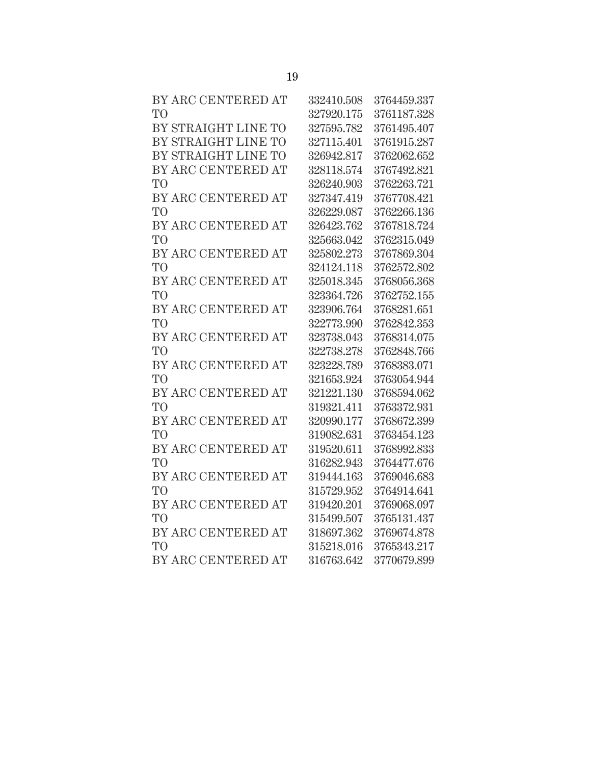| BY ARC CENTERED AT  | 332410.508 | 3764459.337 |
|---------------------|------------|-------------|
| T <sub>O</sub>      | 327920.175 | 3761187.328 |
| BY STRAIGHT LINE TO | 327595.782 | 3761495.407 |
| BY STRAIGHT LINE TO | 327115.401 | 3761915.287 |
| BY STRAIGHT LINE TO | 326942.817 | 3762062.652 |
| BY ARC CENTERED AT  | 328118.574 | 3767492.821 |
| <b>TO</b>           | 326240.903 | 3762263.721 |
| BY ARC CENTERED AT  | 327347.419 | 3767708.421 |
| T <sub>O</sub>      | 326229.087 | 3762266.136 |
| BY ARC CENTERED AT  | 326423.762 | 3767818.724 |
| T <sub>O</sub>      | 325663.042 | 3762315.049 |
| BY ARC CENTERED AT  | 325802.273 | 3767869.304 |
| T <sub>O</sub>      | 324124.118 | 3762572.802 |
| BY ARC CENTERED AT  | 325018.345 | 3768056.368 |
| T <sub>O</sub>      | 323364.726 | 3762752.155 |
| BY ARC CENTERED AT  | 323906.764 | 3768281.651 |
| T <sub>O</sub>      | 322773.990 | 3762842.353 |
| BY ARC CENTERED AT  | 323738.043 | 3768314.075 |
| T <sub>O</sub>      | 322738.278 | 3762848.766 |
| BY ARC CENTERED AT  | 323228.789 | 3768383.071 |
| T <sub>O</sub>      | 321653.924 | 3763054.944 |
| BY ARC CENTERED AT  | 321221.130 | 3768594.062 |
| T <sub>O</sub>      | 319321.411 | 3763372.931 |
| BY ARC CENTERED AT  | 320990.177 | 3768672.399 |
| T <sub>O</sub>      | 319082.631 | 3763454.123 |
| BY ARC CENTERED AT  | 319520.611 | 3768992.833 |
| T <sub>O</sub>      | 316282.943 | 3764477.676 |
| BY ARC CENTERED AT  | 319444.163 | 3769046.683 |
| T <sub>O</sub>      | 315729.952 | 3764914.641 |
| BY ARC CENTERED AT  | 319420.201 | 3769068.097 |
| T <sub>O</sub>      | 315499.507 | 3765131.437 |
| BY ARC CENTERED AT  | 318697.362 | 3769674.878 |
| T <sub>O</sub>      | 315218.016 | 3765343.217 |
| BY ARC CENTERED AT  | 316763.642 | 3770679.899 |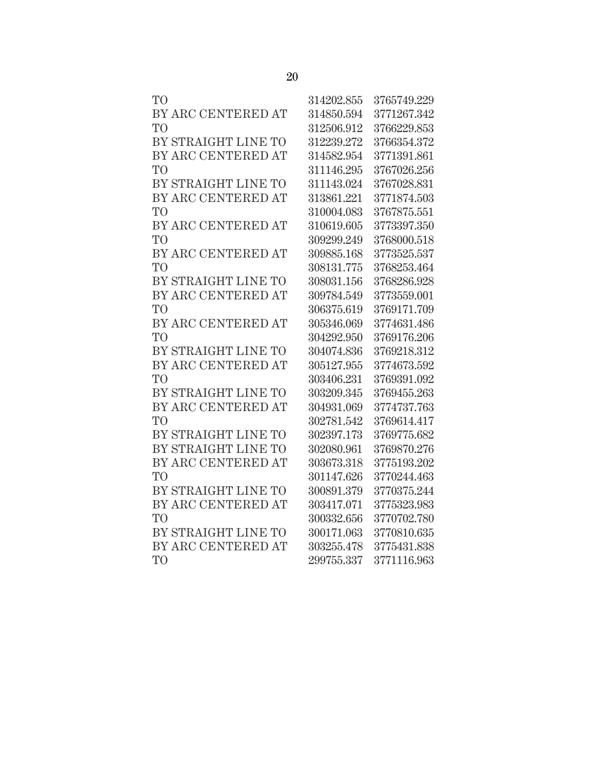| TO <sup>1</sup>     | 314202.855 | 3765749.229 |
|---------------------|------------|-------------|
| BY ARC CENTERED AT  | 314850.594 | 3771267.342 |
| T <sub>O</sub>      | 312506.912 | 3766229.853 |
| BY STRAIGHT LINE TO | 312239.272 | 3766354.372 |
| BY ARC CENTERED AT  | 314582.954 | 3771391.861 |
| T <sub>O</sub>      | 311146.295 | 3767026.256 |
| BY STRAIGHT LINE TO | 311143.024 | 3767028.831 |
| BY ARC CENTERED AT  | 313861.221 | 3771874.503 |
| T <sub>O</sub>      | 310004.083 | 3767875.551 |
| BY ARC CENTERED AT  | 310619.605 | 3773397.350 |
| T <sub>O</sub>      | 309299.249 | 3768000.518 |
| BY ARC CENTERED AT  | 309885.168 | 3773525.537 |
| T <sub>O</sub>      | 308131.775 | 3768253.464 |
| BY STRAIGHT LINE TO | 308031.156 | 3768286.928 |
| BY ARC CENTERED AT  | 309784.549 | 3773559.001 |
| <b>TO</b>           | 306375.619 | 3769171.709 |
| BY ARC CENTERED AT  | 305346.069 | 3774631.486 |
| T <sub>O</sub>      | 304292.950 | 3769176.206 |
| BY STRAIGHT LINE TO | 304074.836 | 3769218.312 |
| BY ARC CENTERED AT  | 305127.955 | 3774673.592 |
| T <sub>O</sub>      | 303406.231 | 3769391.092 |
| BY STRAIGHT LINE TO | 303209.345 | 3769455.263 |
| BY ARC CENTERED AT  | 304931.069 | 3774737.763 |
| T <sub>O</sub>      | 302781.542 | 3769614.417 |
| BY STRAIGHT LINE TO | 302397.173 | 3769775.682 |
| BY STRAIGHT LINE TO | 302080.961 | 3769870.276 |
| BY ARC CENTERED AT  | 303673.318 | 3775193.202 |
| TO <sup>1</sup>     | 301147.626 | 3770244.463 |
| BY STRAIGHT LINE TO | 300891.379 | 3770375.244 |
| BY ARC CENTERED AT  | 303417.071 | 3775323.983 |
| T <sub>O</sub>      | 300332.656 | 3770702.780 |
| BY STRAIGHT LINE TO | 300171.063 | 3770810.635 |
| BY ARC CENTERED AT  | 303255.478 | 3775431.838 |
| T <sub>O</sub>      | 299755.337 | 3771116.963 |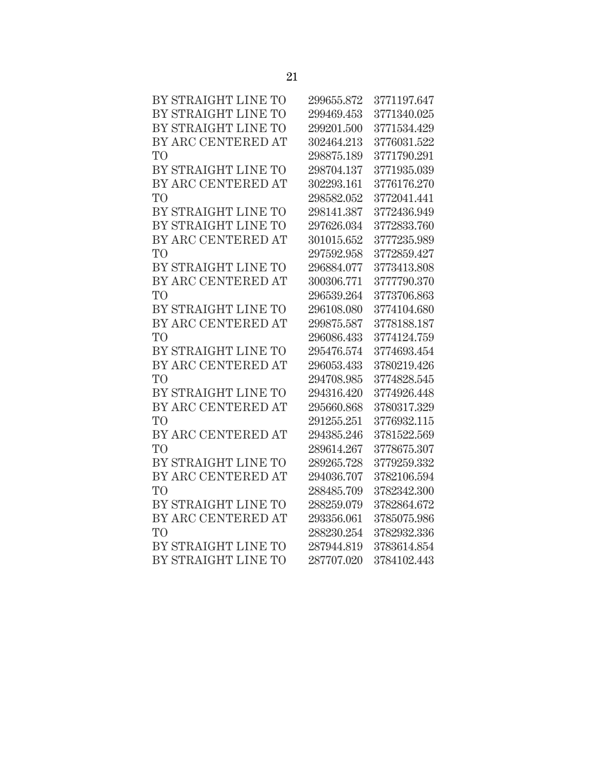| BY STRAIGHT LINE TO | 299655.872     | 3771197.647 |
|---------------------|----------------|-------------|
| BY STRAIGHT LINE TO | 299469.453     | 3771340.025 |
| BY STRAIGHT LINE TO | 299201.500     | 3771534.429 |
| BY ARC CENTERED AT  | 302464.213     | 3776031.522 |
| TО                  | 298875.189     | 3771790.291 |
| BY STRAIGHT LINE TO | 298704.137     | 3771935.039 |
| BY ARC CENTERED AT  | 302293.161     | 3776176.270 |
| TO                  | 298582.052     | 3772041.441 |
| BY STRAIGHT LINE TO | 298141.387     | 3772436.949 |
| BY STRAIGHT LINE TO | 297626.034     | 3772833.760 |
| BY ARC CENTERED AT  | 301015.652     | 3777235.989 |
| TО                  | 297592.958     | 3772859.427 |
| BY STRAIGHT LINE TO | 296884.077     | 3773413.808 |
| BY ARC CENTERED AT  | $300306.771\,$ | 3777790.370 |
| TО                  | 296539.264     | 3773706.863 |
| BY STRAIGHT LINE TO | 296108.080     | 3774104.680 |
| BY ARC CENTERED AT  | 299875.587     | 3778188.187 |
| TО                  | 296086.433     | 3774124.759 |
| BY STRAIGHT LINE TO | 295476.574     | 3774693.454 |
| BY ARC CENTERED AT  | 296053.433     | 3780219.426 |
| TО                  | 294708.985     | 3774828.545 |
| BY STRAIGHT LINE TO | 294316.420     | 3774926.448 |
| BY ARC CENTERED AT  | 295660.868     | 3780317.329 |
| TO                  | 291255.251     | 3776932.115 |
| BY ARC CENTERED AT  | 294385.246     | 3781522.569 |
| TО                  | 289614.267     | 3778675.307 |
| BY STRAIGHT LINE TO | 289265.728     | 3779259.332 |
| BY ARC CENTERED AT  | 294036.707     | 3782106.594 |
| TО                  | 288485.709     | 3782342.300 |
| BY STRAIGHT LINE TO | 288259.079     | 3782864.672 |
| BY ARC CENTERED AT  | 293356.061     | 3785075.986 |
| TО                  | 288230.254     | 3782932.336 |
| BY STRAIGHT LINE TO | 287944.819     | 3783614.854 |
| BY STRAIGHT LINE TO | 287707.020     | 3784102.443 |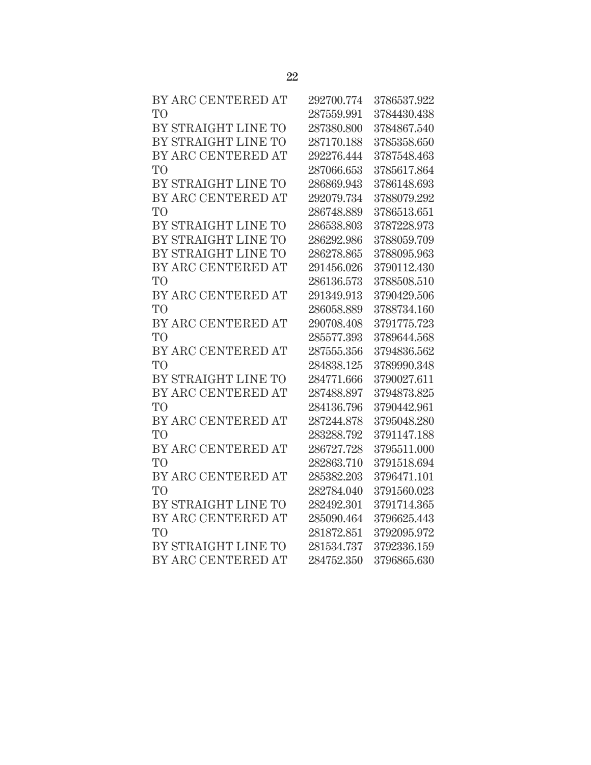| BY ARC CENTERED AT  | 292700.774 | 3786537.922 |
|---------------------|------------|-------------|
| T <sub>O</sub>      | 287559.991 | 3784430.438 |
| BY STRAIGHT LINE TO | 287380.800 | 3784867.540 |
| BY STRAIGHT LINE TO | 287170.188 | 3785358.650 |
| BY ARC CENTERED AT  | 292276.444 | 3787548.463 |
| TО                  | 287066.653 | 3785617.864 |
| BY STRAIGHT LINE TO | 286869.943 | 3786148.693 |
| BY ARC CENTERED AT  | 292079.734 | 3788079.292 |
| T <sub>O</sub>      | 286748.889 | 3786513.651 |
| BY STRAIGHT LINE TO | 286538.803 | 3787228.973 |
| BY STRAIGHT LINE TO | 286292.986 | 3788059.709 |
| BY STRAIGHT LINE TO | 286278.865 | 3788095.963 |
| BY ARC CENTERED AT  | 291456.026 | 3790112.430 |
| T <sub>O</sub>      | 286136.573 | 3788508.510 |
| BY ARC CENTERED AT  | 291349.913 | 3790429.506 |
| T <sub>O</sub>      | 286058.889 | 3788734.160 |
| BY ARC CENTERED AT  | 290708.408 | 3791775.723 |
| T <sub>O</sub>      | 285577.393 | 3789644.568 |
| BY ARC CENTERED AT  | 287555.356 | 3794836.562 |
| T <sub>O</sub>      | 284838.125 | 3789990.348 |
| BY STRAIGHT LINE TO | 284771.666 | 3790027.611 |
| BY ARC CENTERED AT  | 287488.897 | 3794873.825 |
| T <sub>O</sub>      | 284136.796 | 3790442.961 |
| BY ARC CENTERED AT  | 287244.878 | 3795048.280 |
| T <sub>O</sub>      | 283288.792 | 3791147.188 |
| BY ARC CENTERED AT  | 286727.728 | 3795511.000 |
| T <sub>O</sub>      | 282863.710 | 3791518.694 |
| BY ARC CENTERED AT  | 285382.203 | 3796471.101 |
| T <sub>O</sub>      | 282784.040 | 3791560.023 |
| BY STRAIGHT LINE TO | 282492.301 | 3791714.365 |
| BY ARC CENTERED AT  | 285090.464 | 3796625.443 |
| T <sub>O</sub>      | 281872.851 | 3792095.972 |
| BY STRAIGHT LINE TO | 281534.737 | 3792336.159 |
| BY ARC CENTERED AT  | 284752.350 | 3796865.630 |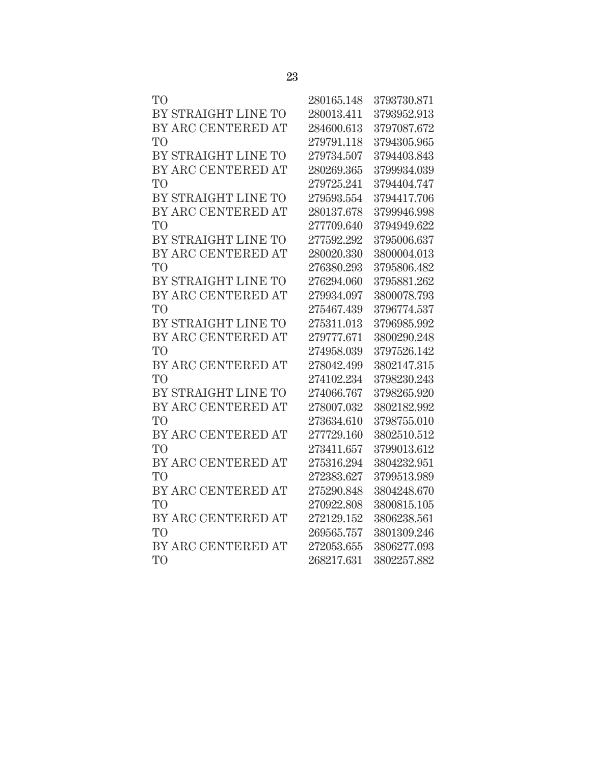| T <sub>O</sub>      | 280165.148 | 3793730.871 |
|---------------------|------------|-------------|
| BY STRAIGHT LINE TO | 280013.411 | 3793952.913 |
| BY ARC CENTERED AT  | 284600.613 | 3797087.672 |
| T <sub>O</sub>      | 279791.118 | 3794305.965 |
| BY STRAIGHT LINE TO | 279734.507 | 3794403.843 |
| BY ARC CENTERED AT  | 280269.365 | 3799934.039 |
| T <sub>O</sub>      | 279725.241 | 3794404.747 |
| BY STRAIGHT LINE TO | 279593.554 | 3794417.706 |
| BY ARC CENTERED AT  | 280137.678 | 3799946.998 |
| T <sub>O</sub>      | 277709.640 | 3794949.622 |
| BY STRAIGHT LINE TO | 277592.292 | 3795006.637 |
| BY ARC CENTERED AT  | 280020.330 | 3800004.013 |
| T <sub>O</sub>      | 276380.293 | 3795806.482 |
| BY STRAIGHT LINE TO | 276294.060 | 3795881.262 |
| BY ARC CENTERED AT  | 279934.097 | 3800078.793 |
| T <sub>O</sub>      | 275467.439 | 3796774.537 |
| BY STRAIGHT LINE TO | 275311.013 | 3796985.992 |
| BY ARC CENTERED AT  | 279777.671 | 3800290.248 |
| T <sub>O</sub>      | 274958.039 | 3797526.142 |
| BY ARC CENTERED AT  | 278042.499 | 3802147.315 |
| T <sub>O</sub>      | 274102.234 | 3798230.243 |
| BY STRAIGHT LINE TO | 274066.767 | 3798265.920 |
| BY ARC CENTERED AT  | 278007.032 | 3802182.992 |
| T <sub>O</sub>      | 273634.610 | 3798755.010 |
| BY ARC CENTERED AT  | 277729.160 | 3802510.512 |
| T <sub>O</sub>      | 273411.657 | 3799013.612 |
| BY ARC CENTERED AT  | 275316.294 | 3804232.951 |
| T <sub>O</sub>      | 272383.627 | 3799513.989 |
| BY ARC CENTERED AT  | 275290.848 | 3804248.670 |
| T <sub>O</sub>      | 270922.808 | 3800815.105 |
| BY ARC CENTERED AT  | 272129.152 | 3806238.561 |
| T <sub>O</sub>      | 269565.757 | 3801309.246 |
| BY ARC CENTERED AT  | 272053.655 | 3806277.093 |
| T <sub>O</sub>      | 268217.631 | 3802257.882 |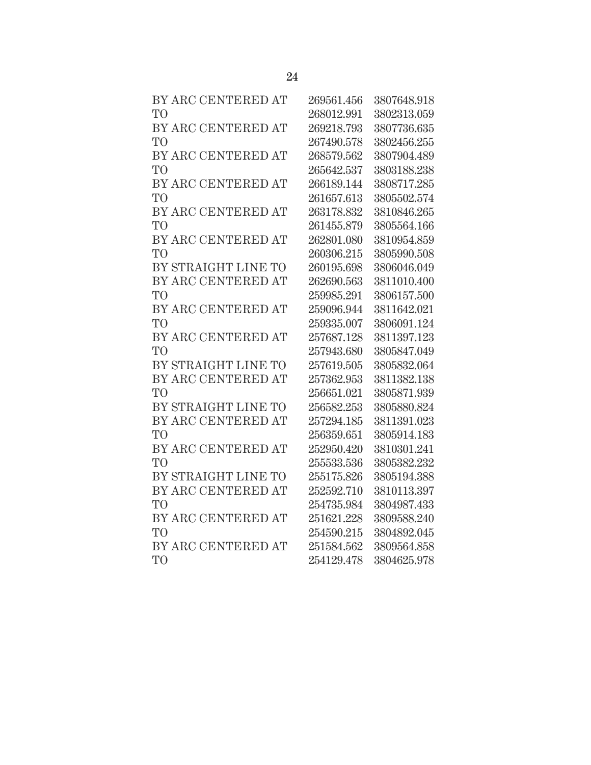| BY ARC CENTERED AT  | 269561.456 | 3807648.918 |
|---------------------|------------|-------------|
| T <sub>O</sub>      | 268012.991 | 3802313.059 |
| BY ARC CENTERED AT  | 269218.793 | 3807736.635 |
| T <sub>O</sub>      | 267490.578 | 3802456.255 |
| BY ARC CENTERED AT  | 268579.562 | 3807904.489 |
| T <sub>O</sub>      | 265642.537 | 3803188.238 |
| BY ARC CENTERED AT  | 266189.144 | 3808717.285 |
| T <sub>O</sub>      | 261657.613 | 3805502.574 |
| BY ARC CENTERED AT  | 263178.832 | 3810846.265 |
| T <sub>O</sub>      | 261455.879 | 3805564.166 |
| BY ARC CENTERED AT  | 262801.080 | 3810954.859 |
| T <sub>O</sub>      | 260306.215 | 3805990.508 |
| BY STRAIGHT LINE TO | 260195.698 | 3806046.049 |
| BY ARC CENTERED AT  | 262690.563 | 3811010.400 |
| T <sub>O</sub>      | 259985.291 | 3806157.500 |
| BY ARC CENTERED AT  | 259096.944 | 3811642.021 |
| T <sub>O</sub>      | 259335.007 | 3806091.124 |
| BY ARC CENTERED AT  | 257687.128 | 3811397.123 |
| T <sub>O</sub>      | 257943.680 | 3805847.049 |
| BY STRAIGHT LINE TO | 257619.505 | 3805832.064 |
| BY ARC CENTERED AT  | 257362.953 | 3811382.138 |
| T <sub>O</sub>      | 256651.021 | 3805871.939 |
| BY STRAIGHT LINE TO | 256582.253 | 3805880.824 |
| BY ARC CENTERED AT  | 257294.185 | 3811391.023 |
| T <sub>O</sub>      | 256359.651 | 3805914.183 |
| BY ARC CENTERED AT  | 252950.420 | 3810301.241 |
| T <sub>O</sub>      | 255533.536 | 3805382.232 |
| BY STRAIGHT LINE TO | 255175.826 | 3805194.388 |
| BY ARC CENTERED AT  | 252592.710 | 3810113.397 |
| T <sub>O</sub>      | 254735.984 | 3804987.433 |
| BY ARC CENTERED AT  | 251621.228 | 3809588.240 |
| T <sub>O</sub>      | 254590.215 | 3804892.045 |
| BY ARC CENTERED AT  | 251584.562 | 3809564.858 |
| T <sub>O</sub>      | 254129.478 | 3804625.978 |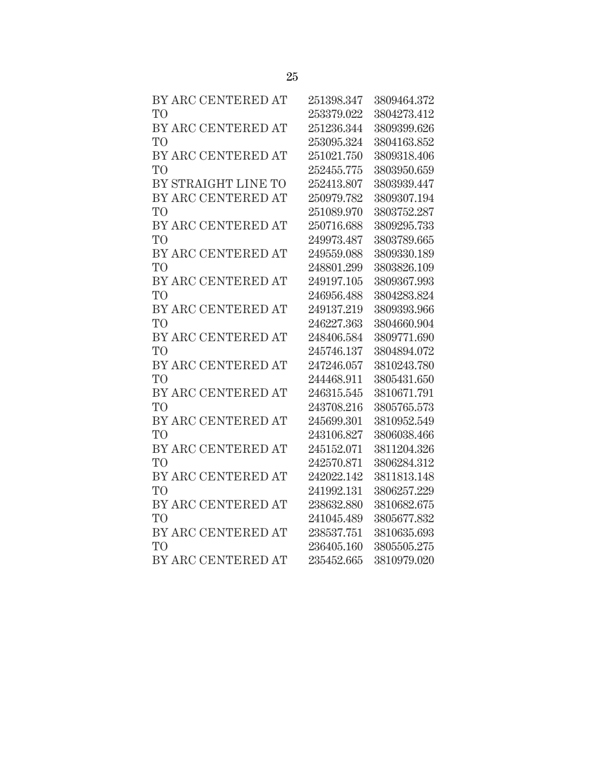| BY ARC CENTERED AT  | 251398.347 | 3809464.372 |
|---------------------|------------|-------------|
| T <sub>O</sub>      | 253379.022 | 3804273.412 |
| BY ARC CENTERED AT  | 251236.344 | 3809399.626 |
| T <sub>O</sub>      | 253095.324 | 3804163.852 |
| BY ARC CENTERED AT  | 251021.750 | 3809318.406 |
| T <sub>O</sub>      | 252455.775 | 3803950.659 |
| BY STRAIGHT LINE TO | 252413.807 | 3803939.447 |
| BY ARC CENTERED AT  | 250979.782 | 3809307.194 |
| T <sub>O</sub>      | 251089.970 | 3803752.287 |
| BY ARC CENTERED AT  | 250716.688 | 3809295.733 |
| T <sub>O</sub>      | 249973.487 | 3803789.665 |
| BY ARC CENTERED AT  | 249559.088 | 3809330.189 |
| T <sub>O</sub>      | 248801.299 | 3803826.109 |
| BY ARC CENTERED AT  | 249197.105 | 3809367.993 |
| T <sub>O</sub>      | 246956.488 | 3804283.824 |
| BY ARC CENTERED AT  | 249137.219 | 3809393.966 |
| T <sub>O</sub>      | 246227.363 | 3804660.904 |
| BY ARC CENTERED AT  | 248406.584 | 3809771.690 |
| T <sub>O</sub>      | 245746.137 | 3804894.072 |
| BY ARC CENTERED AT  | 247246.057 | 3810243.780 |
| T <sub>O</sub>      | 244468.911 | 3805431.650 |
| BY ARC CENTERED AT  | 246315.545 | 3810671.791 |
| T <sub>O</sub>      | 243708.216 | 3805765.573 |
| BY ARC CENTERED AT  | 245699.301 | 3810952.549 |
| T <sub>O</sub>      | 243106.827 | 3806038.466 |
| BY ARC CENTERED AT  | 245152.071 | 3811204.326 |
| T <sub>O</sub>      | 242570.871 | 3806284.312 |
| BY ARC CENTERED AT  | 242022.142 | 3811813.148 |
| T <sub>O</sub>      | 241992.131 | 3806257.229 |
| BY ARC CENTERED AT  | 238632.880 | 3810682.675 |
| T <sub>O</sub>      | 241045.489 | 3805677.832 |
| BY ARC CENTERED AT  | 238537.751 | 3810635.693 |
| T <sub>O</sub>      | 236405.160 | 3805505.275 |
| BY ARC CENTERED AT  | 235452.665 | 3810979.020 |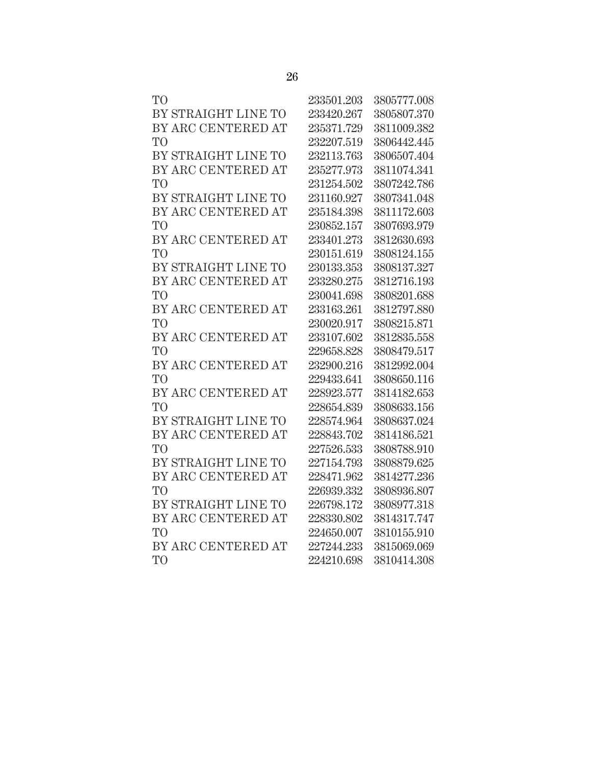| TO <sup>1</sup>     | 233501.203 | 3805777.008 |
|---------------------|------------|-------------|
| BY STRAIGHT LINE TO | 233420.267 | 3805807.370 |
| BY ARC CENTERED AT  | 235371.729 | 3811009.382 |
| T <sub>O</sub>      | 232207.519 | 3806442.445 |
| BY STRAIGHT LINE TO | 232113.763 | 3806507.404 |
| BY ARC CENTERED AT  | 235277.973 | 3811074.341 |
| T <sub>O</sub>      | 231254.502 | 3807242.786 |
| BY STRAIGHT LINE TO | 231160.927 | 3807341.048 |
| BY ARC CENTERED AT  | 235184.398 | 3811172.603 |
| TO                  | 230852.157 | 3807693.979 |
| BY ARC CENTERED AT  | 233401.273 | 3812630.693 |
| T <sub>O</sub>      | 230151.619 | 3808124.155 |
| BY STRAIGHT LINE TO | 230133.353 | 3808137.327 |
| BY ARC CENTERED AT  | 233280.275 | 3812716.193 |
| T <sub>O</sub>      | 230041.698 | 3808201.688 |
| BY ARC CENTERED AT  | 233163.261 | 3812797.880 |
| T <sub>O</sub>      | 230020.917 | 3808215.871 |
| BY ARC CENTERED AT  | 233107.602 | 3812835.558 |
| TO <sup>1</sup>     | 229658.828 | 3808479.517 |
| BY ARC CENTERED AT  | 232900.216 | 3812992.004 |
| T <sub>O</sub>      | 229433.641 | 3808650.116 |
| BY ARC CENTERED AT  | 228923.577 | 3814182.653 |
| T <sub>O</sub>      | 228654.839 | 3808633.156 |
| BY STRAIGHT LINE TO | 228574.964 | 3808637.024 |
| BY ARC CENTERED AT  | 228843.702 | 3814186.521 |
| T <sub>O</sub>      | 227526.533 | 3808788.910 |
| BY STRAIGHT LINE TO | 227154.793 | 3808879.625 |
| BY ARC CENTERED AT  | 228471.962 | 3814277.236 |
| T <sub>O</sub>      | 226939.332 | 3808936.807 |
| BY STRAIGHT LINE TO | 226798.172 | 3808977.318 |
| BY ARC CENTERED AT  | 228330.802 | 3814317.747 |
| T <sub>O</sub>      | 224650.007 | 3810155.910 |
| BY ARC CENTERED AT  | 227244.233 | 3815069.069 |
| T <sub>O</sub>      | 224210.698 | 3810414.308 |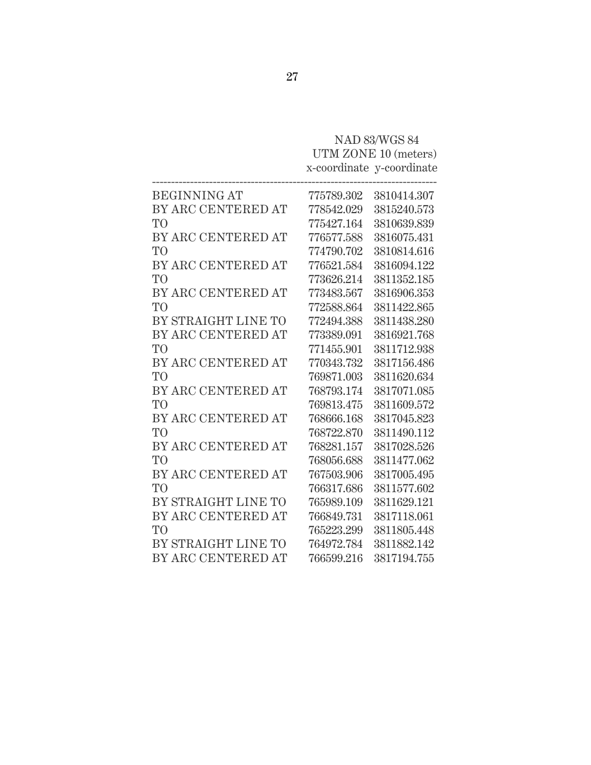# NAD 83/WGS 84 UTM ZONE 10 (meters) x-coordinate y-coordinate

| <b>BEGINNING AT</b> | 775789.302 | 3810414.307 |
|---------------------|------------|-------------|
| BY ARC CENTERED AT  | 778542.029 | 3815240.573 |
| T <sub>O</sub>      | 775427.164 | 3810639.839 |
| BY ARC CENTERED AT  | 776577.588 | 3816075.431 |
| T <sub>O</sub>      | 774790.702 | 3810814.616 |
| BY ARC CENTERED AT  | 776521.584 | 3816094.122 |
| T <sub>O</sub>      | 773626.214 | 3811352.185 |
| BY ARC CENTERED AT  | 773483.567 | 3816906.353 |
| T <sub>O</sub>      | 772588.864 | 3811422.865 |
| BY STRAIGHT LINE TO | 772494.388 | 3811438.280 |
| BY ARC CENTERED AT  | 773389.091 | 3816921.768 |
| T <sub>O</sub>      | 771455.901 | 3811712.938 |
| BY ARC CENTERED AT  | 770343.732 | 3817156.486 |
| T <sub>O</sub>      | 769871.003 | 3811620.634 |
| BY ARC CENTERED AT  | 768793.174 | 3817071.085 |
| T <sub>O</sub>      | 769813.475 | 3811609.572 |
| BY ARC CENTERED AT  | 768666.168 | 3817045.823 |
| T <sub>O</sub>      | 768722.870 | 3811490.112 |
| BY ARC CENTERED AT  | 768281.157 | 3817028.526 |
| T <sub>O</sub>      | 768056.688 | 3811477.062 |
| BY ARC CENTERED AT  | 767503.906 | 3817005.495 |
| T <sub>O</sub>      | 766317.686 | 3811577.602 |
| BY STRAIGHT LINE TO | 765989.109 | 3811629.121 |
| BY ARC CENTERED AT  | 766849.731 | 3817118.061 |
| T <sub>O</sub>      | 765223.299 | 3811805.448 |
| BY STRAIGHT LINE TO | 764972.784 | 3811882.142 |
| BY ARC CENTERED AT  | 766599.216 | 3817194.755 |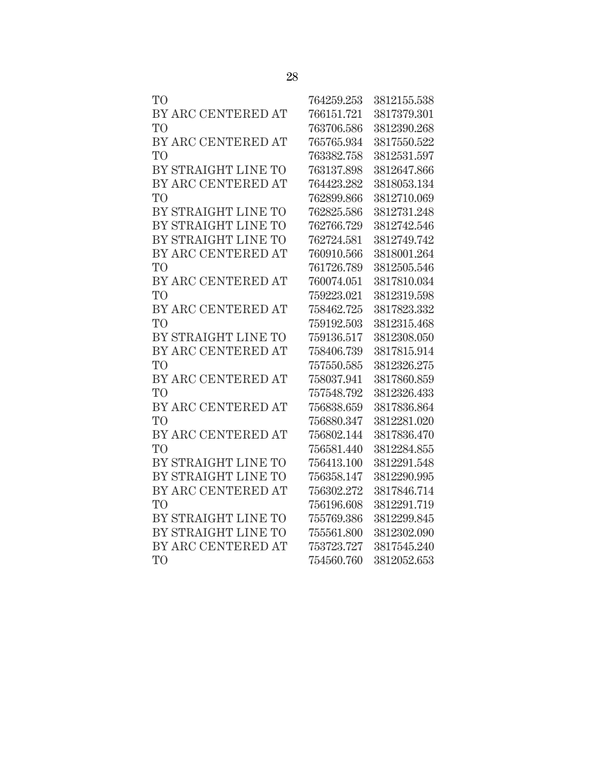| TO <sup>1</sup>     | 764259.253 | 3812155.538 |
|---------------------|------------|-------------|
| BY ARC CENTERED AT  | 766151.721 | 3817379.301 |
| T <sub>O</sub>      | 763706.586 | 3812390.268 |
| BY ARC CENTERED AT  | 765765.934 | 3817550.522 |
| T <sub>O</sub>      | 763382.758 | 3812531.597 |
| BY STRAIGHT LINE TO | 763137.898 | 3812647.866 |
| BY ARC CENTERED AT  | 764423.282 | 3818053.134 |
| T <sub>O</sub>      | 762899.866 | 3812710.069 |
| BY STRAIGHT LINE TO | 762825.586 | 3812731.248 |
| BY STRAIGHT LINE TO | 762766.729 | 3812742.546 |
| BY STRAIGHT LINE TO | 762724.581 | 3812749.742 |
| BY ARC CENTERED AT  | 760910.566 | 3818001.264 |
| T <sub>O</sub>      | 761726.789 | 3812505.546 |
| BY ARC CENTERED AT  | 760074.051 | 3817810.034 |
| T <sub>O</sub>      | 759223.021 | 3812319.598 |
| BY ARC CENTERED AT  | 758462.725 | 3817823.332 |
| T <sub>O</sub>      | 759192.503 | 3812315.468 |
| BY STRAIGHT LINE TO | 759136.517 | 3812308.050 |
| BY ARC CENTERED AT  | 758406.739 | 3817815.914 |
| T <sub>O</sub>      | 757550.585 | 3812326.275 |
| BY ARC CENTERED AT  | 758037.941 | 3817860.859 |
| T <sub>O</sub>      | 757548.792 | 3812326.433 |
| BY ARC CENTERED AT  | 756838.659 | 3817836.864 |
| T <sub>O</sub>      | 756880.347 | 3812281.020 |
| BY ARC CENTERED AT  | 756802.144 | 3817836.470 |
| T <sub>O</sub>      | 756581.440 | 3812284.855 |
| BY STRAIGHT LINE TO | 756413.100 | 3812291.548 |
| BY STRAIGHT LINE TO | 756358.147 | 3812290.995 |
| BY ARC CENTERED AT  | 756302.272 | 3817846.714 |
| T <sub>O</sub>      | 756196.608 | 3812291.719 |
| BY STRAIGHT LINE TO | 755769.386 | 3812299.845 |
| BY STRAIGHT LINE TO | 755561.800 | 3812302.090 |
| BY ARC CENTERED AT  | 753723.727 | 3817545.240 |
| T <sub>O</sub>      | 754560.760 | 3812052.653 |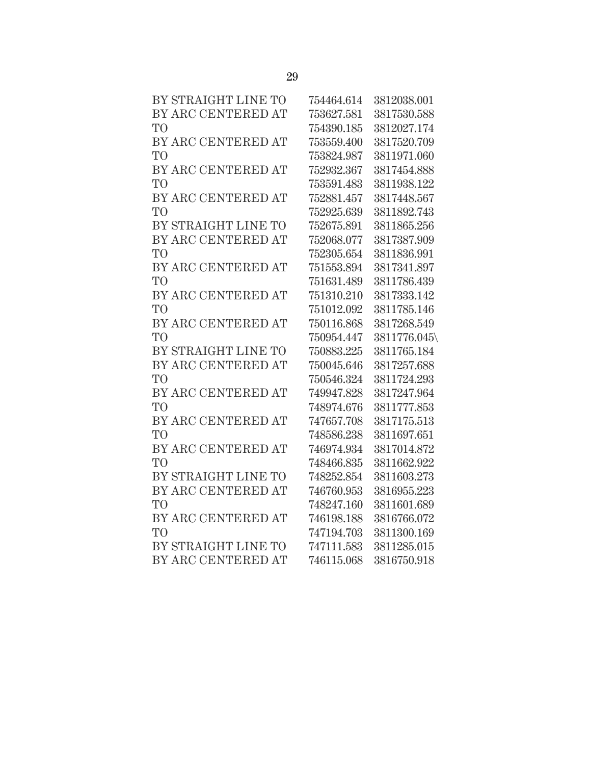| BY STRAIGHT LINE TO | 754464.614 | 3812038.001  |
|---------------------|------------|--------------|
| BY ARC CENTERED AT  | 753627.581 | 3817530.588  |
| <b>TO</b>           | 754390.185 | 3812027.174  |
| BY ARC CENTERED AT  | 753559.400 | 3817520.709  |
| T <sub>O</sub>      | 753824.987 | 3811971.060  |
| BY ARC CENTERED AT  | 752932.367 | 3817454.888  |
| T <sub>O</sub>      | 753591.483 | 3811938.122  |
| BY ARC CENTERED AT  | 752881.457 | 3817448.567  |
| T <sub>O</sub>      | 752925.639 | 3811892.743  |
| BY STRAIGHT LINE TO | 752675.891 | 3811865.256  |
| BY ARC CENTERED AT  | 752068.077 | 3817387.909  |
| <b>TO</b>           | 752305.654 | 3811836.991  |
| BY ARC CENTERED AT  | 751553.894 | 3817341.897  |
| <b>TO</b>           | 751631.489 | 3811786.439  |
| BY ARC CENTERED AT  | 751310.210 | 3817333.142  |
| T <sub>O</sub>      | 751012.092 | 3811785.146  |
| BY ARC CENTERED AT  | 750116.868 | 3817268.549  |
| T <sub>O</sub>      | 750954.447 | 3811776.045\ |
| BY STRAIGHT LINE TO | 750883.225 | 3811765.184  |
| BY ARC CENTERED AT  | 750045.646 | 3817257.688  |
| T <sub>O</sub>      | 750546.324 | 3811724.293  |
| BY ARC CENTERED AT  | 749947.828 | 3817247.964  |
| <b>TO</b>           | 748974.676 | 3811777.853  |
| BY ARC CENTERED AT  | 747657.708 | 3817175.513  |
| T <sub>O</sub>      | 748586.238 | 3811697.651  |
| BY ARC CENTERED AT  | 746974.934 | 3817014.872  |
| T <sub>O</sub>      | 748466.835 | 3811662.922  |
| BY STRAIGHT LINE TO | 748252.854 | 3811603.273  |
| BY ARC CENTERED AT  | 746760.953 | 3816955.223  |
| T <sub>O</sub>      | 748247.160 | 3811601.689  |
| BY ARC CENTERED AT  | 746198.188 | 3816766.072  |
| T <sub>O</sub>      | 747194.703 | 3811300.169  |
| BY STRAIGHT LINE TO | 747111.583 | 3811285.015  |
| BY ARC CENTERED AT  | 746115.068 | 3816750.918  |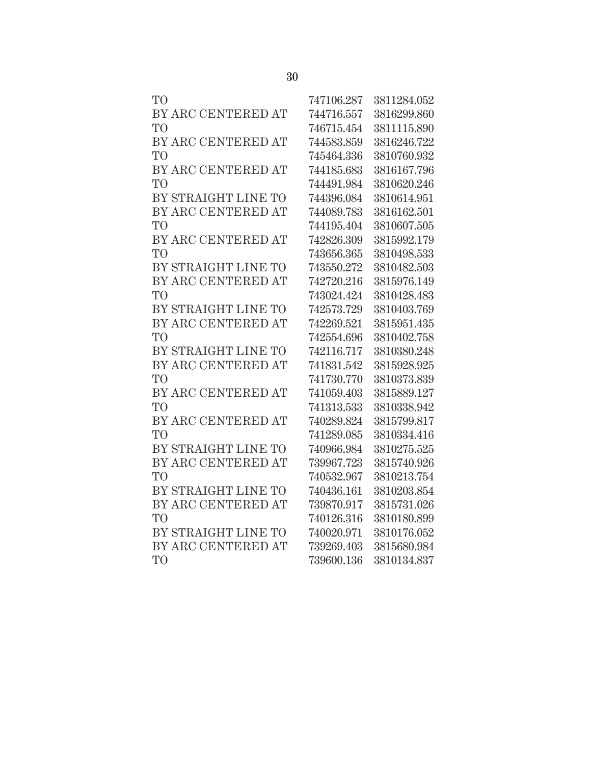| T <sub>O</sub>      | 747106.287 | 3811284.052 |
|---------------------|------------|-------------|
| BY ARC CENTERED AT  | 744716.557 | 3816299.860 |
| T <sub>O</sub>      | 746715.454 | 3811115.890 |
| BY ARC CENTERED AT  | 744583.859 | 3816246.722 |
| T <sub>O</sub>      | 745464.336 | 3810760.932 |
| BY ARC CENTERED AT  | 744185.683 | 3816167.796 |
| TО                  | 744491.984 | 3810620.246 |
| BY STRAIGHT LINE TO | 744396.084 | 3810614.951 |
| BY ARC CENTERED AT  | 744089.783 | 3816162.501 |
| T <sub>O</sub>      | 744195.404 | 3810607.505 |
| BY ARC CENTERED AT  | 742826.309 | 3815992.179 |
| T <sub>O</sub>      | 743656.365 | 3810498.533 |
| BY STRAIGHT LINE TO | 743550.272 | 3810482.503 |
| BY ARC CENTERED AT  | 742720.216 | 3815976.149 |
| T <sub>O</sub>      | 743024.424 | 3810428.483 |
| BY STRAIGHT LINE TO | 742573.729 | 3810403.769 |
| BY ARC CENTERED AT  | 742269.521 | 3815951.435 |
| T <sub>O</sub>      | 742554.696 | 3810402.758 |
| BY STRAIGHT LINE TO | 742116.717 | 3810380.248 |
| BY ARC CENTERED AT  | 741831.542 | 3815928.925 |
| T <sub>O</sub>      | 741730.770 | 3810373.839 |
| BY ARC CENTERED AT  | 741059.403 | 3815889.127 |
| T <sub>O</sub>      | 741313.533 | 3810338.942 |
| BY ARC CENTERED AT  | 740289.824 | 3815799.817 |
| T <sub>O</sub>      | 741289.085 | 3810334.416 |
| BY STRAIGHT LINE TO | 740966.984 | 3810275.525 |
| BY ARC CENTERED AT  | 739967.723 | 3815740.926 |
| T <sub>O</sub>      | 740532.967 | 3810213.754 |
| BY STRAIGHT LINE TO | 740436.161 | 3810203.854 |
| BY ARC CENTERED AT  | 739870.917 | 3815731.026 |
| T <sub>O</sub>      | 740126.316 | 3810180.899 |
| BY STRAIGHT LINE TO | 740020.971 | 3810176.052 |
| BY ARC CENTERED AT  | 739269.403 | 3815680.984 |
| T <sub>O</sub>      | 739600.136 | 3810134.837 |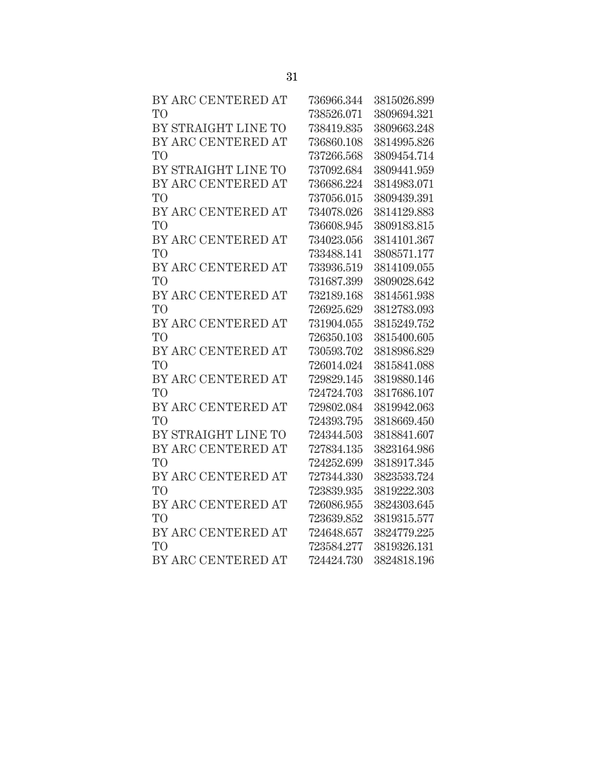| BY ARC CENTERED AT  | 736966.344 | 3815026.899 |
|---------------------|------------|-------------|
| T <sub>O</sub>      | 738526.071 | 3809694.321 |
| BY STRAIGHT LINE TO | 738419.835 | 3809663.248 |
| BY ARC CENTERED AT  | 736860.108 | 3814995.826 |
| T <sub>O</sub>      | 737266.568 | 3809454.714 |
| BY STRAIGHT LINE TO | 737092.684 | 3809441.959 |
| BY ARC CENTERED AT  | 736686.224 | 3814983.071 |
| T <sub>O</sub>      | 737056.015 | 3809439.391 |
| BY ARC CENTERED AT  | 734078.026 | 3814129.883 |
| T <sub>O</sub>      | 736608.945 | 3809183.815 |
| BY ARC CENTERED AT  | 734023.056 | 3814101.367 |
| T <sub>O</sub>      | 733488.141 | 3808571.177 |
| BY ARC CENTERED AT  | 733936.519 | 3814109.055 |
| T <sub>O</sub>      | 731687.399 | 3809028.642 |
| BY ARC CENTERED AT  | 732189.168 | 3814561.938 |
| T <sub>O</sub>      | 726925.629 | 3812783.093 |
| BY ARC CENTERED AT  | 731904.055 | 3815249.752 |
| T <sub>O</sub>      | 726350.103 | 3815400.605 |
| BY ARC CENTERED AT  | 730593.702 | 3818986.829 |
| T <sub>O</sub>      | 726014.024 | 3815841.088 |
| BY ARC CENTERED AT  | 729829.145 | 3819880.146 |
| T <sub>O</sub>      | 724724.703 | 3817686.107 |
| BY ARC CENTERED AT  | 729802.084 | 3819942.063 |
| T <sub>O</sub>      | 724393.795 | 3818669.450 |
| BY STRAIGHT LINE TO | 724344.503 | 3818841.607 |
| BY ARC CENTERED AT  | 727834.135 | 3823164.986 |
| T <sub>O</sub>      | 724252.699 | 3818917.345 |
| BY ARC CENTERED AT  | 727344.330 | 3823533.724 |
| T <sub>O</sub>      | 723839.935 | 3819222.303 |
| BY ARC CENTERED AT  | 726086.955 | 3824303.645 |
| T <sub>O</sub>      | 723639.852 | 3819315.577 |
| BY ARC CENTERED AT  | 724648.657 | 3824779.225 |
| T <sub>O</sub>      | 723584.277 | 3819326.131 |
| BY ARC CENTERED AT  | 724424.730 | 3824818.196 |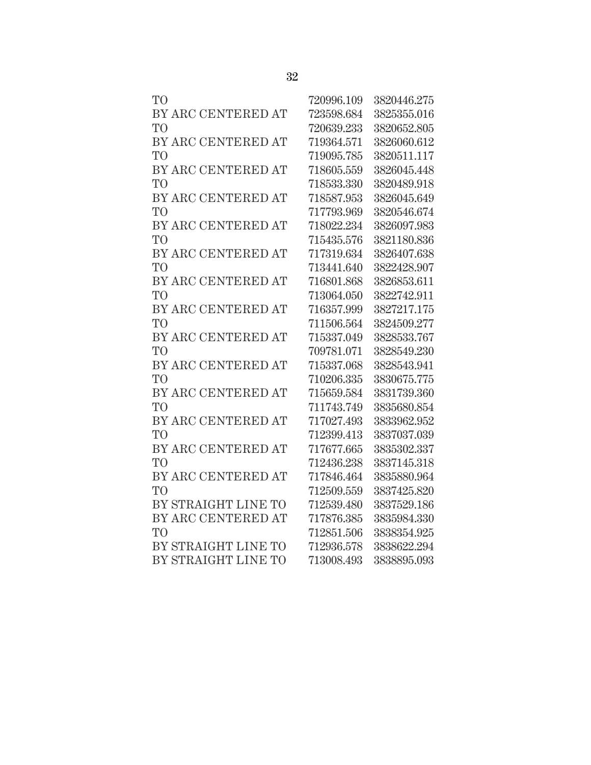| TO <sup></sup>      | 720996.109 | 3820446.275 |
|---------------------|------------|-------------|
| BY ARC CENTERED AT  | 723598.684 | 3825355.016 |
| TO <sup>T</sup>     | 720639.233 | 3820652.805 |
| BY ARC CENTERED AT  | 719364.571 | 3826060.612 |
| TO <sup>T</sup>     | 719095.785 | 3820511.117 |
| BY ARC CENTERED AT  | 718605.559 | 3826045.448 |
| TO <sup>T</sup>     | 718533.330 | 3820489.918 |
| BY ARC CENTERED AT  | 718587.953 | 3826045.649 |
| <b>TO</b>           | 717793.969 | 3820546.674 |
| BY ARC CENTERED AT  | 718022.234 | 3826097.983 |
| TO <sup></sup>      | 715435.576 | 3821180.836 |
| BY ARC CENTERED AT  | 717319.634 | 3826407.638 |
| TO <sup>1</sup>     | 713441.640 | 3822428.907 |
| BY ARC CENTERED AT  | 716801.868 | 3826853.611 |
| TO <sup></sup>      | 713064.050 | 3822742.911 |
| BY ARC CENTERED AT  | 716357.999 | 3827217.175 |
| TО                  | 711506.564 | 3824509.277 |
| BY ARC CENTERED AT  | 715337.049 | 3828533.767 |
| TO <sup>T</sup>     | 709781.071 | 3828549.230 |
| BY ARC CENTERED AT  | 715337.068 | 3828543.941 |
| TO <sup>T</sup>     | 710206.335 | 3830675.775 |
| BY ARC CENTERED AT  | 715659.584 | 3831739.360 |
| TO <sup></sup>      | 711743.749 | 3835680.854 |
| BY ARC CENTERED AT  | 717027.493 | 3833962.952 |
| <b>TO</b>           | 712399.413 | 3837037.039 |
| BY ARC CENTERED AT  | 717677.665 | 3835302.337 |
| TО                  | 712436.238 | 3837145.318 |
| BY ARC CENTERED AT  | 717846.464 | 3835880.964 |
| TO <sup>T</sup>     | 712509.559 | 3837425.820 |
| BY STRAIGHT LINE TO | 712539.480 | 3837529.186 |
| BY ARC CENTERED AT  | 717876.385 | 3835984.330 |
| TО                  | 712851.506 | 3838354.925 |
| BY STRAIGHT LINE TO | 712936.578 | 3838622.294 |
| BY STRAIGHT LINE TO | 713008.493 | 3838895.093 |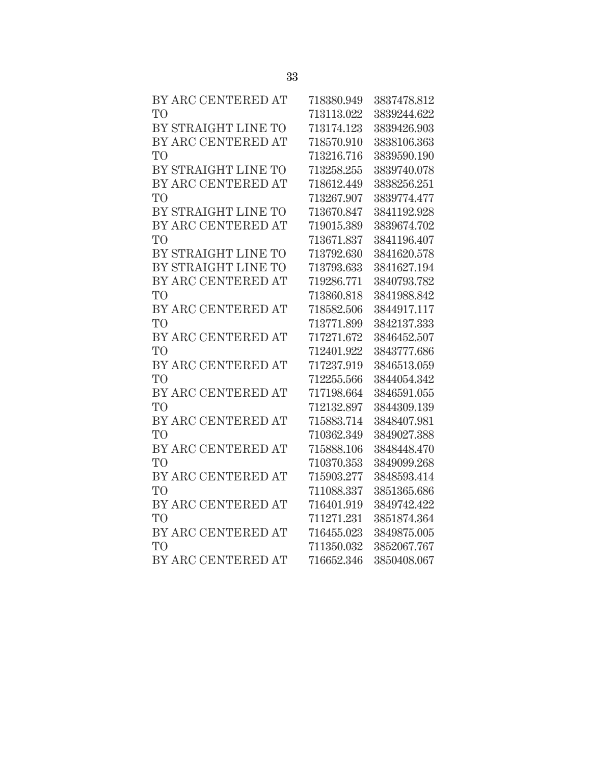| BY ARC CENTERED AT  | 718380.949 | 3837478.812 |
|---------------------|------------|-------------|
| T <sub>O</sub>      | 713113.022 | 3839244.622 |
| BY STRAIGHT LINE TO | 713174.123 | 3839426.903 |
| BY ARC CENTERED AT  | 718570.910 | 3838106.363 |
| T <sub>O</sub>      | 713216.716 | 3839590.190 |
| BY STRAIGHT LINE TO | 713258.255 | 3839740.078 |
| BY ARC CENTERED AT  | 718612.449 | 3838256.251 |
| T <sub>O</sub>      | 713267.907 | 3839774.477 |
| BY STRAIGHT LINE TO | 713670.847 | 3841192.928 |
| BY ARC CENTERED AT  | 719015.389 | 3839674.702 |
| T <sub>O</sub>      | 713671.837 | 3841196.407 |
| BY STRAIGHT LINE TO | 713792.630 | 3841620.578 |
| BY STRAIGHT LINE TO | 713793.633 | 3841627.194 |
| BY ARC CENTERED AT  | 719286.771 | 3840793.782 |
| T <sub>O</sub>      | 713860.818 | 3841988.842 |
| BY ARC CENTERED AT  | 718582.506 | 3844917.117 |
| T <sub>O</sub>      | 713771.899 | 3842137.333 |
| BY ARC CENTERED AT  | 717271.672 | 3846452.507 |
| TO <sup>1</sup>     | 712401.922 | 3843777.686 |
| BY ARC CENTERED AT  | 717237.919 | 3846513.059 |
| T <sub>O</sub>      | 712255.566 | 3844054.342 |
| BY ARC CENTERED AT  | 717198.664 | 3846591.055 |
| T <sub>O</sub>      | 712132.897 | 3844309.139 |
| BY ARC CENTERED AT  | 715883.714 | 3848407.981 |
| T <sub>O</sub>      | 710362.349 | 3849027.388 |
| BY ARC CENTERED AT  | 715888.106 | 3848448.470 |
| T <sub>O</sub>      | 710370.353 | 3849099.268 |
| BY ARC CENTERED AT  | 715903.277 | 3848593.414 |
| T <sub>O</sub>      | 711088.337 | 3851365.686 |
| BY ARC CENTERED AT  | 716401.919 | 3849742.422 |
| T <sub>O</sub>      | 711271.231 | 3851874.364 |
| BY ARC CENTERED AT  | 716455.023 | 3849875.005 |
| T <sub>O</sub>      | 711350.032 | 3852067.767 |
| BY ARC CENTERED AT  | 716652.346 | 3850408.067 |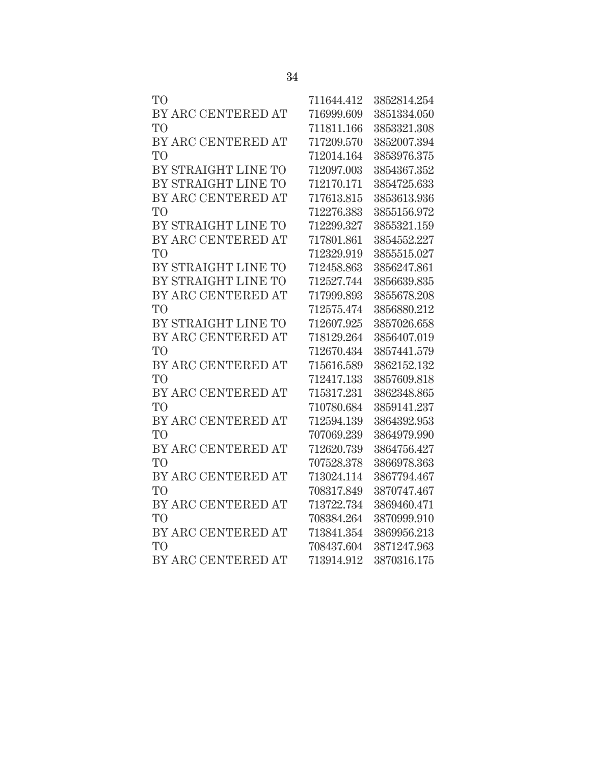| T <sub>O</sub>      | 711644.412 | 3852814.254 |
|---------------------|------------|-------------|
| BY ARC CENTERED AT  | 716999.609 | 3851334.050 |
| T <sub>O</sub>      | 711811.166 | 3853321.308 |
| BY ARC CENTERED AT  | 717209.570 | 3852007.394 |
| T <sub>O</sub>      | 712014.164 | 3853976.375 |
| BY STRAIGHT LINE TO | 712097.003 | 3854367.352 |
| BY STRAIGHT LINE TO | 712170.171 | 3854725.633 |
| BY ARC CENTERED AT  | 717613.815 | 3853613.936 |
| T <sub>O</sub>      | 712276.383 | 3855156.972 |
| BY STRAIGHT LINE TO | 712299.327 | 3855321.159 |
| BY ARC CENTERED AT  | 717801.861 | 3854552.227 |
| T <sub>O</sub>      | 712329.919 | 3855515.027 |
| BY STRAIGHT LINE TO | 712458.863 | 3856247.861 |
| BY STRAIGHT LINE TO | 712527.744 | 3856639.835 |
| BY ARC CENTERED AT  | 717999.893 | 3855678.208 |
| T <sub>O</sub>      | 712575.474 | 3856880.212 |
| BY STRAIGHT LINE TO | 712607.925 | 3857026.658 |
| BY ARC CENTERED AT  | 718129.264 | 3856407.019 |
| T <sub>O</sub>      | 712670.434 | 3857441.579 |
| BY ARC CENTERED AT  | 715616.589 | 3862152.132 |
| T <sub>O</sub>      | 712417.133 | 3857609.818 |
| BY ARC CENTERED AT  | 715317.231 | 3862348.865 |
| T <sub>O</sub>      | 710780.684 | 3859141.237 |
| BY ARC CENTERED AT  | 712594.139 | 3864392.953 |
| T <sub>O</sub>      | 707069.239 | 3864979.990 |
| BY ARC CENTERED AT  | 712620.739 | 3864756.427 |
| T <sub>O</sub>      | 707528.378 | 3866978.363 |
| BY ARC CENTERED AT  | 713024.114 | 3867794.467 |
| T <sub>O</sub>      | 708317.849 | 3870747.467 |
| BY ARC CENTERED AT  | 713722.734 | 3869460.471 |
| T <sub>O</sub>      | 708384.264 | 3870999.910 |
| BY ARC CENTERED AT  | 713841.354 | 3869956.213 |
| TO                  | 708437.604 | 3871247.963 |
| BY ARC CENTERED AT  | 713914.912 | 3870316.175 |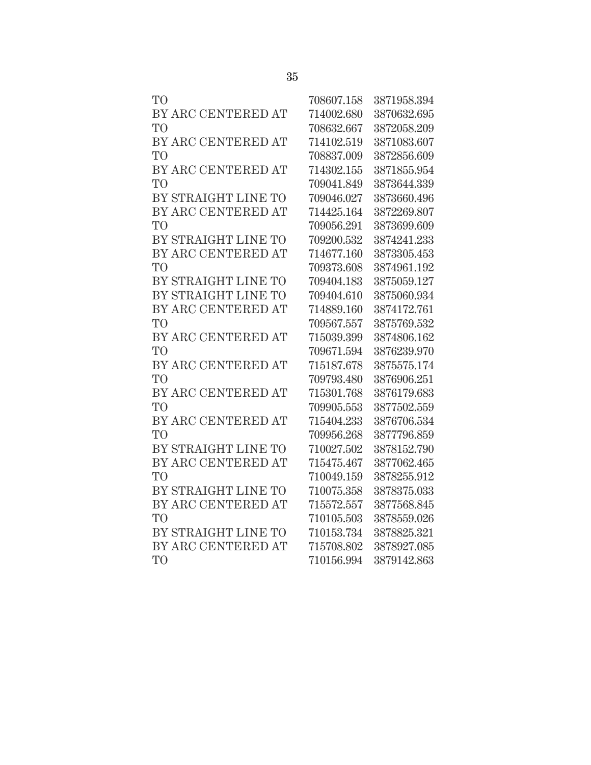| TО                  | 708607.158 | 3871958.394 |
|---------------------|------------|-------------|
| BY ARC CENTERED AT  | 714002.680 | 3870632.695 |
| TО                  | 708632.667 | 3872058.209 |
| BY ARC CENTERED AT  | 714102.519 | 3871083.607 |
| T <sub>O</sub>      | 708837.009 | 3872856.609 |
| BY ARC CENTERED AT  | 714302.155 | 3871855.954 |
| T <sub>O</sub>      | 709041.849 | 3873644.339 |
| BY STRAIGHT LINE TO | 709046.027 | 3873660.496 |
| BY ARC CENTERED AT  | 714425.164 | 3872269.807 |
| T <sub>O</sub>      | 709056.291 | 3873699.609 |
| BY STRAIGHT LINE TO | 709200.532 | 3874241.233 |
| BY ARC CENTERED AT  | 714677.160 | 3873305.453 |
| TО                  | 709373.608 | 3874961.192 |
| BY STRAIGHT LINE TO | 709404.183 | 3875059.127 |
| BY STRAIGHT LINE TO | 709404.610 | 3875060.934 |
| BY ARC CENTERED AT  | 714889.160 | 3874172.761 |
| TО                  | 709567.557 | 3875769.532 |
| BY ARC CENTERED AT  | 715039.399 | 3874806.162 |
| T <sub>O</sub>      | 709671.594 | 3876239.970 |
| BY ARC CENTERED AT  | 715187.678 | 3875575.174 |
| T <sub>O</sub>      | 709793.480 | 3876906.251 |
| BY ARC CENTERED AT  | 715301.768 | 3876179.683 |
| T <sub>O</sub>      | 709905.553 | 3877502.559 |
| BY ARC CENTERED AT  | 715404.233 | 3876706.534 |
| T <sub>O</sub>      | 709956.268 | 3877796.859 |
| BY STRAIGHT LINE TO | 710027.502 | 3878152.790 |
| BY ARC CENTERED AT  | 715475.467 | 3877062.465 |
| TО                  | 710049.159 | 3878255.912 |
| BY STRAIGHT LINE TO | 710075.358 | 3878375.033 |
| BY ARC CENTERED AT  | 715572.557 | 3877568.845 |
| TO <sup>1</sup>     | 710105.503 | 3878559.026 |
| BY STRAIGHT LINE TO | 710153.734 | 3878825.321 |
| BY ARC CENTERED AT  | 715708.802 | 3878927.085 |
| T <sub>O</sub>      | 710156.994 | 3879142.863 |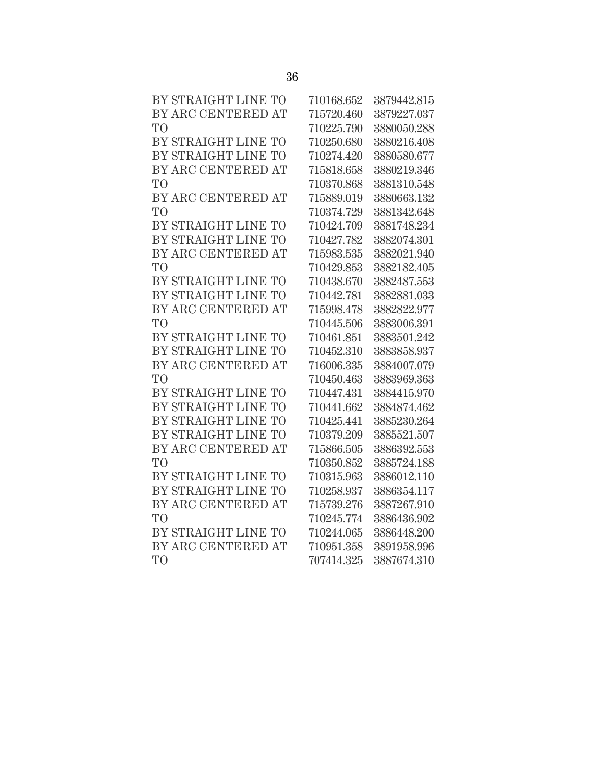| BY STRAIGHT LINE TO | 710168.652 | 3879442.815 |
|---------------------|------------|-------------|
| BY ARC CENTERED AT  | 715720.460 | 3879227.037 |
| TO                  | 710225.790 | 3880050.288 |
| BY STRAIGHT LINE TO | 710250.680 | 3880216.408 |
| BY STRAIGHT LINE TO | 710274.420 | 3880580.677 |
| BY ARC CENTERED AT  | 715818.658 | 3880219.346 |
| T <sub>O</sub>      | 710370.868 | 3881310.548 |
| BY ARC CENTERED AT  | 715889.019 | 3880663.132 |
| T <sub>O</sub>      | 710374.729 | 3881342.648 |
| BY STRAIGHT LINE TO | 710424.709 | 3881748.234 |
| BY STRAIGHT LINE TO | 710427.782 | 3882074.301 |
| BY ARC CENTERED AT  | 715983.535 | 3882021.940 |
| TO                  | 710429.853 | 3882182.405 |
| BY STRAIGHT LINE TO | 710438.670 | 3882487.553 |
| BY STRAIGHT LINE TO | 710442.781 | 3882881.033 |
| BY ARC CENTERED AT  | 715998.478 | 3882822.977 |
| T <sub>O</sub>      | 710445.506 | 3883006.391 |
| BY STRAIGHT LINE TO | 710461.851 | 3883501.242 |
| BY STRAIGHT LINE TO | 710452.310 | 3883858.937 |
| BY ARC CENTERED AT  | 716006.335 | 3884007.079 |
| T <sub>O</sub>      | 710450.463 | 3883969.363 |
| BY STRAIGHT LINE TO | 710447.431 | 3884415.970 |
| BY STRAIGHT LINE TO | 710441.662 | 3884874.462 |
| BY STRAIGHT LINE TO | 710425.441 | 3885230.264 |
| BY STRAIGHT LINE TO | 710379.209 | 3885521.507 |
| BY ARC CENTERED AT  | 715866.505 | 3886392.553 |
| TO <sup>1</sup>     | 710350.852 | 3885724.188 |
| BY STRAIGHT LINE TO | 710315.963 | 3886012.110 |
| BY STRAIGHT LINE TO | 710258.937 | 3886354.117 |
| BY ARC CENTERED AT  | 715739.276 | 3887267.910 |
| T <sub>O</sub>      | 710245.774 | 3886436.902 |
| BY STRAIGHT LINE TO | 710244.065 | 3886448.200 |
| BY ARC CENTERED AT  | 710951.358 | 3891958.996 |
| T <sub>O</sub>      | 707414.325 | 3887674.310 |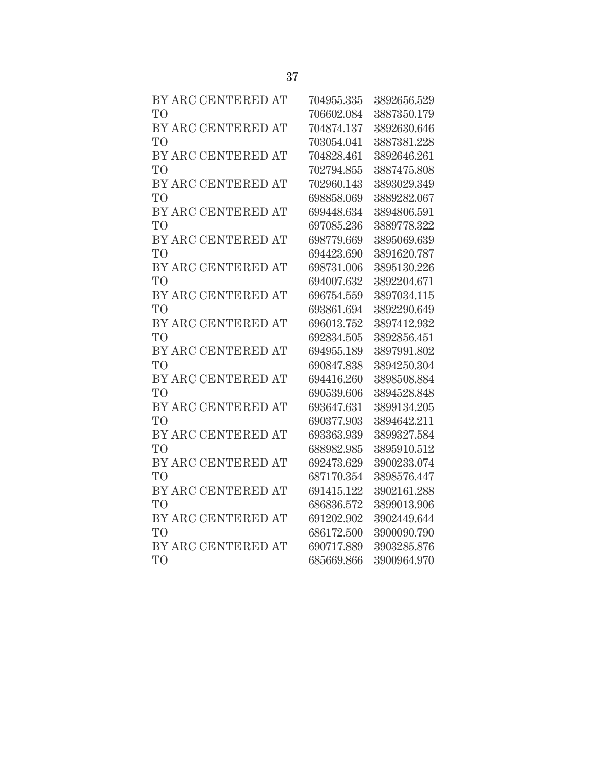| BY ARC CENTERED AT | 704955.335 | 3892656.529 |
|--------------------|------------|-------------|
| T <sub>O</sub>     | 706602.084 | 3887350.179 |
| BY ARC CENTERED AT | 704874.137 | 3892630.646 |
| T <sub>O</sub>     | 703054.041 | 3887381.228 |
| BY ARC CENTERED AT | 704828.461 | 3892646.261 |
| T <sub>O</sub>     | 702794.855 | 3887475.808 |
| BY ARC CENTERED AT | 702960.143 | 3893029.349 |
| T <sub>O</sub>     | 698858.069 | 3889282.067 |
| BY ARC CENTERED AT | 699448.634 | 3894806.591 |
| T <sub>O</sub>     | 697085.236 | 3889778.322 |
| BY ARC CENTERED AT | 698779.669 | 3895069.639 |
| T <sub>O</sub>     | 694423.690 | 3891620.787 |
| BY ARC CENTERED AT | 698731.006 | 3895130.226 |
| T <sub>O</sub>     | 694007.632 | 3892204.671 |
| BY ARC CENTERED AT | 696754.559 | 3897034.115 |
| T <sub>O</sub>     | 693861.694 | 3892290.649 |
| BY ARC CENTERED AT | 696013.752 | 3897412.932 |
| T <sub>O</sub>     | 692834.505 | 3892856.451 |
| BY ARC CENTERED AT | 694955.189 | 3897991.802 |
| T <sub>O</sub>     | 690847.838 | 3894250.304 |
| BY ARC CENTERED AT | 694416.260 | 3898508.884 |
| T <sub>O</sub>     | 690539.606 | 3894528.848 |
| BY ARC CENTERED AT | 693647.631 | 3899134.205 |
| T <sub>O</sub>     | 690377.903 | 3894642.211 |
| BY ARC CENTERED AT | 693363.939 | 3899327.584 |
| T <sub>O</sub>     | 688982.985 | 3895910.512 |
| BY ARC CENTERED AT | 692473.629 | 3900233.074 |
| T <sub>O</sub>     | 687170.354 | 3898576.447 |
| BY ARC CENTERED AT | 691415.122 | 3902161.288 |
| T <sub>O</sub>     | 686836.572 | 3899013.906 |
| BY ARC CENTERED AT | 691202.902 | 3902449.644 |
| T <sub>O</sub>     | 686172.500 | 3900090.790 |
| BY ARC CENTERED AT | 690717.889 | 3903285.876 |
| T <sub>O</sub>     | 685669.866 | 3900964.970 |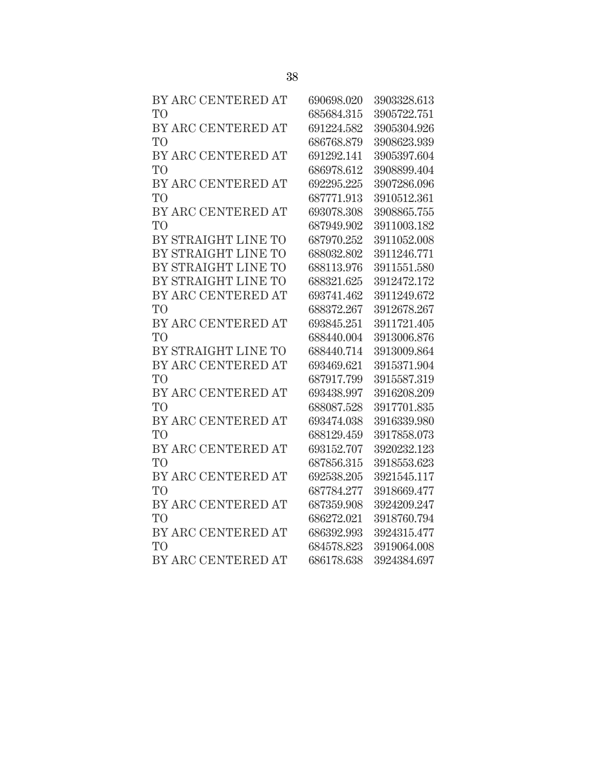| BY ARC CENTERED AT  | 690698.020 | 3903328.613 |
|---------------------|------------|-------------|
| T <sub>O</sub>      | 685684.315 | 3905722.751 |
| BY ARC CENTERED AT  | 691224.582 | 3905304.926 |
| T <sub>O</sub>      | 686768.879 | 3908623.939 |
| BY ARC CENTERED AT  | 691292.141 | 3905397.604 |
| T <sub>O</sub>      | 686978.612 | 3908899.404 |
| BY ARC CENTERED AT  | 692295.225 | 3907286.096 |
| T <sub>O</sub>      | 687771.913 | 3910512.361 |
| BY ARC CENTERED AT  | 693078.308 | 3908865.755 |
| T <sub>O</sub>      | 687949.902 | 3911003.182 |
| BY STRAIGHT LINE TO | 687970.252 | 3911052.008 |
| BY STRAIGHT LINE TO | 688032.802 | 3911246.771 |
| BY STRAIGHT LINE TO | 688113.976 | 3911551.580 |
| BY STRAIGHT LINE TO | 688321.625 | 3912472.172 |
| BY ARC CENTERED AT  | 693741.462 | 3911249.672 |
| T <sub>O</sub>      | 688372.267 | 3912678.267 |
| BY ARC CENTERED AT  | 693845.251 | 3911721.405 |
| T <sub>O</sub>      | 688440.004 | 3913006.876 |
| BY STRAIGHT LINE TO | 688440.714 | 3913009.864 |
| BY ARC CENTERED AT  | 693469.621 | 3915371.904 |
| T <sub>O</sub>      | 687917.799 | 3915587.319 |
| BY ARC CENTERED AT  | 693438.997 | 3916208.209 |
| T <sub>O</sub>      | 688087.528 | 3917701.835 |
| BY ARC CENTERED AT  | 693474.038 | 3916339.980 |
| T <sub>O</sub>      | 688129.459 | 3917858.073 |
| BY ARC CENTERED AT  | 693152.707 | 3920232.123 |
| T <sub>O</sub>      | 687856.315 | 3918553.623 |
| BY ARC CENTERED AT  | 692538.205 | 3921545.117 |
| T <sub>O</sub>      | 687784.277 | 3918669.477 |
| BY ARC CENTERED AT  | 687359.908 | 3924209.247 |
| T <sub>O</sub>      | 686272.021 | 3918760.794 |
| BY ARC CENTERED AT  | 686392.993 | 3924315.477 |
| T <sub>O</sub>      | 684578.823 | 3919064.008 |
| BY ARC CENTERED AT  | 686178.638 | 3924384.697 |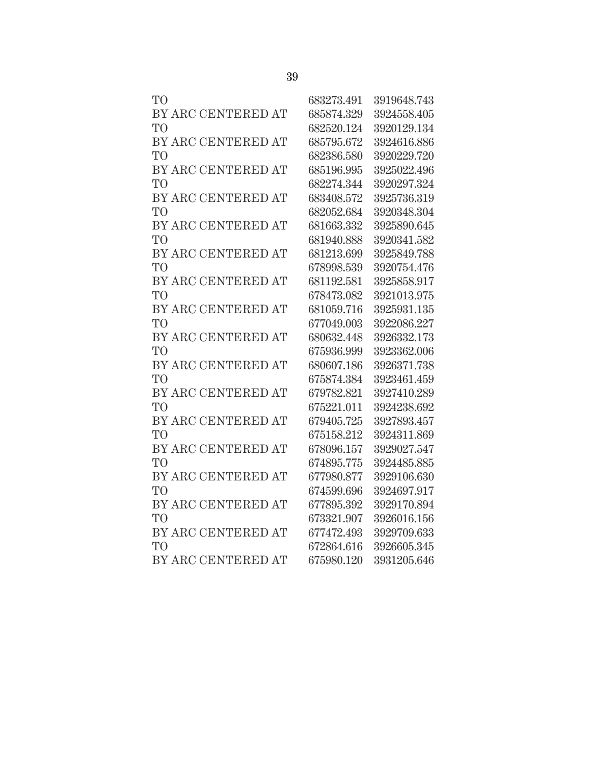| TO <sup></sup>     | 683273.491 | 3919648.743 |
|--------------------|------------|-------------|
| BY ARC CENTERED AT | 685874.329 | 3924558.405 |
| TO <sup>T</sup>    | 682520.124 | 3920129.134 |
| BY ARC CENTERED AT | 685795.672 | 3924616.886 |
| TO <sup>T</sup>    | 682386.580 | 3920229.720 |
| BY ARC CENTERED AT | 685196.995 | 3925022.496 |
| TO <sup>T</sup>    | 682274.344 | 3920297.324 |
| BY ARC CENTERED AT | 683408.572 | 3925736.319 |
| TO <sup>1</sup>    | 682052.684 | 3920348.304 |
| BY ARC CENTERED AT | 681663.332 | 3925890.645 |
| TO <sup></sup>     | 681940.888 | 3920341.582 |
| BY ARC CENTERED AT | 681213.699 | 3925849.788 |
| TO <sup>1</sup>    | 678998.539 | 3920754.476 |
| BY ARC CENTERED AT | 681192.581 | 3925858.917 |
| TО                 | 678473.082 | 3921013.975 |
| BY ARC CENTERED AT | 681059.716 | 3925931.135 |
| TО                 | 677049.003 | 3922086.227 |
| BY ARC CENTERED AT | 680632.448 | 3926332.173 |
| TO <sup>1</sup>    | 675936.999 | 3923362.006 |
| BY ARC CENTERED AT | 680607.186 | 3926371.738 |
| TO <sup>T</sup>    | 675874.384 | 3923461.459 |
| BY ARC CENTERED AT | 679782.821 | 3927410.289 |
| TO <sup></sup>     | 675221.011 | 3924238.692 |
| BY ARC CENTERED AT | 679405.725 | 3927893.457 |
| <b>TO</b>          | 675158.212 | 3924311.869 |
| BY ARC CENTERED AT | 678096.157 | 3929027.547 |
| TО                 | 674895.775 | 3924485.885 |
| BY ARC CENTERED AT | 677980.877 | 3929106.630 |
| TO <sup>T</sup>    | 674599.696 | 3924697.917 |
| BY ARC CENTERED AT | 677895.392 | 3929170.894 |
| TO                 | 673321.907 | 3926016.156 |
| BY ARC CENTERED AT | 677472.493 | 3929709.633 |
| TO <sup>T</sup>    | 672864.616 | 3926605.345 |
| BY ARC CENTERED AT | 675980.120 | 3931205.646 |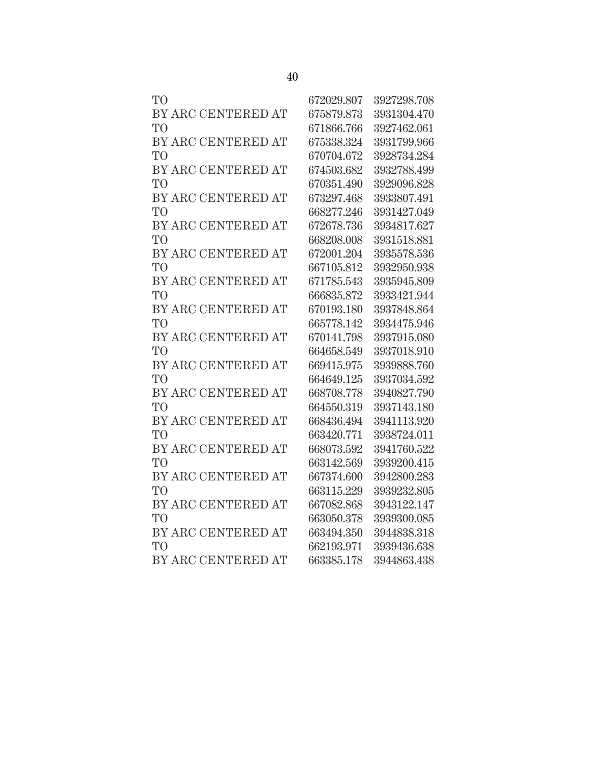| T <sub>O</sub>     | 672029.807 | 3927298.708 |
|--------------------|------------|-------------|
| BY ARC CENTERED AT | 675879.873 | 3931304.470 |
| T <sub>O</sub>     | 671866.766 | 3927462.061 |
| BY ARC CENTERED AT | 675338.324 | 3931799.966 |
| T <sub>O</sub>     | 670704.672 | 3928734.284 |
| BY ARC CENTERED AT | 674503.682 | 3932788.499 |
| T <sub>O</sub>     | 670351.490 | 3929096.828 |
| BY ARC CENTERED AT | 673297.468 | 3933807.491 |
| T <sub>O</sub>     | 668277.246 | 3931427.049 |
| BY ARC CENTERED AT | 672678.736 | 3934817.627 |
| T <sub>O</sub>     | 668208.008 | 3931518.881 |
| BY ARC CENTERED AT | 672001.204 | 3935578.536 |
| T <sub>O</sub>     | 667105.812 | 3932950.938 |
| BY ARC CENTERED AT | 671785.543 | 3935945.809 |
| T <sub>O</sub>     | 666835.872 | 3933421.944 |
| BY ARC CENTERED AT | 670193.180 | 3937848.864 |
| T <sub>O</sub>     | 665778.142 | 3934475.946 |
| BY ARC CENTERED AT | 670141.798 | 3937915.080 |
| T <sub>O</sub>     | 664658.549 | 3937018.910 |
| BY ARC CENTERED AT | 669415.975 | 3939888.760 |
| T <sub>O</sub>     | 664649.125 | 3937034.592 |
| BY ARC CENTERED AT | 668708.778 | 3940827.790 |
| T <sub>O</sub>     | 664550.319 | 3937143.180 |
| BY ARC CENTERED AT | 668436.494 | 3941113.920 |
| T <sub>O</sub>     | 663420.771 | 3938724.011 |
| BY ARC CENTERED AT | 668073.592 | 3941760.522 |
| T <sub>O</sub>     | 663142.569 | 3939200.415 |
| BY ARC CENTERED AT | 667374.600 | 3942800.283 |
| T <sub>O</sub>     | 663115.229 | 3939232.805 |
| BY ARC CENTERED AT | 667082.868 | 3943122.147 |
| T <sub>O</sub>     | 663050.378 | 3939300.085 |
| BY ARC CENTERED AT | 663494.350 | 3944838.318 |
| T <sub>O</sub>     | 662193.971 | 3939436.638 |
| BY ARC CENTERED AT | 663385.178 | 3944863.438 |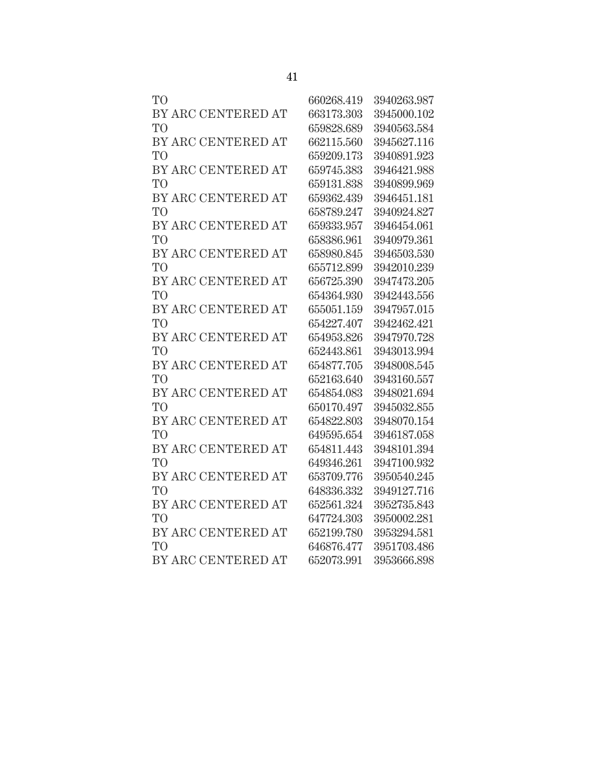| TO <sup></sup>     | 660268.419 | 3940263.987 |
|--------------------|------------|-------------|
| BY ARC CENTERED AT | 663173.303 | 3945000.102 |
| TO <sup>T</sup>    | 659828.689 | 3940563.584 |
| BY ARC CENTERED AT | 662115.560 | 3945627.116 |
| TO <sup>T</sup>    | 659209.173 | 3940891.923 |
| BY ARC CENTERED AT | 659745.383 | 3946421.988 |
| TO <sup>T</sup>    | 659131.838 | 3940899.969 |
| BY ARC CENTERED AT | 659362.439 | 3946451.181 |
| TO <sup>1</sup>    | 658789.247 | 3940924.827 |
| BY ARC CENTERED AT | 659333.957 | 3946454.061 |
| TO <sup></sup>     | 658386.961 | 3940979.361 |
| BY ARC CENTERED AT | 658980.845 | 3946503.530 |
| TO <sup>1</sup>    | 655712.899 | 3942010.239 |
| BY ARC CENTERED AT | 656725.390 | 3947473.205 |
| TО                 | 654364.930 | 3942443.556 |
| BY ARC CENTERED AT | 655051.159 | 3947957.015 |
| TO <sup></sup>     | 654227.407 | 3942462.421 |
| BY ARC CENTERED AT | 654953.826 | 3947970.728 |
| TO <sup>1</sup>    | 652443.861 | 3943013.994 |
| BY ARC CENTERED AT | 654877.705 | 3948008.545 |
| TO <sup>T</sup>    | 652163.640 | 3943160.557 |
| BY ARC CENTERED AT | 654854.083 | 3948021.694 |
| TO <sup></sup>     | 650170.497 | 3945032.855 |
| BY ARC CENTERED AT | 654822.803 | 3948070.154 |
| <b>TO</b>          | 649595.654 | 3946187.058 |
| BY ARC CENTERED AT | 654811.443 | 3948101.394 |
| TО                 | 649346.261 | 3947100.932 |
| BY ARC CENTERED AT | 653709.776 | 3950540.245 |
| TO <sup>T</sup>    | 648336.332 | 3949127.716 |
| BY ARC CENTERED AT | 652561.324 | 3952735.843 |
| TO                 | 647724.303 | 3950002.281 |
| BY ARC CENTERED AT | 652199.780 | 3953294.581 |
| TO <sup>T</sup>    | 646876.477 | 3951703.486 |
| BY ARC CENTERED AT | 652073.991 | 3953666.898 |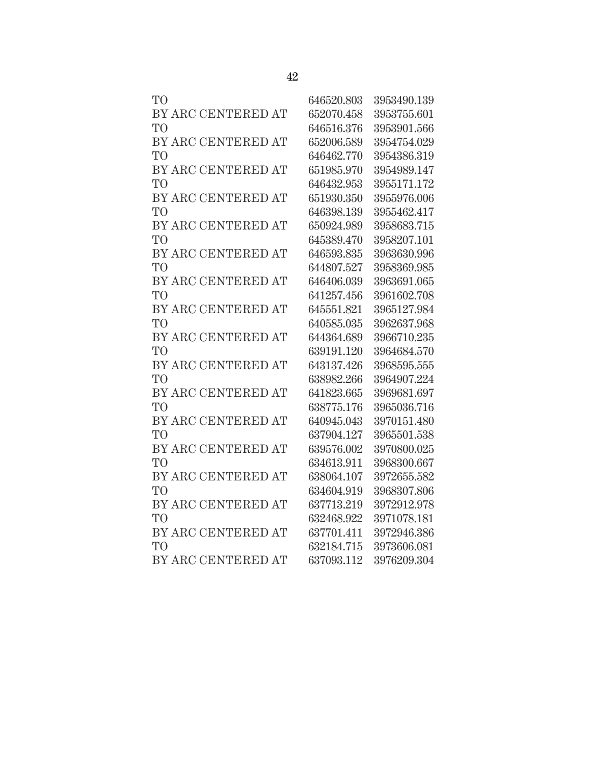| T <sub>O</sub>     | 646520.803 | 3953490.139 |
|--------------------|------------|-------------|
| BY ARC CENTERED AT | 652070.458 | 3953755.601 |
| T <sub>O</sub>     | 646516.376 | 3953901.566 |
| BY ARC CENTERED AT | 652006.589 | 3954754.029 |
| T <sub>O</sub>     | 646462.770 | 3954386.319 |
| BY ARC CENTERED AT | 651985.970 | 3954989.147 |
| T <sub>O</sub>     | 646432.953 | 3955171.172 |
| BY ARC CENTERED AT | 651930.350 | 3955976.006 |
| T <sub>O</sub>     | 646398.139 | 3955462.417 |
| BY ARC CENTERED AT | 650924.989 | 3958683.715 |
| T <sub>O</sub>     | 645389.470 | 3958207.101 |
| BY ARC CENTERED AT | 646593.835 | 3963630.996 |
| T <sub>O</sub>     | 644807.527 | 3958369.985 |
| BY ARC CENTERED AT | 646406.039 | 3963691.065 |
| T <sub>O</sub>     | 641257.456 | 3961602.708 |
| BY ARC CENTERED AT | 645551.821 | 3965127.984 |
| T <sub>O</sub>     | 640585.035 | 3962637.968 |
| BY ARC CENTERED AT | 644364.689 | 3966710.235 |
| T <sub>O</sub>     | 639191.120 | 3964684.570 |
| BY ARC CENTERED AT | 643137.426 | 3968595.555 |
| T <sub>O</sub>     | 638982.266 | 3964907.224 |
| BY ARC CENTERED AT | 641823.665 | 3969681.697 |
| T <sub>O</sub>     | 638775.176 | 3965036.716 |
| BY ARC CENTERED AT | 640945.043 | 3970151.480 |
| T <sub>O</sub>     | 637904.127 | 3965501.538 |
| BY ARC CENTERED AT | 639576.002 | 3970800.025 |
| T <sub>O</sub>     | 634613.911 | 3968300.667 |
| BY ARC CENTERED AT | 638064.107 | 3972655.582 |
| T <sub>O</sub>     | 634604.919 | 3968307.806 |
| BY ARC CENTERED AT | 637713.219 | 3972912.978 |
| T <sub>O</sub>     | 632468.922 | 3971078.181 |
| BY ARC CENTERED AT | 637701.411 | 3972946.386 |
| T <sub>O</sub>     | 632184.715 | 3973606.081 |
| BY ARC CENTERED AT | 637093.112 | 3976209.304 |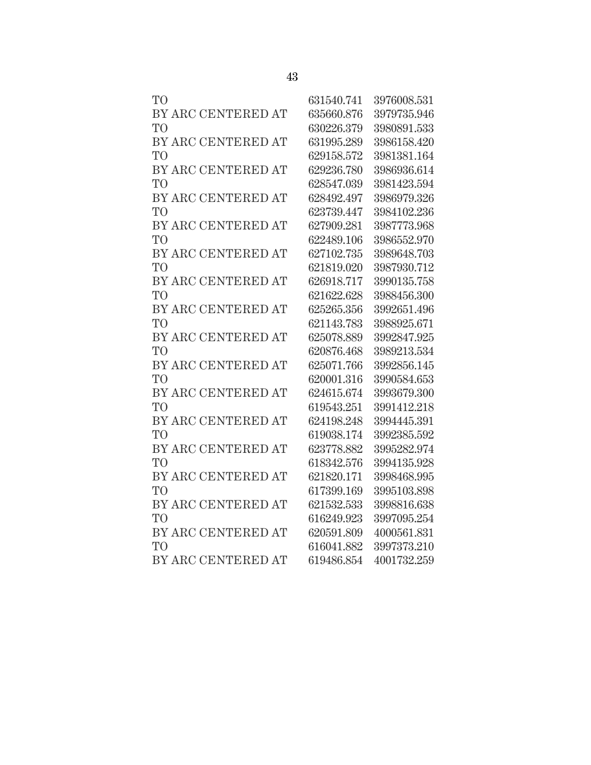| TO                 | 631540.741 | 3976008.531 |
|--------------------|------------|-------------|
| BY ARC CENTERED AT | 635660.876 | 3979735.946 |
| TO                 | 630226.379 | 3980891.533 |
| BY ARC CENTERED AT | 631995.289 | 3986158.420 |
| TO <sup></sup>     | 629158.572 | 3981381.164 |
| BY ARC CENTERED AT | 629236.780 | 3986936.614 |
| TO                 | 628547.039 | 3981423.594 |
| BY ARC CENTERED AT | 628492.497 | 3986979.326 |
| TО                 | 623739.447 | 3984102.236 |
| BY ARC CENTERED AT | 627909.281 | 3987773.968 |
| TО                 | 622489.106 | 3986552.970 |
| BY ARC CENTERED AT | 627102.735 | 3989648.703 |
| TO                 | 621819.020 | 3987930.712 |
| BY ARC CENTERED AT | 626918.717 | 3990135.758 |
| TO                 | 621622.628 | 3988456.300 |
| BY ARC CENTERED AT | 625265.356 | 3992651.496 |
| TO                 | 621143.783 | 3988925.671 |
| BY ARC CENTERED AT | 625078.889 | 3992847.925 |
| TO                 | 620876.468 | 3989213.534 |
| BY ARC CENTERED AT | 625071.766 | 3992856.145 |
| TO                 | 620001.316 | 3990584.653 |
| BY ARC CENTERED AT | 624615.674 | 3993679.300 |
| TO                 | 619543.251 | 3991412.218 |
| BY ARC CENTERED AT | 624198.248 | 3994445.391 |
| <b>TO</b>          | 619038.174 | 3992385.592 |
| BY ARC CENTERED AT | 623778.882 | 3995282.974 |
| TO                 | 618342.576 | 3994135.928 |
| BY ARC CENTERED AT | 621820.171 | 3998468.995 |
| TO <sup>T</sup>    | 617399.169 | 3995103.898 |
| BY ARC CENTERED AT | 621532.533 | 3998816.638 |
| TO                 | 616249.923 | 3997095.254 |
| BY ARC CENTERED AT | 620591.809 | 4000561.831 |
| TO <sup>T</sup>    | 616041.882 | 3997373.210 |
| BY ARC CENTERED AT | 619486.854 | 4001732.259 |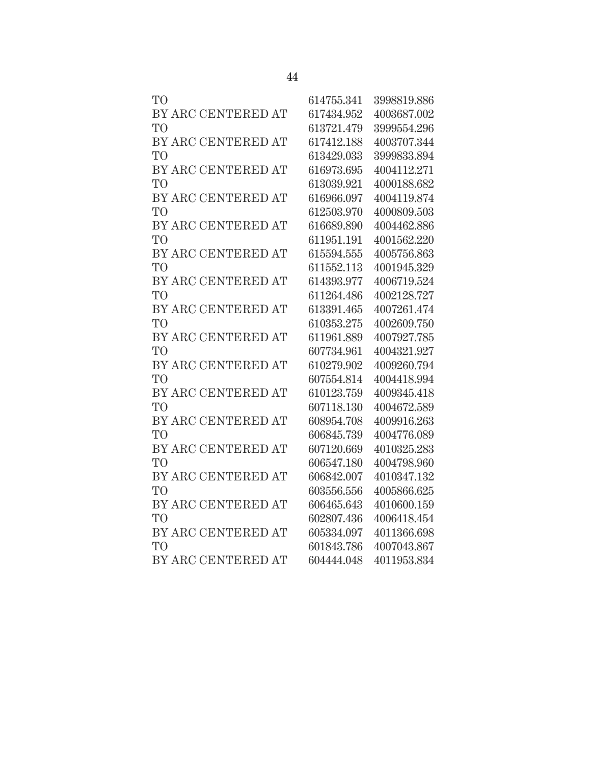| TО                 | 614755.341 | 3998819.886 |
|--------------------|------------|-------------|
| BY ARC CENTERED AT | 617434.952 | 4003687.002 |
| TO                 | 613721.479 | 3999554.296 |
| BY ARC CENTERED AT | 617412.188 | 4003707.344 |
| <b>TO</b>          | 613429.033 | 3999833.894 |
| BY ARC CENTERED AT | 616973.695 | 4004112.271 |
| TO <sup></sup>     | 613039.921 | 4000188.682 |
| BY ARC CENTERED AT | 616966.097 | 4004119.874 |
| TO <sup>T</sup>    | 612503.970 | 4000809.503 |
| BY ARC CENTERED AT | 616689.890 | 4004462.886 |
| TО                 | 611951.191 | 4001562.220 |
| BY ARC CENTERED AT | 615594.555 | 4005756.863 |
| TO                 | 611552.113 | 4001945.329 |
| BY ARC CENTERED AT | 614393.977 | 4006719.524 |
| <b>TO</b>          | 611264.486 | 4002128.727 |
| BY ARC CENTERED AT | 613391.465 | 4007261.474 |
| TO <sup></sup>     | 610353.275 | 4002609.750 |
| BY ARC CENTERED AT | 611961.889 | 4007927.785 |
| TО                 | 607734.961 | 4004321.927 |
| BY ARC CENTERED AT | 610279.902 | 4009260.794 |
| TО                 | 607554.814 | 4004418.994 |
| BY ARC CENTERED AT | 610123.759 | 4009345.418 |
| <b>TO</b>          | 607118.130 | 4004672.589 |
| BY ARC CENTERED AT | 608954.708 | 4009916.263 |
| <b>TO</b>          | 606845.739 | 4004776.089 |
| BY ARC CENTERED AT | 607120.669 | 4010325.283 |
| TО                 | 606547.180 | 4004798.960 |
| BY ARC CENTERED AT | 606842.007 | 4010347.132 |
| TO                 | 603556.556 | 4005866.625 |
| BY ARC CENTERED AT | 606465.643 | 4010600.159 |
| TО                 | 602807.436 | 4006418.454 |
| BY ARC CENTERED AT | 605334.097 | 4011366.698 |
| TO <sup>T</sup>    | 601843.786 | 4007043.867 |
| BY ARC CENTERED AT | 604444.048 | 4011953.834 |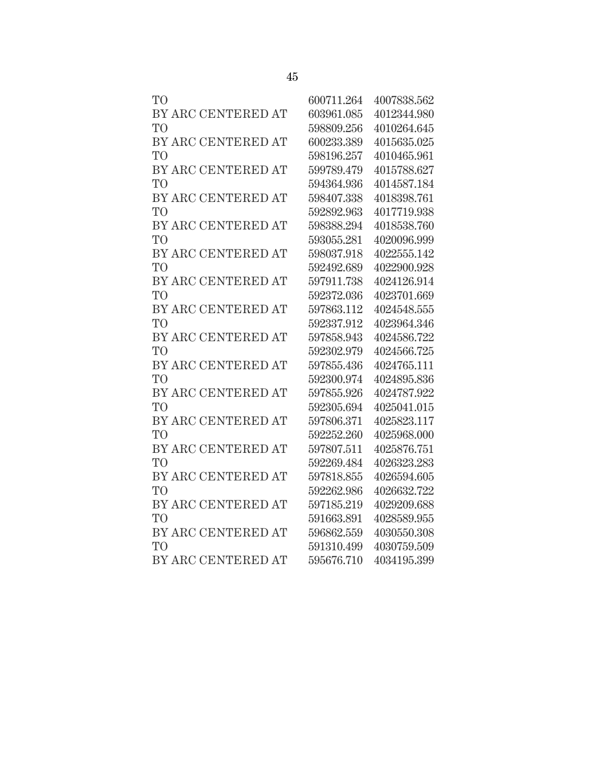| T <sub>O</sub>     | 600711.264 | 4007838.562 |
|--------------------|------------|-------------|
| BY ARC CENTERED AT | 603961.085 | 4012344.980 |
| T <sub>O</sub>     | 598809.256 | 4010264.645 |
| BY ARC CENTERED AT | 600233.389 | 4015635.025 |
| T <sub>O</sub>     | 598196.257 | 4010465.961 |
| BY ARC CENTERED AT | 599789.479 | 4015788.627 |
| T <sub>O</sub>     | 594364.936 | 4014587.184 |
| BY ARC CENTERED AT | 598407.338 | 4018398.761 |
| T <sub>O</sub>     | 592892.963 | 4017719.938 |
| BY ARC CENTERED AT | 598388.294 | 4018538.760 |
| T <sub>O</sub>     | 593055.281 | 4020096.999 |
| BY ARC CENTERED AT | 598037.918 | 4022555.142 |
| T <sub>O</sub>     | 592492.689 | 4022900.928 |
| BY ARC CENTERED AT | 597911.738 | 4024126.914 |
| T <sub>O</sub>     | 592372.036 | 4023701.669 |
| BY ARC CENTERED AT | 597863.112 | 4024548.555 |
| T <sub>O</sub>     | 592337.912 | 4023964.346 |
| BY ARC CENTERED AT | 597858.943 | 4024586.722 |
| T <sub>O</sub>     | 592302.979 | 4024566.725 |
| BY ARC CENTERED AT | 597855.436 | 4024765.111 |
| T <sub>O</sub>     | 592300.974 | 4024895.836 |
| BY ARC CENTERED AT | 597855.926 | 4024787.922 |
| T <sub>O</sub>     | 592305.694 | 4025041.015 |
| BY ARC CENTERED AT | 597806.371 | 4025823.117 |
| T <sub>O</sub>     | 592252.260 | 4025968.000 |
| BY ARC CENTERED AT | 597807.511 | 4025876.751 |
| T <sub>O</sub>     | 592269.484 | 4026323.283 |
| BY ARC CENTERED AT | 597818.855 | 4026594.605 |
| T <sub>O</sub>     | 592262.986 | 4026632.722 |
| BY ARC CENTERED AT | 597185.219 | 4029209.688 |
| T <sub>O</sub>     | 591663.891 | 4028589.955 |
| BY ARC CENTERED AT | 596862.559 | 4030550.308 |
| T <sub>O</sub>     | 591310.499 | 4030759.509 |
| BY ARC CENTERED AT | 595676.710 | 4034195.399 |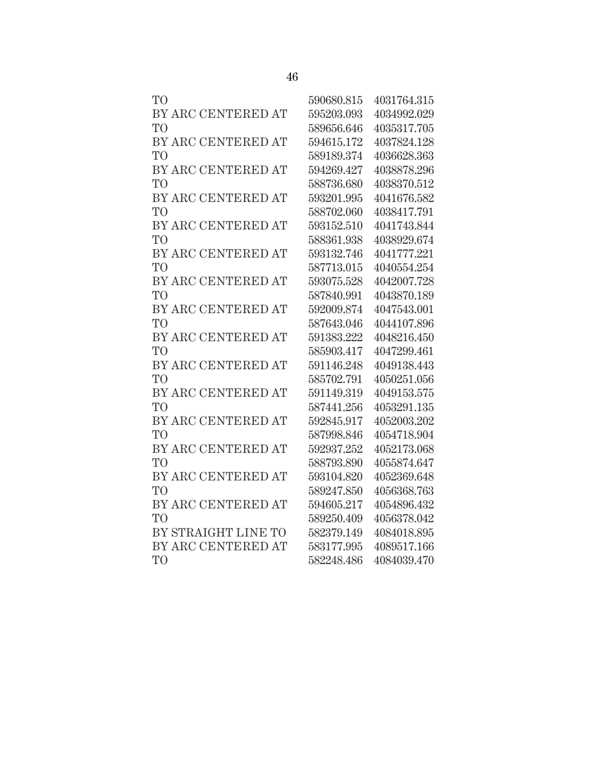| T <sub>O</sub>      | 590680.815 | 4031764.315 |
|---------------------|------------|-------------|
| BY ARC CENTERED AT  | 595203.093 | 4034992.029 |
| T <sub>O</sub>      | 589656.646 | 4035317.705 |
| BY ARC CENTERED AT  | 594615.172 | 4037824.128 |
| T <sub>O</sub>      | 589189.374 | 4036628.363 |
| BY ARC CENTERED AT  | 594269.427 | 4038878.296 |
| T <sub>O</sub>      | 588736.680 | 4038370.512 |
| BY ARC CENTERED AT  | 593201.995 | 4041676.582 |
| T <sub>O</sub>      | 588702.060 | 4038417.791 |
| BY ARC CENTERED AT  | 593152.510 | 4041743.844 |
| T <sub>O</sub>      | 588361.938 | 4038929.674 |
| BY ARC CENTERED AT  | 593132.746 | 4041777.221 |
| T <sub>O</sub>      | 587713.015 | 4040554.254 |
| BY ARC CENTERED AT  | 593075.528 | 4042007.728 |
| T <sub>O</sub>      | 587840.991 | 4043870.189 |
| BY ARC CENTERED AT  | 592009.874 | 4047543.001 |
| T <sub>O</sub>      | 587643.046 | 4044107.896 |
| BY ARC CENTERED AT  | 591383.222 | 4048216.450 |
| T <sub>O</sub>      | 585903.417 | 4047299.461 |
| BY ARC CENTERED AT  | 591146.248 | 4049138.443 |
| T <sub>O</sub>      | 585702.791 | 4050251.056 |
| BY ARC CENTERED AT  | 591149.319 | 4049153.575 |
| <b>TO</b>           | 587441.256 | 4053291.135 |
| BY ARC CENTERED AT  | 592845.917 | 4052003.202 |
| T <sub>O</sub>      | 587998.846 | 4054718.904 |
| BY ARC CENTERED AT  | 592937.252 | 4052173.068 |
| T <sub>O</sub>      | 588793.890 | 4055874.647 |
| BY ARC CENTERED AT  | 593104.820 | 4052369.648 |
| T <sub>O</sub>      | 589247.850 | 4056368.763 |
| BY ARC CENTERED AT  | 594605.217 | 4054896.432 |
| T <sub>O</sub>      | 589250.409 | 4056378.042 |
| BY STRAIGHT LINE TO | 582379.149 | 4084018.895 |
| BY ARC CENTERED AT  | 583177.995 | 4089517.166 |
| T <sub>O</sub>      | 582248.486 | 4084039.470 |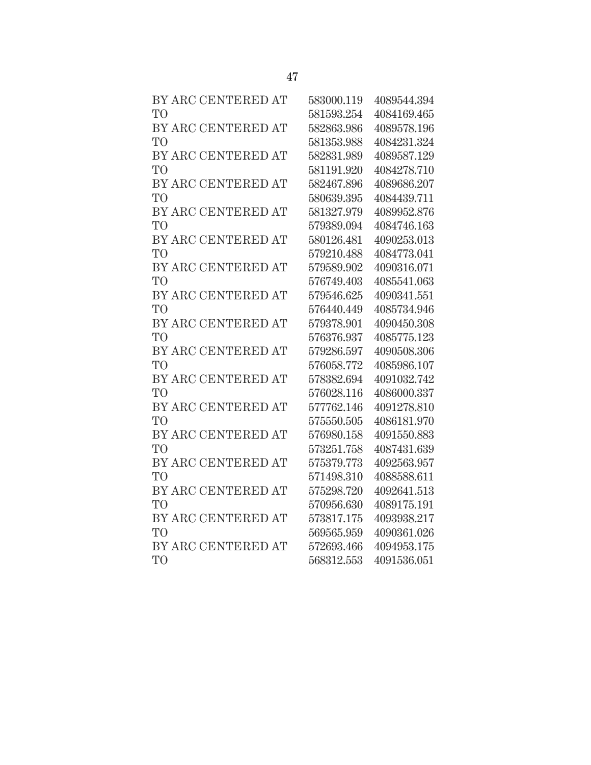| BY ARC CENTERED AT | 583000.119 | 4089544.394 |
|--------------------|------------|-------------|
| T <sub>O</sub>     | 581593.254 | 4084169.465 |
| BY ARC CENTERED AT | 582863.986 | 4089578.196 |
| T <sub>O</sub>     | 581353.988 | 4084231.324 |
| BY ARC CENTERED AT | 582831.989 | 4089587.129 |
| T <sub>O</sub>     | 581191.920 | 4084278.710 |
| BY ARC CENTERED AT | 582467.896 | 4089686.207 |
| T <sub>O</sub>     | 580639.395 | 4084439.711 |
| BY ARC CENTERED AT | 581327.979 | 4089952.876 |
| T <sub>O</sub>     | 579389.094 | 4084746.163 |
| BY ARC CENTERED AT | 580126.481 | 4090253.013 |
| T <sub>O</sub>     | 579210.488 | 4084773.041 |
| BY ARC CENTERED AT | 579589.902 | 4090316.071 |
| T <sub>O</sub>     | 576749.403 | 4085541.063 |
| BY ARC CENTERED AT | 579546.625 | 4090341.551 |
| T <sub>O</sub>     | 576440.449 | 4085734.946 |
| BY ARC CENTERED AT | 579378.901 | 4090450.308 |
| T <sub>O</sub>     | 576376.937 | 4085775.123 |
| BY ARC CENTERED AT | 579286.597 | 4090508.306 |
| T <sub>O</sub>     | 576058.772 | 4085986.107 |
| BY ARC CENTERED AT | 578382.694 | 4091032.742 |
| T <sub>O</sub>     | 576028.116 | 4086000.337 |
| BY ARC CENTERED AT | 577762.146 | 4091278.810 |
| T <sub>O</sub>     | 575550.505 | 4086181.970 |
| BY ARC CENTERED AT | 576980.158 | 4091550.883 |
| T <sub>O</sub>     | 573251.758 | 4087431.639 |
| BY ARC CENTERED AT | 575379.773 | 4092563.957 |
| T <sub>O</sub>     | 571498.310 | 4088588.611 |
| BY ARC CENTERED AT | 575298.720 | 4092641.513 |
| T <sub>O</sub>     | 570956.630 | 4089175.191 |
| BY ARC CENTERED AT | 573817.175 | 4093938.217 |
| T <sub>O</sub>     | 569565.959 | 4090361.026 |
| BY ARC CENTERED AT | 572693.466 | 4094953.175 |
| T <sub>O</sub>     | 568312.553 | 4091536.051 |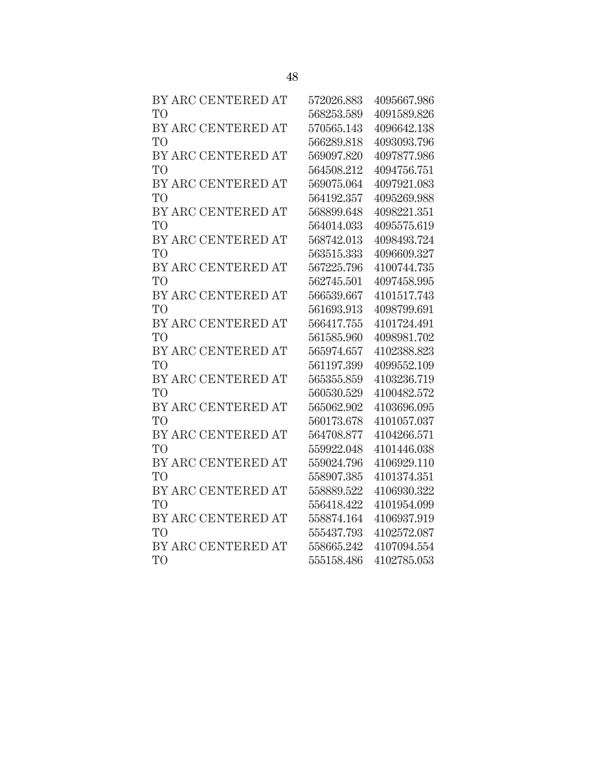| BY ARC CENTERED AT | 572026.883 | 4095667.986 |
|--------------------|------------|-------------|
| T <sub>O</sub>     | 568253.589 | 4091589.826 |
| BY ARC CENTERED AT | 570565.143 | 4096642.138 |
| T <sub>O</sub>     | 566289.818 | 4093093.796 |
| BY ARC CENTERED AT | 569097.820 | 4097877.986 |
| T <sub>O</sub>     | 564508.212 | 4094756.751 |
| BY ARC CENTERED AT | 569075.064 | 4097921.083 |
| T <sub>O</sub>     | 564192.357 | 4095269.988 |
| BY ARC CENTERED AT | 568899.648 | 4098221.351 |
| T <sub>O</sub>     | 564014.033 | 4095575.619 |
| BY ARC CENTERED AT | 568742.013 | 4098493.724 |
| T <sub>O</sub>     | 563515.333 | 4096609.327 |
| BY ARC CENTERED AT | 567225.796 | 4100744.735 |
| T <sub>O</sub>     | 562745.501 | 4097458.995 |
| BY ARC CENTERED AT | 566539.667 | 4101517.743 |
| T <sub>O</sub>     | 561693.913 | 4098799.691 |
| BY ARC CENTERED AT | 566417.755 | 4101724.491 |
| T <sub>O</sub>     | 561585.960 | 4098981.702 |
| BY ARC CENTERED AT | 565974.657 | 4102388.823 |
| T <sub>O</sub>     | 561197.399 | 4099552.109 |
| BY ARC CENTERED AT | 565355.859 | 4103236.719 |
| T <sub>O</sub>     | 560530.529 | 4100482.572 |
| BY ARC CENTERED AT | 565062.902 | 4103696.095 |
| T <sub>O</sub>     | 560173.678 | 4101057.037 |
| BY ARC CENTERED AT | 564708.877 | 4104266.571 |
| T <sub>O</sub>     | 559922.048 | 4101446.038 |
| BY ARC CENTERED AT | 559024.796 | 4106929.110 |
| T <sub>O</sub>     | 558907.385 | 4101374.351 |
| BY ARC CENTERED AT | 558889.522 | 4106930.322 |
| T <sub>O</sub>     | 556418.422 | 4101954.099 |
| BY ARC CENTERED AT | 558874.164 | 4106937.919 |
| T <sub>O</sub>     | 555437.793 | 4102572.087 |
| BY ARC CENTERED AT | 558665.242 | 4107094.554 |
| T <sub>O</sub>     | 555158.486 | 4102785.053 |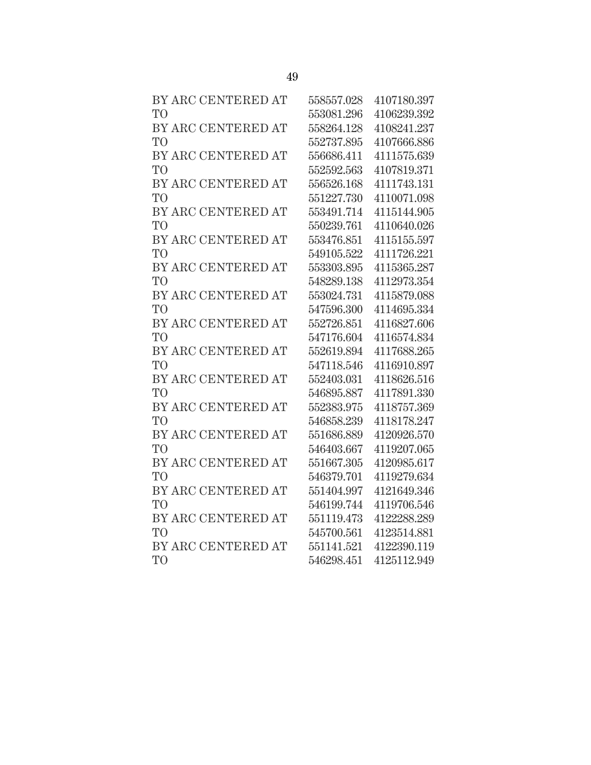| BY ARC CENTERED AT | 558557.028 | 4107180.397 |
|--------------------|------------|-------------|
| T <sub>O</sub>     | 553081.296 | 4106239.392 |
| BY ARC CENTERED AT | 558264.128 | 4108241.237 |
| T <sub>O</sub>     | 552737.895 | 4107666.886 |
| BY ARC CENTERED AT | 556686.411 | 4111575.639 |
| T <sub>O</sub>     | 552592.563 | 4107819.371 |
| BY ARC CENTERED AT | 556526.168 | 4111743.131 |
| T <sub>O</sub>     | 551227.730 | 4110071.098 |
| BY ARC CENTERED AT | 553491.714 | 4115144.905 |
| T <sub>O</sub>     | 550239.761 | 4110640.026 |
| BY ARC CENTERED AT | 553476.851 | 4115155.597 |
| T <sub>O</sub>     | 549105.522 | 4111726.221 |
| BY ARC CENTERED AT | 553303.895 | 4115365.287 |
| T <sub>O</sub>     | 548289.138 | 4112973.354 |
| BY ARC CENTERED AT | 553024.731 | 4115879.088 |
| T <sub>O</sub>     | 547596.300 | 4114695.334 |
| BY ARC CENTERED AT | 552726.851 | 4116827.606 |
| T <sub>O</sub>     | 547176.604 | 4116574.834 |
| BY ARC CENTERED AT | 552619.894 | 4117688.265 |
| T <sub>O</sub>     | 547118.546 | 4116910.897 |
| BY ARC CENTERED AT | 552403.031 | 4118626.516 |
| T <sub>O</sub>     | 546895.887 | 4117891.330 |
| BY ARC CENTERED AT | 552383.975 | 4118757.369 |
| T <sub>O</sub>     | 546858.239 | 4118178.247 |
| BY ARC CENTERED AT | 551686.889 | 4120926.570 |
| T <sub>O</sub>     | 546403.667 | 4119207.065 |
| BY ARC CENTERED AT | 551667.305 | 4120985.617 |
| T <sub>O</sub>     | 546379.701 | 4119279.634 |
| BY ARC CENTERED AT | 551404.997 | 4121649.346 |
| T <sub>O</sub>     | 546199.744 | 4119706.546 |
| BY ARC CENTERED AT | 551119.473 | 4122288.289 |
| T <sub>O</sub>     | 545700.561 | 4123514.881 |
| BY ARC CENTERED AT | 551141.521 | 4122390.119 |
| T <sub>O</sub>     | 546298.451 | 4125112.949 |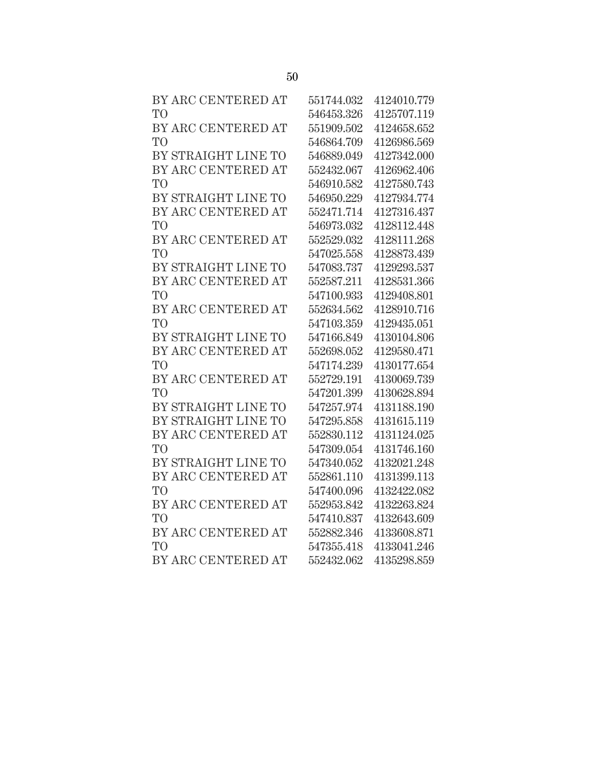| BY ARC CENTERED AT  | 551744.032 | 4124010.779 |
|---------------------|------------|-------------|
| T <sub>O</sub>      | 546453.326 | 4125707.119 |
| BY ARC CENTERED AT  | 551909.502 | 4124658.652 |
| T <sub>O</sub>      | 546864.709 | 4126986.569 |
| BY STRAIGHT LINE TO | 546889.049 | 4127342.000 |
| BY ARC CENTERED AT  | 552432.067 | 4126962.406 |
| T <sub>O</sub>      | 546910.582 | 4127580.743 |
| BY STRAIGHT LINE TO | 546950.229 | 4127934.774 |
| BY ARC CENTERED AT  | 552471.714 | 4127316.437 |
| T <sub>O</sub>      | 546973.032 | 4128112.448 |
| BY ARC CENTERED AT  | 552529.032 | 4128111.268 |
| T <sub>O</sub>      | 547025.558 | 4128873.439 |
| BY STRAIGHT LINE TO | 547083.737 | 4129293.537 |
| BY ARC CENTERED AT  | 552587.211 | 4128531.366 |
| T <sub>O</sub>      | 547100.933 | 4129408.801 |
| BY ARC CENTERED AT  | 552634.562 | 4128910.716 |
| T <sub>O</sub>      | 547103.359 | 4129435.051 |
| BY STRAIGHT LINE TO | 547166.849 | 4130104.806 |
| BY ARC CENTERED AT  | 552698.052 | 4129580.471 |
| TO <sub>1</sub>     | 547174.239 | 4130177.654 |
| BY ARC CENTERED AT  | 552729.191 | 4130069.739 |
| T <sub>O</sub>      | 547201.399 | 4130628.894 |
| BY STRAIGHT LINE TO | 547257.974 | 4131188.190 |
| BY STRAIGHT LINE TO | 547295.858 | 4131615.119 |
| BY ARC CENTERED AT  | 552830.112 | 4131124.025 |
| T <sub>O</sub>      | 547309.054 | 4131746.160 |
| BY STRAIGHT LINE TO | 547340.052 | 4132021.248 |
| BY ARC CENTERED AT  | 552861.110 | 4131399.113 |
| T <sub>O</sub>      | 547400.096 | 4132422.082 |
| BY ARC CENTERED AT  | 552953.842 | 4132263.824 |
| T <sub>O</sub>      | 547410.837 | 4132643.609 |
| BY ARC CENTERED AT  | 552882.346 | 4133608.871 |
| T <sub>O</sub>      | 547355.418 | 4133041.246 |
| BY ARC CENTERED AT  | 552432.062 | 4135298.859 |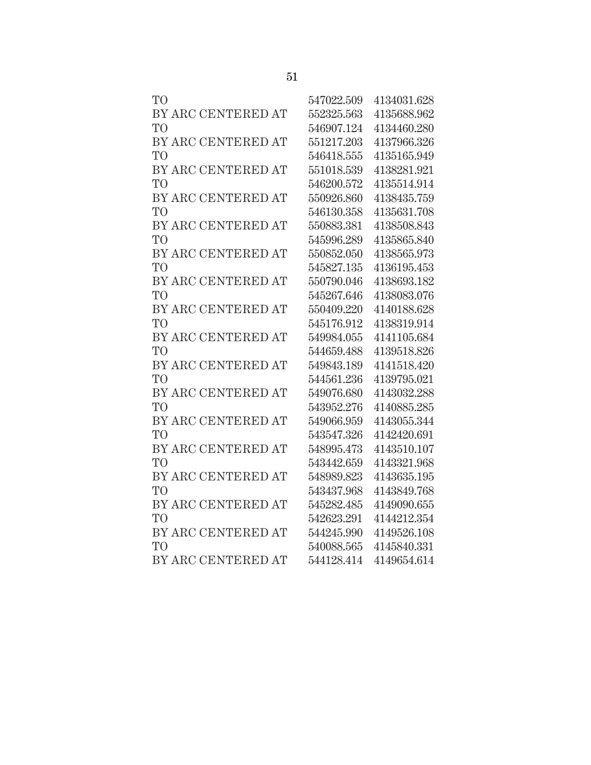| <b>TO</b>          | 547022.509 | 4134031.628 |
|--------------------|------------|-------------|
| BY ARC CENTERED AT | 552325.563 | 4135688.962 |
| <b>TO</b>          | 546907.124 | 4134460.280 |
| BY ARC CENTERED AT | 551217.203 | 4137966.326 |
| TO <sup></sup>     | 546418.555 | 4135165.949 |
| BY ARC CENTERED AT | 551018.539 | 4138281.921 |
| TO <sup></sup>     | 546200.572 | 4135514.914 |
| BY ARC CENTERED AT | 550926.860 | 4138435.759 |
| TО                 | 546130.358 | 4135631.708 |
| BY ARC CENTERED AT | 550883.381 | 4138508.843 |
| TO                 | 545996.289 | 4135865.840 |
| BY ARC CENTERED AT | 550852.050 | 4138565.973 |
| TO                 | 545827.135 | 4136195.453 |
| BY ARC CENTERED AT | 550790.046 | 4138693.182 |
| TO <sup></sup>     | 545267.646 | 4138083.076 |
| BY ARC CENTERED AT | 550409.220 | 4140188.628 |
| TО                 | 545176.912 | 4138319.914 |
| BY ARC CENTERED AT | 549984.055 | 4141105.684 |
| TO <sup>1</sup>    | 544659.488 | 4139518.826 |
| BY ARC CENTERED AT | 549843.189 | 4141518.420 |
| TO <sup></sup>     | 544561.236 | 4139795.021 |
| BY ARC CENTERED AT | 549076.680 | 4143032.288 |
| TO                 | 543952.276 | 4140885.285 |
| BY ARC CENTERED AT | 549066.959 | 4143055.344 |
| <b>TO</b>          | 543547.326 | 4142420.691 |
| BY ARC CENTERED AT | 548995.473 | 4143510.107 |
| TО                 | 543442.659 | 4143321.968 |
| BY ARC CENTERED AT | 548989.823 | 4143635.195 |
| TO <sup>T</sup>    | 543437.968 | 4143849.768 |
| BY ARC CENTERED AT | 545282.485 | 4149090.655 |
| <b>TO</b>          | 542623.291 | 4144212.354 |
| BY ARC CENTERED AT | 544245.990 | 4149526.108 |
| TO <sup></sup>     | 540088.565 | 4145840.331 |
| BY ARC CENTERED AT | 544128.414 | 4149654.614 |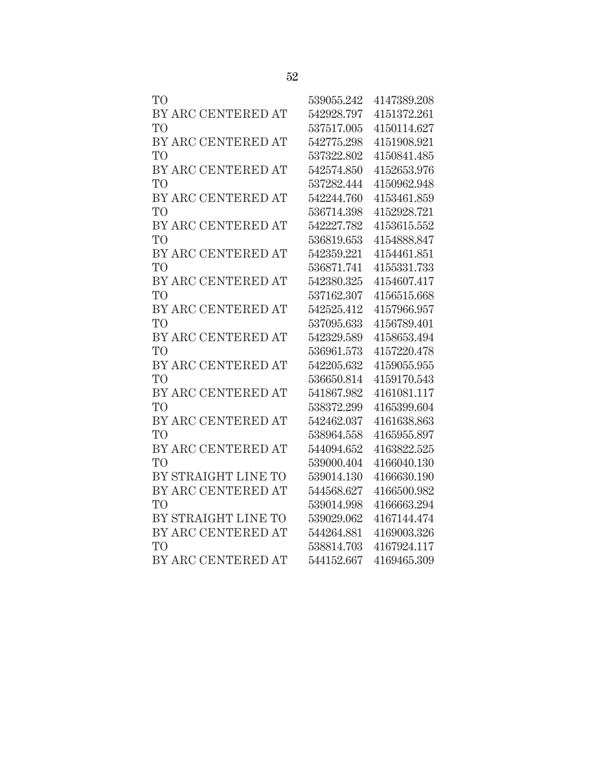| TО                  | 539055.242 | 4147389.208 |
|---------------------|------------|-------------|
| BY ARC CENTERED AT  | 542928.797 | 4151372.261 |
| TO                  | 537517.005 | 4150114.627 |
| BY ARC CENTERED AT  | 542775.298 | 4151908.921 |
| TO                  | 537322.802 | 4150841.485 |
| BY ARC CENTERED AT  | 542574.850 | 4152653.976 |
| TО                  | 537282.444 | 4150962.948 |
| BY ARC CENTERED AT  | 542244.760 | 4153461.859 |
| TО                  | 536714.398 | 4152928.721 |
| BY ARC CENTERED AT  | 542227.782 | 4153615.552 |
| TО                  | 536819.653 | 4154888.847 |
| BY ARC CENTERED AT  | 542359.221 | 4154461.851 |
| TО                  | 536871.741 | 4155331.733 |
| BY ARC CENTERED AT  | 542380.325 | 4154607.417 |
| TO <sup></sup>      | 537162.307 | 4156515.668 |
| BY ARC CENTERED AT  | 542525.412 | 4157966.957 |
| TО                  | 537095.633 | 4156789.401 |
| BY ARC CENTERED AT  | 542329.589 | 4158653.494 |
| TО                  | 536961.573 | 4157220.478 |
| BY ARC CENTERED AT  | 542205.632 | 4159055.955 |
| TО                  | 536650.814 | 4159170.543 |
| BY ARC CENTERED AT  | 541867.982 | 4161081.117 |
| TO                  | 538372.299 | 4165399.604 |
| BY ARC CENTERED AT  | 542462.037 | 4161638.863 |
| TO                  | 538964.558 | 4165955.897 |
| BY ARC CENTERED AT  | 544094.652 | 4163822.525 |
| TO <sup>T</sup>     | 539000.404 | 4166040.130 |
| BY STRAIGHT LINE TO | 539014.130 | 4166630.190 |
| BY ARC CENTERED AT  | 544568.627 | 4166500.982 |
| TO                  | 539014.998 | 4166663.294 |
| BY STRAIGHT LINE TO | 539029.062 | 4167144.474 |
| BY ARC CENTERED AT  | 544264.881 | 4169003.326 |
| TО                  | 538814.703 | 4167924.117 |
| BY ARC CENTERED AT  | 544152.667 | 4169465.309 |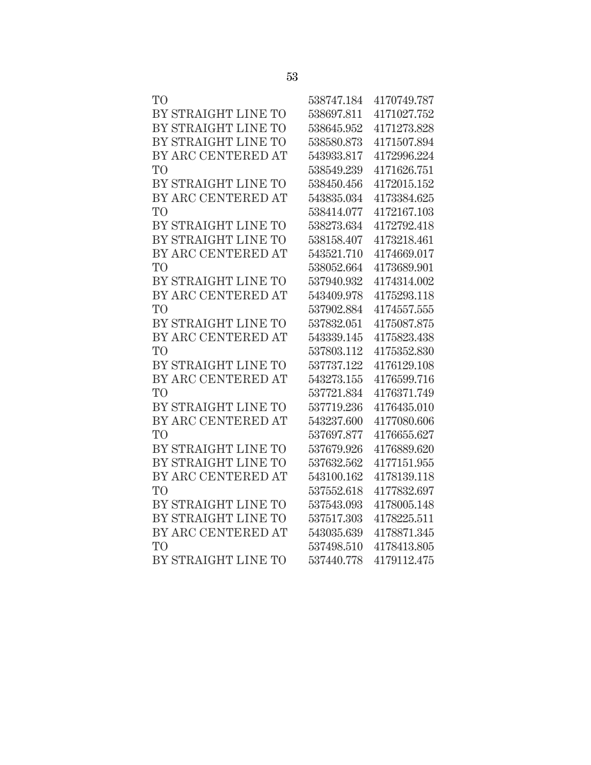| T <sub>O</sub>      | 538747.184 | 4170749.787 |
|---------------------|------------|-------------|
| BY STRAIGHT LINE TO | 538697.811 | 4171027.752 |
| BY STRAIGHT LINE TO | 538645.952 | 4171273.828 |
| BY STRAIGHT LINE TO | 538580.873 | 4171507.894 |
| BY ARC CENTERED AT  | 543933.817 | 4172996.224 |
| T <sub>O</sub>      | 538549.239 | 4171626.751 |
| BY STRAIGHT LINE TO | 538450.456 | 4172015.152 |
| BY ARC CENTERED AT  | 543835.034 | 4173384.625 |
| T <sub>O</sub>      | 538414.077 | 4172167.103 |
| BY STRAIGHT LINE TO | 538273.634 | 4172792.418 |
| BY STRAIGHT LINE TO | 538158.407 | 4173218.461 |
| BY ARC CENTERED AT  | 543521.710 | 4174669.017 |
| T <sub>O</sub>      | 538052.664 | 4173689.901 |
| BY STRAIGHT LINE TO | 537940.932 | 4174314.002 |
| BY ARC CENTERED AT  | 543409.978 | 4175293.118 |
| T <sub>O</sub>      | 537902.884 | 4174557.555 |
| BY STRAIGHT LINE TO | 537832.051 | 4175087.875 |
| BY ARC CENTERED AT  | 543339.145 | 4175823.438 |
| T <sub>O</sub>      | 537803.112 | 4175352.830 |
| BY STRAIGHT LINE TO | 537737.122 | 4176129.108 |
| BY ARC CENTERED AT  | 543273.155 | 4176599.716 |
| T <sub>O</sub>      | 537721.834 | 4176371.749 |
| BY STRAIGHT LINE TO | 537719.236 | 4176435.010 |
| BY ARC CENTERED AT  | 543237.600 | 4177080.606 |
| T <sub>O</sub>      | 537697.877 | 4176655.627 |
| BY STRAIGHT LINE TO | 537679.926 | 4176889.620 |
| BY STRAIGHT LINE TO | 537632.562 | 4177151.955 |
| BY ARC CENTERED AT  | 543100.162 | 4178139.118 |
| T <sub>O</sub>      | 537552.618 | 4177832.697 |
| BY STRAIGHT LINE TO | 537543.093 | 4178005.148 |
| BY STRAIGHT LINE TO | 537517.303 | 4178225.511 |
| BY ARC CENTERED AT  | 543035.639 | 4178871.345 |
| T <sub>O</sub>      | 537498.510 | 4178413.805 |
| BY STRAIGHT LINE TO | 537440.778 | 4179112.475 |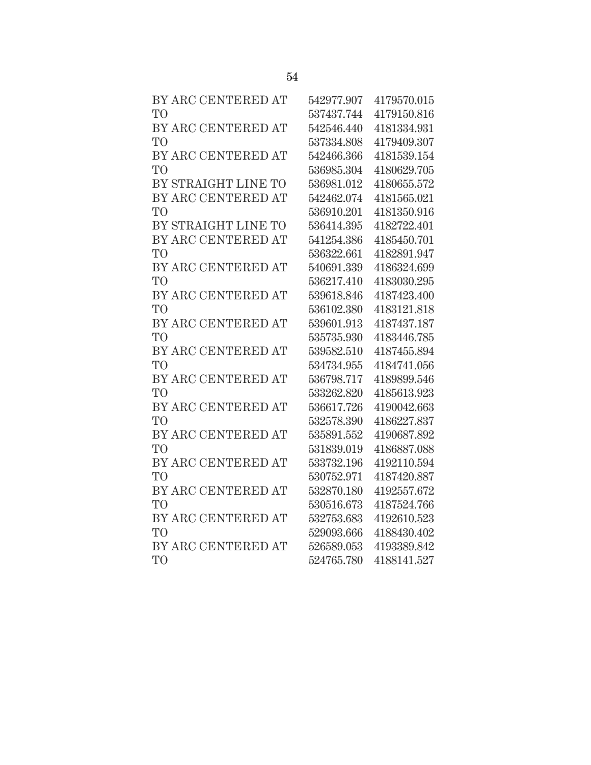| BY ARC CENTERED AT  | 542977.907 | 4179570.015 |
|---------------------|------------|-------------|
| T <sub>O</sub>      | 537437.744 | 4179150.816 |
| BY ARC CENTERED AT  | 542546.440 | 4181334.931 |
| T <sub>O</sub>      | 537334.808 | 4179409.307 |
| BY ARC CENTERED AT  | 542466.366 | 4181539.154 |
| T <sub>O</sub>      | 536985.304 | 4180629.705 |
| BY STRAIGHT LINE TO | 536981.012 | 4180655.572 |
| BY ARC CENTERED AT  | 542462.074 | 4181565.021 |
| T <sub>O</sub>      | 536910.201 | 4181350.916 |
| BY STRAIGHT LINE TO | 536414.395 | 4182722.401 |
| BY ARC CENTERED AT  | 541254.386 | 4185450.701 |
| T <sub>O</sub>      | 536322.661 | 4182891.947 |
| BY ARC CENTERED AT  | 540691.339 | 4186324.699 |
| T <sub>O</sub>      | 536217.410 | 4183030.295 |
| BY ARC CENTERED AT  | 539618.846 | 4187423.400 |
| T <sub>O</sub>      | 536102.380 | 4183121.818 |
| BY ARC CENTERED AT  | 539601.913 | 4187437.187 |
| T <sub>O</sub>      | 535735.930 | 4183446.785 |
| BY ARC CENTERED AT  | 539582.510 | 4187455.894 |
| T <sub>O</sub>      | 534734.955 | 4184741.056 |
| BY ARC CENTERED AT  | 536798.717 | 4189899.546 |
| T <sub>O</sub>      | 533262.820 | 4185613.923 |
| BY ARC CENTERED AT  | 536617.726 | 4190042.663 |
| T <sub>O</sub>      | 532578.390 | 4186227.837 |
| BY ARC CENTERED AT  | 535891.552 | 4190687.892 |
| T <sub>O</sub>      | 531839.019 | 4186887.088 |
| BY ARC CENTERED AT  | 533732.196 | 4192110.594 |
| T <sub>O</sub>      | 530752.971 | 4187420.887 |
| BY ARC CENTERED AT  | 532870.180 | 4192557.672 |
| T <sub>O</sub>      | 530516.673 | 4187524.766 |
| BY ARC CENTERED AT  | 532753.683 | 4192610.523 |
| T <sub>O</sub>      | 529093.666 | 4188430.402 |
| BY ARC CENTERED AT  | 526589.053 | 4193389.842 |
| T <sub>O</sub>      | 524765.780 | 4188141.527 |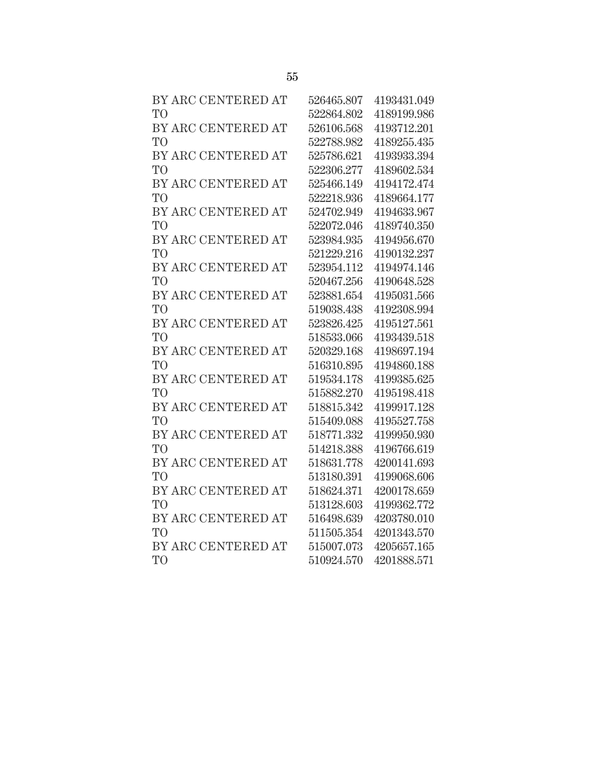| BY ARC CENTERED AT | 526465.807 | 4193431.049 |
|--------------------|------------|-------------|
| T <sub>O</sub>     | 522864.802 | 4189199.986 |
| BY ARC CENTERED AT | 526106.568 | 4193712.201 |
| T <sub>O</sub>     | 522788.982 | 4189255.435 |
| BY ARC CENTERED AT | 525786.621 | 4193933.394 |
| T <sub>O</sub>     | 522306.277 | 4189602.534 |
| BY ARC CENTERED AT | 525466.149 | 4194172.474 |
| T <sub>O</sub>     | 522218.936 | 4189664.177 |
| BY ARC CENTERED AT | 524702.949 | 4194633.967 |
| T <sub>O</sub>     | 522072.046 | 4189740.350 |
| BY ARC CENTERED AT | 523984.935 | 4194956.670 |
| T <sub>O</sub>     | 521229.216 | 4190132.237 |
| BY ARC CENTERED AT | 523954.112 | 4194974.146 |
| T <sub>O</sub>     | 520467.256 | 4190648.528 |
| BY ARC CENTERED AT | 523881.654 | 4195031.566 |
| T <sub>O</sub>     | 519038.438 | 4192308.994 |
| BY ARC CENTERED AT | 523826.425 | 4195127.561 |
| T <sub>O</sub>     | 518533.066 | 4193439.518 |
| BY ARC CENTERED AT | 520329.168 | 4198697.194 |
| T <sub>O</sub>     | 516310.895 | 4194860.188 |
| BY ARC CENTERED AT | 519534.178 | 4199385.625 |
| T <sub>O</sub>     | 515882.270 | 4195198.418 |
| BY ARC CENTERED AT | 518815.342 | 4199917.128 |
| T <sub>O</sub>     | 515409.088 | 4195527.758 |
| BY ARC CENTERED AT | 518771.332 | 4199950.930 |
| T <sub>O</sub>     | 514218.388 | 4196766.619 |
| BY ARC CENTERED AT | 518631.778 | 4200141.693 |
| T <sub>O</sub>     | 513180.391 | 4199068.606 |
| BY ARC CENTERED AT | 518624.371 | 4200178.659 |
| T <sub>O</sub>     | 513128.603 | 4199362.772 |
| BY ARC CENTERED AT | 516498.639 | 4203780.010 |
| T <sub>O</sub>     | 511505.354 | 4201343.570 |
| BY ARC CENTERED AT | 515007.073 | 4205657.165 |
| T <sub>O</sub>     | 510924.570 | 4201888.571 |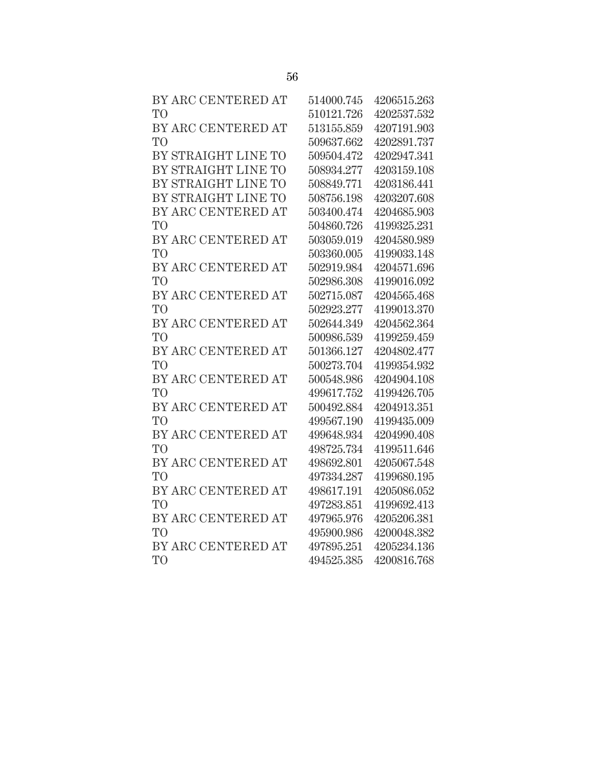| BY ARC CENTERED AT  | 514000.745 | 4206515.263 |
|---------------------|------------|-------------|
| T <sub>O</sub>      | 510121.726 | 4202537.532 |
| BY ARC CENTERED AT  | 513155.859 | 4207191.903 |
| T <sub>O</sub>      | 509637.662 | 4202891.737 |
| BY STRAIGHT LINE TO | 509504.472 | 4202947.341 |
| BY STRAIGHT LINE TO | 508934.277 | 4203159.108 |
| BY STRAIGHT LINE TO | 508849.771 | 4203186.441 |
| BY STRAIGHT LINE TO | 508756.198 | 4203207.608 |
| BY ARC CENTERED AT  | 503400.474 | 4204685.903 |
| T <sub>O</sub>      | 504860.726 | 4199325.231 |
| BY ARC CENTERED AT  | 503059.019 | 4204580.989 |
| T <sub>O</sub>      | 503360.005 | 4199033.148 |
| BY ARC CENTERED AT  | 502919.984 | 4204571.696 |
| T <sub>O</sub>      | 502986.308 | 4199016.092 |
| BY ARC CENTERED AT  | 502715.087 | 4204565.468 |
| T <sub>O</sub>      | 502923.277 | 4199013.370 |
| BY ARC CENTERED AT  | 502644.349 | 4204562.364 |
| T <sub>O</sub>      | 500986.539 | 4199259.459 |
| BY ARC CENTERED AT  | 501366.127 | 4204802.477 |
| T <sub>O</sub>      | 500273.704 | 4199354.932 |
| BY ARC CENTERED AT  | 500548.986 | 4204904.108 |
| T <sub>O</sub>      | 499617.752 | 4199426.705 |
| BY ARC CENTERED AT  | 500492.884 | 4204913.351 |
| T <sub>O</sub>      | 499567.190 | 4199435.009 |
| BY ARC CENTERED AT  | 499648.934 | 4204990.408 |
| T <sub>O</sub>      | 498725.734 | 4199511.646 |
| BY ARC CENTERED AT  | 498692.801 | 4205067.548 |
| T <sub>O</sub>      | 497334.287 | 4199680.195 |
| BY ARC CENTERED AT  | 498617.191 | 4205086.052 |
| T <sub>O</sub>      | 497283.851 | 4199692.413 |
| BY ARC CENTERED AT  | 497965.976 | 4205206.381 |
| T <sub>O</sub>      | 495900.986 | 4200048.382 |
| BY ARC CENTERED AT  | 497895.251 | 4205234.136 |
| T <sub>O</sub>      | 494525.385 | 4200816.768 |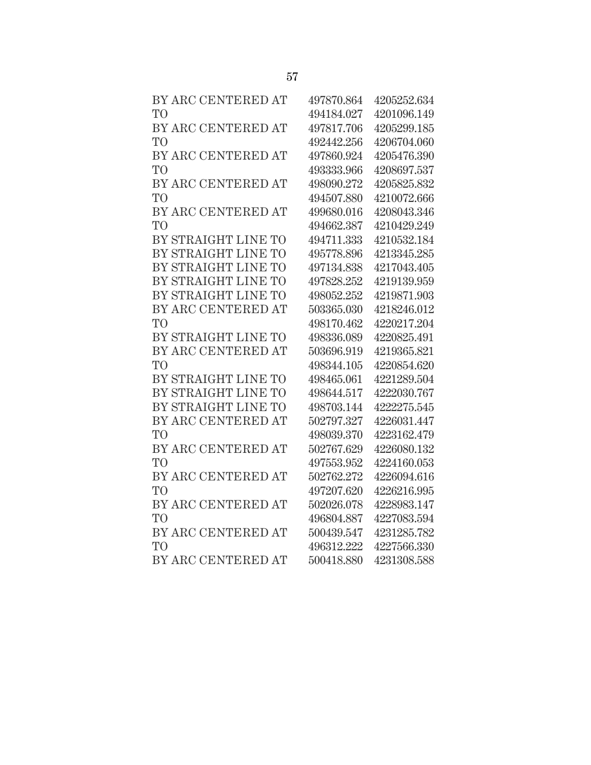| BY ARC CENTERED AT  | 497870.864 | 4205252.634 |
|---------------------|------------|-------------|
| T <sub>O</sub>      | 494184.027 | 4201096.149 |
| BY ARC CENTERED AT  | 497817.706 | 4205299.185 |
| T <sub>O</sub>      | 492442.256 | 4206704.060 |
| BY ARC CENTERED AT  | 497860.924 | 4205476.390 |
| T <sub>O</sub>      | 493333.966 | 4208697.537 |
| BY ARC CENTERED AT  | 498090.272 | 4205825.832 |
| T <sub>O</sub>      | 494507.880 | 4210072.666 |
| BY ARC CENTERED AT  | 499680.016 | 4208043.346 |
| T <sub>O</sub>      | 494662.387 | 4210429.249 |
| BY STRAIGHT LINE TO | 494711.333 | 4210532.184 |
| BY STRAIGHT LINE TO | 495778.896 | 4213345.285 |
| BY STRAIGHT LINE TO | 497134.838 | 4217043.405 |
| BY STRAIGHT LINE TO | 497828.252 | 4219139.959 |
| BY STRAIGHT LINE TO | 498052.252 | 4219871.903 |
| BY ARC CENTERED AT  | 503365.030 | 4218246.012 |
| T <sub>O</sub>      | 498170.462 | 4220217.204 |
| BY STRAIGHT LINE TO | 498336.089 | 4220825.491 |
| BY ARC CENTERED AT  | 503696.919 | 4219365.821 |
| T <sub>O</sub>      | 498344.105 | 4220854.620 |
| BY STRAIGHT LINE TO | 498465.061 | 4221289.504 |
| BY STRAIGHT LINE TO | 498644.517 | 4222030.767 |
| BY STRAIGHT LINE TO | 498703.144 | 4222275.545 |
| BY ARC CENTERED AT  | 502797.327 | 4226031.447 |
| T <sub>O</sub>      | 498039.370 | 4223162.479 |
| BY ARC CENTERED AT  | 502767.629 | 4226080.132 |
| T <sub>O</sub>      | 497553.952 | 4224160.053 |
| BY ARC CENTERED AT  | 502762.272 | 4226094.616 |
| T <sub>O</sub>      | 497207.620 | 4226216.995 |
| BY ARC CENTERED AT  | 502026.078 | 4228983.147 |
| T <sub>O</sub>      | 496804.887 | 4227083.594 |
| BY ARC CENTERED AT  | 500439.547 | 4231285.782 |
| T <sub>O</sub>      | 496312.222 | 4227566.330 |
| BY ARC CENTERED AT  | 500418.880 | 4231308.588 |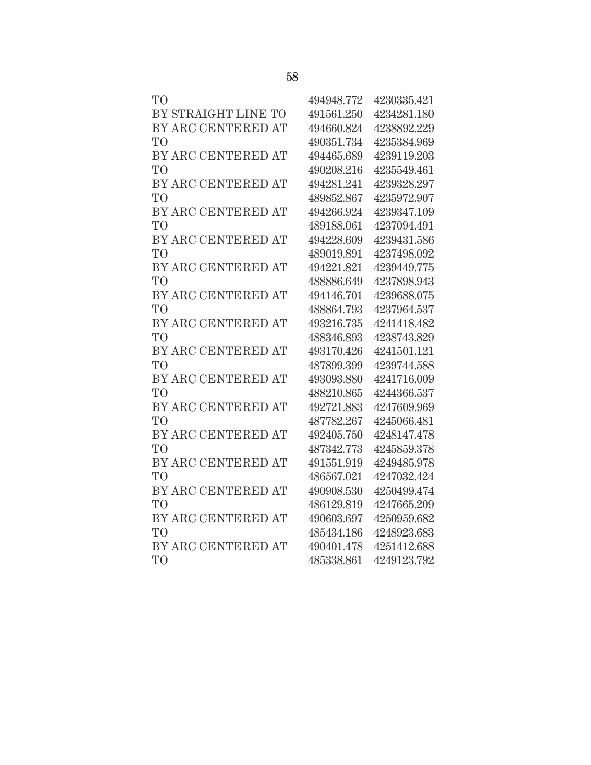| T <sub>O</sub>      | 494948.772 | 4230335.421 |
|---------------------|------------|-------------|
| BY STRAIGHT LINE TO | 491561.250 | 4234281.180 |
| BY ARC CENTERED AT  | 494660.824 | 4238892.229 |
| T <sub>O</sub>      | 490351.734 | 4235384.969 |
| BY ARC CENTERED AT  | 494465.689 | 4239119.203 |
| T <sub>O</sub>      | 490208.216 | 4235549.461 |
| BY ARC CENTERED AT  | 494281.241 | 4239328.297 |
| T <sub>O</sub>      | 489852.867 | 4235972.907 |
| BY ARC CENTERED AT  | 494266.924 | 4239347.109 |
| T <sub>O</sub>      | 489188.061 | 4237094.491 |
| BY ARC CENTERED AT  | 494228.609 | 4239431.586 |
| T <sub>O</sub>      | 489019.891 | 4237498.092 |
| BY ARC CENTERED AT  | 494221.821 | 4239449.775 |
| T <sub>O</sub>      | 488886.649 | 4237898.943 |
| BY ARC CENTERED AT  | 494146.701 | 4239688.075 |
| T <sub>O</sub>      | 488864.793 | 4237964.537 |
| BY ARC CENTERED AT  | 493216.735 | 4241418.482 |
| T <sub>O</sub>      | 488346.893 | 4238743.829 |
| BY ARC CENTERED AT  | 493170.426 | 4241501.121 |
| T <sub>O</sub>      | 487899.399 | 4239744.588 |
| BY ARC CENTERED AT  | 493093.880 | 4241716.009 |
| T <sub>O</sub>      | 488210.865 | 4244366.537 |
| BY ARC CENTERED AT  | 492721.883 | 4247609.969 |
| T <sub>O</sub>      | 487782.267 | 4245066.481 |
| BY ARC CENTERED AT  | 492405.750 | 4248147.478 |
| T <sub>O</sub>      | 487342.773 | 4245859.378 |
| BY ARC CENTERED AT  | 491551.919 | 4249485.978 |
| T <sub>O</sub>      | 486567.021 | 4247032.424 |
| BY ARC CENTERED AT  | 490908.530 | 4250499.474 |
| T <sub>O</sub>      | 486129.819 | 4247665.209 |
| BY ARC CENTERED AT  | 490603.697 | 4250959.682 |
| T <sub>O</sub>      | 485434.186 | 4248923.683 |
| BY ARC CENTERED AT  | 490401.478 | 4251412.688 |
| T <sub>O</sub>      | 485338.861 | 4249123.792 |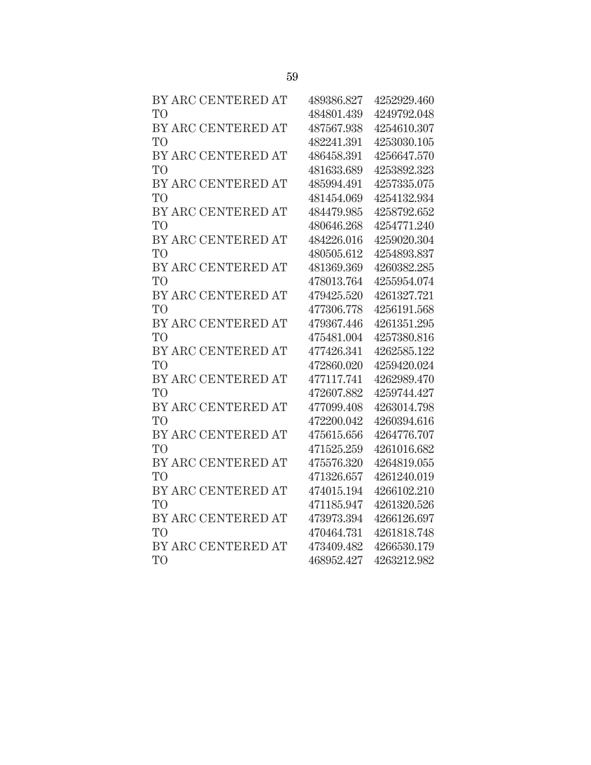| BY ARC CENTERED AT | 489386.827 | 4252929.460 |
|--------------------|------------|-------------|
| T <sub>O</sub>     | 484801.439 | 4249792.048 |
| BY ARC CENTERED AT | 487567.938 | 4254610.307 |
| T <sub>O</sub>     | 482241.391 | 4253030.105 |
| BY ARC CENTERED AT | 486458.391 | 4256647.570 |
| T <sub>O</sub>     | 481633.689 | 4253892.323 |
| BY ARC CENTERED AT | 485994.491 | 4257335.075 |
| T <sub>O</sub>     | 481454.069 | 4254132.934 |
| BY ARC CENTERED AT | 484479.985 | 4258792.652 |
| T <sub>O</sub>     | 480646.268 | 4254771.240 |
| BY ARC CENTERED AT | 484226.016 | 4259020.304 |
| T <sub>O</sub>     | 480505.612 | 4254893.837 |
| BY ARC CENTERED AT | 481369.369 | 4260382.285 |
| T <sub>O</sub>     | 478013.764 | 4255954.074 |
| BY ARC CENTERED AT | 479425.520 | 4261327.721 |
| T <sub>O</sub>     | 477306.778 | 4256191.568 |
| BY ARC CENTERED AT | 479367.446 | 4261351.295 |
| T <sub>O</sub>     | 475481.004 | 4257380.816 |
| BY ARC CENTERED AT | 477426.341 | 4262585.122 |
| T <sub>O</sub>     | 472860.020 | 4259420.024 |
| BY ARC CENTERED AT | 477117.741 | 4262989.470 |
| T <sub>O</sub>     | 472607.882 | 4259744.427 |
| BY ARC CENTERED AT | 477099.408 | 4263014.798 |
| T <sub>O</sub>     | 472200.042 | 4260394.616 |
| BY ARC CENTERED AT | 475615.656 | 4264776.707 |
| T <sub>O</sub>     | 471525.259 | 4261016.682 |
| BY ARC CENTERED AT | 475576.320 | 4264819.055 |
| T <sub>O</sub>     | 471326.657 | 4261240.019 |
| BY ARC CENTERED AT | 474015.194 | 4266102.210 |
| T <sub>O</sub>     | 471185.947 | 4261320.526 |
| BY ARC CENTERED AT | 473973.394 | 4266126.697 |
| T <sub>O</sub>     | 470464.731 | 4261818.748 |
| BY ARC CENTERED AT | 473409.482 | 4266530.179 |
| T <sub>O</sub>     | 468952.427 | 4263212.982 |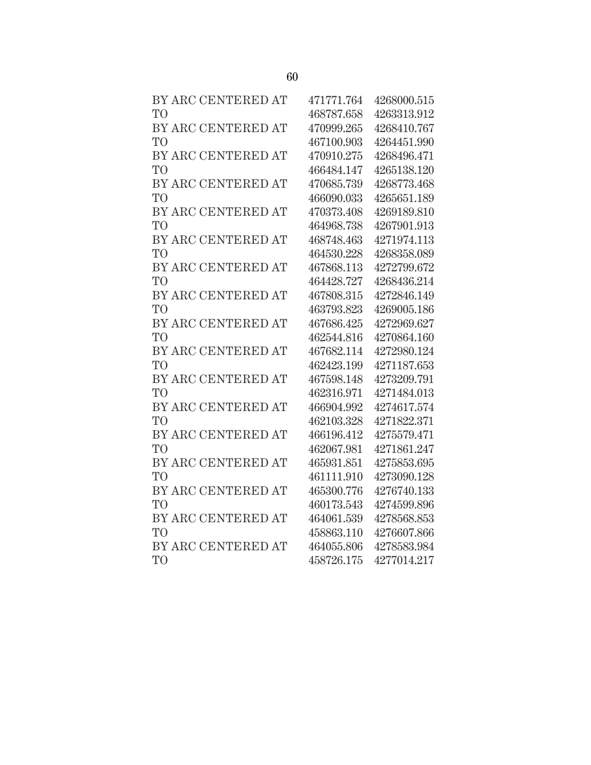| BY ARC CENTERED AT | 471771.764 | 4268000.515 |
|--------------------|------------|-------------|
| T <sub>O</sub>     | 468787.658 | 4263313.912 |
| BY ARC CENTERED AT | 470999.265 | 4268410.767 |
| T <sub>O</sub>     | 467100.903 | 4264451.990 |
| BY ARC CENTERED AT | 470910.275 | 4268496.471 |
| T <sub>O</sub>     | 466484.147 | 4265138.120 |
| BY ARC CENTERED AT | 470685.739 | 4268773.468 |
| T <sub>O</sub>     | 466090.033 | 4265651.189 |
| BY ARC CENTERED AT | 470373.408 | 4269189.810 |
| T <sub>O</sub>     | 464968.738 | 4267901.913 |
| BY ARC CENTERED AT | 468748.463 | 4271974.113 |
| T <sub>O</sub>     | 464530.228 | 4268358.089 |
| BY ARC CENTERED AT | 467868.113 | 4272799.672 |
| <b>TO</b>          | 464428.727 | 4268436.214 |
| BY ARC CENTERED AT | 467808.315 | 4272846.149 |
| T <sub>O</sub>     | 463793.823 | 4269005.186 |
| BY ARC CENTERED AT | 467686.425 | 4272969.627 |
| T <sub>O</sub>     | 462544.816 | 4270864.160 |
| BY ARC CENTERED AT | 467682.114 | 4272980.124 |
| T <sub>O</sub>     | 462423.199 | 4271187.653 |
| BY ARC CENTERED AT | 467598.148 | 4273209.791 |
| T <sub>O</sub>     | 462316.971 | 4271484.013 |
| BY ARC CENTERED AT | 466904.992 | 4274617.574 |
| T <sub>O</sub>     | 462103.328 | 4271822.371 |
| BY ARC CENTERED AT | 466196.412 | 4275579.471 |
| T <sub>O</sub>     | 462067.981 | 4271861.247 |
| BY ARC CENTERED AT | 465931.851 | 4275853.695 |
| T <sub>O</sub>     | 461111.910 | 4273090.128 |
| BY ARC CENTERED AT | 465300.776 | 4276740.133 |
| T <sub>O</sub>     | 460173.543 | 4274599.896 |
| BY ARC CENTERED AT | 464061.539 | 4278568.853 |
| T <sub>O</sub>     | 458863.110 | 4276607.866 |
| BY ARC CENTERED AT | 464055.806 | 4278583.984 |
| T <sub>O</sub>     | 458726.175 | 4277014.217 |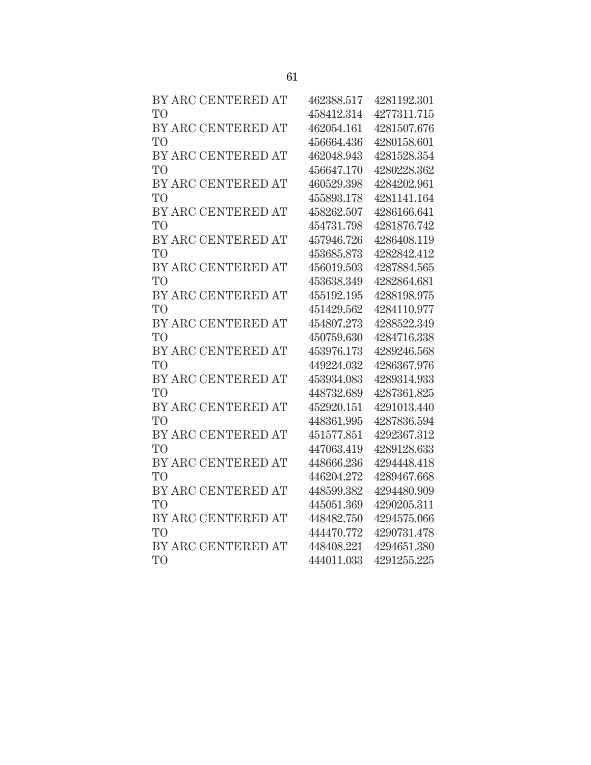| BY ARC CENTERED AT | 462388.517 | 4281192.301 |
|--------------------|------------|-------------|
| T <sub>O</sub>     | 458412.314 | 4277311.715 |
| BY ARC CENTERED AT | 462054.161 | 4281507.676 |
| T <sub>O</sub>     | 456664.436 | 4280158.601 |
| BY ARC CENTERED AT | 462048.943 | 4281528.354 |
| T <sub>O</sub>     | 456647.170 | 4280228.362 |
| BY ARC CENTERED AT | 460529.398 | 4284202.961 |
| T <sub>O</sub>     | 455893.178 | 4281141.164 |
| BY ARC CENTERED AT | 458262.507 | 4286166.641 |
| T <sub>O</sub>     | 454731.798 | 4281876.742 |
| BY ARC CENTERED AT | 457946.726 | 4286408.119 |
| T <sub>O</sub>     | 453685.873 | 4282842.412 |
| BY ARC CENTERED AT | 456019.503 | 4287884.565 |
| T <sub>O</sub>     | 453638.349 | 4282864.681 |
| BY ARC CENTERED AT | 455192.195 | 4288198.975 |
| T <sub>O</sub>     | 451429.562 | 4284110.977 |
| BY ARC CENTERED AT | 454807.273 | 4288522.349 |
| T <sub>O</sub>     | 450759.630 | 4284716.338 |
| BY ARC CENTERED AT | 453976.173 | 4289246.568 |
| T <sub>O</sub>     | 449224.032 | 4286367.976 |
| BY ARC CENTERED AT | 453934.083 | 4289314.933 |
| T <sub>O</sub>     | 448732.689 | 4287361.825 |
| BY ARC CENTERED AT | 452920.151 | 4291013.440 |
| T <sub>O</sub>     | 448361.995 | 4287836.594 |
| BY ARC CENTERED AT | 451577.851 | 4292367.312 |
| T <sub>O</sub>     | 447063.419 | 4289128.633 |
| BY ARC CENTERED AT | 448666.236 | 4294448.418 |
| T <sub>O</sub>     | 446204.272 | 4289467.668 |
| BY ARC CENTERED AT | 448599.382 | 4294480.909 |
| T <sub>O</sub>     | 445051.369 | 4290205.311 |
| BY ARC CENTERED AT | 448482.750 | 4294575.066 |
| T <sub>O</sub>     | 444470.772 | 4290731.478 |
| BY ARC CENTERED AT | 448408.221 | 4294651.380 |
| T <sub>O</sub>     | 444011.033 | 4291255.225 |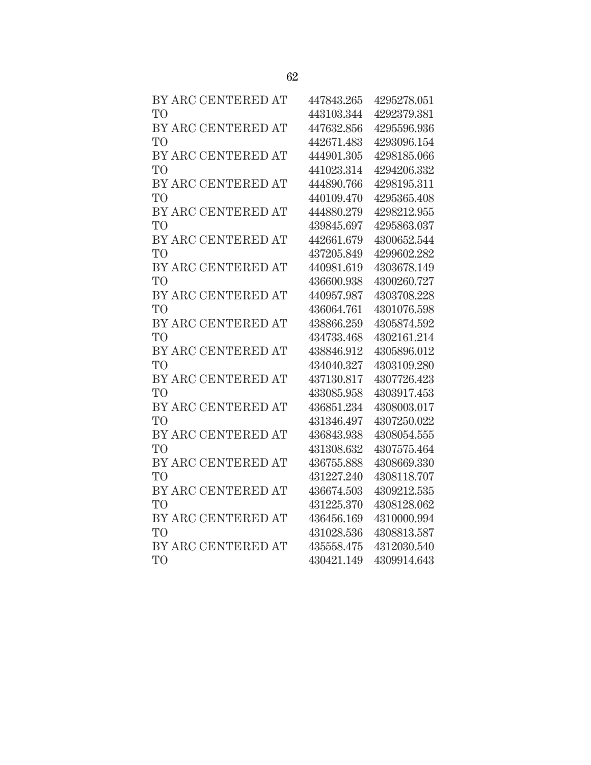| BY ARC CENTERED AT | 447843.265 | 4295278.051 |
|--------------------|------------|-------------|
| T <sub>O</sub>     | 443103.344 | 4292379.381 |
| BY ARC CENTERED AT | 447632.856 | 4295596.936 |
| T <sub>O</sub>     | 442671.483 | 4293096.154 |
| BY ARC CENTERED AT | 444901.305 | 4298185.066 |
| T <sub>O</sub>     | 441023.314 | 4294206.332 |
| BY ARC CENTERED AT | 444890.766 | 4298195.311 |
| T <sub>O</sub>     | 440109.470 | 4295365.408 |
| BY ARC CENTERED AT | 444880.279 | 4298212.955 |
| T <sub>O</sub>     | 439845.697 | 4295863.037 |
| BY ARC CENTERED AT | 442661.679 | 4300652.544 |
| T <sub>O</sub>     | 437205.849 | 4299602.282 |
| BY ARC CENTERED AT | 440981.619 | 4303678.149 |
| T <sub>O</sub>     | 436600.938 | 4300260.727 |
| BY ARC CENTERED AT | 440957.987 | 4303708.228 |
| T <sub>O</sub>     | 436064.761 | 4301076.598 |
| BY ARC CENTERED AT | 438866.259 | 4305874.592 |
| T <sub>O</sub>     | 434733.468 | 4302161.214 |
| BY ARC CENTERED AT | 438846.912 | 4305896.012 |
| T <sub>O</sub>     | 434040.327 | 4303109.280 |
| BY ARC CENTERED AT | 437130.817 | 4307726.423 |
| T <sub>O</sub>     | 433085.958 | 4303917.453 |
| BY ARC CENTERED AT | 436851.234 | 4308003.017 |
| <b>TO</b>          | 431346.497 | 4307250.022 |
| BY ARC CENTERED AT | 436843.938 | 4308054.555 |
| T <sub>O</sub>     | 431308.632 | 4307575.464 |
| BY ARC CENTERED AT | 436755.888 | 4308669.330 |
| T <sub>O</sub>     | 431227.240 | 4308118.707 |
| BY ARC CENTERED AT | 436674.503 | 4309212.535 |
| T <sub>O</sub>     | 431225.370 | 4308128.062 |
| BY ARC CENTERED AT | 436456.169 | 4310000.994 |
| T <sub>O</sub>     | 431028.536 | 4308813.587 |
| BY ARC CENTERED AT | 435558.475 | 4312030.540 |
| T <sub>O</sub>     | 430421.149 | 4309914.643 |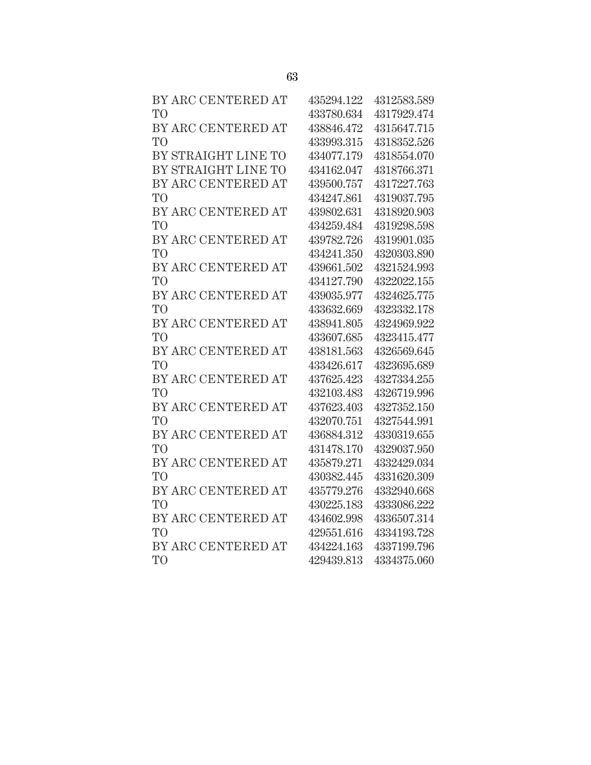| BY ARC CENTERED AT  | 435294.122 | 4312583.589 |
|---------------------|------------|-------------|
| T <sub>O</sub>      | 433780.634 | 4317929.474 |
| BY ARC CENTERED AT  | 438846.472 | 4315647.715 |
| T <sub>O</sub>      | 433993.315 | 4318352.526 |
| BY STRAIGHT LINE TO | 434077.179 | 4318554.070 |
| BY STRAIGHT LINE TO | 434162.047 | 4318766.371 |
| BY ARC CENTERED AT  | 439500.757 | 4317227.763 |
| T <sub>O</sub>      | 434247.861 | 4319037.795 |
| BY ARC CENTERED AT  | 439802.631 | 4318920.903 |
| T <sub>O</sub>      | 434259.484 | 4319298.598 |
| BY ARC CENTERED AT  | 439782.726 | 4319901.035 |
| T <sub>O</sub>      | 434241.350 | 4320303.890 |
| BY ARC CENTERED AT  | 439661.502 | 4321524.993 |
| T <sub>O</sub>      | 434127.790 | 4322022.155 |
| BY ARC CENTERED AT  | 439035.977 | 4324625.775 |
| T <sub>O</sub>      | 433632.669 | 4323332.178 |
| BY ARC CENTERED AT  | 438941.805 | 4324969.922 |
| T <sub>O</sub>      | 433607.685 | 4323415.477 |
| BY ARC CENTERED AT  | 438181.563 | 4326569.645 |
| T <sub>O</sub>      | 433426.617 | 4323695.689 |
| BY ARC CENTERED AT  | 437625.423 | 4327334.255 |
| T <sub>O</sub>      | 432103.483 | 4326719.996 |
| BY ARC CENTERED AT  | 437623.403 | 4327352.150 |
| T <sub>O</sub>      | 432070.751 | 4327544.991 |
| BY ARC CENTERED AT  | 436884.312 | 4330319.655 |
| T <sub>O</sub>      | 431478.170 | 4329037.950 |
| BY ARC CENTERED AT  | 435879.271 | 4332429.034 |
| T <sub>O</sub>      | 430382.445 | 4331620.309 |
| BY ARC CENTERED AT  | 435779.276 | 4332940.668 |
| T <sub>O</sub>      | 430225.183 | 4333086.222 |
| BY ARC CENTERED AT  | 434602.998 | 4336507.314 |
| T <sub>O</sub>      | 429551.616 | 4334193.728 |
| BY ARC CENTERED AT  | 434224.163 | 4337199.796 |
| T <sub>O</sub>      | 429439.813 | 4334375.060 |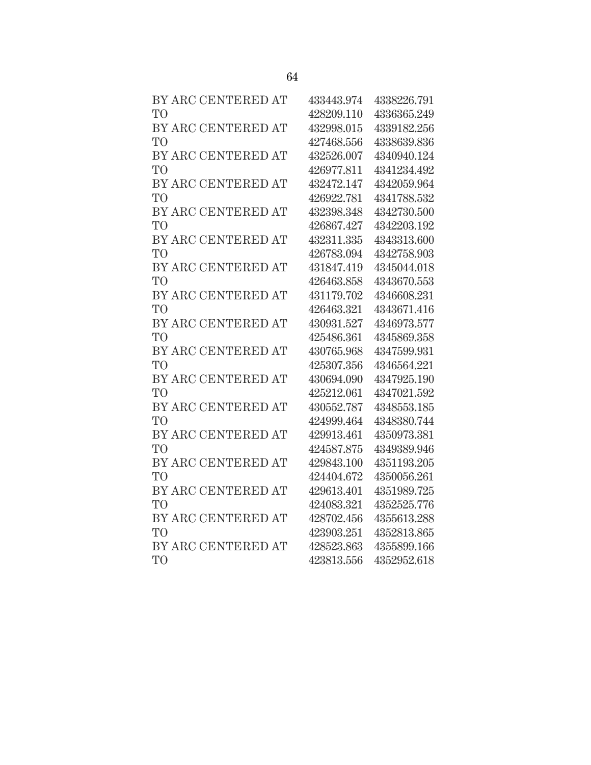| BY ARC CENTERED AT | 433443.974 | 4338226.791 |
|--------------------|------------|-------------|
| T <sub>O</sub>     | 428209.110 | 4336365.249 |
| BY ARC CENTERED AT | 432998.015 | 4339182.256 |
| T <sub>O</sub>     | 427468.556 | 4338639.836 |
| BY ARC CENTERED AT | 432526.007 | 4340940.124 |
| T <sub>O</sub>     | 426977.811 | 4341234.492 |
| BY ARC CENTERED AT | 432472.147 | 4342059.964 |
| T <sub>O</sub>     | 426922.781 | 4341788.532 |
| BY ARC CENTERED AT | 432398.348 | 4342730.500 |
| T <sub>O</sub>     | 426867.427 | 4342203.192 |
| BY ARC CENTERED AT | 432311.335 | 4343313.600 |
| T <sub>O</sub>     | 426783.094 | 4342758.903 |
| BY ARC CENTERED AT | 431847.419 | 4345044.018 |
| T <sub>O</sub>     | 426463.858 | 4343670.553 |
| BY ARC CENTERED AT | 431179.702 | 4346608.231 |
| T <sub>O</sub>     | 426463.321 | 4343671.416 |
| BY ARC CENTERED AT | 430931.527 | 4346973.577 |
| T <sub>O</sub>     | 425486.361 | 4345869.358 |
| BY ARC CENTERED AT | 430765.968 | 4347599.931 |
| T <sub>O</sub>     | 425307.356 | 4346564.221 |
| BY ARC CENTERED AT | 430694.090 | 4347925.190 |
| T <sub>O</sub>     | 425212.061 | 4347021.592 |
| BY ARC CENTERED AT | 430552.787 | 4348553.185 |
| T <sub>O</sub>     | 424999.464 | 4348380.744 |
| BY ARC CENTERED AT | 429913.461 | 4350973.381 |
| T <sub>O</sub>     | 424587.875 | 4349389.946 |
| BY ARC CENTERED AT | 429843.100 | 4351193.205 |
| T <sub>O</sub>     | 424404.672 | 4350056.261 |
| BY ARC CENTERED AT | 429613.401 | 4351989.725 |
| T <sub>O</sub>     | 424083.321 | 4352525.776 |
| BY ARC CENTERED AT | 428702.456 | 4355613.288 |
| T <sub>O</sub>     | 423903.251 | 4352813.865 |
| BY ARC CENTERED AT | 428523.863 | 4355899.166 |
| T <sub>O</sub>     | 423813.556 | 4352952.618 |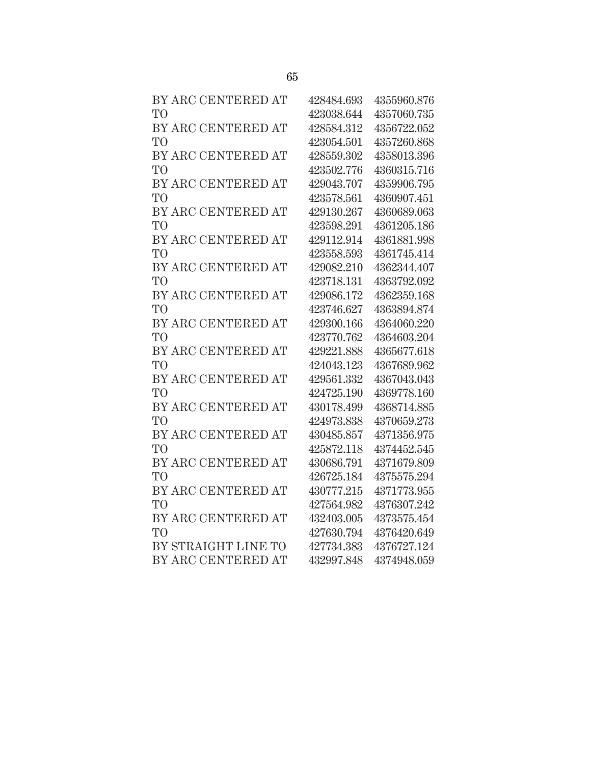| BY ARC CENTERED AT  | 428484.693 | 4355960.876 |
|---------------------|------------|-------------|
| T <sub>O</sub>      | 423038.644 | 4357060.735 |
| BY ARC CENTERED AT  | 428584.312 | 4356722.052 |
| T <sub>O</sub>      | 423054.501 | 4357260.868 |
| BY ARC CENTERED AT  | 428559.302 | 4358013.396 |
| T <sub>O</sub>      | 423502.776 | 4360315.716 |
| BY ARC CENTERED AT  | 429043.707 | 4359906.795 |
| T <sub>O</sub>      | 423578.561 | 4360907.451 |
| BY ARC CENTERED AT  | 429130.267 | 4360689.063 |
| T <sub>O</sub>      | 423598.291 | 4361205.186 |
| BY ARC CENTERED AT  | 429112.914 | 4361881.998 |
| T <sub>O</sub>      | 423558.593 | 4361745.414 |
| BY ARC CENTERED AT  | 429082.210 | 4362344.407 |
| T <sub>O</sub>      | 423718.131 | 4363792.092 |
| BY ARC CENTERED AT  | 429086.172 | 4362359.168 |
| T <sub>O</sub>      | 423746.627 | 4363894.874 |
| BY ARC CENTERED AT  | 429300.166 | 4364060.220 |
| T <sub>O</sub>      | 423770.762 | 4364603.204 |
| BY ARC CENTERED AT  | 429221.888 | 4365677.618 |
| T <sub>O</sub>      | 424043.123 | 4367689.962 |
| BY ARC CENTERED AT  | 429561.332 | 4367043.043 |
| T <sub>O</sub>      | 424725.190 | 4369778.160 |
| BY ARC CENTERED AT  | 430178.499 | 4368714.885 |
| T <sub>O</sub>      | 424973.838 | 4370659.273 |
| BY ARC CENTERED AT  | 430485.857 | 4371356.975 |
| T <sub>O</sub>      | 425872.118 | 4374452.545 |
| BY ARC CENTERED AT  | 430686.791 | 4371679.809 |
| T <sub>O</sub>      | 426725.184 | 4375575.294 |
| BY ARC CENTERED AT  | 430777.215 | 4371773.955 |
| T <sub>O</sub>      | 427564.982 | 4376307.242 |
| BY ARC CENTERED AT  | 432403.005 | 4373575.454 |
| T <sub>O</sub>      | 427630.794 | 4376420.649 |
| BY STRAIGHT LINE TO | 427734.383 | 4376727.124 |
| BY ARC CENTERED AT  | 432997.848 | 4374948.059 |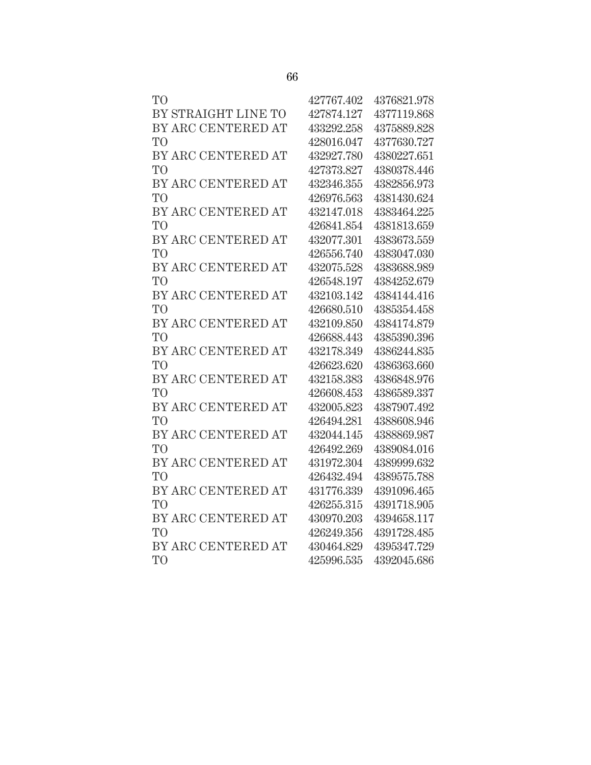| T <sub>O</sub>      | 427767.402 | 4376821.978 |
|---------------------|------------|-------------|
| BY STRAIGHT LINE TO | 427874.127 | 4377119.868 |
| BY ARC CENTERED AT  | 433292.258 | 4375889.828 |
| T <sub>O</sub>      | 428016.047 | 4377630.727 |
| BY ARC CENTERED AT  | 432927.780 | 4380227.651 |
| T <sub>O</sub>      | 427373.827 | 4380378.446 |
| BY ARC CENTERED AT  | 432346.355 | 4382856.973 |
| T <sub>O</sub>      | 426976.563 | 4381430.624 |
| BY ARC CENTERED AT  | 432147.018 | 4383464.225 |
| T <sub>O</sub>      | 426841.854 | 4381813.659 |
| BY ARC CENTERED AT  | 432077.301 | 4383673.559 |
| T <sub>O</sub>      | 426556.740 | 4383047.030 |
| BY ARC CENTERED AT  | 432075.528 | 4383688.989 |
| T <sub>O</sub>      | 426548.197 | 4384252.679 |
| BY ARC CENTERED AT  | 432103.142 | 4384144.416 |
| T <sub>O</sub>      | 426680.510 | 4385354.458 |
| BY ARC CENTERED AT  | 432109.850 | 4384174.879 |
| T <sub>O</sub>      | 426688.443 | 4385390.396 |
| BY ARC CENTERED AT  | 432178.349 | 4386244.835 |
| T <sub>O</sub>      | 426623.620 | 4386363.660 |
| BY ARC CENTERED AT  | 432158.383 | 4386848.976 |
| T <sub>O</sub>      | 426608.453 | 4386589.337 |
| BY ARC CENTERED AT  | 432005.823 | 4387907.492 |
| T <sub>O</sub>      | 426494.281 | 4388608.946 |
| BY ARC CENTERED AT  | 432044.145 | 4388869.987 |
| T <sub>O</sub>      | 426492.269 | 4389084.016 |
| BY ARC CENTERED AT  | 431972.304 | 4389999.632 |
| T <sub>O</sub>      | 426432.494 | 4389575.788 |
| BY ARC CENTERED AT  | 431776.339 | 4391096.465 |
| T <sub>O</sub>      | 426255.315 | 4391718.905 |
| BY ARC CENTERED AT  | 430970.203 | 4394658.117 |
| T <sub>O</sub>      | 426249.356 | 4391728.485 |
| BY ARC CENTERED AT  | 430464.829 | 4395347.729 |
| T <sub>O</sub>      | 425996.535 | 4392045.686 |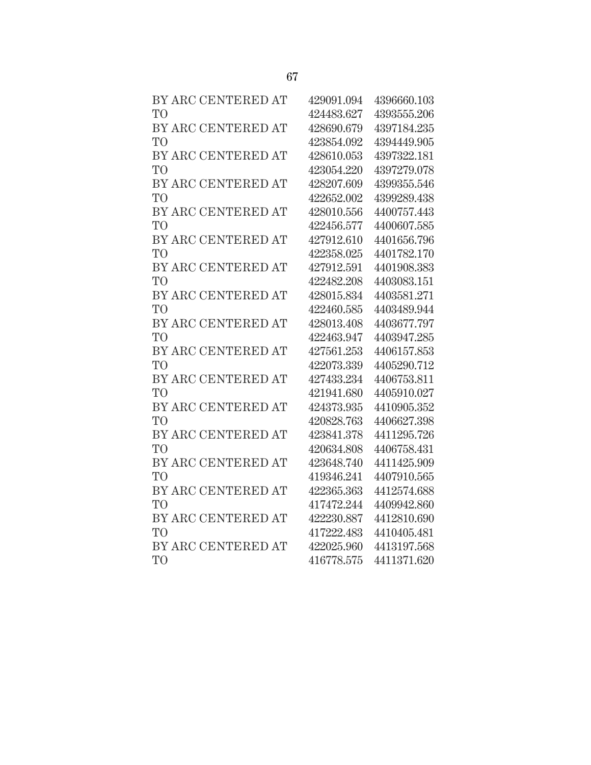| BY ARC CENTERED AT | 429091.094 | 4396660.103 |
|--------------------|------------|-------------|
| T <sub>O</sub>     | 424483.627 | 4393555.206 |
| BY ARC CENTERED AT | 428690.679 | 4397184.235 |
| T <sub>O</sub>     | 423854.092 | 4394449.905 |
| BY ARC CENTERED AT | 428610.053 | 4397322.181 |
| T <sub>O</sub>     | 423054.220 | 4397279.078 |
| BY ARC CENTERED AT | 428207.609 | 4399355.546 |
| T <sub>O</sub>     | 422652.002 | 4399289.438 |
| BY ARC CENTERED AT | 428010.556 | 4400757.443 |
| T <sub>O</sub>     | 422456.577 | 4400607.585 |
| BY ARC CENTERED AT | 427912.610 | 4401656.796 |
| T <sub>O</sub>     | 422358.025 | 4401782.170 |
| BY ARC CENTERED AT | 427912.591 | 4401908.383 |
| T <sub>O</sub>     | 422482.208 | 4403083.151 |
| BY ARC CENTERED AT | 428015.834 | 4403581.271 |
| T <sub>O</sub>     | 422460.585 | 4403489.944 |
| BY ARC CENTERED AT | 428013.408 | 4403677.797 |
| T <sub>O</sub>     | 422463.947 | 4403947.285 |
| BY ARC CENTERED AT | 427561.253 | 4406157.853 |
| T <sub>O</sub>     | 422073.339 | 4405290.712 |
| BY ARC CENTERED AT | 427433.234 | 4406753.811 |
| T <sub>O</sub>     | 421941.680 | 4405910.027 |
| BY ARC CENTERED AT | 424373.935 | 4410905.352 |
| T <sub>O</sub>     | 420828.763 | 4406627.398 |
| BY ARC CENTERED AT | 423841.378 | 4411295.726 |
| T <sub>O</sub>     | 420634.808 | 4406758.431 |
| BY ARC CENTERED AT | 423648.740 | 4411425.909 |
| T <sub>O</sub>     | 419346.241 | 4407910.565 |
| BY ARC CENTERED AT | 422365.363 | 4412574.688 |
| T <sub>O</sub>     | 417472.244 | 4409942.860 |
| BY ARC CENTERED AT | 422230.887 | 4412810.690 |
| T <sub>O</sub>     | 417222.483 | 4410405.481 |
| BY ARC CENTERED AT | 422025.960 | 4413197.568 |
| T <sub>O</sub>     | 416778.575 | 4411371.620 |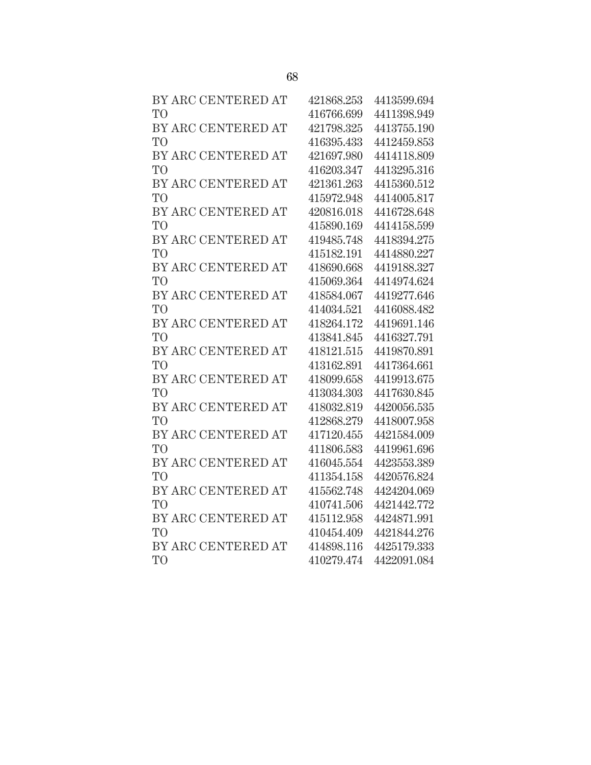| BY ARC CENTERED AT | 421868.253 | 4413599.694 |
|--------------------|------------|-------------|
| T <sub>O</sub>     | 416766.699 | 4411398.949 |
| BY ARC CENTERED AT | 421798.325 | 4413755.190 |
| T <sub>O</sub>     | 416395.433 | 4412459.853 |
| BY ARC CENTERED AT | 421697.980 | 4414118.809 |
| T <sub>O</sub>     | 416203.347 | 4413295.316 |
| BY ARC CENTERED AT | 421361.263 | 4415360.512 |
| T <sub>O</sub>     | 415972.948 | 4414005.817 |
| BY ARC CENTERED AT | 420816.018 | 4416728.648 |
| T <sub>O</sub>     | 415890.169 | 4414158.599 |
| BY ARC CENTERED AT | 419485.748 | 4418394.275 |
| T <sub>O</sub>     | 415182.191 | 4414880.227 |
| BY ARC CENTERED AT | 418690.668 | 4419188.327 |
| T <sub>O</sub>     | 415069.364 | 4414974.624 |
| BY ARC CENTERED AT | 418584.067 | 4419277.646 |
| T <sub>O</sub>     | 414034.521 | 4416088.482 |
| BY ARC CENTERED AT | 418264.172 | 4419691.146 |
| T <sub>O</sub>     | 413841.845 | 4416327.791 |
| BY ARC CENTERED AT | 418121.515 | 4419870.891 |
| T <sub>O</sub>     | 413162.891 | 4417364.661 |
| BY ARC CENTERED AT | 418099.658 | 4419913.675 |
| T <sub>O</sub>     | 413034.303 | 4417630.845 |
| BY ARC CENTERED AT | 418032.819 | 4420056.535 |
| T <sub>O</sub>     | 412868.279 | 4418007.958 |
| BY ARC CENTERED AT | 417120.455 | 4421584.009 |
| T <sub>O</sub>     | 411806.583 | 4419961.696 |
| BY ARC CENTERED AT | 416045.554 | 4423553.389 |
| T <sub>O</sub>     | 411354.158 | 4420576.824 |
| BY ARC CENTERED AT | 415562.748 | 4424204.069 |
| T <sub>O</sub>     | 410741.506 | 4421442.772 |
| BY ARC CENTERED AT | 415112.958 | 4424871.991 |
| T <sub>O</sub>     | 410454.409 | 4421844.276 |
| BY ARC CENTERED AT | 414898.116 | 4425179.333 |
| T <sub>O</sub>     | 410279.474 | 4422091.084 |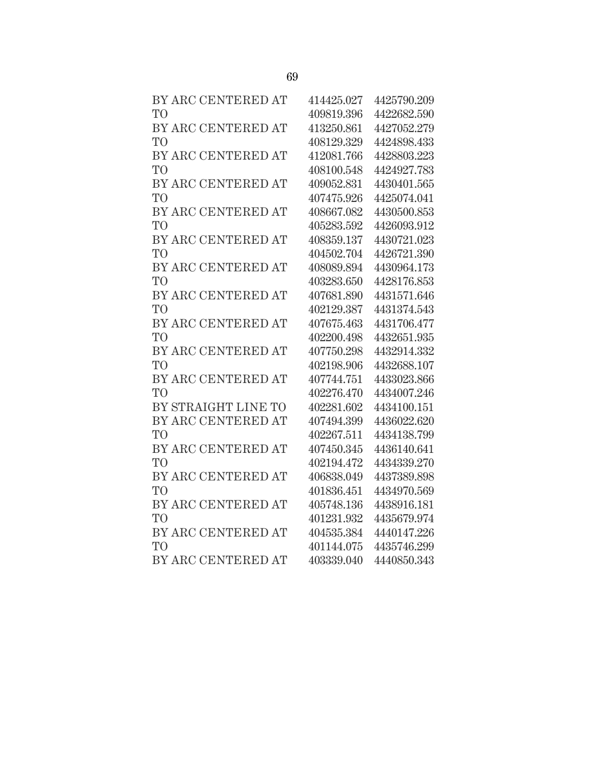| BY ARC CENTERED AT  | 414425.027 | 4425790.209 |
|---------------------|------------|-------------|
| T <sub>O</sub>      | 409819.396 | 4422682.590 |
| BY ARC CENTERED AT  | 413250.861 | 4427052.279 |
| T <sub>O</sub>      | 408129.329 | 4424898.433 |
| BY ARC CENTERED AT  | 412081.766 | 4428803.223 |
| T <sub>O</sub>      | 408100.548 | 4424927.783 |
| BY ARC CENTERED AT  | 409052.831 | 4430401.565 |
| T <sub>O</sub>      | 407475.926 | 4425074.041 |
| BY ARC CENTERED AT  | 408667.082 | 4430500.853 |
| T <sub>O</sub>      | 405283.592 | 4426093.912 |
| BY ARC CENTERED AT  | 408359.137 | 4430721.023 |
| T <sub>O</sub>      | 404502.704 | 4426721.390 |
| BY ARC CENTERED AT  | 408089.894 | 4430964.173 |
| T <sub>O</sub>      | 403283.650 | 4428176.853 |
| BY ARC CENTERED AT  | 407681.890 | 4431571.646 |
| T <sub>O</sub>      | 402129.387 | 4431374.543 |
| BY ARC CENTERED AT  | 407675.463 | 4431706.477 |
| T <sub>O</sub>      | 402200.498 | 4432651.935 |
| BY ARC CENTERED AT  | 407750.298 | 4432914.332 |
| T <sub>O</sub>      | 402198.906 | 4432688.107 |
| BY ARC CENTERED AT  | 407744.751 | 4433023.866 |
| T <sub>O</sub>      | 402276.470 | 4434007.246 |
| BY STRAIGHT LINE TO | 402281.602 | 4434100.151 |
| BY ARC CENTERED AT  | 407494.399 | 4436022.620 |
| T <sub>O</sub>      | 402267.511 | 4434138.799 |
| BY ARC CENTERED AT  | 407450.345 | 4436140.641 |
| T <sub>O</sub>      | 402194.472 | 4434339.270 |
| BY ARC CENTERED AT  | 406838.049 | 4437389.898 |
| T <sub>O</sub>      | 401836.451 | 4434970.569 |
| BY ARC CENTERED AT  | 405748.136 | 4438916.181 |
| T <sub>O</sub>      | 401231.932 | 4435679.974 |
| BY ARC CENTERED AT  | 404535.384 | 4440147.226 |
| T <sub>O</sub>      | 401144.075 | 4435746.299 |
| BY ARC CENTERED AT  | 403339.040 | 4440850.343 |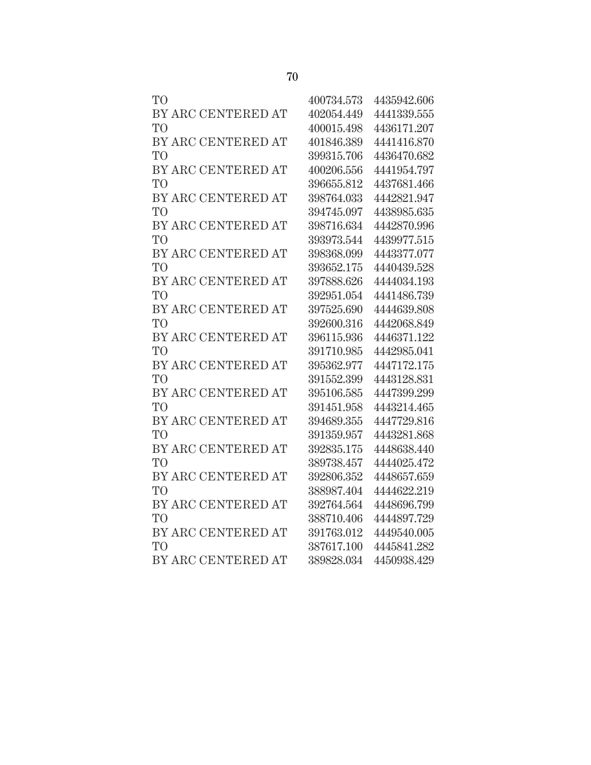| TО                 | 400734.573 | 4435942.606 |
|--------------------|------------|-------------|
| BY ARC CENTERED AT | 402054.449 | 4441339.555 |
| T <sub>O</sub>     | 400015.498 | 4436171.207 |
| BY ARC CENTERED AT | 401846.389 | 4441416.870 |
| T <sub>O</sub>     | 399315.706 | 4436470.682 |
| BY ARC CENTERED AT | 400206.556 | 4441954.797 |
| T <sub>O</sub>     | 396655.812 | 4437681.466 |
| BY ARC CENTERED AT | 398764.033 | 4442821.947 |
| T <sub>O</sub>     | 394745.097 | 4438985.635 |
| BY ARC CENTERED AT | 398716.634 | 4442870.996 |
| T <sub>O</sub>     | 393973.544 | 4439977.515 |
| BY ARC CENTERED AT | 398368.099 | 4443377.077 |
| T <sub>O</sub>     | 393652.175 | 4440439.528 |
| BY ARC CENTERED AT | 397888.626 | 4444034.193 |
| T <sub>O</sub>     | 392951.054 | 4441486.739 |
| BY ARC CENTERED AT | 397525.690 | 4444639.808 |
| T <sub>O</sub>     | 392600.316 | 4442068.849 |
| BY ARC CENTERED AT | 396115.936 | 4446371.122 |
| T <sub>O</sub>     | 391710.985 | 4442985.041 |
| BY ARC CENTERED AT | 395362.977 | 4447172.175 |
| T <sub>O</sub>     | 391552.399 | 4443128.831 |
| BY ARC CENTERED AT | 395106.585 | 4447399.299 |
| T <sub>O</sub>     | 391451.958 | 4443214.465 |
| BY ARC CENTERED AT | 394689.355 | 4447729.816 |
| T <sub>O</sub>     | 391359.957 | 4443281.868 |
| BY ARC CENTERED AT | 392835.175 | 4448638.440 |
| T <sub>O</sub>     | 389738.457 | 4444025.472 |
| BY ARC CENTERED AT | 392806.352 | 4448657.659 |
| T <sub>O</sub>     | 388987.404 | 4444622.219 |
| BY ARC CENTERED AT | 392764.564 | 4448696.799 |
| T <sub>O</sub>     | 388710.406 | 4444897.729 |
| BY ARC CENTERED AT | 391763.012 | 4449540.005 |
| TO <sup>1</sup>    | 387617.100 | 4445841.282 |
| BY ARC CENTERED AT | 389828.034 | 4450938.429 |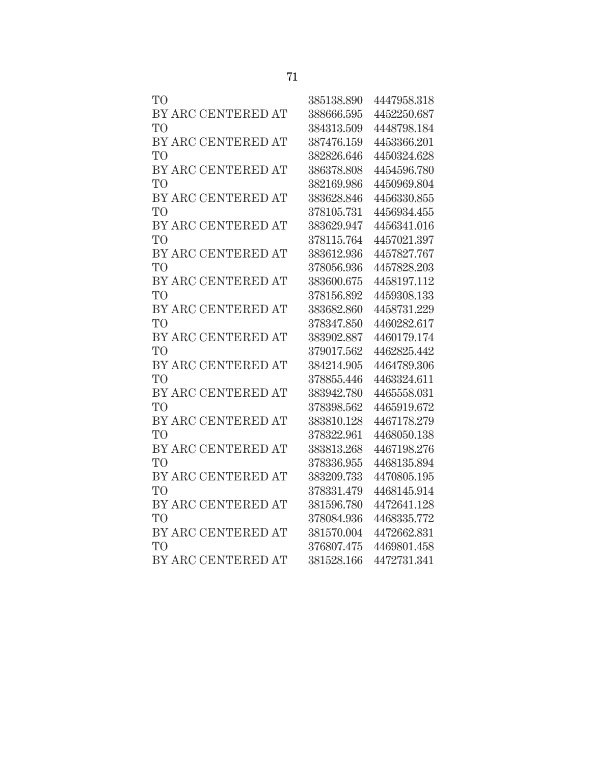| TО                 | 385138.890 | 4447958.318 |
|--------------------|------------|-------------|
| BY ARC CENTERED AT | 388666.595 | 4452250.687 |
| TO                 | 384313.509 | 4448798.184 |
| BY ARC CENTERED AT | 387476.159 | 4453366.201 |
| TO                 | 382826.646 | 4450324.628 |
| BY ARC CENTERED AT | 386378.808 | 4454596.780 |
| TО                 | 382169.986 | 4450969.804 |
| BY ARC CENTERED AT | 383628.846 | 4456330.855 |
| TO <sup>1</sup>    | 378105.731 | 4456934.455 |
| BY ARC CENTERED AT | 383629.947 | 4456341.016 |
| TO                 | 378115.764 | 4457021.397 |
| BY ARC CENTERED AT | 383612.936 | 4457827.767 |
| TО                 | 378056.936 | 4457828.203 |
| BY ARC CENTERED AT | 383600.675 | 4458197.112 |
| <b>TO</b>          | 378156.892 | 4459308.133 |
| BY ARC CENTERED AT | 383682.860 | 4458731.229 |
| TО                 | 378347.850 | 4460282.617 |
| BY ARC CENTERED AT | 383902.887 | 4460179.174 |
| TO <sup>T</sup>    | 379017.562 | 4462825.442 |
| BY ARC CENTERED AT | 384214.905 | 4464789.306 |
| TO                 | 378855.446 | 4463324.611 |
| BY ARC CENTERED AT | 383942.780 | 4465558.031 |
| TО                 | 378398.562 | 4465919.672 |
| BY ARC CENTERED AT | 383810.128 | 4467178.279 |
| TО                 | 378322.961 | 4468050.138 |
| BY ARC CENTERED AT | 383813.268 | 4467198.276 |
| TО                 | 378336.955 | 4468135.894 |
| BY ARC CENTERED AT | 383209.733 | 4470805.195 |
| TО                 | 378331.479 | 4468145.914 |
| BY ARC CENTERED AT | 381596.780 | 4472641.128 |
| TО                 | 378084.936 | 4468335.772 |
| BY ARC CENTERED AT | 381570.004 | 4472662.831 |
| TO <sup>T</sup>    | 376807.475 | 4469801.458 |
| BY ARC CENTERED AT | 381528.166 | 4472731.341 |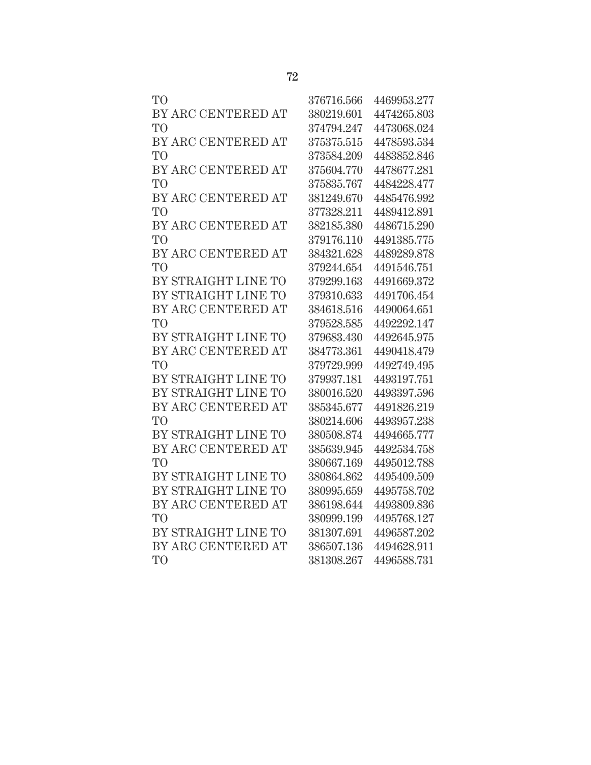| T <sub>O</sub>      | 376716.566 | 4469953.277 |
|---------------------|------------|-------------|
| BY ARC CENTERED AT  | 380219.601 | 4474265.803 |
| T <sub>O</sub>      | 374794.247 | 4473068.024 |
| BY ARC CENTERED AT  | 375375.515 | 4478593.534 |
| T <sub>O</sub>      | 373584.209 | 4483852.846 |
| BY ARC CENTERED AT  | 375604.770 | 4478677.281 |
| T <sub>O</sub>      | 375835.767 | 4484228.477 |
| BY ARC CENTERED AT  | 381249.670 | 4485476.992 |
| T <sub>O</sub>      | 377328.211 | 4489412.891 |
| BY ARC CENTERED AT  | 382185.380 | 4486715.290 |
| T <sub>O</sub>      | 379176.110 | 4491385.775 |
| BY ARC CENTERED AT  | 384321.628 | 4489289.878 |
| T <sub>O</sub>      | 379244.654 | 4491546.751 |
| BY STRAIGHT LINE TO | 379299.163 | 4491669.372 |
| BY STRAIGHT LINE TO | 379310.633 | 4491706.454 |
| BY ARC CENTERED AT  | 384618.516 | 4490064.651 |
| T <sub>O</sub>      | 379528.585 | 4492292.147 |
| BY STRAIGHT LINE TO | 379683.430 | 4492645.975 |
| BY ARC CENTERED AT  | 384773.361 | 4490418.479 |
| T <sub>O</sub>      | 379729.999 | 4492749.495 |
| BY STRAIGHT LINE TO | 379937.181 | 4493197.751 |
| BY STRAIGHT LINE TO | 380016.520 | 4493397.596 |
| BY ARC CENTERED AT  | 385345.677 | 4491826.219 |
| T <sub>O</sub>      | 380214.606 | 4493957.238 |
| BY STRAIGHT LINE TO | 380508.874 | 4494665.777 |
| BY ARC CENTERED AT  | 385639.945 | 4492534.758 |
| T <sub>O</sub>      | 380667.169 | 4495012.788 |
| BY STRAIGHT LINE TO | 380864.862 | 4495409.509 |
| BY STRAIGHT LINE TO | 380995.659 | 4495758.702 |
| BY ARC CENTERED AT  | 386198.644 | 4493809.836 |
| T <sub>O</sub>      | 380999.199 | 4495768.127 |
| BY STRAIGHT LINE TO | 381307.691 | 4496587.202 |
| BY ARC CENTERED AT  | 386507.136 | 4494628.911 |
| TO <sup>1</sup>     | 381308.267 | 4496588.731 |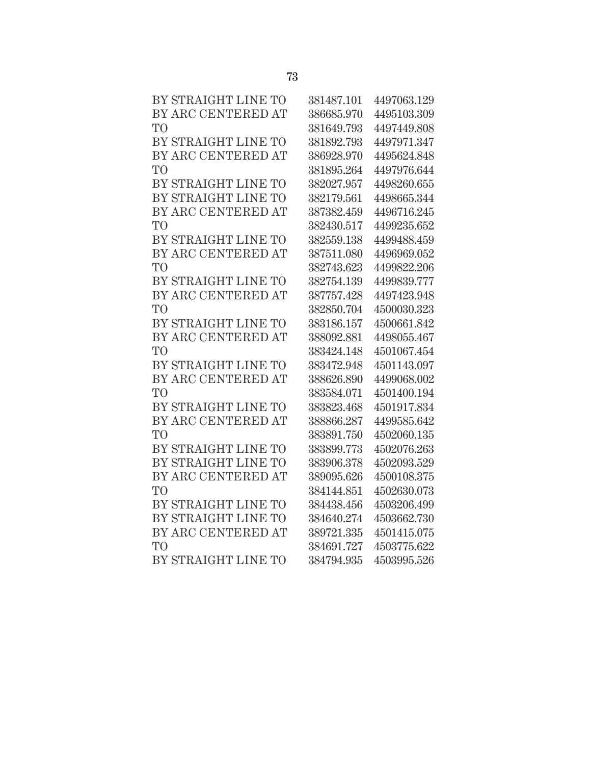| BY STRAIGHT LINE TO | 381487.101 | 4497063.129 |
|---------------------|------------|-------------|
| BY ARC CENTERED AT  | 386685.970 | 4495103.309 |
| TО                  | 381649.793 | 4497449.808 |
| BY STRAIGHT LINE TO | 381892.793 | 4497971.347 |
| BY ARC CENTERED AT  | 386928.970 | 4495624.848 |
| TO                  | 381895.264 | 4497976.644 |
| BY STRAIGHT LINE TO | 382027.957 | 4498260.655 |
| BY STRAIGHT LINE TO | 382179.561 | 4498665.344 |
| BY ARC CENTERED AT  | 387382.459 | 4496716.245 |
| TО                  | 382430.517 | 4499235.652 |
| BY STRAIGHT LINE TO | 382559.138 | 4499488.459 |
| BY ARC CENTERED AT  | 387511.080 | 4496969.052 |
| TО                  | 382743.623 | 4499822.206 |
| BY STRAIGHT LINE TO | 382754.139 | 4499839.777 |
| BY ARC CENTERED AT  | 387757.428 | 4497423.948 |
| TО                  | 382850.704 | 4500030.323 |
| BY STRAIGHT LINE TO | 383186.157 | 4500661.842 |
| BY ARC CENTERED AT  | 388092.881 | 4498055.467 |
| TО                  | 383424.148 | 4501067.454 |
| BY STRAIGHT LINE TO | 383472.948 | 4501143.097 |
| BY ARC CENTERED AT  | 388626.890 | 4499068.002 |
| TО                  | 383584.071 | 4501400.194 |
| BY STRAIGHT LINE TO | 383823.468 | 4501917.834 |
| BY ARC CENTERED AT  | 388866.287 | 4499585.642 |
| TO                  | 383891.750 | 4502060.135 |
| BY STRAIGHT LINE TO | 383899.773 | 4502076.263 |
| BY STRAIGHT LINE TO | 383906.378 | 4502093.529 |
| BY ARC CENTERED AT  | 389095.626 | 4500108.375 |
| TО                  | 384144.851 | 4502630.073 |
| BY STRAIGHT LINE TO | 384438.456 | 4503206.499 |
| BY STRAIGHT LINE TO | 384640.274 | 4503662.730 |
| BY ARC CENTERED AT  | 389721.335 | 4501415.075 |
| TО                  | 384691.727 | 4503775.622 |
| BY STRAIGHT LINE TO | 384794.935 | 4503995.526 |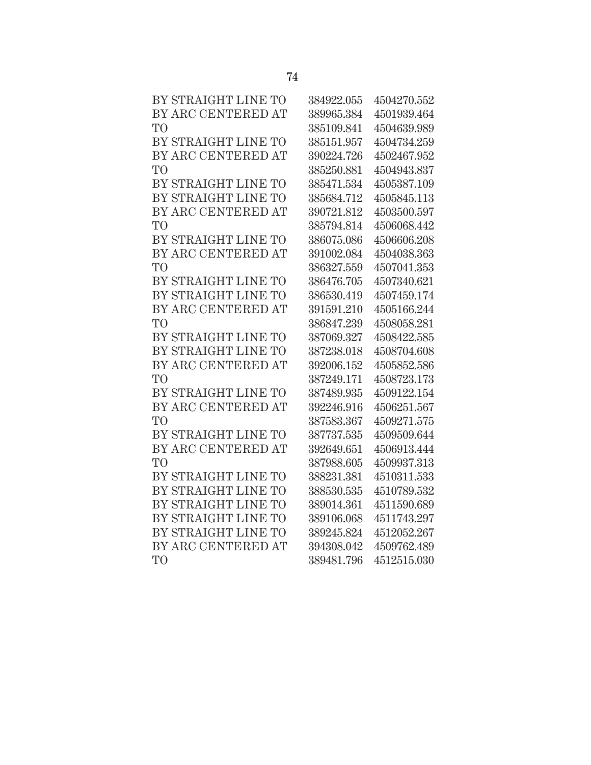| BY STRAIGHT LINE TO | 384922.055 | 4504270.552 |
|---------------------|------------|-------------|
| BY ARC CENTERED AT  | 389965.384 | 4501939.464 |
| T <sub>O</sub>      | 385109.841 | 4504639.989 |
| BY STRAIGHT LINE TO | 385151.957 | 4504734.259 |
| BY ARC CENTERED AT  | 390224.726 | 4502467.952 |
| T <sub>O</sub>      | 385250.881 | 4504943.837 |
| BY STRAIGHT LINE TO | 385471.534 | 4505387.109 |
| BY STRAIGHT LINE TO | 385684.712 | 4505845.113 |
| BY ARC CENTERED AT  | 390721.812 | 4503500.597 |
| T <sub>O</sub>      | 385794.814 | 4506068.442 |
| BY STRAIGHT LINE TO | 386075.086 | 4506606.208 |
| BY ARC CENTERED AT  | 391002.084 | 4504038.363 |
| T <sub>O</sub>      | 386327.559 | 4507041.353 |
| BY STRAIGHT LINE TO | 386476.705 | 4507340.621 |
| BY STRAIGHT LINE TO | 386530.419 | 4507459.174 |
| BY ARC CENTERED AT  | 391591.210 | 4505166.244 |
| T <sub>O</sub>      | 386847.239 | 4508058.281 |
| BY STRAIGHT LINE TO | 387069.327 | 4508422.585 |
| BY STRAIGHT LINE TO | 387238.018 | 4508704.608 |
| BY ARC CENTERED AT  | 392006.152 | 4505852.586 |
| T <sub>O</sub>      | 387249.171 | 4508723.173 |
| BY STRAIGHT LINE TO | 387489.935 | 4509122.154 |
| BY ARC CENTERED AT  | 392246.916 | 4506251.567 |
| T <sub>O</sub>      | 387583.367 | 4509271.575 |
| BY STRAIGHT LINE TO | 387737.535 | 4509509.644 |
| BY ARC CENTERED AT  | 392649.651 | 4506913.444 |
| T <sub>O</sub>      | 387988.605 | 4509937.313 |
| BY STRAIGHT LINE TO | 388231.381 | 4510311.533 |
| BY STRAIGHT LINE TO | 388530.535 | 4510789.532 |
| BY STRAIGHT LINE TO | 389014.361 | 4511590.689 |
| BY STRAIGHT LINE TO | 389106.068 | 4511743.297 |
| BY STRAIGHT LINE TO | 389245.824 | 4512052.267 |
| BY ARC CENTERED AT  | 394308.042 | 4509762.489 |
| T <sub>O</sub>      | 389481.796 | 4512515.030 |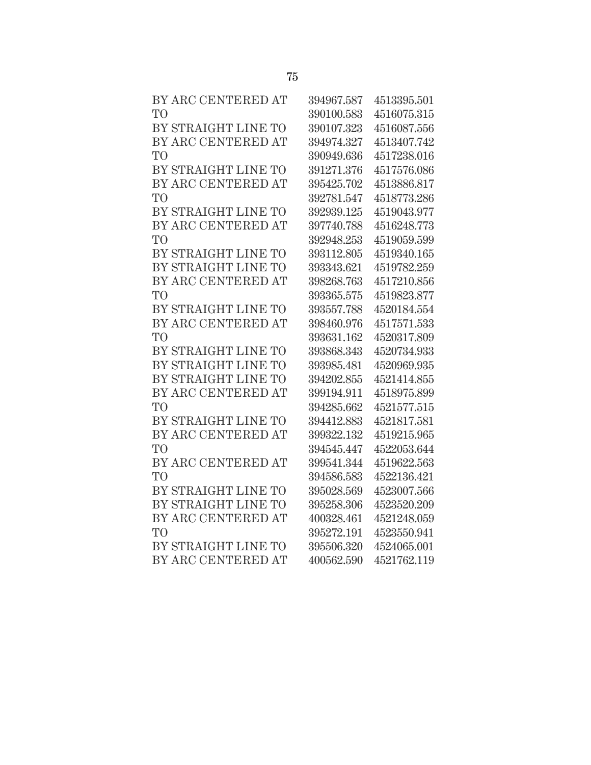| BY ARC CENTERED AT  | 394967.587 | 4513395.501 |
|---------------------|------------|-------------|
| T <sub>O</sub>      | 390100.583 | 4516075.315 |
| BY STRAIGHT LINE TO | 390107.323 | 4516087.556 |
| BY ARC CENTERED AT  | 394974.327 | 4513407.742 |
| T <sub>O</sub>      | 390949.636 | 4517238.016 |
| BY STRAIGHT LINE TO | 391271.376 | 4517576.086 |
| BY ARC CENTERED AT  | 395425.702 | 4513886.817 |
| T <sub>O</sub>      | 392781.547 | 4518773.286 |
| BY STRAIGHT LINE TO | 392939.125 | 4519043.977 |
| BY ARC CENTERED AT  | 397740.788 | 4516248.773 |
| T <sub>O</sub>      | 392948.253 | 4519059.599 |
| BY STRAIGHT LINE TO | 393112.805 | 4519340.165 |
| BY STRAIGHT LINE TO | 393343.621 | 4519782.259 |
| BY ARC CENTERED AT  | 398268.763 | 4517210.856 |
| T <sub>O</sub>      | 393365.575 | 4519823.877 |
| BY STRAIGHT LINE TO | 393557.788 | 4520184.554 |
| BY ARC CENTERED AT  | 398460.976 | 4517571.533 |
| T <sub>O</sub>      | 393631.162 | 4520317.809 |
| BY STRAIGHT LINE TO | 393868.343 | 4520734.933 |
| BY STRAIGHT LINE TO | 393985.481 | 4520969.935 |
| BY STRAIGHT LINE TO | 394202.855 | 4521414.855 |
| BY ARC CENTERED AT  | 399194.911 | 4518975.899 |
| T <sub>O</sub>      | 394285.662 | 4521577.515 |
| BY STRAIGHT LINE TO | 394412.883 | 4521817.581 |
| BY ARC CENTERED AT  | 399322.132 | 4519215.965 |
| T <sub>O</sub>      | 394545.447 | 4522053.644 |
| BY ARC CENTERED AT  | 399541.344 | 4519622.563 |
| T <sub>O</sub>      | 394586.583 | 4522136.421 |
| BY STRAIGHT LINE TO | 395028.569 | 4523007.566 |
| BY STRAIGHT LINE TO | 395258.306 | 4523520.209 |
| BY ARC CENTERED AT  | 400328.461 | 4521248.059 |
| T <sub>O</sub>      | 395272.191 | 4523550.941 |
| BY STRAIGHT LINE TO | 395506.320 | 4524065.001 |
| BY ARC CENTERED AT  | 400562.590 | 4521762.119 |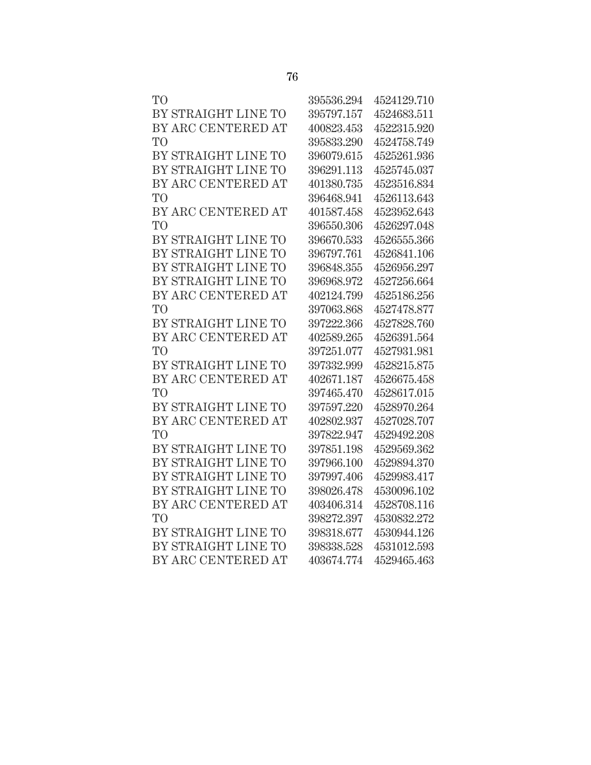| TО                  | 395536.294 | 4524129.710 |
|---------------------|------------|-------------|
| BY STRAIGHT LINE TO | 395797.157 | 4524683.511 |
| BY ARC CENTERED AT  | 400823.453 | 4522315.920 |
| TO                  | 395833.290 | 4524758.749 |
| BY STRAIGHT LINE TO | 396079.615 | 4525261.936 |
| BY STRAIGHT LINE TO | 396291.113 | 4525745.037 |
| BY ARC CENTERED AT  | 401380.735 | 4523516.834 |
| TO                  | 396468.941 | 4526113.643 |
| BY ARC CENTERED AT  | 401587.458 | 4523952.643 |
| TO                  | 396550.306 | 4526297.048 |
| BY STRAIGHT LINE TO | 396670.533 | 4526555.366 |
| BY STRAIGHT LINE TO | 396797.761 | 4526841.106 |
| BY STRAIGHT LINE TO | 396848.355 | 4526956.297 |
| BY STRAIGHT LINE TO | 396968.972 | 4527256.664 |
| BY ARC CENTERED AT  | 402124.799 | 4525186.256 |
| TО                  | 397063.868 | 4527478.877 |
| BY STRAIGHT LINE TO | 397222.366 | 4527828.760 |
| BY ARC CENTERED AT  | 402589.265 | 4526391.564 |
| TО                  | 397251.077 | 4527931.981 |
| BY STRAIGHT LINE TO | 397332.999 | 4528215.875 |
| BY ARC CENTERED AT  | 402671.187 | 4526675.458 |
| TO <sup>1</sup>     | 397465.470 | 4528617.015 |
| BY STRAIGHT LINE TO | 397597.220 | 4528970.264 |
| BY ARC CENTERED AT  | 402802.937 | 4527028.707 |
| TO                  | 397822.947 | 4529492.208 |
| BY STRAIGHT LINE TO | 397851.198 | 4529569.362 |
| BY STRAIGHT LINE TO | 397966.100 | 4529894.370 |
| BY STRAIGHT LINE TO | 397997.406 | 4529983.417 |
| BY STRAIGHT LINE TO | 398026.478 | 4530096.102 |
| BY ARC CENTERED AT  | 403406.314 | 4528708.116 |
| TО                  | 398272.397 | 4530832.272 |
| BY STRAIGHT LINE TO | 398318.677 | 4530944.126 |
| BY STRAIGHT LINE TO | 398338.528 | 4531012.593 |
| BY ARC CENTERED AT  | 403674.774 | 4529465.463 |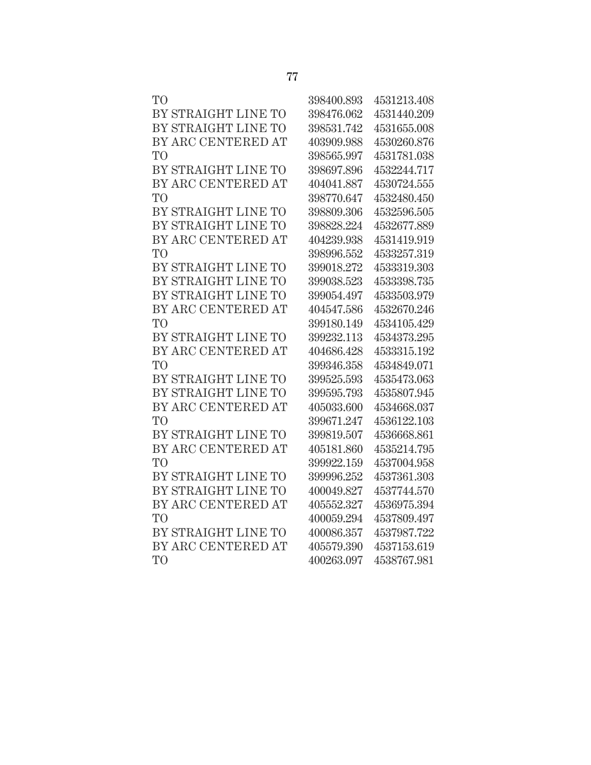| TО                  | 398400.893 | 4531213.408 |
|---------------------|------------|-------------|
| BY STRAIGHT LINE TO | 398476.062 | 4531440.209 |
| BY STRAIGHT LINE TO | 398531.742 | 4531655.008 |
| BY ARC CENTERED AT  | 403909.988 | 4530260.876 |
| TO                  | 398565.997 | 4531781.038 |
| BY STRAIGHT LINE TO | 398697.896 | 4532244.717 |
| BY ARC CENTERED AT  | 404041.887 | 4530724.555 |
| TО                  | 398770.647 | 4532480.450 |
| BY STRAIGHT LINE TO | 398809.306 | 4532596.505 |
| BY STRAIGHT LINE TO | 398828.224 | 4532677.889 |
| BY ARC CENTERED AT  | 404239.938 | 4531419.919 |
| TO                  | 398996.552 | 4533257.319 |
| BY STRAIGHT LINE TO | 399018.272 | 4533319.303 |
| BY STRAIGHT LINE TO | 399038.523 | 4533398.735 |
| BY STRAIGHT LINE TO | 399054.497 | 4533503.979 |
| BY ARC CENTERED AT  | 404547.586 | 4532670.246 |
| TО                  | 399180.149 | 4534105.429 |
| BY STRAIGHT LINE TO | 399232.113 | 4534373.295 |
| BY ARC CENTERED AT  | 404686.428 | 4533315.192 |
| TO <sup>1</sup>     | 399346.358 | 4534849.071 |
| BY STRAIGHT LINE TO | 399525.593 | 4535473.063 |
| BY STRAIGHT LINE TO | 399595.793 | 4535807.945 |
| BY ARC CENTERED AT  | 405033.600 | 4534668.037 |
| TО                  | 399671.247 | 4536122.103 |
| BY STRAIGHT LINE TO | 399819.507 | 4536668.861 |
| BY ARC CENTERED AT  | 405181.860 | 4535214.795 |
| TО                  | 399922.159 | 4537004.958 |
| BY STRAIGHT LINE TO | 399996.252 | 4537361.303 |
| BY STRAIGHT LINE TO | 400049.827 | 4537744.570 |
| BY ARC CENTERED AT  | 405552.327 | 4536975.394 |
| TО                  | 400059.294 | 4537809.497 |
| BY STRAIGHT LINE TO | 400086.357 | 4537987.722 |
| BY ARC CENTERED AT  | 405579.390 | 4537153.619 |
| TO                  | 400263.097 | 4538767.981 |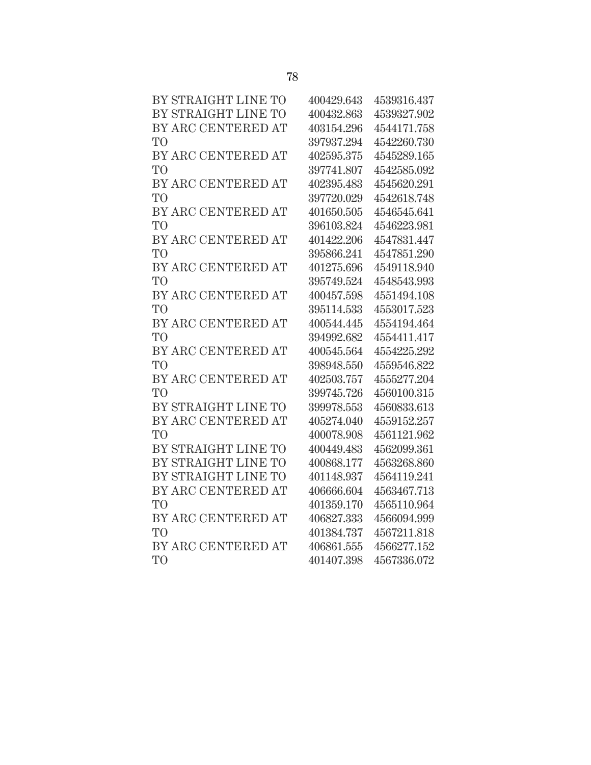| BY STRAIGHT LINE TO | 400429.643 | 4539316.437 |
|---------------------|------------|-------------|
| BY STRAIGHT LINE TO | 400432.863 | 4539327.902 |
| BY ARC CENTERED AT  | 403154.296 | 4544171.758 |
| T <sub>O</sub>      | 397937.294 | 4542260.730 |
| BY ARC CENTERED AT  | 402595.375 | 4545289.165 |
| T <sub>O</sub>      | 397741.807 | 4542585.092 |
| BY ARC CENTERED AT  | 402395.483 | 4545620.291 |
| T <sub>O</sub>      | 397720.029 | 4542618.748 |
| BY ARC CENTERED AT  | 401650.505 | 4546545.641 |
| T <sub>O</sub>      | 396103.824 | 4546223.981 |
| BY ARC CENTERED AT  | 401422.206 | 4547831.447 |
| T <sub>O</sub>      | 395866.241 | 4547851.290 |
| BY ARC CENTERED AT  | 401275.696 | 4549118.940 |
| T <sub>O</sub>      | 395749.524 | 4548543.993 |
| BY ARC CENTERED AT  | 400457.598 | 4551494.108 |
| T <sub>O</sub>      | 395114.533 | 4553017.523 |
| BY ARC CENTERED AT  | 400544.445 | 4554194.464 |
| T <sub>O</sub>      | 394992.682 | 4554411.417 |
| BY ARC CENTERED AT  | 400545.564 | 4554225.292 |
| T <sub>O</sub>      | 398948.550 | 4559546.822 |
| BY ARC CENTERED AT  | 402503.757 | 4555277.204 |
| T <sub>O</sub>      | 399745.726 | 4560100.315 |
| BY STRAIGHT LINE TO | 399978.553 | 4560833.613 |
| BY ARC CENTERED AT  | 405274.040 | 4559152.257 |
| T <sub>O</sub>      | 400078.908 | 4561121.962 |
| BY STRAIGHT LINE TO | 400449.483 | 4562099.361 |
| BY STRAIGHT LINE TO | 400868.177 | 4563268.860 |
| BY STRAIGHT LINE TO | 401148.937 | 4564119.241 |
| BY ARC CENTERED AT  | 406666.604 | 4563467.713 |
| T <sub>O</sub>      | 401359.170 | 4565110.964 |
| BY ARC CENTERED AT  | 406827.333 | 4566094.999 |
| T <sub>O</sub>      | 401384.737 | 4567211.818 |
| BY ARC CENTERED AT  | 406861.555 | 4566277.152 |
| T <sub>O</sub>      | 401407.398 | 4567336.072 |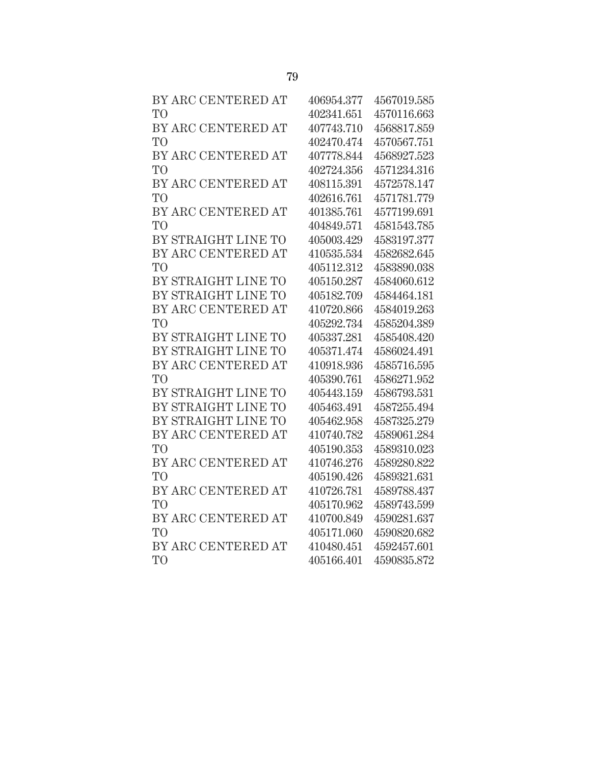| BY ARC CENTERED AT  | 406954.377 | 4567019.585 |
|---------------------|------------|-------------|
| T <sub>O</sub>      | 402341.651 | 4570116.663 |
| BY ARC CENTERED AT  | 407743.710 | 4568817.859 |
| T <sub>O</sub>      | 402470.474 | 4570567.751 |
| BY ARC CENTERED AT  | 407778.844 | 4568927.523 |
| T <sub>O</sub>      | 402724.356 | 4571234.316 |
| BY ARC CENTERED AT  | 408115.391 | 4572578.147 |
| T <sub>O</sub>      | 402616.761 | 4571781.779 |
| BY ARC CENTERED AT  | 401385.761 | 4577199.691 |
| T <sub>O</sub>      | 404849.571 | 4581543.785 |
| BY STRAIGHT LINE TO | 405003.429 | 4583197.377 |
| BY ARC CENTERED AT  | 410535.534 | 4582682.645 |
| T <sub>O</sub>      | 405112.312 | 4583890.038 |
| BY STRAIGHT LINE TO | 405150.287 | 4584060.612 |
| BY STRAIGHT LINE TO | 405182.709 | 4584464.181 |
| BY ARC CENTERED AT  | 410720.866 | 4584019.263 |
| T <sub>O</sub>      | 405292.734 | 4585204.389 |
| BY STRAIGHT LINE TO | 405337.281 | 4585408.420 |
| BY STRAIGHT LINE TO | 405371.474 | 4586024.491 |
| BY ARC CENTERED AT  | 410918.936 | 4585716.595 |
| T <sub>O</sub>      | 405390.761 | 4586271.952 |
| BY STRAIGHT LINE TO | 405443.159 | 4586793.531 |
| BY STRAIGHT LINE TO | 405463.491 | 4587255.494 |
| BY STRAIGHT LINE TO | 405462.958 | 4587325.279 |
| BY ARC CENTERED AT  | 410740.782 | 4589061.284 |
| T <sub>O</sub>      | 405190.353 | 4589310.023 |
| BY ARC CENTERED AT  | 410746.276 | 4589280.822 |
| T <sub>O</sub>      | 405190.426 | 4589321.631 |
| BY ARC CENTERED AT  | 410726.781 | 4589788.437 |
| T <sub>O</sub>      | 405170.962 | 4589743.599 |
| BY ARC CENTERED AT  | 410700.849 | 4590281.637 |
| T <sub>O</sub>      | 405171.060 | 4590820.682 |
| BY ARC CENTERED AT  | 410480.451 | 4592457.601 |
| T <sub>O</sub>      | 405166.401 | 4590835.872 |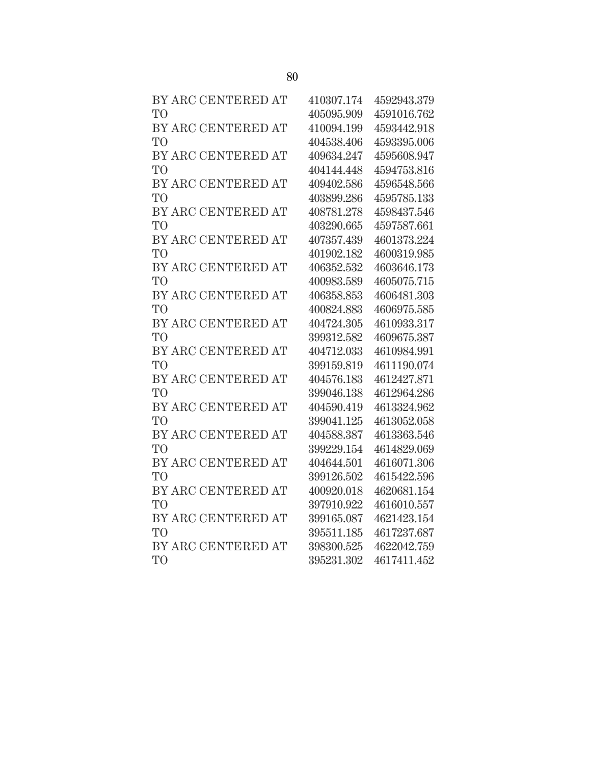| BY ARC CENTERED AT | 410307.174 | 4592943.379 |
|--------------------|------------|-------------|
| T <sub>O</sub>     | 405095.909 | 4591016.762 |
| BY ARC CENTERED AT | 410094.199 | 4593442.918 |
| T <sub>O</sub>     | 404538.406 | 4593395.006 |
| BY ARC CENTERED AT | 409634.247 | 4595608.947 |
| T <sub>O</sub>     | 404144.448 | 4594753.816 |
| BY ARC CENTERED AT | 409402.586 | 4596548.566 |
| T <sub>O</sub>     | 403899.286 | 4595785.133 |
| BY ARC CENTERED AT | 408781.278 | 4598437.546 |
| T <sub>O</sub>     | 403290.665 | 4597587.661 |
| BY ARC CENTERED AT | 407357.439 | 4601373.224 |
| T <sub>O</sub>     | 401902.182 | 4600319.985 |
| BY ARC CENTERED AT | 406352.532 | 4603646.173 |
| T <sub>O</sub>     | 400983.589 | 4605075.715 |
| BY ARC CENTERED AT | 406358.853 | 4606481.303 |
| T <sub>O</sub>     | 400824.883 | 4606975.585 |
| BY ARC CENTERED AT | 404724.305 | 4610933.317 |
| T <sub>O</sub>     | 399312.582 | 4609675.387 |
| BY ARC CENTERED AT | 404712.033 | 4610984.991 |
| T <sub>O</sub>     | 399159.819 | 4611190.074 |
| BY ARC CENTERED AT | 404576.183 | 4612427.871 |
| <b>TO</b>          | 399046.138 | 4612964.286 |
| BY ARC CENTERED AT | 404590.419 | 4613324.962 |
| T <sub>O</sub>     | 399041.125 | 4613052.058 |
| BY ARC CENTERED AT | 404588.387 | 4613363.546 |
| T <sub>O</sub>     | 399229.154 | 4614829.069 |
| BY ARC CENTERED AT | 404644.501 | 4616071.306 |
| T <sub>O</sub>     | 399126.502 | 4615422.596 |
| BY ARC CENTERED AT | 400920.018 | 4620681.154 |
| T <sub>O</sub>     | 397910.922 | 4616010.557 |
| BY ARC CENTERED AT | 399165.087 | 4621423.154 |
| T <sub>O</sub>     | 395511.185 | 4617237.687 |
| BY ARC CENTERED AT | 398300.525 | 4622042.759 |
| T <sub>O</sub>     | 395231.302 | 4617411.452 |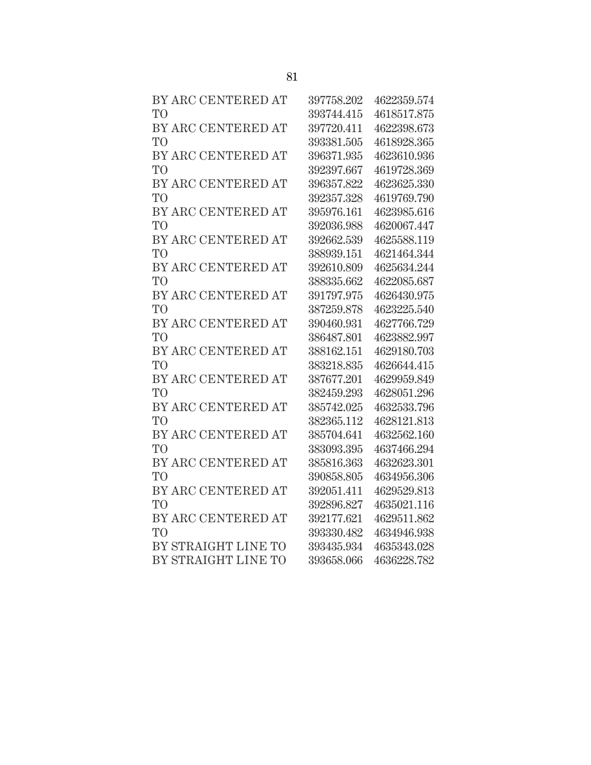| BY ARC CENTERED AT  | 397758.202 | 4622359.574 |
|---------------------|------------|-------------|
| T <sub>O</sub>      | 393744.415 | 4618517.875 |
| BY ARC CENTERED AT  | 397720.411 | 4622398.673 |
| T <sub>O</sub>      | 393381.505 | 4618928.365 |
| BY ARC CENTERED AT  | 396371.935 | 4623610.936 |
| T <sub>O</sub>      | 392397.667 | 4619728.369 |
| BY ARC CENTERED AT  | 396357.822 | 4623625.330 |
| T <sub>O</sub>      | 392357.328 | 4619769.790 |
| BY ARC CENTERED AT  | 395976.161 | 4623985.616 |
| T <sub>O</sub>      | 392036.988 | 4620067.447 |
| BY ARC CENTERED AT  | 392662.539 | 4625588.119 |
| T <sub>O</sub>      | 388939.151 | 4621464.344 |
| BY ARC CENTERED AT  | 392610.809 | 4625634.244 |
| T <sub>O</sub>      | 388335.662 | 4622085.687 |
| BY ARC CENTERED AT  | 391797.975 | 4626430.975 |
| T <sub>O</sub>      | 387259.878 | 4623225.540 |
| BY ARC CENTERED AT  | 390460.931 | 4627766.729 |
| T <sub>O</sub>      | 386487.801 | 4623882.997 |
| BY ARC CENTERED AT  | 388162.151 | 4629180.703 |
| T <sub>O</sub>      | 383218.835 | 4626644.415 |
| BY ARC CENTERED AT  | 387677.201 | 4629959.849 |
| T <sub>O</sub>      | 382459.293 | 4628051.296 |
| BY ARC CENTERED AT  | 385742.025 | 4632533.796 |
| T <sub>O</sub>      | 382365.112 | 4628121.813 |
| BY ARC CENTERED AT  | 385704.641 | 4632562.160 |
| T <sub>O</sub>      | 383093.395 | 4637466.294 |
| BY ARC CENTERED AT  | 385816.363 | 4632623.301 |
| T <sub>O</sub>      | 390858.805 | 4634956.306 |
| BY ARC CENTERED AT  | 392051.411 | 4629529.813 |
| T <sub>O</sub>      | 392896.827 | 4635021.116 |
| BY ARC CENTERED AT  | 392177.621 | 4629511.862 |
| T <sub>O</sub>      | 393330.482 | 4634946.938 |
| BY STRAIGHT LINE TO | 393435.934 | 4635343.028 |
| BY STRAIGHT LINE TO | 393658.066 | 4636228.782 |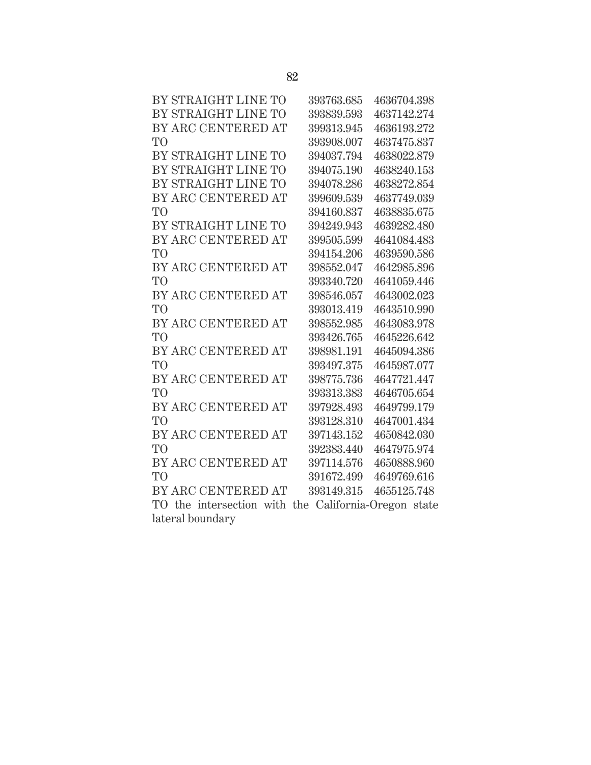| BY STRAIGHT LINE TO | 393763.685 | 4636704.398 |
|---------------------|------------|-------------|
| BY STRAIGHT LINE TO | 393839.593 | 4637142.274 |
| BY ARC CENTERED AT  | 399313.945 | 4636193.272 |
| TO                  | 393908,007 | 4637475.837 |
| BY STRAIGHT LINE TO | 394037.794 | 4638022.879 |
| BY STRAIGHT LINE TO | 394075.190 | 4638240.153 |
| BY STRAIGHT LINE TO | 394078.286 | 4638272.854 |
| BY ARC CENTERED AT  | 399609.539 | 4637749.039 |
| TO <sup>1</sup>     | 394160.837 | 4638835.675 |
| BY STRAIGHT LINE TO | 394249.943 | 4639282.480 |
| BY ARC CENTERED AT  | 399505.599 | 4641084.483 |
| T <sub>O</sub>      | 394154.206 | 4639590.586 |
| BY ARC CENTERED AT  | 398552.047 | 4642985.896 |
| T <sub>O</sub>      | 393340.720 | 4641059.446 |
| BY ARC CENTERED AT  | 398546.057 | 4643002.023 |
| T <sub>O</sub>      | 393013.419 | 4643510.990 |
| BY ARC CENTERED AT  | 398552.985 | 4643083.978 |
| T <sub>O</sub>      | 393426.765 | 4645226.642 |
| BY ARC CENTERED AT  | 398981.191 | 4645094.386 |
| T <sub>O</sub>      | 393497.375 | 4645987.077 |
| BY ARC CENTERED AT  | 398775.736 | 4647721.447 |
| T <sub>O</sub>      | 393313.383 | 4646705.654 |
| BY ARC CENTERED AT  | 397928.493 | 4649799.179 |
| T <sub>O</sub>      | 393128.310 | 4647001.434 |
| BY ARC CENTERED AT  | 397143.152 | 4650842.030 |
| T <sub>O</sub>      | 392383.440 | 4647975.974 |
| BY ARC CENTERED AT  | 397114.576 | 4650888.960 |
| TО                  | 391672.499 | 4649769.616 |
| BY ARC CENTERED AT  | 393149.315 | 4655125.748 |
| $\mathbf{m}$        | $\sim$ 1.0 |             |

TO the intersection with the California-Oregon state lateral boundary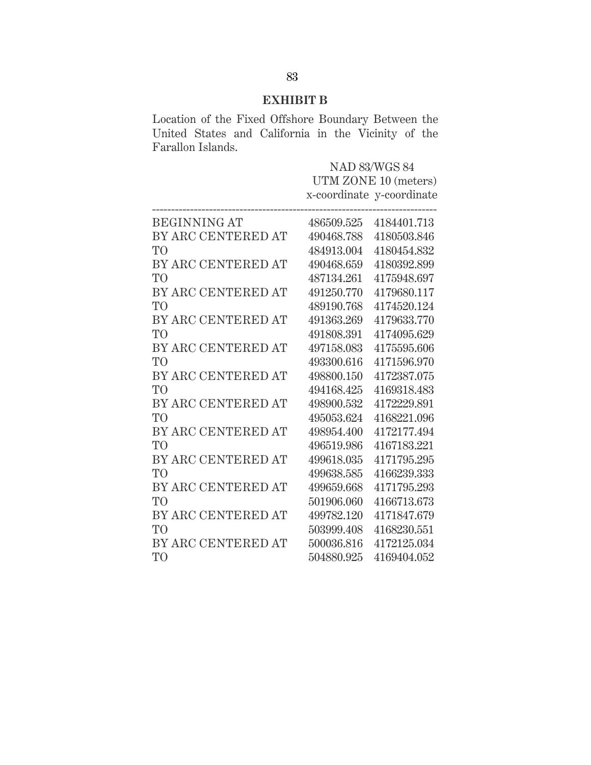## **EXHIBIT B**

Location of the Fixed Offshore Boundary Between the United States and California in the Vicinity of the Farallon Islands.

|                     | <b>NAD 83/WGS 84</b> |                           |
|---------------------|----------------------|---------------------------|
|                     | UTM ZONE 10 (meters) |                           |
|                     |                      | x-coordinate y-coordinate |
|                     |                      |                           |
| <b>BEGINNING AT</b> | 486509.525           | 4184401.713               |
| BY ARC CENTERED AT  | 490468.788           | 4180503.846               |
| T <sub>O</sub>      | 484913.004           | 4180454.832               |
| BY ARC CENTERED AT  | 490468.659           | 4180392.899               |
| T <sub>O</sub>      | 487134.261           | 4175948.697               |
| BY ARC CENTERED AT  | 491250.770           | 4179680.117               |
| T <sub>O</sub>      | 489190.768           | 4174520.124               |
| BY ARC CENTERED AT  | 491363.269           | 4179633.770               |
| T <sub>O</sub>      | 491808.391           | 4174095.629               |
| BY ARC CENTERED AT  | 497158.083           | 4175595.606               |
| T <sub>O</sub>      | 493300.616           | 4171596.970               |
| BY ARC CENTERED AT  | 498800.150           | 4172387.075               |
| T <sub>O</sub>      | 494168.425           | 4169318.483               |
| BY ARC CENTERED AT  | 498900.532           | 4172229.891               |
| T <sub>O</sub>      | 495053.624           | 4168221.096               |
| BY ARC CENTERED AT  | 498954.400           | 4172177.494               |
| T <sub>O</sub>      | 496519.986           | 4167183.221               |
| BY ARC CENTERED AT  | 499618.035           | 4171795.295               |
| T <sub>O</sub>      | 499638.585           | 4166239.333               |
| BY ARC CENTERED AT  | 499659.668           | 4171795.293               |
| T <sub>O</sub>      | 501906.060           | 4166713.673               |
| BY ARC CENTERED AT  | 499782.120           | 4171847.679               |
| T <sub>O</sub>      | 503999.408           | 4168230.551               |
| BY ARC CENTERED AT  | 500036.816           | 4172125.034               |
| T <sub>O</sub>      | 504880.925           | 4169404.052               |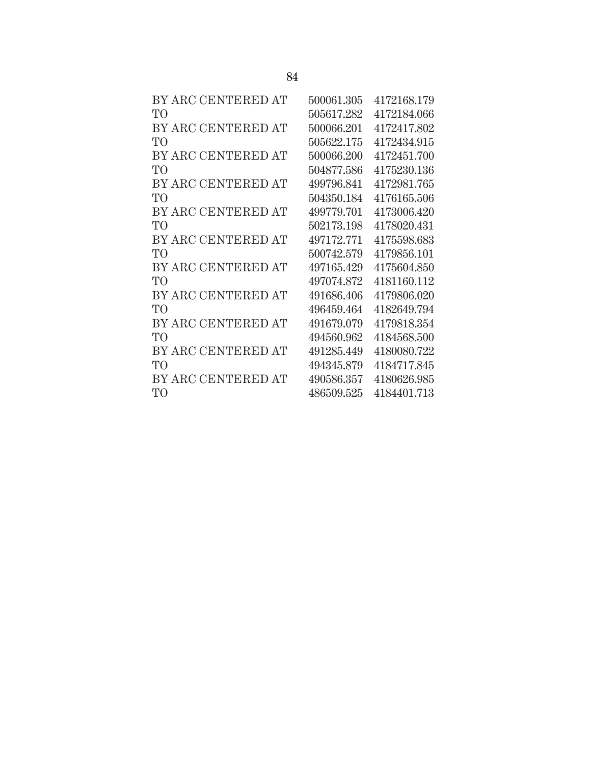| BY ARC CENTERED AT | 500061.305 | 4172168.179 |
|--------------------|------------|-------------|
| TO <sup>1</sup>    | 505617.282 | 4172184.066 |
| BY ARC CENTERED AT | 500066.201 | 4172417.802 |
| TO                 | 505622.175 | 4172434.915 |
| BY ARC CENTERED AT | 500066.200 | 4172451.700 |
| T <sub>O</sub>     | 504877.586 | 4175230.136 |
| BY ARC CENTERED AT | 499796.841 | 4172981.765 |
| T <sub>O</sub>     | 504350.184 | 4176165.506 |
| BY ARC CENTERED AT | 499779.701 | 4173006.420 |
| TО                 | 502173.198 | 4178020.431 |
| BY ARC CENTERED AT | 497172.771 | 4175598.683 |
| TO                 | 500742.579 | 4179856.101 |
| BY ARC CENTERED AT | 497165.429 | 4175604.850 |
| TO                 | 497074.872 | 4181160.112 |
| BY ARC CENTERED AT | 491686.406 | 4179806.020 |
| T <sub>O</sub>     | 496459.464 | 4182649794  |
| BY ARC CENTERED AT | 491679.079 | 4179818.354 |
| T <sub>O</sub>     | 494560.962 | 4184568.500 |
| BY ARC CENTERED AT | 491285.449 | 4180080.722 |
| TO <sup>1</sup>    | 494345879  | 4184717.845 |
| BY ARC CENTERED AT | 490586.357 | 4180626.985 |
| T <sub>O</sub>     | 486509.525 | 4184401.713 |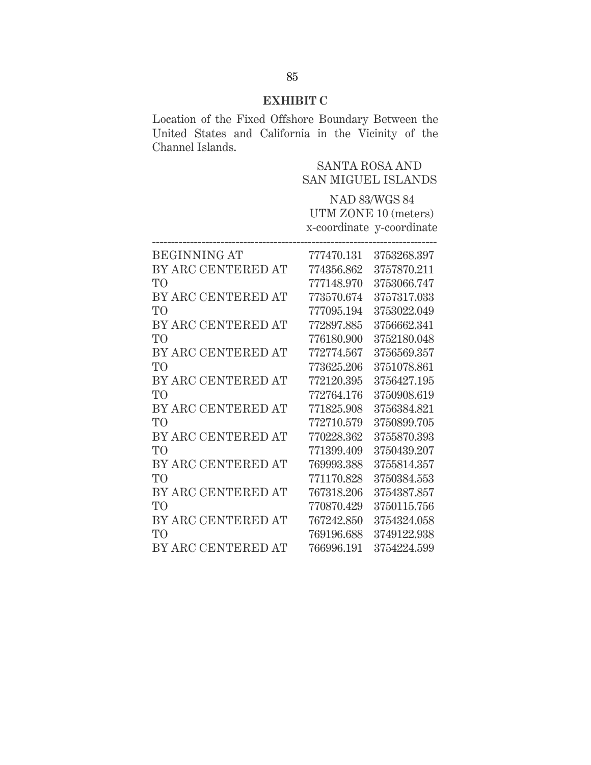## **EXHIBIT C**

Location of the Fixed Offshore Boundary Between the United States and California in the Vicinity of the Channel Islands.

|                     | <b>SANTA ROSA AND</b><br><b>SAN MIGUEL ISLANDS</b> |                                                   |
|---------------------|----------------------------------------------------|---------------------------------------------------|
|                     |                                                    | <b>NAD 83/WGS 84</b>                              |
|                     |                                                    | UTM ZONE 10 (meters)<br>x-coordinate y-coordinate |
| <b>BEGINNING AT</b> | 777470.131                                         | 3753268.397                                       |
| BY ARC CENTERED AT  | 774356.862                                         | 3757870.211                                       |
| T <sub>O</sub>      | 777148.970                                         | 3753066.747                                       |
| BY ARC CENTERED AT  | 773570.674                                         | 3757317.033                                       |
| T <sub>O</sub>      | 777095.194                                         | 3753022.049                                       |
| BY ARC CENTERED AT  | 772897.885                                         | 3756662.341                                       |
| T <sub>O</sub>      | 776180.900                                         | 3752180.048                                       |
| BY ARC CENTERED AT  | 772774.567                                         | 3756569.357                                       |
| T <sub>O</sub>      | 773625.206                                         | 3751078.861                                       |
| BY ARC CENTERED AT  | 772120.395                                         | 3756427.195                                       |
| T <sub>O</sub>      | 772764.176                                         | 3750908.619                                       |
| BY ARC CENTERED AT  | 771825.908                                         | 3756384.821                                       |
| T <sub>O</sub>      | 772710.579                                         | 3750899.705                                       |
| BY ARC CENTERED AT  | 770228.362                                         | 3755870.393                                       |
| T <sub>O</sub>      | 771399.409                                         | 3750439.207                                       |
| BY ARC CENTERED AT  | 769993.388                                         | 3755814.357                                       |
| T <sub>O</sub>      | 771170.828                                         | 3750384.553                                       |
| BY ARC CENTERED AT  | 767318.206                                         | 3754387.857                                       |
| T <sub>O</sub>      | 770870.429                                         | 3750115.756                                       |
| BY ARC CENTERED AT  | 767242.850                                         | 3754324.058                                       |
| TO <sup>1</sup>     | 769196.688                                         | 3749122.938                                       |
| BY ARC CENTERED AT  | 766996.191                                         | 3754224.599                                       |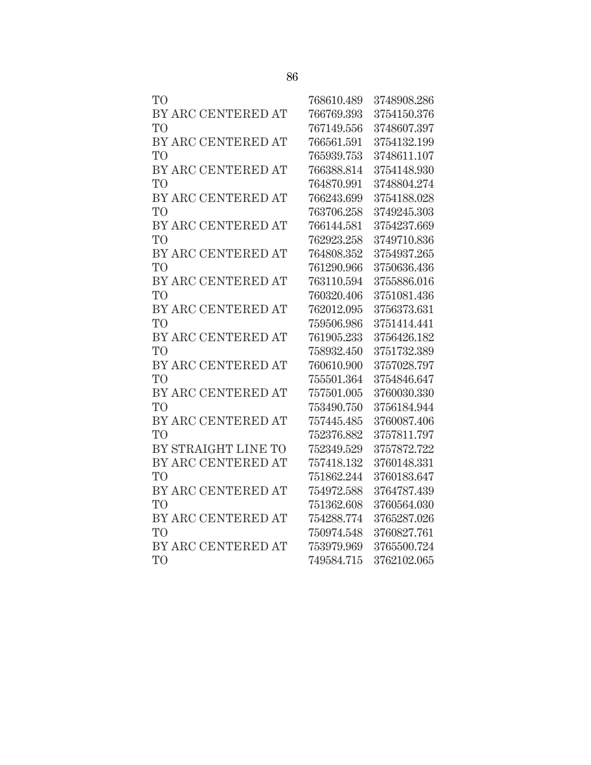| TO <sup></sup>      | 768610.489 | 3748908.286 |
|---------------------|------------|-------------|
| BY ARC CENTERED AT  | 766769.393 | 3754150.376 |
| TO <sup>1</sup>     | 767149.556 | 3748607.397 |
| BY ARC CENTERED AT  | 766561.591 | 3754132.199 |
| TO <sup>T</sup>     | 765939.753 | 3748611.107 |
| BY ARC CENTERED AT  | 766388.814 | 3754148.930 |
| TO <sup>T</sup>     | 764870.991 | 3748804.274 |
| BY ARC CENTERED AT  | 766243.699 | 3754188.028 |
| <b>TO</b>           | 763706.258 | 3749245.303 |
| BY ARC CENTERED AT  | 766144.581 | 3754237.669 |
| TO <sup></sup>      | 762923.258 | 3749710.836 |
| BY ARC CENTERED AT  | 764808.352 | 3754937.265 |
| TO <sup>1</sup>     | 761290.966 | 3750636.436 |
| BY ARC CENTERED AT  | 763110.594 | 3755886.016 |
| TО                  | 760320.406 | 3751081.436 |
| BY ARC CENTERED AT  | 762012.095 | 3756373.631 |
| TO                  | 759506.986 | 3751414.441 |
| BY ARC CENTERED AT  | 761905.233 | 3756426.182 |
| TO <sup>T</sup>     | 758932.450 | 3751732.389 |
| BY ARC CENTERED AT  | 760610.900 | 3757028.797 |
| TO <sup>T</sup>     | 755501.364 | 3754846.647 |
| BY ARC CENTERED AT  | 757501.005 | 3760030.330 |
| TO <sup></sup>      | 753490.750 | 3756184.944 |
| BY ARC CENTERED AT  | 757445.485 | 3760087.406 |
| <b>TO</b>           | 752376.882 | 3757811.797 |
| BY STRAIGHT LINE TO | 752349.529 | 3757872.722 |
| BY ARC CENTERED AT  | 757418.132 | 3760148.331 |
| TO                  | 751862.244 | 3760183.647 |
| BY ARC CENTERED AT  | 754972.588 | 3764787.439 |
| TO <sup>1</sup>     | 751362.608 | 3760564.030 |
| BY ARC CENTERED AT  | 754288.774 | 3765287.026 |
| TO                  | 750974.548 | 3760827.761 |
| BY ARC CENTERED AT  | 753979.969 | 3765500.724 |
| TО                  | 749584.715 | 3762102.065 |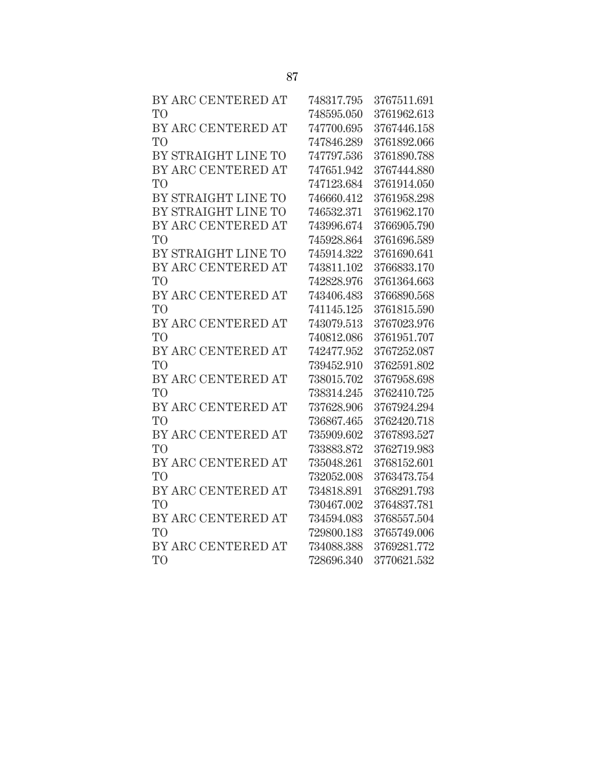| BY ARC CENTERED AT  | 748317.795 | 3767511.691 |
|---------------------|------------|-------------|
| T <sub>O</sub>      | 748595.050 | 3761962.613 |
| BY ARC CENTERED AT  | 747700.695 | 3767446.158 |
| T <sub>O</sub>      | 747846.289 | 3761892.066 |
| BY STRAIGHT LINE TO | 747797.536 | 3761890.788 |
| BY ARC CENTERED AT  | 747651.942 | 3767444.880 |
| T <sub>O</sub>      | 747123.684 | 3761914.050 |
| BY STRAIGHT LINE TO | 746660.412 | 3761958.298 |
| BY STRAIGHT LINE TO | 746532.371 | 3761962.170 |
| BY ARC CENTERED AT  | 743996.674 | 3766905.790 |
| T <sub>O</sub>      | 745928.864 | 3761696.589 |
| BY STRAIGHT LINE TO | 745914.322 | 3761690.641 |
| BY ARC CENTERED AT  | 743811.102 | 3766833.170 |
| T <sub>O</sub>      | 742828.976 | 3761364.663 |
| BY ARC CENTERED AT  | 743406.483 | 3766890.568 |
| T <sub>O</sub>      | 741145.125 | 3761815.590 |
| BY ARC CENTERED AT  | 743079.513 | 3767023.976 |
| T <sub>O</sub>      | 740812.086 | 3761951.707 |
| BY ARC CENTERED AT  | 742477.952 | 3767252.087 |
| T <sub>O</sub>      | 739452.910 | 3762591.802 |
| BY ARC CENTERED AT  | 738015.702 | 3767958.698 |
| T <sub>O</sub>      | 738314.245 | 3762410.725 |
| BY ARC CENTERED AT  | 737628.906 | 3767924.294 |
| T <sub>O</sub>      | 736867.465 | 3762420.718 |
| BY ARC CENTERED AT  | 735909.602 | 3767893.527 |
| T <sub>O</sub>      | 733883.872 | 3762719.983 |
| BY ARC CENTERED AT  | 735048.261 | 3768152.601 |
| T <sub>O</sub>      | 732052.008 | 3763473.754 |
| BY ARC CENTERED AT  | 734818.891 | 3768291.793 |
| T <sub>O</sub>      | 730467.002 | 3764837.781 |
| BY ARC CENTERED AT  | 734594.083 | 3768557.504 |
| T <sub>O</sub>      | 729800.183 | 3765749.006 |
| BY ARC CENTERED AT  | 734088.388 | 3769281.772 |
| T <sub>O</sub>      | 728696.340 | 3770621.532 |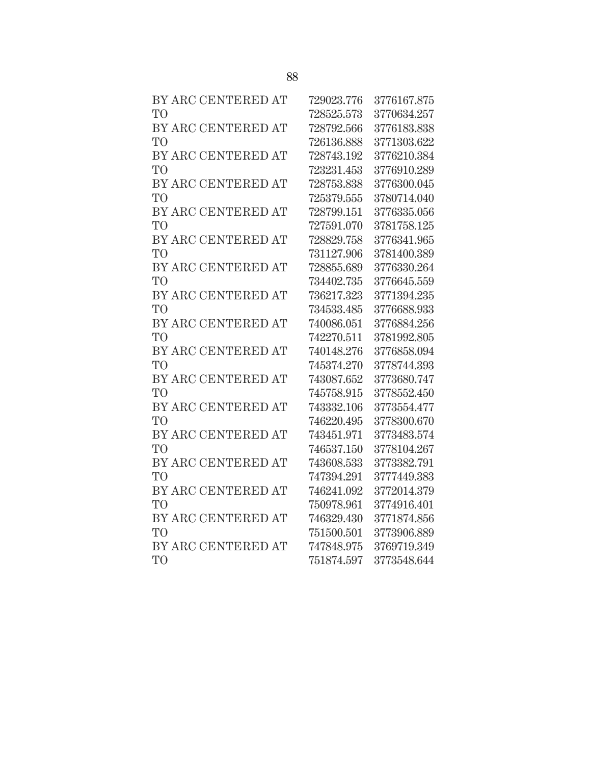| BY ARC CENTERED AT | 729023.776 | 3776167.875 |
|--------------------|------------|-------------|
| T <sub>O</sub>     | 728525.573 | 3770634.257 |
| BY ARC CENTERED AT | 728792.566 | 3776183.838 |
| T <sub>O</sub>     | 726136.888 | 3771303.622 |
| BY ARC CENTERED AT | 728743.192 | 3776210.384 |
| T <sub>O</sub>     | 723231.453 | 3776910.289 |
| BY ARC CENTERED AT | 728753.838 | 3776300.045 |
| T <sub>O</sub>     | 725379.555 | 3780714.040 |
| BY ARC CENTERED AT | 728799.151 | 3776335.056 |
| T <sub>O</sub>     | 727591.070 | 3781758.125 |
| BY ARC CENTERED AT | 728829.758 | 3776341.965 |
| T <sub>O</sub>     | 731127.906 | 3781400.389 |
| BY ARC CENTERED AT | 728855.689 | 3776330.264 |
| T <sub>O</sub>     | 734402.735 | 3776645.559 |
| BY ARC CENTERED AT | 736217.323 | 3771394.235 |
| T <sub>O</sub>     | 734533.485 | 3776688.933 |
| BY ARC CENTERED AT | 740086.051 | 3776884.256 |
| T <sub>O</sub>     | 742270.511 | 3781992.805 |
| BY ARC CENTERED AT | 740148.276 | 3776858.094 |
| T <sub>O</sub>     | 745374.270 | 3778744.393 |
| BY ARC CENTERED AT | 743087.652 | 3773680.747 |
| T <sub>O</sub>     | 745758.915 | 3778552.450 |
| BY ARC CENTERED AT | 743332.106 | 3773554.477 |
| T <sub>O</sub>     | 746220.495 | 3778300.670 |
| BY ARC CENTERED AT | 743451.971 | 3773483.574 |
| T <sub>O</sub>     | 746537.150 | 3778104.267 |
| BY ARC CENTERED AT | 743608.533 | 3773382.791 |
| T <sub>O</sub>     | 747394.291 | 3777449.383 |
| BY ARC CENTERED AT | 746241.092 | 3772014.379 |
| T <sub>O</sub>     | 750978.961 | 3774916.401 |
| BY ARC CENTERED AT | 746329.430 | 3771874.856 |
| T <sub>O</sub>     | 751500.501 | 3773906.889 |
| BY ARC CENTERED AT | 747848.975 | 3769719.349 |
| T <sub>O</sub>     | 751874.597 | 3773548.644 |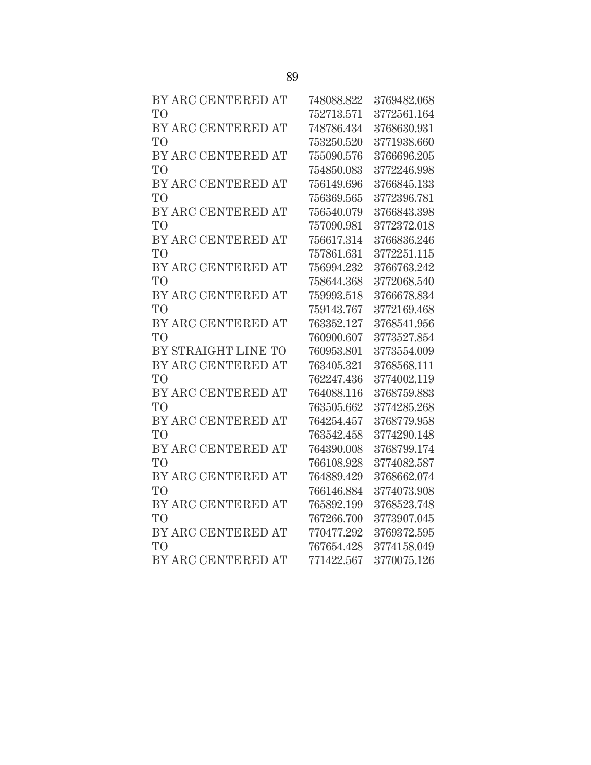| BY ARC CENTERED AT  | 748088.822 | 3769482.068 |
|---------------------|------------|-------------|
| T <sub>O</sub>      | 752713.571 | 3772561.164 |
| BY ARC CENTERED AT  | 748786.434 | 3768630.931 |
| T <sub>O</sub>      | 753250.520 | 3771938.660 |
| BY ARC CENTERED AT  | 755090.576 | 3766696.205 |
| T <sub>O</sub>      | 754850.083 | 3772246.998 |
| BY ARC CENTERED AT  | 756149.696 | 3766845.133 |
| T <sub>O</sub>      | 756369.565 | 3772396.781 |
| BY ARC CENTERED AT  | 756540.079 | 3766843.398 |
| T <sub>O</sub>      | 757090.981 | 3772372.018 |
| BY ARC CENTERED AT  | 756617.314 | 3766836.246 |
| T <sub>O</sub>      | 757861.631 | 3772251.115 |
| BY ARC CENTERED AT  | 756994.232 | 3766763.242 |
| T <sub>O</sub>      | 758644.368 | 3772068.540 |
| BY ARC CENTERED AT  | 759993.518 | 3766678.834 |
| T <sub>O</sub>      | 759143.767 | 3772169.468 |
| BY ARC CENTERED AT  | 763352.127 | 3768541.956 |
| T <sub>O</sub>      | 760900.607 | 3773527.854 |
| BY STRAIGHT LINE TO | 760953.801 | 3773554.009 |
| BY ARC CENTERED AT  | 763405.321 | 3768568.111 |
| T <sub>O</sub>      | 762247.436 | 3774002.119 |
| BY ARC CENTERED AT  | 764088.116 | 3768759.883 |
| T <sub>O</sub>      | 763505.662 | 3774285.268 |
| BY ARC CENTERED AT  | 764254.457 | 3768779.958 |
| T <sub>O</sub>      | 763542.458 | 3774290.148 |
| BY ARC CENTERED AT  | 764390.008 | 3768799.174 |
| T <sub>O</sub>      | 766108.928 | 3774082.587 |
| BY ARC CENTERED AT  | 764889.429 | 3768662.074 |
| T <sub>O</sub>      | 766146.884 | 3774073.908 |
| BY ARC CENTERED AT  | 765892.199 | 3768523.748 |
| T <sub>O</sub>      | 767266.700 | 3773907.045 |
| BY ARC CENTERED AT  | 770477.292 | 3769372.595 |
| T <sub>O</sub>      | 767654.428 | 3774158.049 |
| BY ARC CENTERED AT  | 771422.567 | 3770075.126 |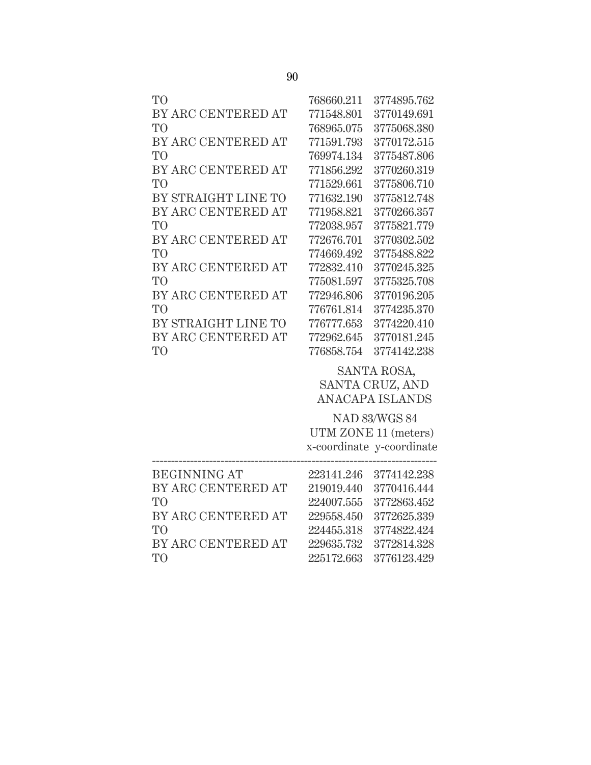| T <sub>O</sub>      | 768660.211 | 3774895.762               |
|---------------------|------------|---------------------------|
| BY ARC CENTERED AT  | 771548.801 | 3770149.691               |
| T <sub>O</sub>      | 768965.075 | 3775068.380               |
| BY ARC CENTERED AT  | 771591.793 | 3770172.515               |
| T <sub>O</sub>      | 769974.134 | 3775487.806               |
| BY ARC CENTERED AT  | 771856.292 | 3770260.319               |
| T <sub>O</sub>      | 771529.661 | 3775806.710               |
| BY STRAIGHT LINE TO | 771632.190 | 3775812.748               |
| BY ARC CENTERED AT  | 771958.821 | 3770266.357               |
| T <sub>O</sub>      | 772038.957 | 3775821.779               |
| BY ARC CENTERED AT  | 772676.701 | 3770302.502               |
| T <sub>O</sub>      | 774669.492 | 3775488.822               |
| BY ARC CENTERED AT  | 772832.410 | 3770245.325               |
| T <sub>O</sub>      | 775081.597 | 3775325.708               |
| BY ARC CENTERED AT  | 772946.806 | 3770196.205               |
| T <sub>O</sub>      | 776761.814 | 3774235.370               |
| BY STRAIGHT LINE TO | 776777.653 | 3774220.410               |
| BY ARC CENTERED AT  | 772962.645 | 3770181.245               |
| T <sub>O</sub>      | 776858.754 | 3774142.238               |
|                     |            | SANTA ROSA,               |
|                     |            | SANTA CRUZ, AND           |
|                     |            | ANACAPA ISLANDS           |
|                     |            | <b>NAD 83/WGS 84</b>      |
|                     |            | UTM ZONE 11 (meters)      |
|                     |            | x-coordinate y-coordinate |
|                     |            |                           |

| <b>BEGINNING AT</b> | 223141.246 3774142.238 |
|---------------------|------------------------|
| BY ARC CENTERED AT  | 219019.440 3770416.444 |
| TO                  | 224007.555 3772863.452 |
| BY ARC CENTERED AT  | 229558.450 3772625.339 |
| TO <sub>1</sub>     | 224455.318 3774822.424 |
| BY ARC CENTERED AT  | 229635.732 3772814.328 |
| TO <sup>1</sup>     | 225172.663 3776123.429 |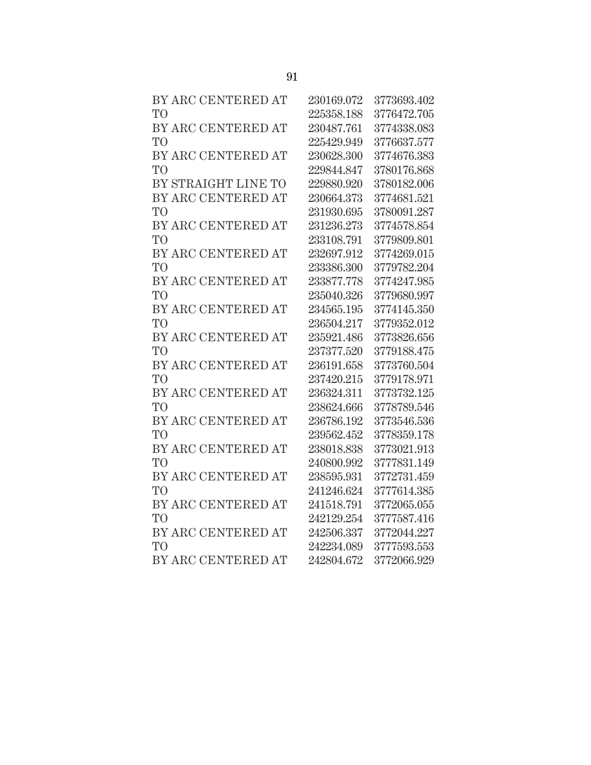| BY ARC CENTERED AT  | 230169.072 | 3773693.402 |
|---------------------|------------|-------------|
| T <sub>O</sub>      | 225358.188 | 3776472.705 |
| BY ARC CENTERED AT  | 230487.761 | 3774338.083 |
| <b>TO</b>           | 225429.949 | 3776637.577 |
| BY ARC CENTERED AT  | 230628.300 | 3774676.383 |
| T <sub>O</sub>      | 229844.847 | 3780176.868 |
| BY STRAIGHT LINE TO | 229880.920 | 3780182.006 |
| BY ARC CENTERED AT  | 230664.373 | 3774681.521 |
| T <sub>O</sub>      | 231930.695 | 3780091.287 |
| BY ARC CENTERED AT  | 231236.273 | 3774578.854 |
| T <sub>O</sub>      | 233108.791 | 3779809.801 |
| BY ARC CENTERED AT  | 232697.912 | 3774269.015 |
| T <sub>O</sub>      | 233386.300 | 3779782.204 |
| BY ARC CENTERED AT  | 233877.778 | 3774247.985 |
| T <sub>O</sub>      | 235040.326 | 3779680.997 |
| BY ARC CENTERED AT  | 234565.195 | 3774145.350 |
| T <sub>O</sub>      | 236504.217 | 3779352.012 |
| BY ARC CENTERED AT  | 235921.486 | 3773826.656 |
| T <sub>O</sub>      | 237377.520 | 3779188.475 |
| BY ARC CENTERED AT  | 236191.658 | 3773760.504 |
| T <sub>O</sub>      | 237420.215 | 3779178.971 |
| BY ARC CENTERED AT  | 236324.311 | 3773732.125 |
| T <sub>O</sub>      | 238624.666 | 3778789.546 |
| BY ARC CENTERED AT  | 236786.192 | 3773546.536 |
| T <sub>O</sub>      | 239562.452 | 3778359.178 |
| BY ARC CENTERED AT  | 238018.838 | 3773021.913 |
| T <sub>O</sub>      | 240800.992 | 3777831.149 |
| BY ARC CENTERED AT  | 238595.931 | 3772731.459 |
| T <sub>O</sub>      | 241246.624 | 3777614.385 |
| BY ARC CENTERED AT  | 241518.791 | 3772065.055 |
| T <sub>O</sub>      | 242129.254 | 3777587.416 |
| BY ARC CENTERED AT  | 242506.337 | 3772044.227 |
| T <sub>O</sub>      | 242234.089 | 3777593.553 |
| BY ARC CENTERED AT  | 242804.672 | 3772066.929 |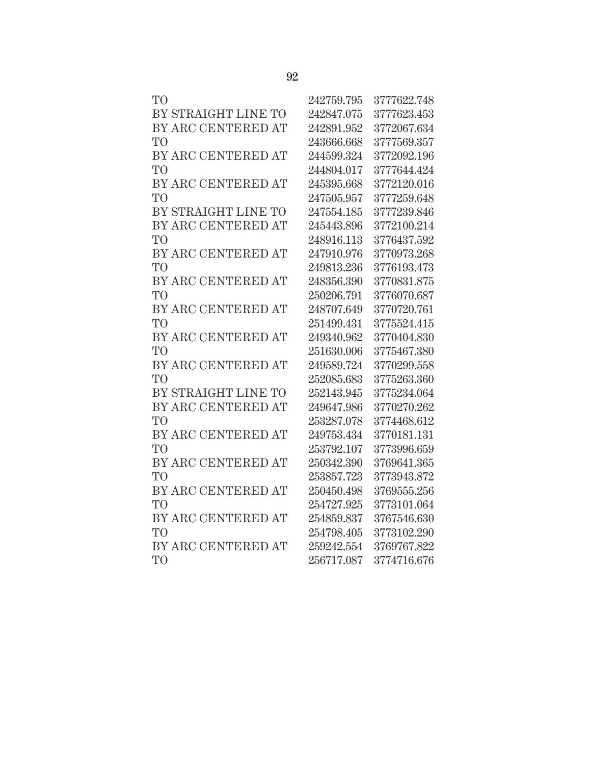| TO                  | 242759.795 | 3777622.748 |
|---------------------|------------|-------------|
| BY STRAIGHT LINE TO | 242847.075 | 3777623.453 |
| BY ARC CENTERED AT  | 242891.952 | 3772067.634 |
| TO                  | 243666.668 | 3777569.357 |
| BY ARC CENTERED AT  | 244599.324 | 3772092.196 |
| TO                  | 244804.017 | 3777644.424 |
| BY ARC CENTERED AT  | 245395.668 | 3772120.016 |
| TО                  | 247505.957 | 3777259.648 |
| BY STRAIGHT LINE TO | 247554.185 | 3777239.846 |
| BY ARC CENTERED AT  | 245443.896 | 3772100.214 |
| TO <sup></sup>      | 248916.113 | 3776437.592 |
| BY ARC CENTERED AT  | 247910.976 | 3770973.268 |
| TO <sup>1</sup>     | 249813.236 | 3776193.473 |
| BY ARC CENTERED AT  | 248356.390 | 3770831.875 |
| TО                  | 250206.791 | 3776070.687 |
| BY ARC CENTERED AT  | 248707.649 | 3770720.761 |
| TO                  | 251499.431 | 3775524.415 |
| BY ARC CENTERED AT  | 249340.962 | 3770404.830 |
| TO <sup>T</sup>     | 251630.006 | 3775467.380 |
| BY ARC CENTERED AT  | 249589.724 | 3770299.558 |
| TO                  | 252085.683 | 3775263.360 |
| BY STRAIGHT LINE TO | 252143.945 | 3775234.064 |
| BY ARC CENTERED AT  | 249647.986 | 3770270.262 |
| TO                  | 253287.078 | 3774468.612 |
| BY ARC CENTERED AT  | 249753.434 | 3770181.131 |
| TO <sup></sup>      | 253792.107 | 3773996.659 |
| BY ARC CENTERED AT  | 250342.390 | 3769641.365 |
| TO                  | 253857.723 | 3773943.872 |
| BY ARC CENTERED AT  | 250450.498 | 3769555.256 |
| TO                  | 254727.925 | 3773101.064 |
| BY ARC CENTERED AT  | 254859.837 | 3767546.630 |
| TO                  | 254798.405 | 3773102.290 |
| BY ARC CENTERED AT  | 259242.554 | 3769767.822 |
| TО                  | 256717.087 | 3774716.676 |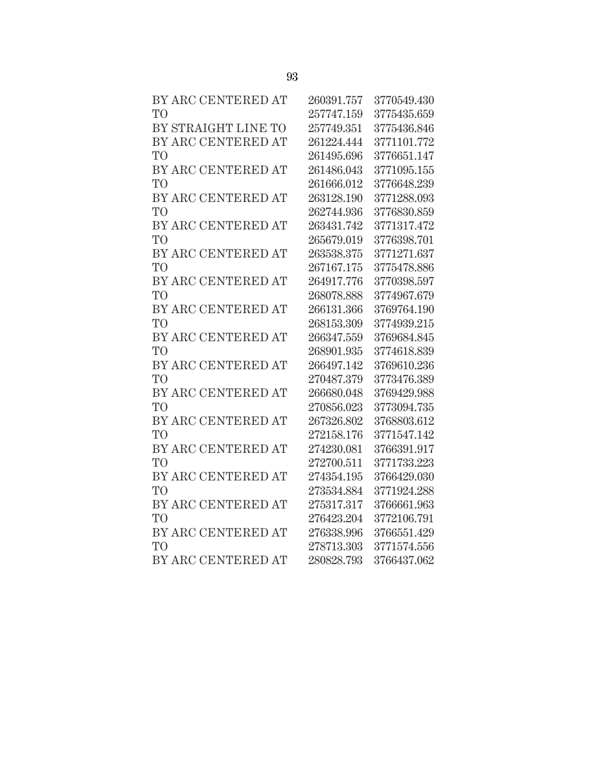| BY ARC CENTERED AT  | 260391.757 | 3770549.430 |
|---------------------|------------|-------------|
| TO <sup>1</sup>     | 257747.159 | 3775435.659 |
| BY STRAIGHT LINE TO | 257749.351 | 3775436.846 |
| BY ARC CENTERED AT  | 261224.444 | 3771101.772 |
| <b>TO</b>           | 261495.696 | 3776651.147 |
| BY ARC CENTERED AT  | 261486.043 | 3771095.155 |
| T <sub>O</sub>      | 261666.012 | 3776648.239 |
| BY ARC CENTERED AT  | 263128.190 | 3771288.093 |
| T <sub>O</sub>      | 262744.936 | 3776830.859 |
| BY ARC CENTERED AT  | 263431.742 | 3771317.472 |
| T <sub>O</sub>      | 265679.019 | 3776398.701 |
| BY ARC CENTERED AT  | 263538.375 | 3771271.637 |
| T <sub>O</sub>      | 267167.175 | 3775478.886 |
| BY ARC CENTERED AT  | 264917.776 | 3770398.597 |
| T <sub>O</sub>      | 268078.888 | 3774967.679 |
| BY ARC CENTERED AT  | 266131.366 | 3769764.190 |
| T <sub>O</sub>      | 268153.309 | 3774939.215 |
| BY ARC CENTERED AT  | 266347.559 | 3769684.845 |
| T <sub>O</sub>      | 268901.935 | 3774618.839 |
| BY ARC CENTERED AT  | 266497.142 | 3769610.236 |
| T <sub>O</sub>      | 270487.379 | 3773476.389 |
| BY ARC CENTERED AT  | 266680.048 | 3769429.988 |
| T <sub>O</sub>      | 270856.023 | 3773094.735 |
| BY ARC CENTERED AT  | 267326.802 | 3768803.612 |
| T <sub>O</sub>      | 272158.176 | 3771547.142 |
| BY ARC CENTERED AT  | 274230.081 | 3766391.917 |
| T <sub>O</sub>      | 272700.511 | 3771733.223 |
| BY ARC CENTERED AT  | 274354.195 | 3766429.030 |
| T <sub>O</sub>      | 273534.884 | 3771924.288 |
| BY ARC CENTERED AT  | 275317.317 | 3766661.963 |
| T <sub>O</sub>      | 276423.204 | 3772106.791 |
| BY ARC CENTERED AT  | 276338.996 | 3766551.429 |
| T <sub>O</sub>      | 278713.303 | 3771574.556 |
| BY ARC CENTERED AT  | 280828.793 | 3766437.062 |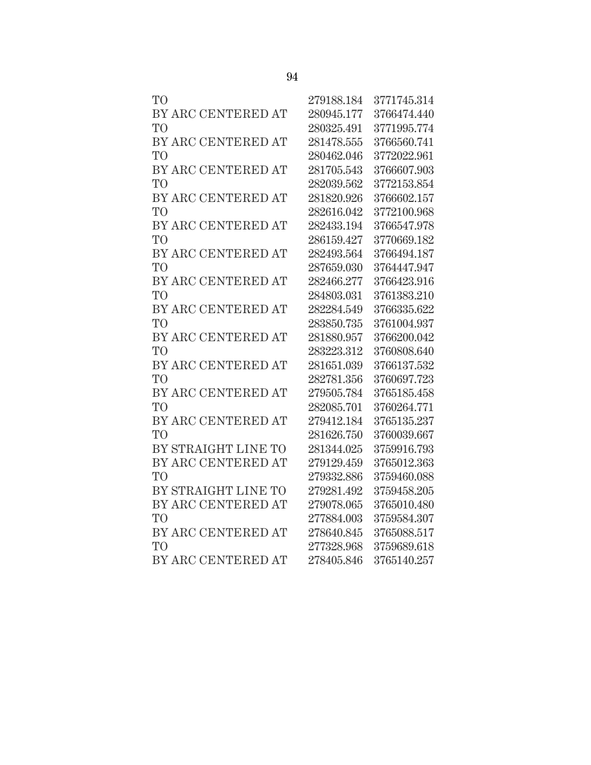| TО                  | 279188.184 | 3771745.314 |
|---------------------|------------|-------------|
| BY ARC CENTERED AT  | 280945.177 | 3766474.440 |
| TO <sup>T</sup>     | 280325.491 | 3771995.774 |
| BY ARC CENTERED AT  | 281478.555 | 3766560.741 |
| <b>TO</b>           | 280462.046 | 3772022.961 |
| BY ARC CENTERED AT  | 281705.543 | 3766607.903 |
| TO <sup></sup>      | 282039.562 | 3772153.854 |
| BY ARC CENTERED AT  | 281820.926 | 3766602.157 |
| TО                  | 282616.042 | 3772100.968 |
| BY ARC CENTERED AT  | 282433.194 | 3766547.978 |
| TO                  | 286159.427 | 3770669.182 |
| BY ARC CENTERED AT  | 282493.564 | 3766494.187 |
| TO <sup></sup>      | 287659.030 | 3764447.947 |
| BY ARC CENTERED AT  | 282466.277 | 3766423.916 |
| <b>TO</b>           | 284803.031 | 3761383.210 |
| BY ARC CENTERED AT  | 282284.549 | 3766335.622 |
| TO                  | 283850.735 | 3761004.937 |
| BY ARC CENTERED AT  | 281880.957 | 3766200.042 |
| TO <sup>T</sup>     | 283223.312 | 3760808.640 |
| BY ARC CENTERED AT  | 281651.039 | 3766137.532 |
| TO <sup>1</sup>     | 282781.356 | 3760697.723 |
| BY ARC CENTERED AT  | 279505.784 | 3765185.458 |
| TO                  | 282085.701 | 3760264.771 |
| BY ARC CENTERED AT  | 279412.184 | 3765135.237 |
| TO                  | 281626.750 | 3760039.667 |
| BY STRAIGHT LINE TO | 281344.025 | 3759916.793 |
| BY ARC CENTERED AT  | 279129.459 | 3765012.363 |
| TO                  | 279332.886 | 3759460.088 |
| BY STRAIGHT LINE TO | 279281.492 | 3759458.205 |
| BY ARC CENTERED AT  | 279078.065 | 3765010.480 |
| TО                  | 277884.003 | 3759584.307 |
| BY ARC CENTERED AT  | 278640.845 | 3765088.517 |
| <b>TO</b>           | 277328.968 | 3759689.618 |
| BY ARC CENTERED AT  | 278405.846 | 3765140.257 |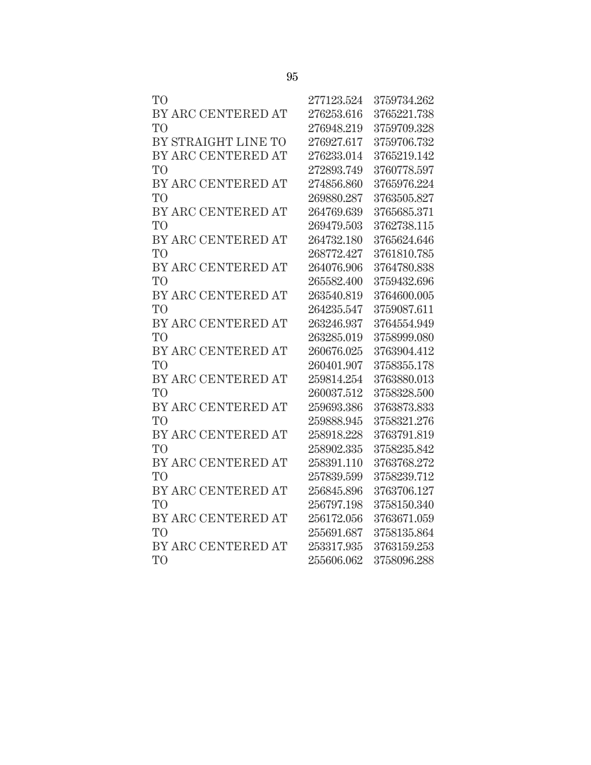| T <sub>O</sub>      | 277123.524 | 3759734.262 |
|---------------------|------------|-------------|
| BY ARC CENTERED AT  | 276253.616 | 3765221.738 |
| T <sub>O</sub>      | 276948.219 | 3759709.328 |
| BY STRAIGHT LINE TO | 276927.617 | 3759706.732 |
| BY ARC CENTERED AT  | 276233.014 | 3765219.142 |
| T <sub>O</sub>      | 272893.749 | 3760778.597 |
| BY ARC CENTERED AT  | 274856.860 | 3765976.224 |
| T <sub>O</sub>      | 269880.287 | 3763505.827 |
| BY ARC CENTERED AT  | 264769.639 | 3765685.371 |
| T <sub>O</sub>      | 269479.503 | 3762738.115 |
| BY ARC CENTERED AT  | 264732.180 | 3765624.646 |
| T <sub>O</sub>      | 268772.427 | 3761810.785 |
| BY ARC CENTERED AT  | 264076.906 | 3764780.838 |
| T <sub>O</sub>      | 265582.400 | 3759432.696 |
| BY ARC CENTERED AT  | 263540.819 | 3764600.005 |
| T <sub>O</sub>      | 264235.547 | 3759087.611 |
| BY ARC CENTERED AT  | 263246.937 | 3764554.949 |
| T <sub>O</sub>      | 263285.019 | 3758999.080 |
| BY ARC CENTERED AT  | 260676.025 | 3763904.412 |
| T <sub>O</sub>      | 260401.907 | 3758355.178 |
| BY ARC CENTERED AT  | 259814.254 | 3763880.013 |
| T <sub>O</sub>      | 260037.512 | 3758328.500 |
| BY ARC CENTERED AT  | 259693.386 | 3763873.833 |
| T <sub>O</sub>      | 259888.945 | 3758321.276 |
| BY ARC CENTERED AT  | 258918.228 | 3763791.819 |
| T <sub>O</sub>      | 258902.335 | 3758235.842 |
| BY ARC CENTERED AT  | 258391.110 | 3763768.272 |
| T <sub>O</sub>      | 257839.599 | 3758239.712 |
| BY ARC CENTERED AT  | 256845.896 | 3763706.127 |
| T <sub>O</sub>      | 256797.198 | 3758150.340 |
| BY ARC CENTERED AT  | 256172.056 | 3763671.059 |
| T <sub>O</sub>      | 255691.687 | 3758135.864 |
| BY ARC CENTERED AT  | 253317.935 | 3763159.253 |
| T <sub>O</sub>      | 255606.062 | 3758096.288 |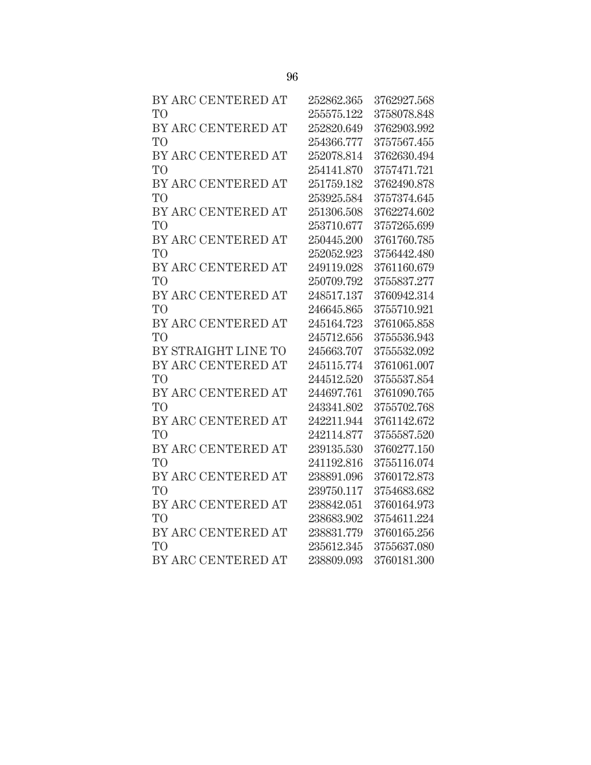| BY ARC CENTERED AT  | 252862.365 | 3762927.568 |
|---------------------|------------|-------------|
| T <sub>O</sub>      | 255575.122 | 3758078.848 |
| BY ARC CENTERED AT  | 252820.649 | 3762903.992 |
| T <sub>O</sub>      | 254366.777 | 3757567.455 |
| BY ARC CENTERED AT  | 252078.814 | 3762630.494 |
| T <sub>O</sub>      | 254141.870 | 3757471.721 |
| BY ARC CENTERED AT  | 251759.182 | 3762490.878 |
| T <sub>O</sub>      | 253925.584 | 3757374.645 |
| BY ARC CENTERED AT  | 251306.508 | 3762274.602 |
| T <sub>O</sub>      | 253710.677 | 3757265.699 |
| BY ARC CENTERED AT  | 250445.200 | 3761760.785 |
| T <sub>O</sub>      | 252052.923 | 3756442.480 |
| BY ARC CENTERED AT  | 249119.028 | 3761160.679 |
| T <sub>O</sub>      | 250709.792 | 3755837.277 |
| BY ARC CENTERED AT  | 248517.137 | 3760942.314 |
| T <sub>O</sub>      | 246645.865 | 3755710.921 |
| BY ARC CENTERED AT  | 245164.723 | 3761065.858 |
| T <sub>O</sub>      | 245712.656 | 3755536.943 |
| BY STRAIGHT LINE TO | 245663.707 | 3755532.092 |
| BY ARC CENTERED AT  | 245115.774 | 3761061.007 |
| T <sub>O</sub>      | 244512.520 | 3755537.854 |
| BY ARC CENTERED AT  | 244697.761 | 3761090.765 |
| T <sub>O</sub>      | 243341.802 | 3755702.768 |
| BY ARC CENTERED AT  | 242211.944 | 3761142.672 |
| T <sub>O</sub>      | 242114.877 | 3755587.520 |
| BY ARC CENTERED AT  | 239135.530 | 3760277.150 |
| T <sub>O</sub>      | 241192.816 | 3755116.074 |
| BY ARC CENTERED AT  | 238891.096 | 3760172.873 |
| T <sub>O</sub>      | 239750.117 | 3754683.682 |
| BY ARC CENTERED AT  | 238842.051 | 3760164.973 |
| T <sub>O</sub>      | 238683.902 | 3754611.224 |
| BY ARC CENTERED AT  | 238831.779 | 3760165.256 |
| T <sub>O</sub>      | 235612.345 | 3755637.080 |
| BY ARC CENTERED AT  | 238809.093 | 3760181.300 |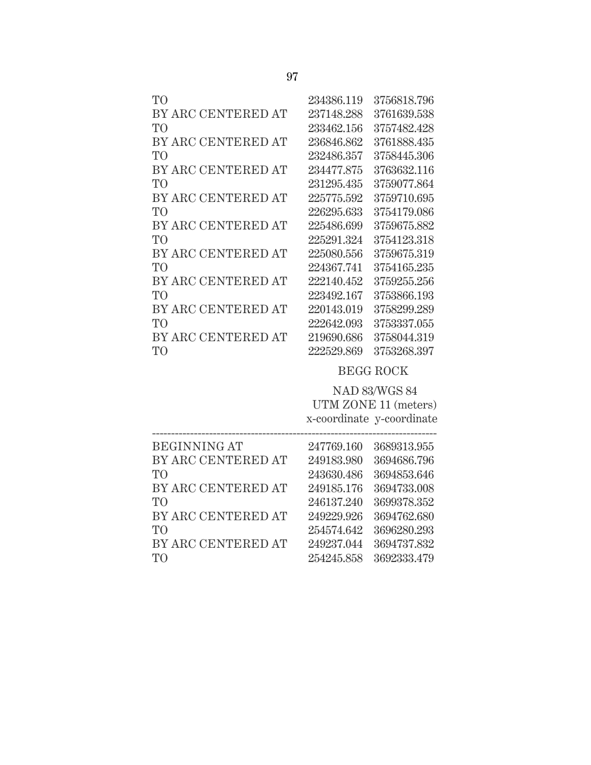| TО                 | 234386.119 | 3756818.796 |
|--------------------|------------|-------------|
| BY ARC CENTERED AT | 237148.288 | 3761639.538 |
| TO                 | 233462.156 | 3757482.428 |
| BY ARC CENTERED AT | 236846.862 | 3761888.435 |
| TO                 | 232486.357 | 3758445.306 |
| BY ARC CENTERED AT | 234477.875 | 3763632.116 |
| T <sub>O</sub>     | 231295.435 | 3759077.864 |
| BY ARC CENTERED AT | 225775.592 | 3759710.695 |
| TO                 | 226295.633 | 3754179.086 |
| BY ARC CENTERED AT | 225486.699 | 3759675.882 |
| TO                 | 225291.324 | 3754123.318 |
| BY ARC CENTERED AT | 225080.556 | 3759675.319 |
| TO <sup>1</sup>    | 224367.741 | 3754165.235 |
| BY ARC CENTERED AT | 222140.452 | 3759255.256 |
| T <sub>O</sub>     | 223492.167 | 3753866.193 |
| BY ARC CENTERED AT | 220143.019 | 3758299.289 |
| TO <sup>1</sup>    | 222642.093 | 3753337.055 |
| BY ARC CENTERED AT | 219690.686 | 3758044.319 |
| TO <sup>1</sup>    | 222529.869 | 3753268.397 |
|                    |            |             |

## BEGG ROCK

 NAD 83/WGS 84 UTM ZONE 11 (meters) x-coordinate y-coordinate

| <b>BEGINNING AT</b> | 247769.160 | 3689313.955 |
|---------------------|------------|-------------|
| BY ARC CENTERED AT  | 249183.980 | 3694686.796 |
| TO <sup>1</sup>     | 243630.486 | 3694853.646 |
| BY ARC CENTERED AT  | 249185.176 | 3694733.008 |
| TO <sup>1</sup>     | 246137.240 | 3699378.352 |
| BY ARC CENTERED AT  | 249229.926 | 3694762.680 |
| TO <sup>1</sup>     | 254574.642 | 3696280.293 |
| BY ARC CENTERED AT  | 249237.044 | 3694737.832 |
| TO.                 | 254245.858 | 3692333.479 |
|                     |            |             |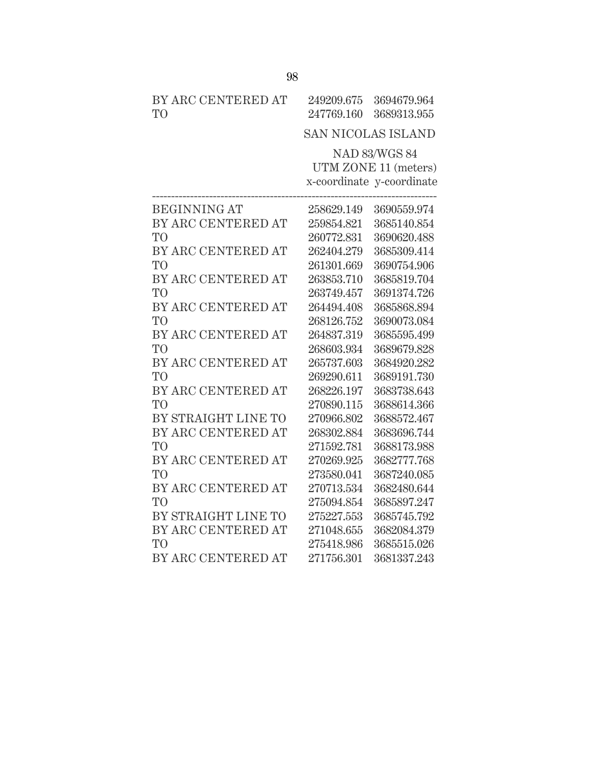| BY ARC CENTERED AT |                                                                  | 249209.675 3694679.964 |
|--------------------|------------------------------------------------------------------|------------------------|
| TO <sup>1</sup>    |                                                                  | 247769.160 3689313.955 |
|                    | $\alpha$ and net $\alpha$ and $\alpha$ and $\alpha$ and $\alpha$ |                        |

# SAN NICOLAS ISLAND

NAD 83/WGS 84 UTM ZONE 11 (meters) x-coordinate y-coordinate

| <b>BEGINNING AT</b> | 258629.149 | 3690559.974 |
|---------------------|------------|-------------|
| BY ARC CENTERED AT  | 259854.821 | 3685140.854 |
| T <sub>O</sub>      | 260772.831 | 3690620.488 |
| BY ARC CENTERED AT  | 262404.279 | 3685309.414 |
| T <sub>O</sub>      | 261301.669 | 3690754.906 |
| BY ARC CENTERED AT  | 263853.710 | 3685819.704 |
| TO                  | 263749.457 | 3691374.726 |
| BY ARC CENTERED AT  | 264494.408 | 3685868.894 |
| T <sub>O</sub>      | 268126.752 | 3690073.084 |
| BY ARC CENTERED AT  | 264837.319 | 3685595.499 |
| T <sub>O</sub>      | 268603.934 | 3689679.828 |
| BY ARC CENTERED AT  | 265737.603 | 3684920.282 |
| T <sub>O</sub>      | 269290.611 | 3689191.730 |
| BY ARC CENTERED AT  | 268226.197 | 3683738.643 |
| T <sub>O</sub>      | 270890.115 | 3688614.366 |
| BY STRAIGHT LINE TO | 270966.802 | 3688572.467 |
| BY ARC CENTERED AT  | 268302.884 | 3683696.744 |
| T <sub>O</sub>      | 271592.781 | 3688173.988 |
| BY ARC CENTERED AT  | 270269.925 | 3682777.768 |
| TO <sup>1</sup>     | 273580.041 | 3687240.085 |
| BY ARC CENTERED AT  | 270713.534 | 3682480.644 |
| T <sub>O</sub>      | 275094.854 | 3685897.247 |
| BY STRAIGHT LINE TO | 275227.553 | 3685745.792 |
| BY ARC CENTERED AT  | 271048.655 | 3682084.379 |
| TO <sup>1</sup>     | 275418.986 | 3685515.026 |
| BY ARC CENTERED AT  | 271756.301 | 3681337.243 |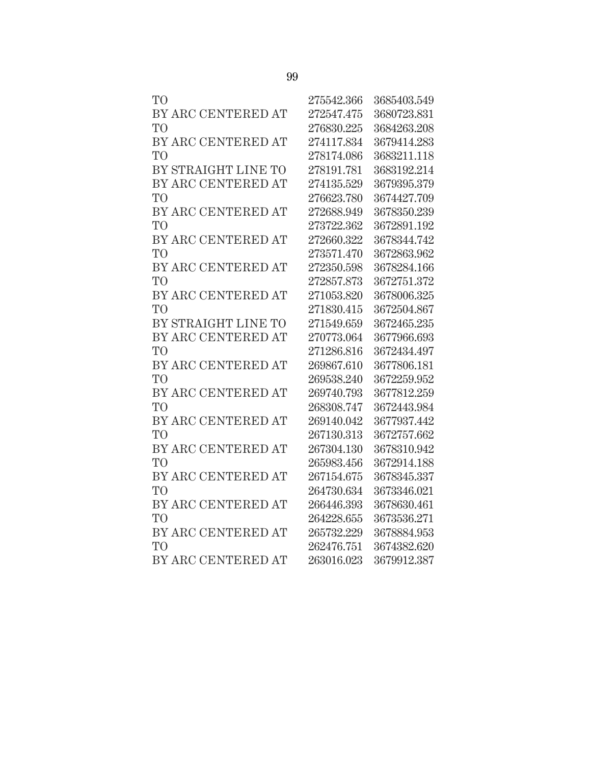| T <sub>O</sub>      | 275542.366 | 3685403.549 |
|---------------------|------------|-------------|
| BY ARC CENTERED AT  | 272547.475 | 3680723.831 |
| T <sub>O</sub>      | 276830.225 | 3684263.208 |
| BY ARC CENTERED AT  | 274117.834 | 3679414.283 |
| T <sub>O</sub>      | 278174.086 | 3683211.118 |
| BY STRAIGHT LINE TO | 278191.781 | 3683192.214 |
| BY ARC CENTERED AT  | 274135.529 | 3679395.379 |
| T <sub>O</sub>      | 276623.780 | 3674427.709 |
| BY ARC CENTERED AT  | 272688.949 | 3678350.239 |
| T <sub>O</sub>      | 273722.362 | 3672891.192 |
| BY ARC CENTERED AT  | 272660.322 | 3678344.742 |
| T <sub>O</sub>      | 273571.470 | 3672863.962 |
| BY ARC CENTERED AT  | 272350.598 | 3678284.166 |
| T <sub>O</sub>      | 272857.873 | 3672751.372 |
| BY ARC CENTERED AT  | 271053.820 | 3678006.325 |
| T <sub>O</sub>      | 271830.415 | 3672504.867 |
| BY STRAIGHT LINE TO | 271549.659 | 3672465.235 |
| BY ARC CENTERED AT  | 270773.064 | 3677966.693 |
| T <sub>O</sub>      | 271286.816 | 3672434.497 |
| BY ARC CENTERED AT  | 269867.610 | 3677806.181 |
| T <sub>O</sub>      | 269538.240 | 3672259.952 |
| BY ARC CENTERED AT  | 269740.793 | 3677812.259 |
| T <sub>O</sub>      | 268308.747 | 3672443.984 |
| BY ARC CENTERED AT  | 269140.042 | 3677937.442 |
| T <sub>O</sub>      | 267130.313 | 3672757.662 |
| BY ARC CENTERED AT  | 267304.130 | 3678310.942 |
| T <sub>O</sub>      | 265983.456 | 3672914.188 |
| BY ARC CENTERED AT  | 267154.675 | 3678345.337 |
| T <sub>O</sub>      | 264730.634 | 3673346.021 |
| BY ARC CENTERED AT  | 266446.393 | 3678630.461 |
| T <sub>O</sub>      | 264228.655 | 3673536.271 |
| BY ARC CENTERED AT  | 265732.229 | 3678884.953 |
| T <sub>O</sub>      | 262476.751 | 3674382.620 |
| BY ARC CENTERED AT  | 263016.023 | 3679912.387 |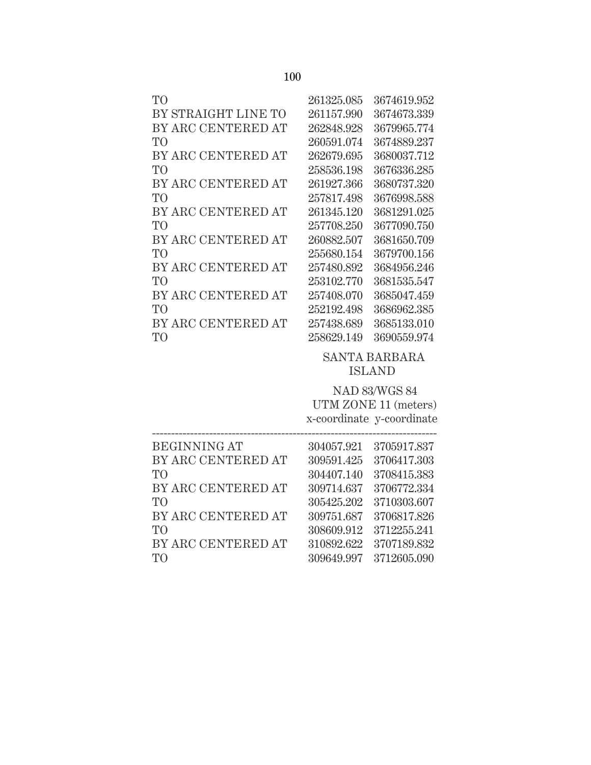| T <sub>O</sub>      | 261325.085 | 3674619.952 |
|---------------------|------------|-------------|
| BY STRAIGHT LINE TO | 261157.990 | 3674673.339 |
| BY ARC CENTERED AT  | 262848.928 | 3679965.774 |
| T <sub>O</sub>      | 260591.074 | 3674889.237 |
| BY ARC CENTERED AT  | 262679.695 | 3680037.712 |
| T <sub>O</sub>      | 258536.198 | 3676336.285 |
| BY ARC CENTERED AT  | 261927.366 | 3680737.320 |
| TO <sup>1</sup>     | 257817.498 | 3676998.588 |
| BY ARC CENTERED AT  | 261345.120 | 3681291.025 |
| T <sub>O</sub>      | 257708.250 | 3677090.750 |
| BY ARC CENTERED AT  | 260882.507 | 3681650.709 |
| TO                  | 255680.154 | 3679700.156 |
| BY ARC CENTERED AT  | 257480.892 | 3684956.246 |
| TO                  | 253102.770 | 3681535.547 |
| BY ARC CENTERED AT  | 257408.070 | 3685047.459 |
| TO                  | 252192.498 | 3686962.385 |
| BY ARC CENTERED AT  | 257438.689 | 3685133.010 |
| TО                  | 258629.149 | 3690559.974 |

#### SANTA BARBARA ISLAND

 BEGINNING AT 304057.921 3705917.837 TO 304407.140 3708415.383 TO 305425.202 3710303.607 --------------------------------------------------------------------------- NAD 83/WGS 84 UTM ZONE 11 (meters) x-coordinate y-coordinate BY ARC CENTERED AT 309591.425 3706417.303 BY ARC CENTERED AT 309714.637 3706772.334 BY ARC CENTERED AT 309751.687 3706817.826

- TO 308609.912 3712255.241 TO 309649.997 3712605.090 BY ARC CENTERED AT 310892.622 3707189.832
	-
	-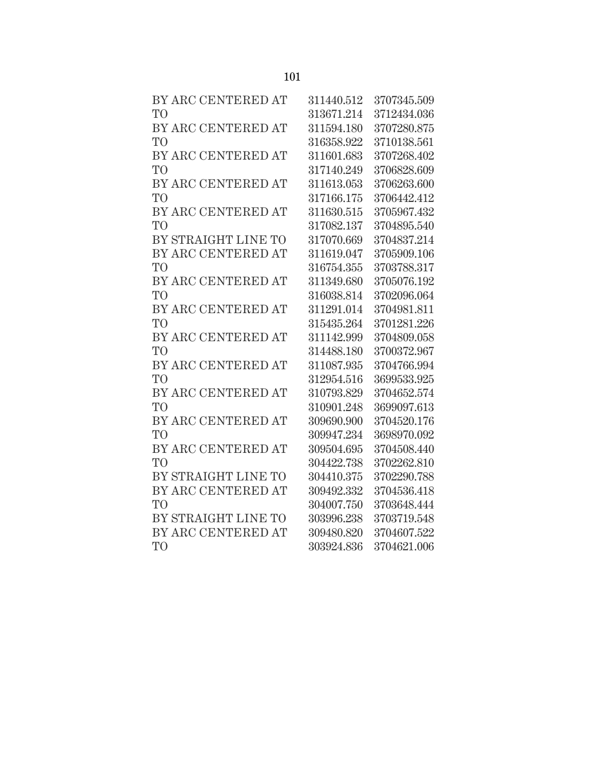| BY ARC CENTERED AT  | 311440.512 | 3707345.509 |
|---------------------|------------|-------------|
| T <sub>O</sub>      | 313671.214 | 3712434.036 |
| BY ARC CENTERED AT  | 311594.180 | 3707280.875 |
| T <sub>O</sub>      | 316358.922 | 3710138.561 |
| BY ARC CENTERED AT  | 311601.683 | 3707268.402 |
| T <sub>O</sub>      | 317140.249 | 3706828.609 |
| BY ARC CENTERED AT  | 311613.053 | 3706263.600 |
| T <sub>O</sub>      | 317166.175 | 3706442.412 |
| BY ARC CENTERED AT  | 311630.515 | 3705967.432 |
| T <sub>O</sub>      | 317082.137 | 3704895.540 |
| BY STRAIGHT LINE TO | 317070.669 | 3704837.214 |
| BY ARC CENTERED AT  | 311619.047 | 3705909.106 |
| T <sub>O</sub>      | 316754.355 | 3703788.317 |
| BY ARC CENTERED AT  | 311349.680 | 3705076.192 |
| T <sub>O</sub>      | 316038.814 | 3702096.064 |
| BY ARC CENTERED AT  | 311291.014 | 3704981.811 |
| T <sub>O</sub>      | 315435.264 | 3701281.226 |
| BY ARC CENTERED AT  | 311142.999 | 3704809.058 |
| T <sub>O</sub>      | 314488.180 | 3700372.967 |
| BY ARC CENTERED AT  | 311087.935 | 3704766.994 |
| T <sub>O</sub>      | 312954.516 | 3699533.925 |
| BY ARC CENTERED AT  | 310793.829 | 3704652.574 |
| T <sub>O</sub>      | 310901.248 | 3699097.613 |
| BY ARC CENTERED AT  | 309690.900 | 3704520.176 |
| T <sub>O</sub>      | 309947.234 | 3698970.092 |
| BY ARC CENTERED AT  | 309504.695 | 3704508.440 |
| T <sub>O</sub>      | 304422.738 | 3702262.810 |
| BY STRAIGHT LINE TO | 304410.375 | 3702290.788 |
| BY ARC CENTERED AT  | 309492.332 | 3704536.418 |
| T <sub>O</sub>      | 304007.750 | 3703648.444 |
| BY STRAIGHT LINE TO | 303996.238 | 3703719.548 |
| BY ARC CENTERED AT  | 309480.820 | 3704607.522 |
| T <sub>O</sub>      | 303924.836 | 3704621.006 |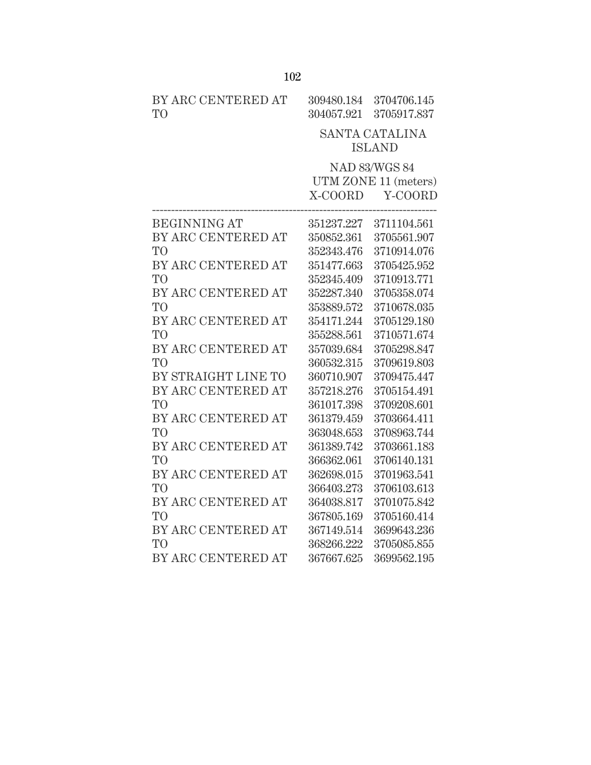| BY ARC CENTERED AT<br>T <sub>O</sub> | 309480.184<br>304057.921 | 3704706.145<br>3705917.837 |
|--------------------------------------|--------------------------|----------------------------|
|                                      |                          | <b>SANTA CATALINA</b>      |
|                                      |                          | <b>ISLAND</b>              |
|                                      |                          | <b>NAD 83/WGS 84</b>       |
|                                      |                          | UTM ZONE 11 (meters)       |
|                                      | X-COORD                  | Y-COORD                    |
| <b>BEGINNING AT</b>                  | 351237.227               | 3711104.561                |
| BY ARC CENTERED AT                   | 350852.361               | 3705561.907                |
| T <sub>O</sub>                       | 352343.476               | 3710914.076                |
| BY ARC CENTERED AT                   | 351477.663               | 3705425.952                |
| T <sub>O</sub>                       | 352345.409               | 3710913.771                |
| BY ARC CENTERED AT                   | 352287.340               | 3705358.074                |
| T <sub>O</sub>                       | 353889.572               | 3710678.035                |
| BY ARC CENTERED AT                   | 354171.244               | 3705129.180                |
| T <sub>O</sub>                       | 355288.561               | 3710571.674                |
| BY ARC CENTERED AT                   | 357039.684               | 3705298.847                |
| T <sub>O</sub>                       | 360532.315               | 3709619.803                |
| BY STRAIGHT LINE TO                  | 360710.907               | 3709475.447                |
| BY ARC CENTERED AT                   | 357218.276               | 3705154.491                |
| T <sub>O</sub>                       | 361017.398               | 3709208.601                |
| BY ARC CENTERED AT                   | 361379.459               | 3703664.411                |
| T <sub>O</sub>                       | 363048.653               | 3708963.744                |
| BY ARC CENTERED AT                   | 361389.742               | 3703661.183                |
| T <sub>O</sub>                       | 366362.061               | 3706140.131                |
| BY ARC CENTERED AT                   | 362698.015               | 3701963.541                |
| T <sub>O</sub>                       | 366403.273               | 3706103.613                |
| BY ARC CENTERED AT                   | 364038.817               | 3701075.842                |
| T <sub>O</sub>                       | 367805.169               | 3705160.414                |
| BY ARC CENTERED AT                   | 367149.514               | 3699643.236                |
| T <sub>O</sub>                       | 368266.222               | 3705085.855                |
| BY ARC CENTERED AT                   | 367667.625               | 3699562.195                |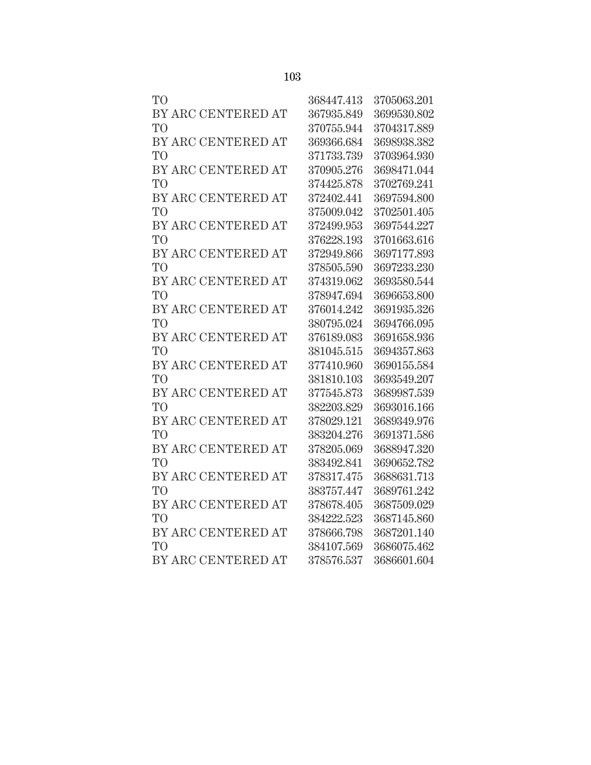| T <sub>O</sub>     | 368447.413 | 3705063.201 |
|--------------------|------------|-------------|
| BY ARC CENTERED AT | 367935.849 | 3699530.802 |
| T <sub>O</sub>     | 370755.944 | 3704317.889 |
| BY ARC CENTERED AT | 369366.684 | 3698938.382 |
| T <sub>O</sub>     | 371733.739 | 3703964.930 |
| BY ARC CENTERED AT | 370905.276 | 3698471.044 |
| T <sub>O</sub>     | 374425.878 | 3702769.241 |
| BY ARC CENTERED AT | 372402.441 | 3697594.800 |
| T <sub>O</sub>     | 375009.042 | 3702501.405 |
| BY ARC CENTERED AT | 372499.953 | 3697544.227 |
| T <sub>O</sub>     | 376228.193 | 3701663.616 |
| BY ARC CENTERED AT | 372949.866 | 3697177.893 |
| T <sub>O</sub>     | 378505.590 | 3697233.230 |
| BY ARC CENTERED AT | 374319.062 | 3693580.544 |
| T <sub>O</sub>     | 378947.694 | 3696653.800 |
| BY ARC CENTERED AT | 376014.242 | 3691935.326 |
| T <sub>O</sub>     | 380795.024 | 3694766.095 |
| BY ARC CENTERED AT | 376189.083 | 3691658.936 |
| T <sub>O</sub>     | 381045.515 | 3694357.863 |
| BY ARC CENTERED AT | 377410.960 | 3690155.584 |
| T <sub>O</sub>     | 381810.103 | 3693549.207 |
| BY ARC CENTERED AT | 377545.873 | 3689987.539 |
| T <sub>O</sub>     | 382203.829 | 3693016.166 |
| BY ARC CENTERED AT | 378029.121 | 3689349.976 |
| T <sub>O</sub>     | 383204.276 | 3691371.586 |
| BY ARC CENTERED AT | 378205.069 | 3688947.320 |
| T <sub>O</sub>     | 383492.841 | 3690652.782 |
| BY ARC CENTERED AT | 378317.475 | 3688631.713 |
| T <sub>O</sub>     | 383757.447 | 3689761.242 |
| BY ARC CENTERED AT | 378678.405 | 3687509.029 |
| T <sub>O</sub>     | 384222.523 | 3687145.860 |
| BY ARC CENTERED AT | 378666.798 | 3687201.140 |
| T <sub>O</sub>     | 384107.569 | 3686075.462 |
| BY ARC CENTERED AT | 378576.537 | 3686601.604 |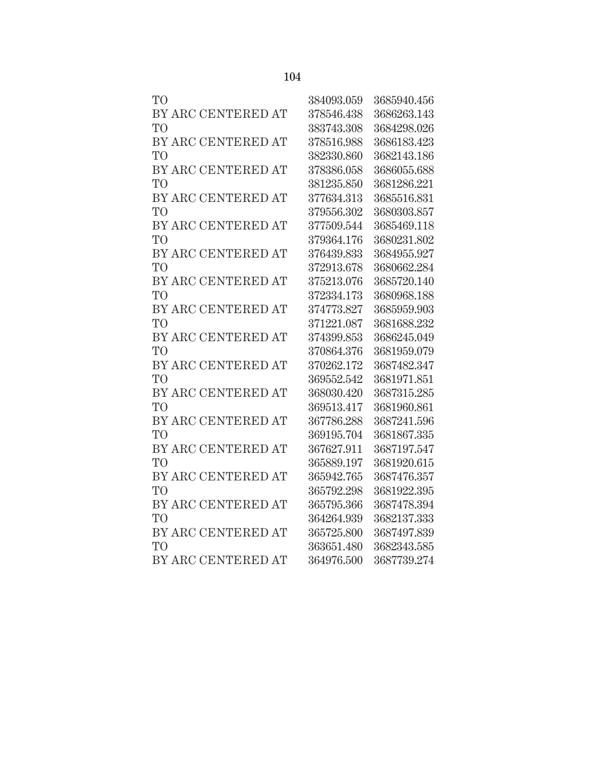| T <sub>O</sub>     | 384093.059 | 3685940.456 |
|--------------------|------------|-------------|
| BY ARC CENTERED AT | 378546.438 | 3686263.143 |
| T <sub>O</sub>     | 383743.308 | 3684298.026 |
| BY ARC CENTERED AT | 378516.988 | 3686183.423 |
| T <sub>O</sub>     | 382330.860 | 3682143.186 |
| BY ARC CENTERED AT | 378386.058 | 3686055.688 |
| T <sub>O</sub>     | 381235.850 | 3681286.221 |
| BY ARC CENTERED AT | 377634.313 | 3685516.831 |
| T <sub>O</sub>     | 379556.302 | 3680303.857 |
| BY ARC CENTERED AT | 377509.544 | 3685469.118 |
| T <sub>O</sub>     | 379364.176 | 3680231.802 |
| BY ARC CENTERED AT | 376439.833 | 3684955.927 |
| T <sub>O</sub>     | 372913.678 | 3680662.284 |
| BY ARC CENTERED AT | 375213.076 | 3685720.140 |
| T <sub>O</sub>     | 372334.173 | 3680968.188 |
| BY ARC CENTERED AT | 374773.827 | 3685959.903 |
| T <sub>O</sub>     | 371221.087 | 3681688.232 |
| BY ARC CENTERED AT | 374399.853 | 3686245.049 |
| T <sub>O</sub>     | 370864.376 | 3681959.079 |
| BY ARC CENTERED AT | 370262.172 | 3687482.347 |
| T <sub>O</sub>     | 369552.542 | 3681971.851 |
| BY ARC CENTERED AT | 368030.420 | 3687315.285 |
| T <sub>O</sub>     | 369513.417 | 3681960.861 |
| BY ARC CENTERED AT | 367786.288 | 3687241.596 |
| T <sub>O</sub>     | 369195.704 | 3681867.335 |
| BY ARC CENTERED AT | 367627.911 | 3687197.547 |
| T <sub>O</sub>     | 365889.197 | 3681920.615 |
| BY ARC CENTERED AT | 365942.765 | 3687476.357 |
| T <sub>O</sub>     | 365792.298 | 3681922.395 |
| BY ARC CENTERED AT | 365795.366 | 3687478.394 |
| T <sub>O</sub>     | 364264.939 | 3682137.333 |
| BY ARC CENTERED AT | 365725.800 | 3687497.839 |
| T <sub>O</sub>     | 363651.480 | 3682343.585 |
| BY ARC CENTERED AT | 364976.500 | 3687739.274 |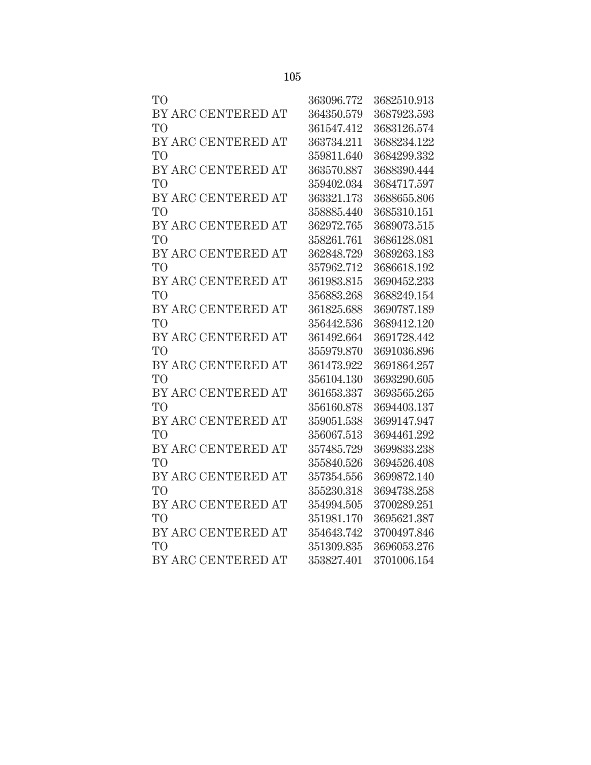| T <sub>O</sub>     | 363096.772 | 3682510.913 |
|--------------------|------------|-------------|
| BY ARC CENTERED AT | 364350.579 | 3687923.593 |
| T <sub>O</sub>     | 361547.412 | 3683126.574 |
| BY ARC CENTERED AT | 363734.211 | 3688234.122 |
| T <sub>O</sub>     | 359811.640 | 3684299.332 |
| BY ARC CENTERED AT | 363570.887 | 3688390.444 |
| T <sub>O</sub>     | 359402.034 | 3684717.597 |
| BY ARC CENTERED AT | 363321.173 | 3688655.806 |
| T <sub>O</sub>     | 358885.440 | 3685310.151 |
| BY ARC CENTERED AT | 362972.765 | 3689073.515 |
| T <sub>O</sub>     | 358261.761 | 3686128.081 |
| BY ARC CENTERED AT | 362848.729 | 3689263.183 |
| T <sub>O</sub>     | 357962.712 | 3686618.192 |
| BY ARC CENTERED AT | 361983.815 | 3690452.233 |
| T <sub>O</sub>     | 356883.268 | 3688249.154 |
| BY ARC CENTERED AT | 361825.688 | 3690787.189 |
| T <sub>O</sub>     | 356442.536 | 3689412.120 |
| BY ARC CENTERED AT | 361492.664 | 3691728.442 |
| T <sub>O</sub>     | 355979.870 | 3691036.896 |
| BY ARC CENTERED AT | 361473.922 | 3691864.257 |
| T <sub>O</sub>     | 356104.130 | 3693290.605 |
| BY ARC CENTERED AT | 361653.337 | 3693565.265 |
| T <sub>O</sub>     | 356160.878 | 3694403.137 |
| BY ARC CENTERED AT | 359051.538 | 3699147.947 |
| T <sub>O</sub>     | 356067.513 | 3694461.292 |
| BY ARC CENTERED AT | 357485.729 | 3699833.238 |
| T <sub>O</sub>     | 355840.526 | 3694526.408 |
| BY ARC CENTERED AT | 357354.556 | 3699872.140 |
| T <sub>O</sub>     | 355230.318 | 3694738.258 |
| BY ARC CENTERED AT | 354994.505 | 3700289.251 |
| T <sub>O</sub>     | 351981.170 | 3695621.387 |
| BY ARC CENTERED AT | 354643.742 | 3700497.846 |
| T <sub>O</sub>     | 351309.835 | 3696053.276 |
| BY ARC CENTERED AT | 353827.401 | 3701006.154 |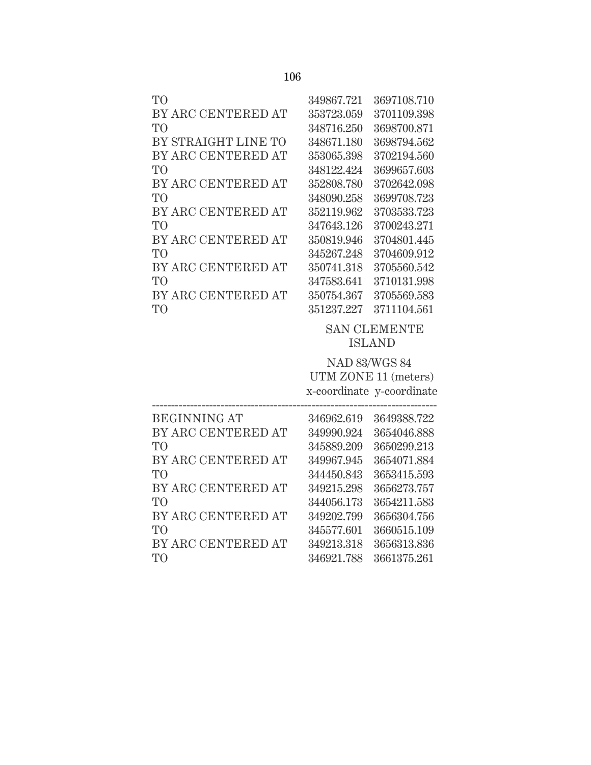| T <sub>O</sub>      | 349867.721           | 3697108.710               |  |
|---------------------|----------------------|---------------------------|--|
| BY ARC CENTERED AT  | 353723.059           | 3701109.398               |  |
| T <sub>O</sub>      | 348716.250           | 3698700.871               |  |
| BY STRAIGHT LINE TO | 348671.180           | 3698794.562               |  |
| BY ARC CENTERED AT  | 353065.398           | 3702194.560               |  |
| T <sub>O</sub>      | 348122.424           | 3699657.603               |  |
| BY ARC CENTERED AT  | 352808.780           | 3702642.098               |  |
| T <sub>O</sub>      | 348090.258           | 3699708.723               |  |
| BY ARC CENTERED AT  | 352119.962           | 3703533.723               |  |
| T <sub>O</sub>      | 347643.126           | 3700243.271               |  |
| BY ARC CENTERED AT  | 350819.946           | 3704801.445               |  |
| T <sub>O</sub>      | 345267.248           | 3704609.912               |  |
| BY ARC CENTERED AT  | 350741.318           | 3705560.542               |  |
| T <sub>O</sub>      | 347583.641           | 3710131.998               |  |
| BY ARC CENTERED AT  | 350754.367           | 3705569.583               |  |
| T <sub>O</sub>      | 351237.227           | 3711104.561               |  |
|                     |                      | <b>SAN CLEMENTE</b>       |  |
|                     | <b>ISLAND</b>        |                           |  |
|                     | <b>NAD 83/WGS 84</b> |                           |  |
|                     | UTM ZONE 11 (meters) |                           |  |
|                     |                      | x-coordinate y-coordinate |  |
| <b>BEGINNING AT</b> | 346962.619           | 3649388.722               |  |
| BY ARC CENTERED AT  | 349990.924           | 3654046.888               |  |
| T <sub>O</sub>      | 345889.209           | 3650299.213               |  |
| BY ARC CENTERED AT  | 349967.945           | 3654071.884               |  |
| T <sub>O</sub>      | 344450.843           | 3653415.593               |  |
| BY ARC CENTERED AT  | 349215.298           | 3656273.757               |  |
| T <sub>O</sub>      | 344056.173           | 3654211.583               |  |
| BY ARC CENTERED AT  | 349202.799           | 3656304.756               |  |
|                     |                      |                           |  |

TO 345577.601 3660515.109

TO 346921.788 3661375.261

BY ARC CENTERED AT 349213.318 3656313.836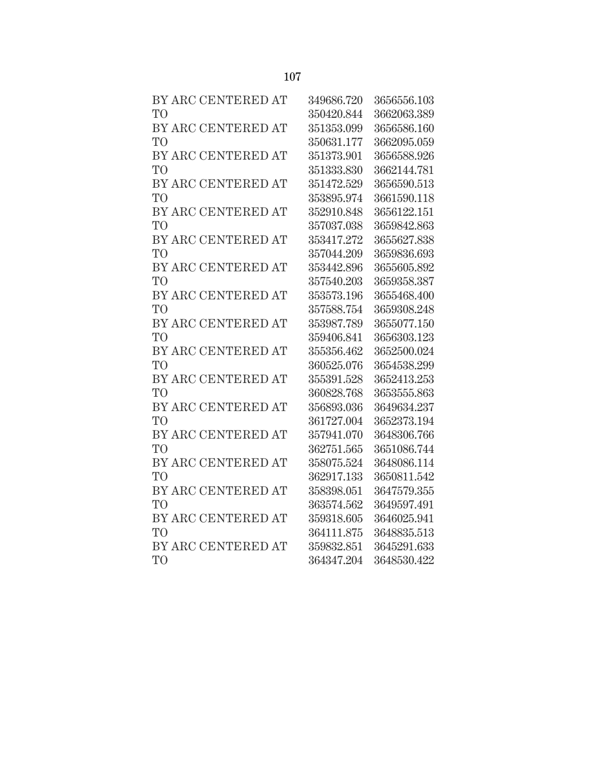| BY ARC CENTERED AT | 349686.720 | 3656556.103 |
|--------------------|------------|-------------|
| T <sub>O</sub>     | 350420.844 | 3662063.389 |
| BY ARC CENTERED AT | 351353.099 | 3656586.160 |
| T <sub>O</sub>     | 350631.177 | 3662095.059 |
| BY ARC CENTERED AT | 351373.901 | 3656588.926 |
| T <sub>O</sub>     | 351333.830 | 3662144.781 |
| BY ARC CENTERED AT | 351472.529 | 3656590.513 |
| T <sub>O</sub>     | 353895.974 | 3661590.118 |
| BY ARC CENTERED AT | 352910.848 | 3656122.151 |
| T <sub>O</sub>     | 357037.038 | 3659842.863 |
| BY ARC CENTERED AT | 353417.272 | 3655627.838 |
| T <sub>O</sub>     | 357044.209 | 3659836.693 |
| BY ARC CENTERED AT | 353442.896 | 3655605.892 |
| T <sub>O</sub>     | 357540.203 | 3659358.387 |
| BY ARC CENTERED AT | 353573.196 | 3655468.400 |
| T <sub>O</sub>     | 357588.754 | 3659308.248 |
| BY ARC CENTERED AT | 353987.789 | 3655077.150 |
| T <sub>O</sub>     | 359406.841 | 3656303.123 |
| BY ARC CENTERED AT | 355356.462 | 3652500.024 |
| T <sub>O</sub>     | 360525.076 | 3654538.299 |
| BY ARC CENTERED AT | 355391.528 | 3652413.253 |
| T <sub>O</sub>     | 360828.768 | 3653555.863 |
| BY ARC CENTERED AT | 356893.036 | 3649634.237 |
| T <sub>O</sub>     | 361727.004 | 3652373.194 |
| BY ARC CENTERED AT | 357941.070 | 3648306.766 |
| T <sub>O</sub>     | 362751.565 | 3651086.744 |
| BY ARC CENTERED AT | 358075.524 | 3648086.114 |
| T <sub>O</sub>     | 362917.133 | 3650811.542 |
| BY ARC CENTERED AT | 358398.051 | 3647579.355 |
| T <sub>O</sub>     | 363574.562 | 3649597.491 |
| BY ARC CENTERED AT | 359318.605 | 3646025.941 |
| T <sub>O</sub>     | 364111.875 | 3648835.513 |
| BY ARC CENTERED AT | 359832.851 | 3645291.633 |
| T <sub>O</sub>     | 364347.204 | 3648530.422 |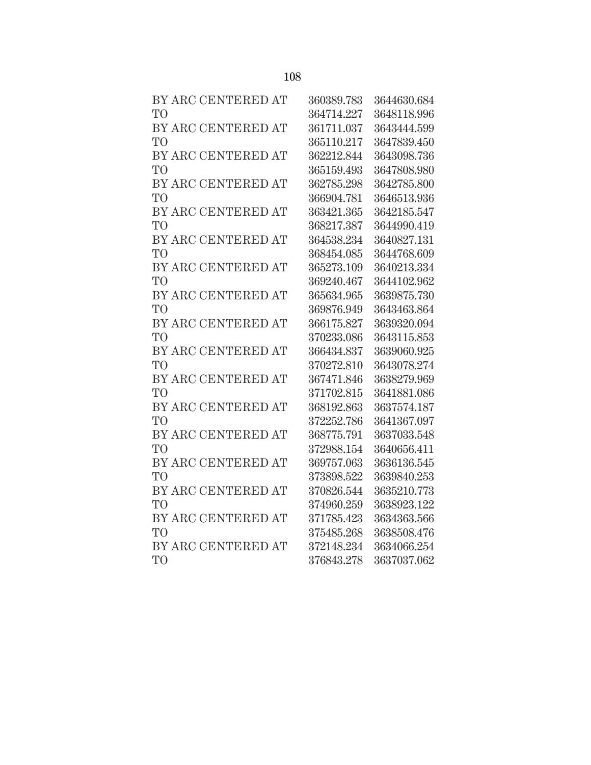| BY ARC CENTERED AT | 360389.783 | 3644630.684 |
|--------------------|------------|-------------|
| T <sub>O</sub>     | 364714.227 | 3648118.996 |
| BY ARC CENTERED AT | 361711.037 | 3643444.599 |
| T <sub>O</sub>     | 365110.217 | 3647839.450 |
| BY ARC CENTERED AT | 362212.844 | 3643098.736 |
| T <sub>O</sub>     | 365159.493 | 3647808.980 |
| BY ARC CENTERED AT | 362785.298 | 3642785.800 |
| T <sub>O</sub>     | 366904.781 | 3646513.936 |
| BY ARC CENTERED AT | 363421.365 | 3642185.547 |
| T <sub>O</sub>     | 368217.387 | 3644990.419 |
| BY ARC CENTERED AT | 364538.234 | 3640827.131 |
| T <sub>O</sub>     | 368454.085 | 3644768.609 |
| BY ARC CENTERED AT | 365273.109 | 3640213.334 |
| T <sub>O</sub>     | 369240.467 | 3644102.962 |
| BY ARC CENTERED AT | 365634.965 | 3639875.730 |
| T <sub>O</sub>     | 369876.949 | 3643463.864 |
| BY ARC CENTERED AT | 366175.827 | 3639320.094 |
| T <sub>O</sub>     | 370233.086 | 3643115.853 |
| BY ARC CENTERED AT | 366434.837 | 3639060.925 |
| T <sub>O</sub>     | 370272.810 | 3643078.274 |
| BY ARC CENTERED AT | 367471.846 | 3638279.969 |
| T <sub>O</sub>     | 371702.815 | 3641881.086 |
| BY ARC CENTERED AT | 368192.863 | 3637574.187 |
| T <sub>O</sub>     | 372252.786 | 3641367.097 |
| BY ARC CENTERED AT | 368775.791 | 3637033.548 |
| T <sub>O</sub>     | 372988.154 | 3640656.411 |
| BY ARC CENTERED AT | 369757.063 | 3636136.545 |
| T <sub>O</sub>     | 373898.522 | 3639840.253 |
| BY ARC CENTERED AT | 370826.544 | 3635210.773 |
| T <sub>O</sub>     | 374960.259 | 3638923.122 |
| BY ARC CENTERED AT | 371785.423 | 3634363.566 |
| T <sub>O</sub>     | 375485.268 | 3638508.476 |
| BY ARC CENTERED AT | 372148.234 | 3634066.254 |
| T <sub>O</sub>     | 376843.278 | 3637037.062 |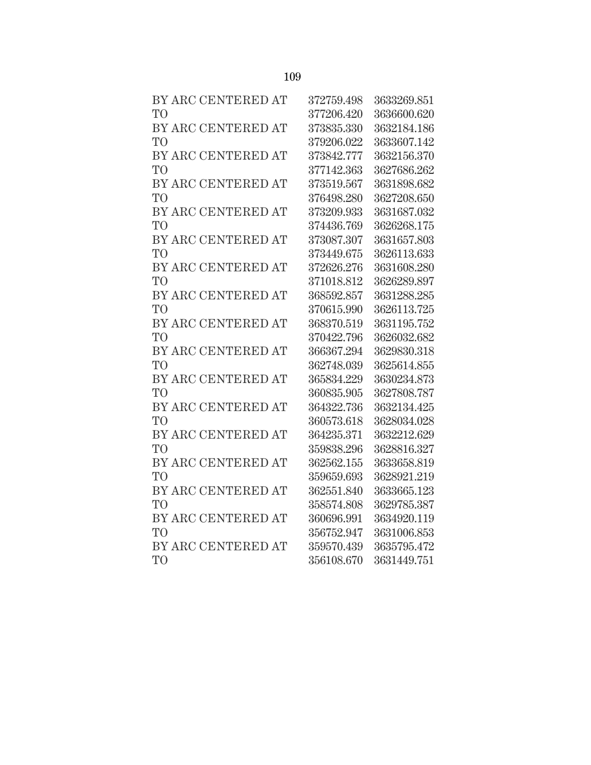| BY ARC CENTERED AT | 372759.498 | 3633269.851 |
|--------------------|------------|-------------|
| T <sub>O</sub>     | 377206.420 | 3636600.620 |
| BY ARC CENTERED AT | 373835.330 | 3632184.186 |
| T <sub>O</sub>     | 379206.022 | 3633607.142 |
| BY ARC CENTERED AT | 373842.777 | 3632156.370 |
| T <sub>O</sub>     | 377142.363 | 3627686.262 |
| BY ARC CENTERED AT | 373519.567 | 3631898.682 |
| T <sub>O</sub>     | 376498.280 | 3627208.650 |
| BY ARC CENTERED AT | 373209.933 | 3631687.032 |
| T <sub>O</sub>     | 374436.769 | 3626268.175 |
| BY ARC CENTERED AT | 373087.307 | 3631657.803 |
| T <sub>O</sub>     | 373449.675 | 3626113.633 |
| BY ARC CENTERED AT | 372626.276 | 3631608.280 |
| T <sub>O</sub>     | 371018.812 | 3626289.897 |
| BY ARC CENTERED AT | 368592.857 | 3631288.285 |
| T <sub>O</sub>     | 370615.990 | 3626113.725 |
| BY ARC CENTERED AT | 368370.519 | 3631195.752 |
| T <sub>O</sub>     | 370422.796 | 3626032.682 |
| BY ARC CENTERED AT | 366367.294 | 3629830.318 |
| T <sub>O</sub>     | 362748.039 | 3625614.855 |
| BY ARC CENTERED AT | 365834.229 | 3630234.873 |
| T <sub>O</sub>     | 360835.905 | 3627808.787 |
| BY ARC CENTERED AT | 364322.736 | 3632134.425 |
| T <sub>O</sub>     | 360573.618 | 3628034.028 |
| BY ARC CENTERED AT | 364235.371 | 3632212.629 |
| T <sub>O</sub>     | 359838.296 | 3628816.327 |
| BY ARC CENTERED AT | 362562.155 | 3633658.819 |
| T <sub>O</sub>     | 359659.693 | 3628921.219 |
| BY ARC CENTERED AT | 362551.840 | 3633665.123 |
| T <sub>O</sub>     | 358574.808 | 3629785.387 |
| BY ARC CENTERED AT | 360696.991 | 3634920.119 |
| T <sub>O</sub>     | 356752.947 | 3631006.853 |
| BY ARC CENTERED AT | 359570.439 | 3635795.472 |
| T <sub>O</sub>     | 356108.670 | 3631449.751 |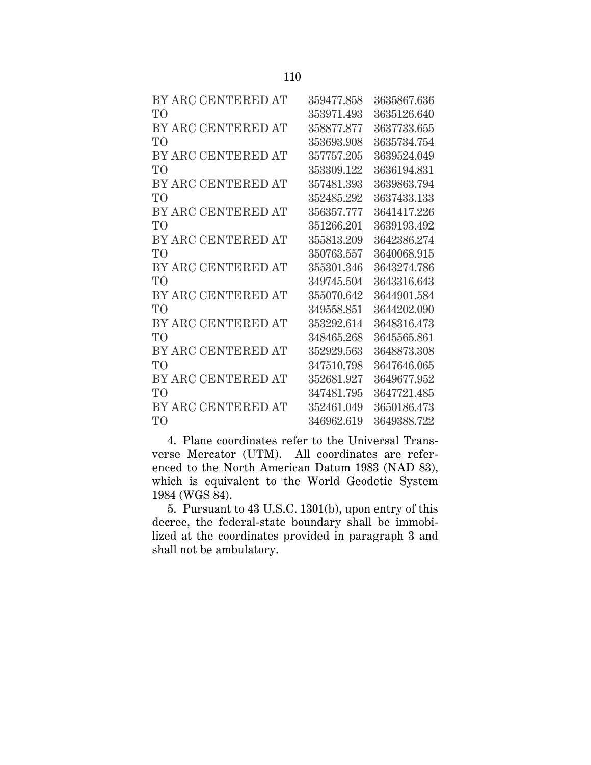| BY ARC CENTERED AT | 359477.858 | 3635867.636 |
|--------------------|------------|-------------|
| TО                 | 353971.493 | 3635126.640 |
| BY ARC CENTERED AT | 358877.877 | 3637733.655 |
| T <sub>O</sub>     | 353693.908 | 3635734.754 |
| BY ARC CENTERED AT | 357757.205 | 3639524.049 |
| T <sub>O</sub>     | 353309.122 | 3636194.831 |
| BY ARC CENTERED AT | 357481.393 | 3639863.794 |
| T <sub>O</sub>     | 352485.292 | 3637433.133 |
| BY ARC CENTERED AT | 356357.777 | 3641417.226 |
| T <sub>O</sub>     | 351266.201 | 3639193.492 |
| BY ARC CENTERED AT | 355813.209 | 3642386.274 |
| T <sub>O</sub>     | 350763.557 | 3640068.915 |
| BY ARC CENTERED AT | 355301.346 | 3643274.786 |
| TO                 | 349745.504 | 3643316.643 |
| BY ARC CENTERED AT | 355070.642 | 3644901.584 |
| T <sub>O</sub>     | 349558.851 | 3644202.090 |
| BY ARC CENTERED AT | 353292.614 | 3648316.473 |
| TО                 | 348465.268 | 3645565.861 |
| BY ARC CENTERED AT | 352929.563 | 3648873.308 |
| T <sub>O</sub>     | 347510.798 | 3647646.065 |
| BY ARC CENTERED AT | 352681.927 | 3649677.952 |
| TO                 | 347481.795 | 3647721.485 |
| BY ARC CENTERED AT | 352461.049 | 3650186.473 |
| TO <sup>1</sup>    | 346962.619 | 3649388.722 |

4. Plane coordinates refer to the Universal Transverse Mercator (UTM). All coordinates are referenced to the North American Datum 1983 (NAD 83), which is equivalent to the World Geodetic System 1984 (WGS 84).

5. Pursuant to 43 U.S.C. 1301(b), upon entry of this decree, the federal-state boundary shall be immobilized at the coordinates provided in paragraph 3 and shall not be ambulatory.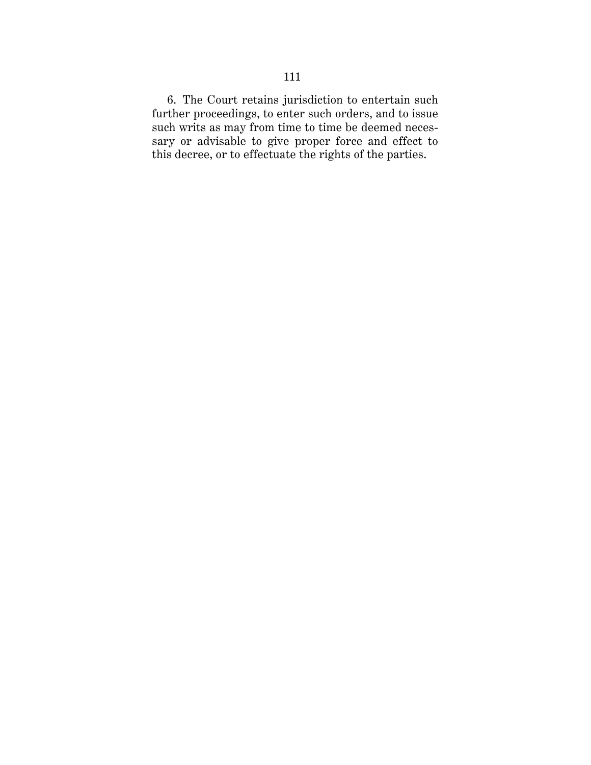6. The Court retains jurisdiction to entertain such further proceedings, to enter such orders, and to issue such writs as may from time to time be deemed necessary or advisable to give proper force and effect to this decree, or to effectuate the rights of the parties.